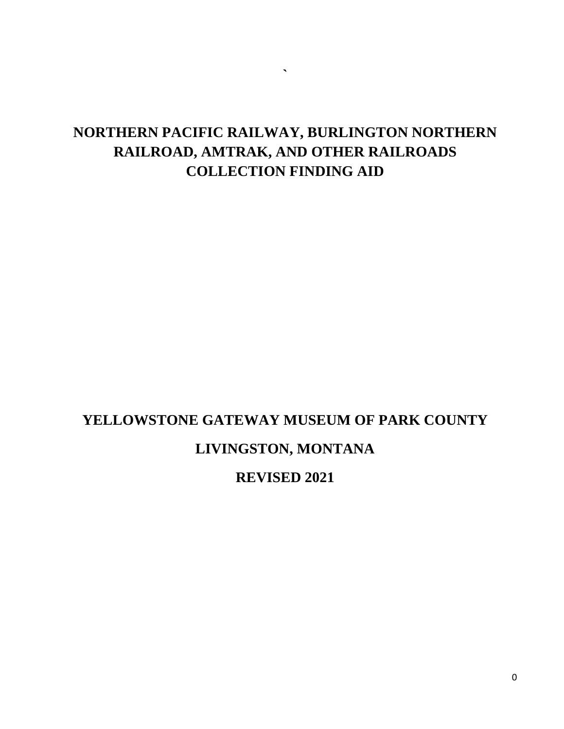## **NORTHERN PACIFIC RAILWAY, BURLINGTON NORTHERN RAILROAD, AMTRAK, AND OTHER RAILROADS COLLECTION FINDING AID**

**`**

# **YELLOWSTONE GATEWAY MUSEUM OF PARK COUNTY LIVINGSTON, MONTANA**

**REVISED 2021**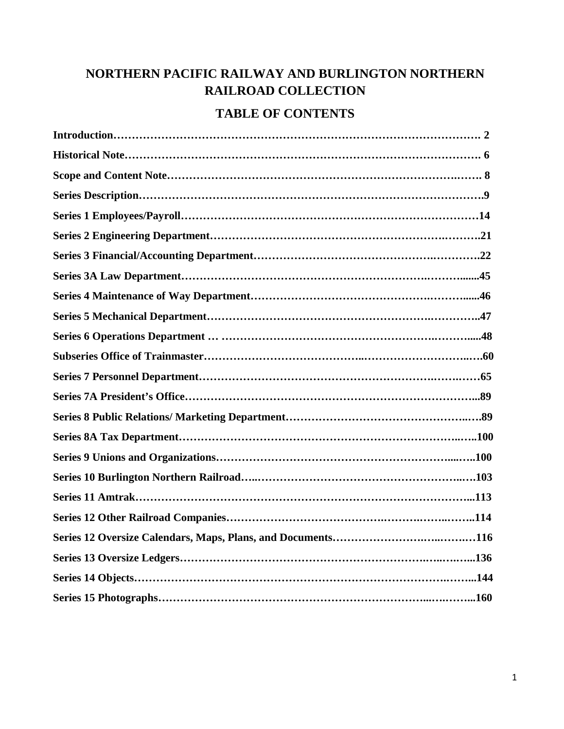### **NORTHERN PACIFIC RAILWAY AND BURLINGTON NORTHERN RAILROAD COLLECTION**

#### **TABLE OF CONTENTS**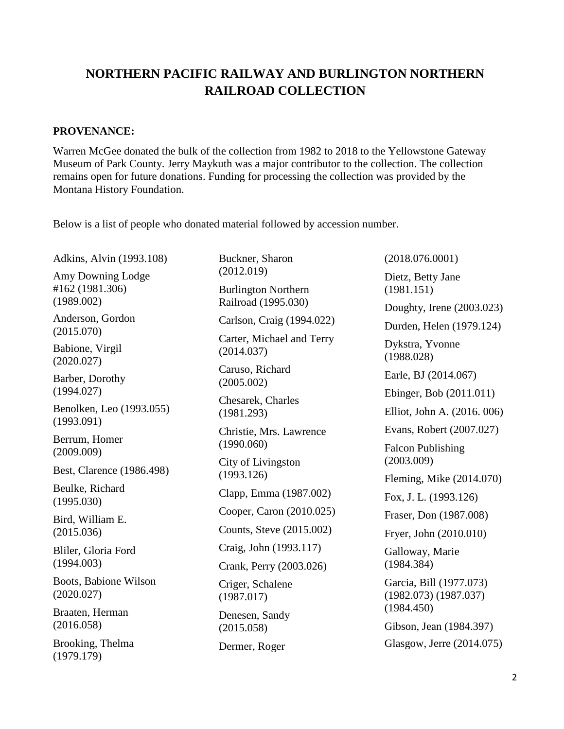### **NORTHERN PACIFIC RAILWAY AND BURLINGTON NORTHERN RAILROAD COLLECTION**

#### **PROVENANCE:**

Warren McGee donated the bulk of the collection from 1982 to 2018 to the Yellowstone Gateway Museum of Park County. Jerry Maykuth was a major contributor to the collection. The collection remains open for future donations. Funding for processing the collection was provided by the Montana History Foundation.

Below is a list of people who donated material followed by accession number.

Adkins, Alvin (1993.108)

Amy Downing Lodge #162 (1981.306) (1989.002)

Anderson, Gordon (2015.070)

Babione, Virgil (2020.027)

Barber, Dorothy (1994.027)

Benolken, Leo (1993.055) (1993.091)

Berrum, Homer (2009.009)

Best, Clarence (1986.498)

Beulke, Richard (1995.030)

Bird, William E. (2015.036)

Bliler, Gloria Ford (1994.003)

Boots, Babione Wilson (2020.027)

Braaten, Herman (2016.058)

Brooking, Thelma (1979.179)

Buckner, Sharon (2012.019)

Burlington Northern Railroad (1995.030)

Carlson, Craig (1994.022)

Carter, Michael and Terry (2014.037)

Caruso, Richard (2005.002)

Chesarek, Charles (1981.293)

Christie, Mrs. Lawrence (1990.060)

City of Livingston (1993.126)

Clapp, Emma (1987.002)

Cooper, Caron (2010.025)

Counts, Steve (2015.002)

Craig, John (1993.117)

Crank, Perry (2003.026)

Criger, Schalene (1987.017)

Denesen, Sandy (2015.058)

Dermer, Roger

(2018.076.0001) Dietz, Betty Jane (1981.151) Doughty, Irene (2003.023) Durden, Helen (1979.124) Dykstra, Yvonne (1988.028) Earle, BJ (2014.067) Ebinger, Bob (2011.011) Elliot, John A. (2016. 006) Evans, Robert (2007.027)

Falcon Publishing (2003.009)

Fleming, Mike (2014.070)

Fox, J. L. (1993.126)

Fraser, Don (1987.008)

Fryer, John (2010.010)

Galloway, Marie (1984.384)

Garcia, Bill (1977.073) (1982.073) (1987.037) (1984.450)

Gibson, Jean (1984.397)

Glasgow, Jerre (2014.075)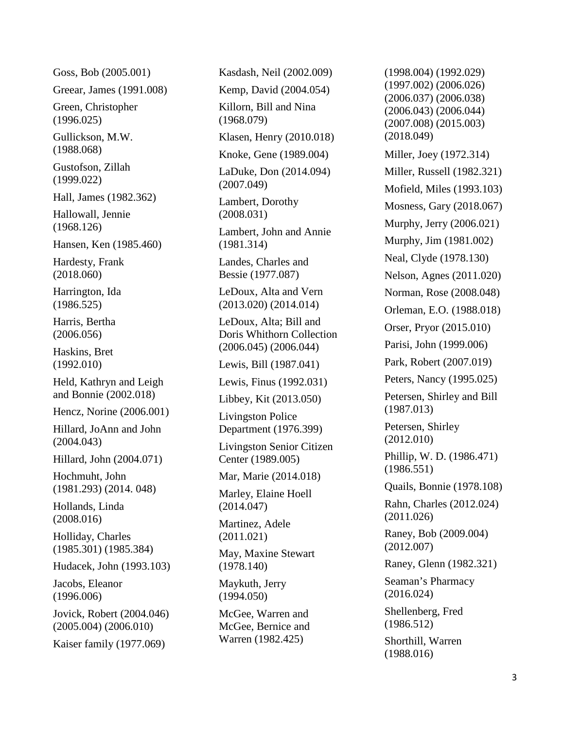Goss, Bob (2005.001)

Greear, James (1991.008)

Green, Christopher (1996.025)

Gullickson, M.W. (1988.068)

Gustofson, Zillah (1999.022)

Hall, James (1982.362)

Hallowall, Jennie (1968.126)

Hansen, Ken (1985.460)

Hardesty, Frank (2018.060)

Harrington, Ida (1986.525)

Harris, Bertha (2006.056)

Haskins, Bret (1992.010)

Held, Kathryn and Leigh and Bonnie (2002.018)

Hencz, Norine (2006.001)

Hillard, JoAnn and John (2004.043)

Hillard, John (2004.071)

Hochmuht, John (1981.293) (2014. 048)

Hollands, Linda (2008.016)

Holliday, Charles (1985.301) (1985.384)

Hudacek, John (1993.103)

Jacobs, Eleanor (1996.006)

Jovick, Robert (2004.046) (2005.004) (2006.010)

Kaiser family (1977.069)

Kasdash, Neil (2002.009)

Kemp, David (2004.054)

Killorn, Bill and Nina

(1968.079)

Klasen, Henry (2010.018)

Knoke, Gene (1989.004)

LaDuke, Don (2014.094) (2007.049)

Lambert, Dorothy (2008.031)

Lambert, John and Annie (1981.314)

Landes, Charles and Bessie (1977.087)

LeDoux, Alta and Vern (2013.020) (2014.014)

LeDoux, Alta; Bill and Doris Whithorn Collection (2006.045) (2006.044)

Lewis, Bill (1987.041)

Lewis, Finus (1992.031)

Libbey, Kit (2013.050)

Livingston Police Department (1976.399)

Livingston Senior Citizen Center (1989.005)

Mar, Marie (2014.018)

Marley, Elaine Hoell (2014.047)

Martinez, Adele (2011.021)

May, Maxine Stewart (1978.140)

Maykuth, Jerry (1994.050)

McGee, Warren and McGee, Bernice and Warren (1982.425)

(1998.004) (1992.029) (1997.002) (2006.026) (2006.037) (2006.038) (2006.043) (2006.044) (2007.008) (2015.003) (2018.049) Miller, Joey (1972.314) Miller, Russell (1982.321) Mofield, Miles (1993.103) Mosness, Gary (2018.067) Murphy, Jerry (2006.021) Murphy, Jim (1981.002 ) Neal, Clyde (1978.130) Nelson, Agnes (2011.020) Norman, Rose (2008.048) Orleman, E.O. (1988.018) Orser, Pryor (2015.010) Parisi, John (1999.006) Park, Robert (2007.019) Peters, Nancy (1995.025) Petersen, Shirley and Bill (1987.013) Petersen, Shirley (2012.010) Phillip, W. D. (1986.471) (1986.551) Quails, Bonnie (1978.108) Rahn, Charles (2012.024) (2011.026) Raney, Bob (2009.004) (2012.007) Raney, Glenn (1982.321) Seaman's Pharmacy (2016.024)

Shellenberg, Fred (1986.512)

Shorthill, Warren (1988.016)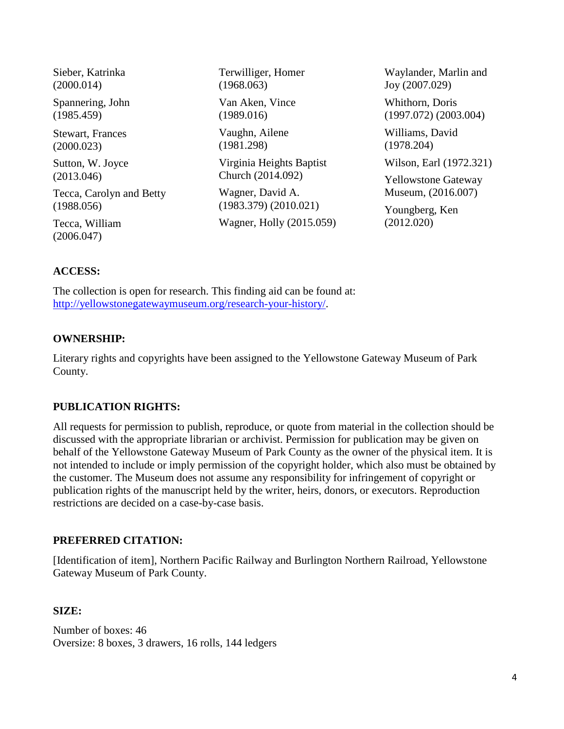| Sieber, Katrinka<br>(2000.014)        | Terwilliger, Homer<br>(1968.063) | Waylander, Marlin and<br>Joy (2007.029)  |
|---------------------------------------|----------------------------------|------------------------------------------|
| Spannering, John<br>(1985.459)        | Van Aken, Vince<br>(1989.016)    | Whithorn, Doris<br>(1997.072) (2003.004) |
| <b>Stewart, Frances</b><br>(2000.023) | Vaughn, Ailene<br>(1981.298)     | Williams, David<br>(1978.204)            |
| Sutton, W. Joyce                      | Virginia Heights Baptist         | Wilson, Earl (1972.321)                  |
| (2013.046)                            | Church (2014.092)                | <b>Yellowstone Gateway</b>               |
| Tecca, Carolyn and Betty              | Wagner, David A.                 | Museum, (2016.007)                       |
| (1988.056)                            | (1983.379) (2010.021)            | Youngberg, Ken                           |
| Tecca, William<br>(2006.047)          | Wagner, Holly (2015.059)         | (2012.020)                               |
|                                       |                                  |                                          |

#### **ACCESS:**

The collection is open for research. This finding aid can be found at: [http://yellowstonegatewaymuseum.org/research-your-history/.](http://yellowstonegatewaymuseum.org/research-your-history/)

#### **OWNERSHIP:**

Literary rights and copyrights have been assigned to the Yellowstone Gateway Museum of Park County.

#### **PUBLICATION RIGHTS:**

All requests for permission to publish, reproduce, or quote from material in the collection should be discussed with the appropriate librarian or archivist. Permission for publication may be given on behalf of the Yellowstone Gateway Museum of Park County as the owner of the physical item. It is not intended to include or imply permission of the copyright holder, which also must be obtained by the customer. The Museum does not assume any responsibility for infringement of copyright or publication rights of the manuscript held by the writer, heirs, donors, or executors. Reproduction restrictions are decided on a case-by-case basis.

#### **PREFERRED CITATION:**

[Identification of item], Northern Pacific Railway and Burlington Northern Railroad, Yellowstone Gateway Museum of Park County.

#### **SIZE:**

Number of boxes: 46 Oversize: 8 boxes, 3 drawers, 16 rolls, 144 ledgers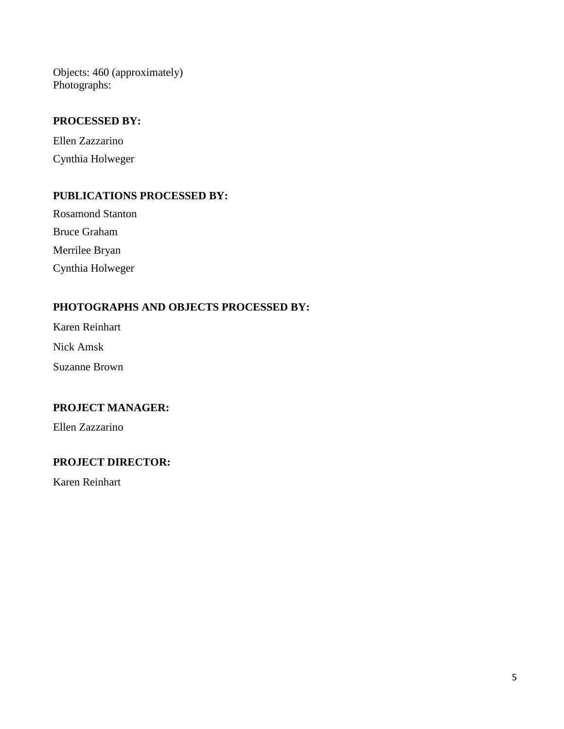Objects: 460 (approximately) Photographs:

#### **PROCESSED BY:**

Ellen Zazzarino Cynthia Holweger

#### **PUBLICATIONS PROCESSED BY:**

Rosamond Stanton Bruce Graham Merrilee Bryan Cynthia Holweger

#### **PHOTOGRAPHS AND OBJECTS PROCESSED BY:**

Karen Reinhart

Nick Amsk

Suzanne Brown

#### **PROJECT MANAGER:**

Ellen Zazzarino

#### **PROJECT DIRECTOR:**

Karen Reinhart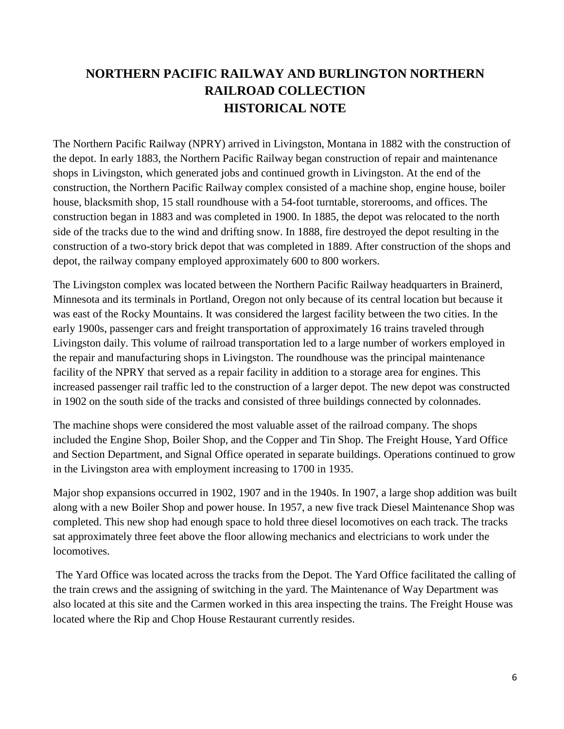### **NORTHERN PACIFIC RAILWAY AND BURLINGTON NORTHERN RAILROAD COLLECTION HISTORICAL NOTE**

The Northern Pacific Railway (NPRY) arrived in Livingston, Montana in 1882 with the construction of the depot. In early 1883, the Northern Pacific Railway began construction of repair and maintenance shops in Livingston, which generated jobs and continued growth in Livingston. At the end of the construction, the Northern Pacific Railway complex consisted of a machine shop, engine house, boiler house, blacksmith shop, 15 stall roundhouse with a 54-foot turntable, storerooms, and offices. The construction began in 1883 and was completed in 1900. In 1885, the depot was relocated to the north side of the tracks due to the wind and drifting snow. In 1888, fire destroyed the depot resulting in the construction of a two-story brick depot that was completed in 1889. After construction of the shops and depot, the railway company employed approximately 600 to 800 workers.

The Livingston complex was located between the Northern Pacific Railway headquarters in Brainerd, Minnesota and its terminals in Portland, Oregon not only because of its central location but because it was east of the Rocky Mountains. It was considered the largest facility between the two cities. In the early 1900s, passenger cars and freight transportation of approximately 16 trains traveled through Livingston daily. This volume of railroad transportation led to a large number of workers employed in the repair and manufacturing shops in Livingston. The roundhouse was the principal maintenance facility of the NPRY that served as a repair facility in addition to a storage area for engines. This increased passenger rail traffic led to the construction of a larger depot. The new depot was constructed in 1902 on the south side of the tracks and consisted of three buildings connected by colonnades.

The machine shops were considered the most valuable asset of the railroad company. The shops included the Engine Shop, Boiler Shop, and the Copper and Tin Shop. The Freight House, Yard Office and Section Department, and Signal Office operated in separate buildings. Operations continued to grow in the Livingston area with employment increasing to 1700 in 1935.

Major shop expansions occurred in 1902, 1907 and in the 1940s. In 1907, a large shop addition was built along with a new Boiler Shop and power house. In 1957, a new five track Diesel Maintenance Shop was completed. This new shop had enough space to hold three diesel locomotives on each track. The tracks sat approximately three feet above the floor allowing mechanics and electricians to work under the locomotives.

The Yard Office was located across the tracks from the Depot. The Yard Office facilitated the calling of the train crews and the assigning of switching in the yard. The Maintenance of Way Department was also located at this site and the Carmen worked in this area inspecting the trains. The Freight House was located where the Rip and Chop House Restaurant currently resides.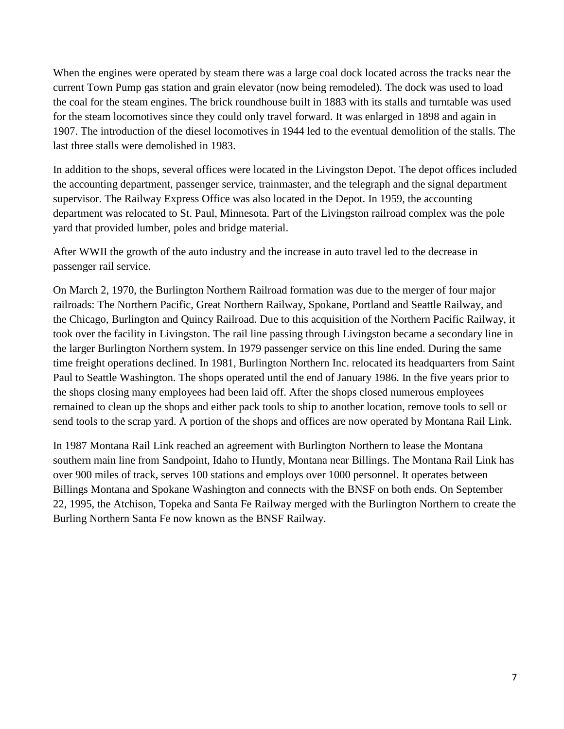When the engines were operated by steam there was a large coal dock located across the tracks near the current Town Pump gas station and grain elevator (now being remodeled). The dock was used to load the coal for the steam engines. The brick roundhouse built in 1883 with its stalls and turntable was used for the steam locomotives since they could only travel forward. It was enlarged in 1898 and again in 1907. The introduction of the diesel locomotives in 1944 led to the eventual demolition of the stalls. The last three stalls were demolished in 1983.

In addition to the shops, several offices were located in the Livingston Depot. The depot offices included the accounting department, passenger service, trainmaster, and the telegraph and the signal department supervisor. The Railway Express Office was also located in the Depot. In 1959, the accounting department was relocated to St. Paul, Minnesota. Part of the Livingston railroad complex was the pole yard that provided lumber, poles and bridge material.

After WWII the growth of the auto industry and the increase in auto travel led to the decrease in passenger rail service.

On March 2, 1970, the Burlington Northern Railroad formation was due to the merger of four major railroads: The Northern Pacific, Great Northern Railway, Spokane, Portland and Seattle Railway, and the Chicago, Burlington and Quincy Railroad. Due to this acquisition of the Northern Pacific Railway, it took over the facility in Livingston. The rail line passing through Livingston became a secondary line in the larger Burlington Northern system. In 1979 passenger service on this line ended. During the same time freight operations declined. In 1981, Burlington Northern Inc. relocated its headquarters from Saint Paul to Seattle Washington. The shops operated until the end of January 1986. In the five years prior to the shops closing many employees had been laid off. After the shops closed numerous employees remained to clean up the shops and either pack tools to ship to another location, remove tools to sell or send tools to the scrap yard. A portion of the shops and offices are now operated by Montana Rail Link.

In 1987 Montana Rail Link reached an agreement with Burlington Northern to lease the Montana southern main line from Sandpoint, Idaho to Huntly, Montana near Billings. The Montana Rail Link has over 900 miles of track, serves 100 stations and employs over 1000 personnel. It operates between Billings Montana and Spokane Washington and connects with the BNSF on both ends. On September 22, 1995, the Atchison, Topeka and Santa Fe Railway merged with the Burlington Northern to create the Burling Northern Santa Fe now known as the BNSF Railway.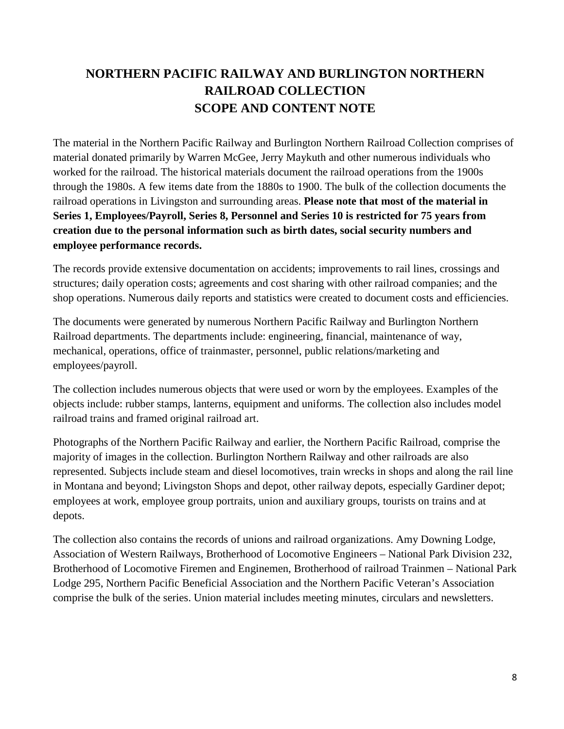### **NORTHERN PACIFIC RAILWAY AND BURLINGTON NORTHERN RAILROAD COLLECTION SCOPE AND CONTENT NOTE**

The material in the Northern Pacific Railway and Burlington Northern Railroad Collection comprises of material donated primarily by Warren McGee, Jerry Maykuth and other numerous individuals who worked for the railroad. The historical materials document the railroad operations from the 1900s through the 1980s. A few items date from the 1880s to 1900. The bulk of the collection documents the railroad operations in Livingston and surrounding areas. **Please note that most of the material in Series 1, Employees/Payroll, Series 8, Personnel and Series 10 is restricted for 75 years from creation due to the personal information such as birth dates, social security numbers and employee performance records.**

The records provide extensive documentation on accidents; improvements to rail lines, crossings and structures; daily operation costs; agreements and cost sharing with other railroad companies; and the shop operations. Numerous daily reports and statistics were created to document costs and efficiencies.

The documents were generated by numerous Northern Pacific Railway and Burlington Northern Railroad departments. The departments include: engineering, financial, maintenance of way, mechanical, operations, office of trainmaster, personnel, public relations/marketing and employees/payroll.

The collection includes numerous objects that were used or worn by the employees. Examples of the objects include: rubber stamps, lanterns, equipment and uniforms. The collection also includes model railroad trains and framed original railroad art.

Photographs of the Northern Pacific Railway and earlier, the Northern Pacific Railroad, comprise the majority of images in the collection. Burlington Northern Railway and other railroads are also represented. Subjects include steam and diesel locomotives, train wrecks in shops and along the rail line in Montana and beyond; Livingston Shops and depot, other railway depots, especially Gardiner depot; employees at work, employee group portraits, union and auxiliary groups, tourists on trains and at depots.

The collection also contains the records of unions and railroad organizations. Amy Downing Lodge, Association of Western Railways, Brotherhood of Locomotive Engineers – National Park Division 232, Brotherhood of Locomotive Firemen and Enginemen, Brotherhood of railroad Trainmen – National Park Lodge 295, Northern Pacific Beneficial Association and the Northern Pacific Veteran's Association comprise the bulk of the series. Union material includes meeting minutes, circulars and newsletters.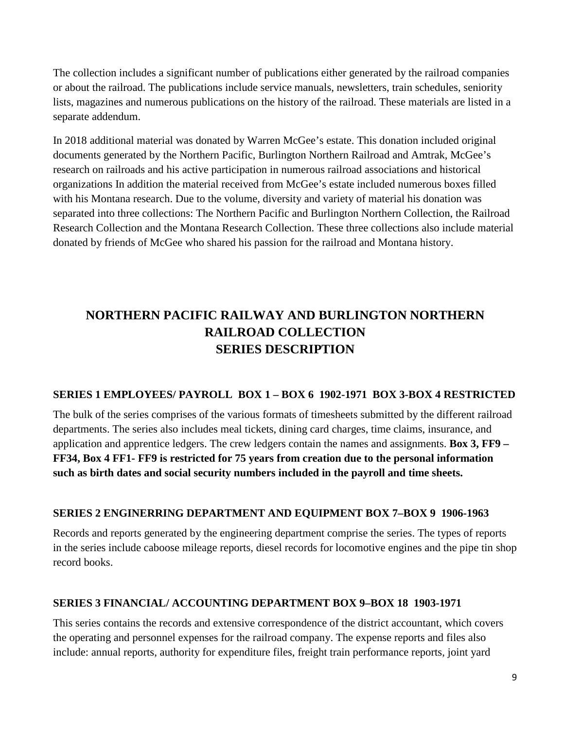The collection includes a significant number of publications either generated by the railroad companies or about the railroad. The publications include service manuals, newsletters, train schedules, seniority lists, magazines and numerous publications on the history of the railroad. These materials are listed in a separate addendum.

In 2018 additional material was donated by Warren McGee's estate. This donation included original documents generated by the Northern Pacific, Burlington Northern Railroad and Amtrak, McGee's research on railroads and his active participation in numerous railroad associations and historical organizations In addition the material received from McGee's estate included numerous boxes filled with his Montana research. Due to the volume, diversity and variety of material his donation was separated into three collections: The Northern Pacific and Burlington Northern Collection, the Railroad Research Collection and the Montana Research Collection. These three collections also include material donated by friends of McGee who shared his passion for the railroad and Montana history.

### **NORTHERN PACIFIC RAILWAY AND BURLINGTON NORTHERN RAILROAD COLLECTION SERIES DESCRIPTION**

#### **SERIES 1 EMPLOYEES/ PAYROLL BOX 1 – BOX 6 1902-1971 BOX 3-BOX 4 RESTRICTED**

The bulk of the series comprises of the various formats of timesheets submitted by the different railroad departments. The series also includes meal tickets, dining card charges, time claims, insurance, and application and apprentice ledgers. The crew ledgers contain the names and assignments. **Box 3, FF9 – FF34, Box 4 FF1- FF9 is restricted for 75 years from creation due to the personal information such as birth dates and social security numbers included in the payroll and time sheets.**

#### **SERIES 2 ENGINERRING DEPARTMENT AND EQUIPMENT BOX 7–BOX 9 1906-1963**

Records and reports generated by the engineering department comprise the series. The types of reports in the series include caboose mileage reports, diesel records for locomotive engines and the pipe tin shop record books.

#### **SERIES 3 FINANCIAL/ ACCOUNTING DEPARTMENT BOX 9–BOX 18 1903-1971**

This series contains the records and extensive correspondence of the district accountant, which covers the operating and personnel expenses for the railroad company. The expense reports and files also include: annual reports, authority for expenditure files, freight train performance reports, joint yard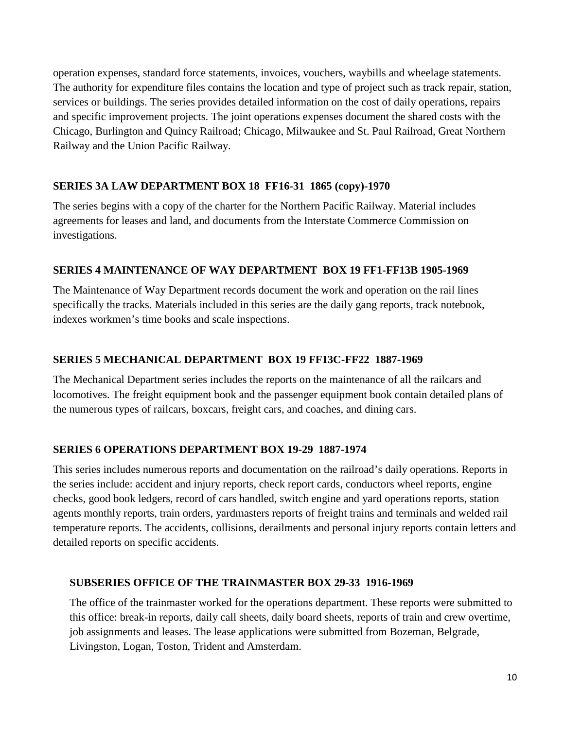operation expenses, standard force statements, invoices, vouchers, waybills and wheelage statements. The authority for expenditure files contains the location and type of project such as track repair, station, services or buildings. The series provides detailed information on the cost of daily operations, repairs and specific improvement projects. The joint operations expenses document the shared costs with the Chicago, Burlington and Quincy Railroad; Chicago, Milwaukee and St. Paul Railroad, Great Northern Railway and the Union Pacific Railway.

#### **SERIES 3A LAW DEPARTMENT BOX 18 FF16-31 1865 (copy)-1970**

The series begins with a copy of the charter for the Northern Pacific Railway. Material includes agreements for leases and land, and documents from the Interstate Commerce Commission on investigations.

#### **SERIES 4 MAINTENANCE OF WAY DEPARTMENT BOX 19 FF1-FF13B 1905-1969**

The Maintenance of Way Department records document the work and operation on the rail lines specifically the tracks. Materials included in this series are the daily gang reports, track notebook, indexes workmen's time books and scale inspections.

#### **SERIES 5 MECHANICAL DEPARTMENT BOX 19 FF13C-FF22 1887-1969**

The Mechanical Department series includes the reports on the maintenance of all the railcars and locomotives. The freight equipment book and the passenger equipment book contain detailed plans of the numerous types of railcars, boxcars, freight cars, and coaches, and dining cars.

#### **SERIES 6 OPERATIONS DEPARTMENT BOX 19-29 1887-1974**

This series includes numerous reports and documentation on the railroad's daily operations. Reports in the series include: accident and injury reports, check report cards, conductors wheel reports, engine checks, good book ledgers, record of cars handled, switch engine and yard operations reports, station agents monthly reports, train orders, yardmasters reports of freight trains and terminals and welded rail temperature reports. The accidents, collisions, derailments and personal injury reports contain letters and detailed reports on specific accidents.

#### **SUBSERIES OFFICE OF THE TRAINMASTER BOX 29-33 1916-1969**

The office of the trainmaster worked for the operations department. These reports were submitted to this office: break-in reports, daily call sheets, daily board sheets, reports of train and crew overtime, job assignments and leases. The lease applications were submitted from Bozeman, Belgrade, Livingston, Logan, Toston, Trident and Amsterdam.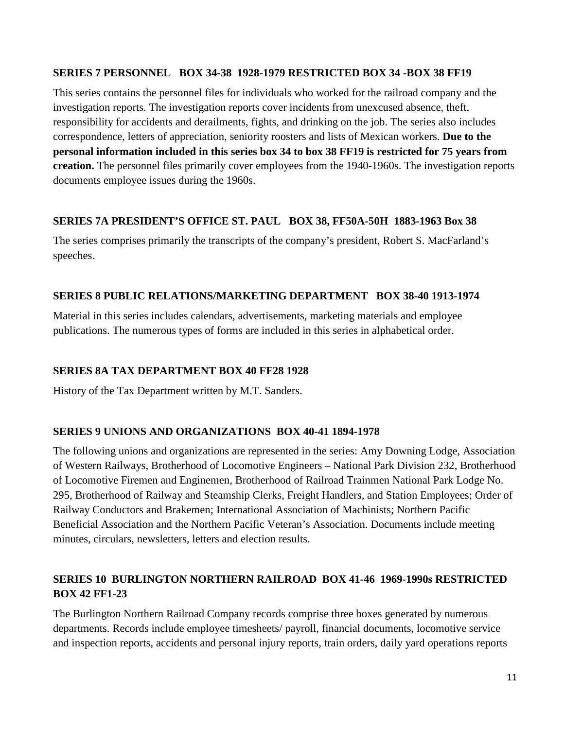#### **SERIES 7 PERSONNEL BOX 34-38 1928-1979 RESTRICTED BOX 34 -BOX 38 FF19**

This series contains the personnel files for individuals who worked for the railroad company and the investigation reports. The investigation reports cover incidents from unexcused absence, theft, responsibility for accidents and derailments, fights, and drinking on the job. The series also includes correspondence, letters of appreciation, seniority roosters and lists of Mexican workers. **Due to the personal information included in this series box 34 to box 38 FF19 is restricted for 75 years from creation.** The personnel files primarily cover employees from the 1940-1960s. The investigation reports documents employee issues during the 1960s.

#### **SERIES 7A PRESIDENT'S OFFICE ST. PAUL BOX 38, FF50A-50H 1883-1963 Box 38**

The series comprises primarily the transcripts of the company's president, Robert S. MacFarland's speeches.

#### **SERIES 8 PUBLIC RELATIONS/MARKETING DEPARTMENT BOX 38-40 1913-1974**

Material in this series includes calendars, advertisements, marketing materials and employee publications. The numerous types of forms are included in this series in alphabetical order.

#### **SERIES 8A TAX DEPARTMENT BOX 40 FF28 1928**

History of the Tax Department written by M.T. Sanders.

#### **SERIES 9 UNIONS AND ORGANIZATIONS BOX 40-41 1894-1978**

The following unions and organizations are represented in the series: Amy Downing Lodge, Association of Western Railways, Brotherhood of Locomotive Engineers – National Park Division 232, Brotherhood of Locomotive Firemen and Enginemen, Brotherhood of Railroad Trainmen National Park Lodge No. 295, Brotherhood of Railway and Steamship Clerks, Freight Handlers, and Station Employees; Order of Railway Conductors and Brakemen; International Association of Machinists; Northern Pacific Beneficial Association and the Northern Pacific Veteran's Association. Documents include meeting minutes, circulars, newsletters, letters and election results.

#### **SERIES 10 BURLINGTON NORTHERN RAILROAD BOX 41-46 1969-1990s RESTRICTED BOX 42 FF1-23**

The Burlington Northern Railroad Company records comprise three boxes generated by numerous departments. Records include employee timesheets/ payroll, financial documents, locomotive service and inspection reports, accidents and personal injury reports, train orders, daily yard operations reports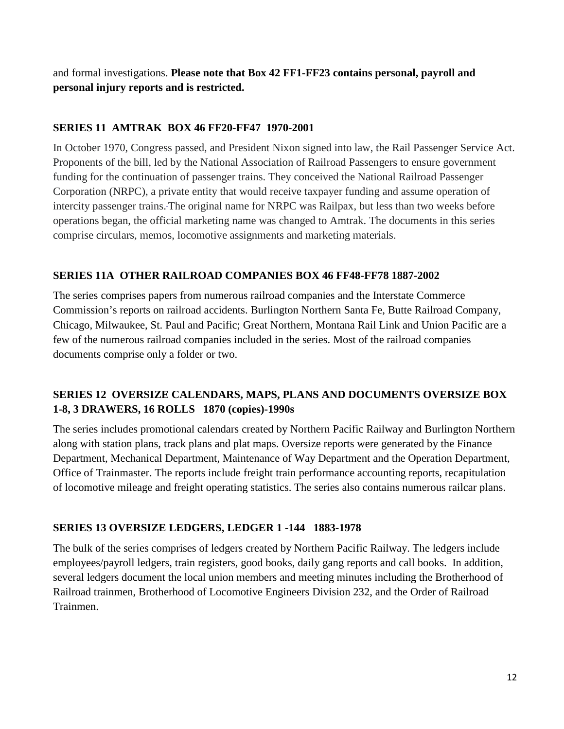and formal investigations. **Please note that Box 42 FF1-FF23 contains personal, payroll and personal injury reports and is restricted.** 

#### **SERIES 11 AMTRAK BOX 46 FF20-FF47 1970-2001**

In October 1970, Congress passed, and President Nixon signed into law, the Rail Passenger Service Act. Proponents of the bill, led by the National Association of Railroad Passengers to ensure government funding for the continuation of passenger trains. They conceived the National Railroad Passenger Corporation (NRPC), a private entity that would receive taxpayer funding and assume operation of intercity passenger trains. The original name for NRPC was Railpax, but less than two weeks before operations began, the official marketing name was changed to Amtrak. The documents in this series comprise circulars, memos, locomotive assignments and marketing materials.

#### **SERIES 11A OTHER RAILROAD COMPANIES BOX 46 FF48-FF78 1887-2002**

The series comprises papers from numerous railroad companies and the Interstate Commerce Commission's reports on railroad accidents. Burlington Northern Santa Fe, Butte Railroad Company, Chicago, Milwaukee, St. Paul and Pacific; Great Northern, Montana Rail Link and Union Pacific are a few of the numerous railroad companies included in the series. Most of the railroad companies documents comprise only a folder or two.

#### **SERIES 12 OVERSIZE CALENDARS, MAPS, PLANS AND DOCUMENTS OVERSIZE BOX 1-8, 3 DRAWERS, 16 ROLLS 1870 (copies)-1990s**

The series includes promotional calendars created by Northern Pacific Railway and Burlington Northern along with station plans, track plans and plat maps. Oversize reports were generated by the Finance Department, Mechanical Department, Maintenance of Way Department and the Operation Department, Office of Trainmaster. The reports include freight train performance accounting reports, recapitulation of locomotive mileage and freight operating statistics. The series also contains numerous railcar plans.

#### **SERIES 13 OVERSIZE LEDGERS, LEDGER 1 -144 1883-1978**

The bulk of the series comprises of ledgers created by Northern Pacific Railway. The ledgers include employees/payroll ledgers, train registers, good books, daily gang reports and call books. In addition, several ledgers document the local union members and meeting minutes including the Brotherhood of Railroad trainmen, Brotherhood of Locomotive Engineers Division 232, and the Order of Railroad Trainmen.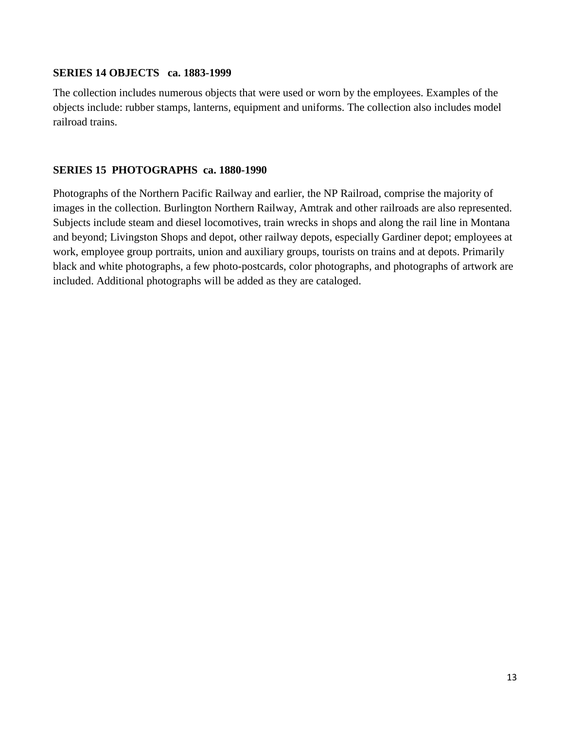#### **SERIES 14 OBJECTS ca. 1883-1999**

The collection includes numerous objects that were used or worn by the employees. Examples of the objects include: rubber stamps, lanterns, equipment and uniforms. The collection also includes model railroad trains.

#### **SERIES 15 PHOTOGRAPHS ca. 1880-1990**

Photographs of the Northern Pacific Railway and earlier, the NP Railroad, comprise the majority of images in the collection. Burlington Northern Railway, Amtrak and other railroads are also represented. Subjects include steam and diesel locomotives, train wrecks in shops and along the rail line in Montana and beyond; Livingston Shops and depot, other railway depots, especially Gardiner depot; employees at work, employee group portraits, union and auxiliary groups, tourists on trains and at depots. Primarily black and white photographs, a few photo-postcards, color photographs, and photographs of artwork are included. Additional photographs will be added as they are cataloged.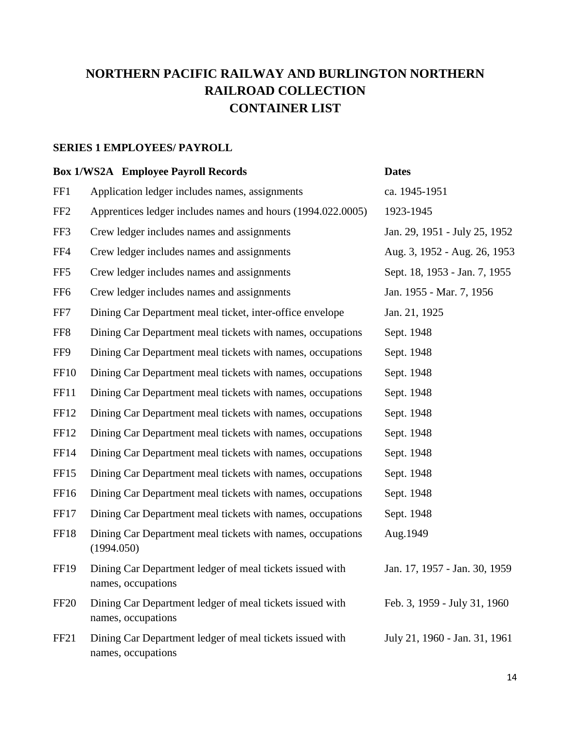### **NORTHERN PACIFIC RAILWAY AND BURLINGTON NORTHERN RAILROAD COLLECTION CONTAINER LIST**

#### **SERIES 1 EMPLOYEES/ PAYROLL**

#### **Box 1/WS2A Employee Payroll Records Dates**

| FF1             | Application ledger includes names, assignments                                 | ca. 1945-1951                 |
|-----------------|--------------------------------------------------------------------------------|-------------------------------|
| FF <sub>2</sub> | Apprentices ledger includes names and hours (1994.022.0005)                    | 1923-1945                     |
| FF3             | Crew ledger includes names and assignments                                     | Jan. 29, 1951 - July 25, 1952 |
| FF4             | Crew ledger includes names and assignments                                     | Aug. 3, 1952 - Aug. 26, 1953  |
| FF <sub>5</sub> | Crew ledger includes names and assignments                                     | Sept. 18, 1953 - Jan. 7, 1955 |
| FF <sub>6</sub> | Crew ledger includes names and assignments                                     | Jan. 1955 - Mar. 7, 1956      |
| FF7             | Dining Car Department meal ticket, inter-office envelope                       | Jan. 21, 1925                 |
| FF <sub>8</sub> | Dining Car Department meal tickets with names, occupations                     | Sept. 1948                    |
| FF9             | Dining Car Department meal tickets with names, occupations                     | Sept. 1948                    |
| <b>FF10</b>     | Dining Car Department meal tickets with names, occupations                     | Sept. 1948                    |
| <b>FF11</b>     | Dining Car Department meal tickets with names, occupations                     | Sept. 1948                    |
| <b>FF12</b>     | Dining Car Department meal tickets with names, occupations                     | Sept. 1948                    |
| FF12            | Dining Car Department meal tickets with names, occupations                     | Sept. 1948                    |
| FF14            | Dining Car Department meal tickets with names, occupations                     | Sept. 1948                    |
| FF15            | Dining Car Department meal tickets with names, occupations                     | Sept. 1948                    |
| FF16            | Dining Car Department meal tickets with names, occupations                     | Sept. 1948                    |
| FF17            | Dining Car Department meal tickets with names, occupations                     | Sept. 1948                    |
| <b>FF18</b>     | Dining Car Department meal tickets with names, occupations<br>(1994.050)       | Aug.1949                      |
| FF19            | Dining Car Department ledger of meal tickets issued with<br>names, occupations | Jan. 17, 1957 - Jan. 30, 1959 |
| <b>FF20</b>     | Dining Car Department ledger of meal tickets issued with<br>names, occupations | Feb. 3, 1959 - July 31, 1960  |
| FF21            | Dining Car Department ledger of meal tickets issued with<br>names, occupations | July 21, 1960 - Jan. 31, 1961 |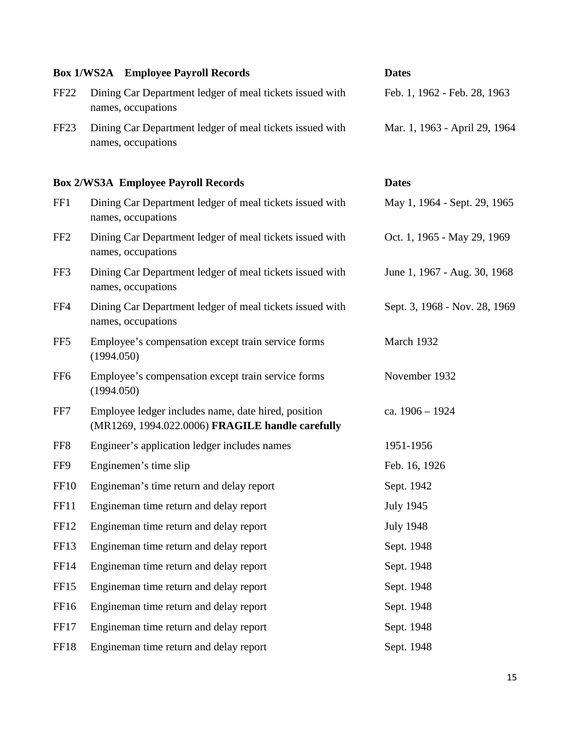|                  | <b>Box 1/WS2A</b> Employee Payroll Records                                                              | <b>Dates</b>                  |
|------------------|---------------------------------------------------------------------------------------------------------|-------------------------------|
| FF <sub>22</sub> | Dining Car Department ledger of meal tickets issued with<br>names, occupations                          | Feb. 1, 1962 - Feb. 28, 1963  |
| FF <sub>23</sub> | Dining Car Department ledger of meal tickets issued with<br>names, occupations                          | Mar. 1, 1963 - April 29, 1964 |
|                  | <b>Box 2/WS3A Employee Payroll Records</b>                                                              | <b>Dates</b>                  |
| FF1              | Dining Car Department ledger of meal tickets issued with<br>names, occupations                          | May 1, 1964 - Sept. 29, 1965  |
| FF <sub>2</sub>  | Dining Car Department ledger of meal tickets issued with<br>names, occupations                          | Oct. 1, 1965 - May 29, 1969   |
| FF3              | Dining Car Department ledger of meal tickets issued with<br>names, occupations                          | June 1, 1967 - Aug. 30, 1968  |
| FF4              | Dining Car Department ledger of meal tickets issued with<br>names, occupations                          | Sept. 3, 1968 - Nov. 28, 1969 |
| FF <sub>5</sub>  | Employee's compensation except train service forms<br>(1994.050)                                        | March 1932                    |
| FF <sub>6</sub>  | Employee's compensation except train service forms<br>(1994.050)                                        | November 1932                 |
| FF7              | Employee ledger includes name, date hired, position<br>(MR1269, 1994.022.0006) FRAGILE handle carefully | ca. 1906 - 1924               |
| FF <sub>8</sub>  | Engineer's application ledger includes names                                                            | 1951-1956                     |
| FF9              | Enginemen's time slip                                                                                   | Feb. 16, 1926                 |
| <b>FF10</b>      | Engineman's time return and delay report                                                                | Sept. 1942                    |
| FF11             | Engineman time return and delay report                                                                  | <b>July 1945</b>              |
| FF <sub>12</sub> | Engineman time return and delay report                                                                  | <b>July 1948</b>              |
| FF13             | Engineman time return and delay report                                                                  | Sept. 1948                    |
| <b>FF14</b>      | Engineman time return and delay report                                                                  | Sept. 1948                    |
| FF <sub>15</sub> | Engineman time return and delay report                                                                  | Sept. 1948                    |
| FF16             | Engineman time return and delay report                                                                  | Sept. 1948                    |
| FF17             | Engineman time return and delay report                                                                  | Sept. 1948                    |
| <b>FF18</b>      | Engineman time return and delay report                                                                  | Sept. 1948                    |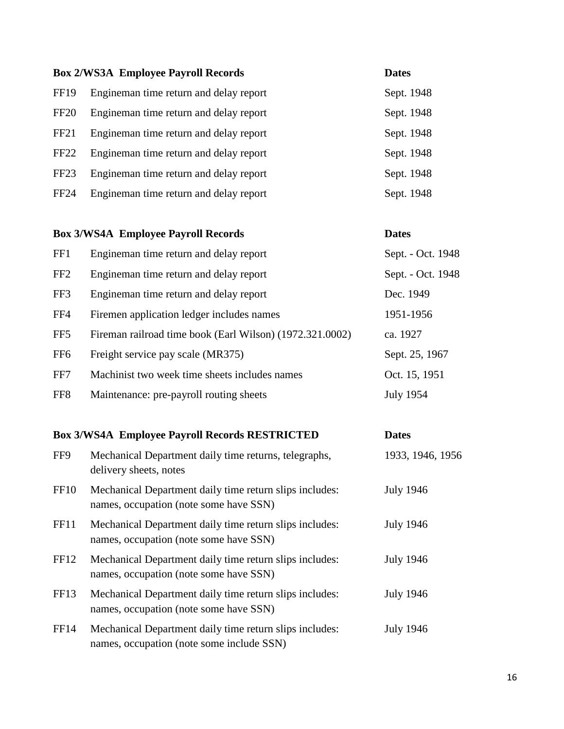|                  | <b>Box 2/WS3A Employee Payroll Records</b> | <b>Dates</b> |
|------------------|--------------------------------------------|--------------|
| <b>FF19</b>      | Engineman time return and delay report     | Sept. 1948   |
| <b>FF20</b>      | Engineman time return and delay report     | Sept. 1948   |
| FF <sub>21</sub> | Engineman time return and delay report     | Sept. 1948   |
| FF <sub>22</sub> | Engineman time return and delay report     | Sept. 1948   |
| FF <sub>23</sub> | Engineman time return and delay report     | Sept. 1948   |
| <b>FF24</b>      | Engineman time return and delay report     | Sept. 1948   |
|                  |                                            |              |

# **Box 3/WS4A Employee Payroll Records Dates** FF1 Engineman time return and delay report Sept. - Oct. 1948 FF2 Engineman time return and delay report Sept. - Oct. 1948 FF3 Engineman time return and delay report Dec. 1949 FF4 Firemen application ledger includes names 1951-1956 FF5 Fireman railroad time book (Earl Wilson) (1972.321.0002) ca. 1927 FF6 Freight service pay scale (MR375) Sept. 25, 1967 FF7 Machinist two week time sheets includes names Oct. 15, 1951 FF8 Maintenance: pre-payroll routing sheets July 1954

#### **Box 3/WS4A Employee Payroll Records RESTRICTED Dates**

| FF9              | Mechanical Department daily time returns, telegraphs,<br>delivery sheets, notes                      | 1933, 1946, 1956 |
|------------------|------------------------------------------------------------------------------------------------------|------------------|
| FF <sub>10</sub> | Mechanical Department daily time return slips includes:<br>names, occupation (note some have SSN)    | <b>July 1946</b> |
| FF11             | Mechanical Department daily time return slips includes:<br>names, occupation (note some have SSN)    | <b>July 1946</b> |
| FF <sub>12</sub> | Mechanical Department daily time return slips includes:<br>names, occupation (note some have SSN)    | <b>July 1946</b> |
| FF <sub>13</sub> | Mechanical Department daily time return slips includes:<br>names, occupation (note some have SSN)    | <b>July 1946</b> |
| FF14             | Mechanical Department daily time return slips includes:<br>names, occupation (note some include SSN) | <b>July 1946</b> |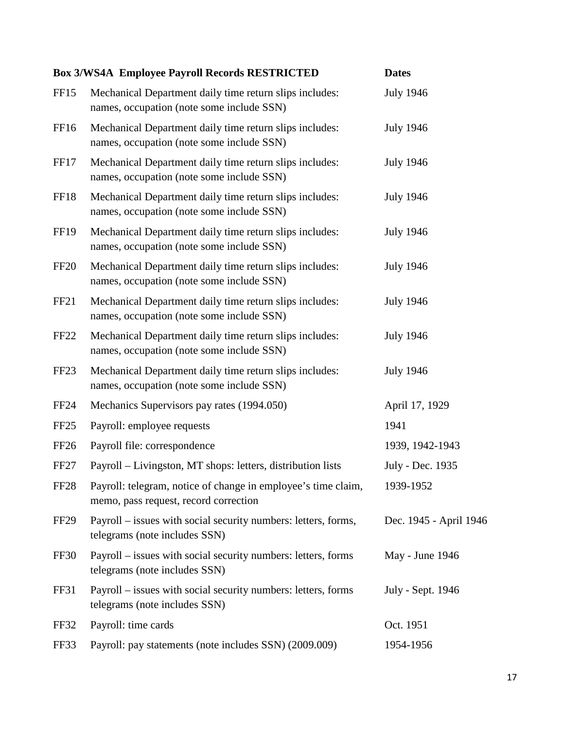|                  | <b>Box 3/WS4A Employee Payroll Records RESTRICTED</b>                                                  | <b>Dates</b>           |
|------------------|--------------------------------------------------------------------------------------------------------|------------------------|
| FF <sub>15</sub> | Mechanical Department daily time return slips includes:<br>names, occupation (note some include SSN)   | <b>July 1946</b>       |
| FF <sub>16</sub> | Mechanical Department daily time return slips includes:<br>names, occupation (note some include SSN)   | <b>July 1946</b>       |
| FF17             | Mechanical Department daily time return slips includes:<br>names, occupation (note some include SSN)   | <b>July 1946</b>       |
| FF18             | Mechanical Department daily time return slips includes:<br>names, occupation (note some include SSN)   | <b>July 1946</b>       |
| <b>FF19</b>      | Mechanical Department daily time return slips includes:<br>names, occupation (note some include SSN)   | <b>July 1946</b>       |
| <b>FF20</b>      | Mechanical Department daily time return slips includes:<br>names, occupation (note some include SSN)   | <b>July 1946</b>       |
| FF <sub>21</sub> | Mechanical Department daily time return slips includes:<br>names, occupation (note some include SSN)   | <b>July 1946</b>       |
| <b>FF22</b>      | Mechanical Department daily time return slips includes:<br>names, occupation (note some include SSN)   | <b>July 1946</b>       |
| FF <sub>23</sub> | Mechanical Department daily time return slips includes:<br>names, occupation (note some include SSN)   | <b>July 1946</b>       |
| <b>FF24</b>      | Mechanics Supervisors pay rates (1994.050)                                                             | April 17, 1929         |
| FF <sub>25</sub> | Payroll: employee requests                                                                             | 1941                   |
| FF <sub>26</sub> | Payroll file: correspondence                                                                           | 1939, 1942-1943        |
| <b>FF27</b>      | Payroll – Livingston, MT shops: letters, distribution lists                                            | July - Dec. 1935       |
| FF <sub>28</sub> | Payroll: telegram, notice of change in employee's time claim,<br>memo, pass request, record correction | 1939-1952              |
| FF <sub>29</sub> | Payroll – issues with social security numbers: letters, forms,<br>telegrams (note includes SSN)        | Dec. 1945 - April 1946 |
| FF30             | Payroll – issues with social security numbers: letters, forms<br>telegrams (note includes SSN)         | May - June 1946        |
| FF31             | Payroll – issues with social security numbers: letters, forms<br>telegrams (note includes SSN)         | July - Sept. 1946      |
| FF32             | Payroll: time cards                                                                                    | Oct. 1951              |
| FF33             | Payroll: pay statements (note includes SSN) (2009.009)                                                 | 1954-1956              |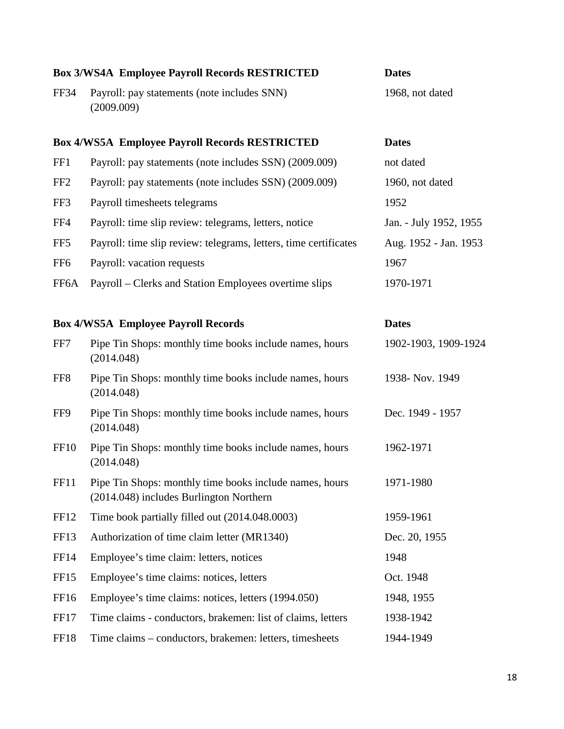|                   | <b>Box 3/WS4A Employee Payroll Records RESTRICTED</b>                                              | <b>Dates</b>           |
|-------------------|----------------------------------------------------------------------------------------------------|------------------------|
| <b>FF34</b>       | Payroll: pay statements (note includes SNN)<br>(2009.009)                                          | 1968, not dated        |
|                   | <b>Box 4/WS5A Employee Payroll Records RESTRICTED</b>                                              | <b>Dates</b>           |
| FF1               | Payroll: pay statements (note includes SSN) (2009.009)                                             | not dated              |
| FF <sub>2</sub>   | Payroll: pay statements (note includes SSN) (2009.009)                                             | 1960, not dated        |
| FF3               | Payroll timesheets telegrams                                                                       | 1952                   |
| FF4               | Payroll: time slip review: telegrams, letters, notice                                              | Jan. - July 1952, 1955 |
| FF <sub>5</sub>   | Payroll: time slip review: telegrams, letters, time certificates                                   | Aug. 1952 - Jan. 1953  |
| FF <sub>6</sub>   | Payroll: vacation requests                                                                         | 1967                   |
| FF <sub>6</sub> A | Payroll – Clerks and Station Employees overtime slips                                              | 1970-1971              |
|                   |                                                                                                    |                        |
|                   | <b>Box 4/WS5A Employee Payroll Records</b>                                                         | <b>Dates</b>           |
| FF7               | Pipe Tin Shops: monthly time books include names, hours<br>(2014.048)                              | 1902-1903, 1909-1924   |
| FF <sub>8</sub>   | Pipe Tin Shops: monthly time books include names, hours<br>(2014.048)                              | 1938- Nov. 1949        |
| FF9               | Pipe Tin Shops: monthly time books include names, hours<br>(2014.048)                              | Dec. 1949 - 1957       |
| FF <sub>10</sub>  | Pipe Tin Shops: monthly time books include names, hours<br>(2014.048)                              | 1962-1971              |
| <b>FF11</b>       | Pipe Tin Shops: monthly time books include names, hours<br>(2014.048) includes Burlington Northern | 1971-1980              |
| FF <sub>12</sub>  | Time book partially filled out (2014.048.0003)                                                     | 1959-1961              |
| FF <sub>13</sub>  | Authorization of time claim letter (MR1340)                                                        | Dec. 20, 1955          |
| <b>FF14</b>       | Employee's time claim: letters, notices                                                            | 1948                   |
| FF <sub>15</sub>  | Employee's time claims: notices, letters                                                           | Oct. 1948              |
| FF16              | Employee's time claims: notices, letters (1994.050)                                                | 1948, 1955             |
| FF17              | Time claims - conductors, brakemen: list of claims, letters                                        | 1938-1942              |
| FF18              | Time claims – conductors, brakemen: letters, timesheets                                            | 1944-1949              |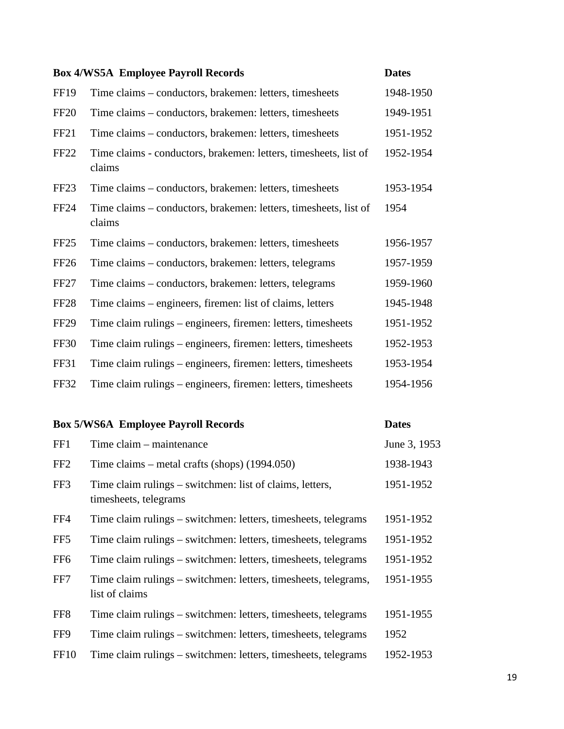| <b>Box 4/WS5A Employee Payroll Records</b><br><b>Dates</b> |                                                                            |           |
|------------------------------------------------------------|----------------------------------------------------------------------------|-----------|
| <b>FF19</b>                                                | Time claims – conductors, brakemen: letters, timesheets                    | 1948-1950 |
| FF <sub>20</sub>                                           | Time claims – conductors, brakemen: letters, timesheets                    | 1949-1951 |
| FF <sub>21</sub>                                           | Time claims – conductors, brakemen: letters, timesheets                    | 1951-1952 |
| <b>FF22</b>                                                | Time claims - conductors, brakemen: letters, timesheets, list of<br>claims | 1952-1954 |
| FF <sub>23</sub>                                           | Time claims – conductors, brakemen: letters, timesheets                    | 1953-1954 |
| FF <sub>24</sub>                                           | Time claims – conductors, brakemen: letters, timesheets, list of<br>claims | 1954      |
| FF <sub>25</sub>                                           | Time claims – conductors, brakemen: letters, timesheets                    | 1956-1957 |
| FF <sub>26</sub>                                           | Time claims – conductors, brakemen: letters, telegrams                     | 1957-1959 |
| FF <sub>27</sub>                                           | Time claims – conductors, brakemen: letters, telegrams                     | 1959-1960 |
| FF <sub>28</sub>                                           | Time claims – engineers, firemen: list of claims, letters                  | 1945-1948 |
| FF <sub>29</sub>                                           | Time claim rulings – engineers, firemen: letters, timesheets               | 1951-1952 |
| FF30                                                       | Time claim rulings – engineers, firemen: letters, timesheets               | 1952-1953 |
| FF31                                                       | Time claim rulings – engineers, firemen: letters, timesheets               | 1953-1954 |
| <b>FF32</b>                                                | Time claim rulings – engineers, firemen: letters, timesheets               | 1954-1956 |

|                  | <b>Box 5/WS6A Employee Payroll Records</b>                                        | <b>Dates</b> |
|------------------|-----------------------------------------------------------------------------------|--------------|
| FF1              | Time claim – maintenance                                                          | June 3, 1953 |
| FF <sub>2</sub>  | Time claims – metal crafts (shops) $(1994.050)$                                   | 1938-1943    |
| FF3              | Time claim rulings – switchmen: list of claims, letters,<br>timesheets, telegrams | 1951-1952    |
| FF4              | Time claim rulings – switchmen: letters, timesheets, telegrams                    | 1951-1952    |
| FF <sub>5</sub>  | Time claim rulings – switchmen: letters, timesheets, telegrams                    | 1951-1952    |
| FF <sub>6</sub>  | Time claim rulings – switchmen: letters, timesheets, telegrams                    | 1951-1952    |
| FF7              | Time claim rulings – switchmen: letters, timesheets, telegrams,<br>list of claims | 1951-1955    |
| FF <sub>8</sub>  | Time claim rulings – switchmen: letters, timesheets, telegrams                    | 1951-1955    |
| FF9              | Time claim rulings – switchmen: letters, timesheets, telegrams                    | 1952         |
| FF <sub>10</sub> | Time claim rulings – switchmen: letters, timesheets, telegrams                    | 1952-1953    |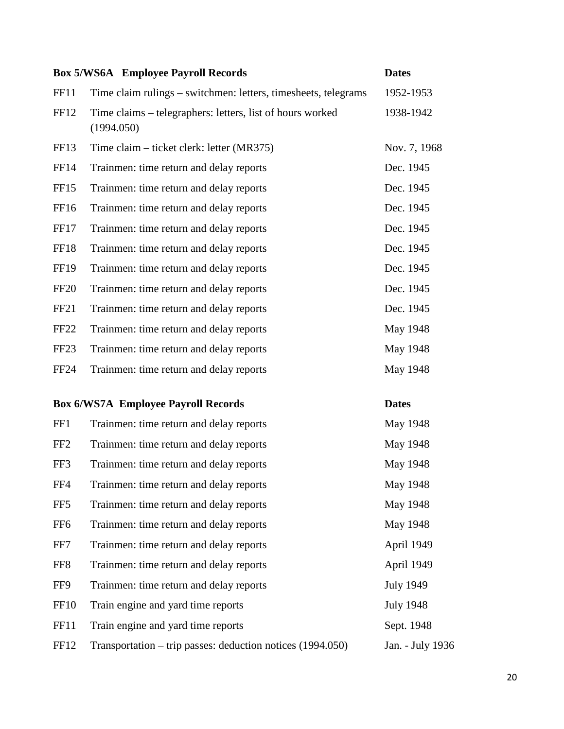|                  | <b>Box 5/WS6A</b> Employee Payroll Records                              | <b>Dates</b>     |
|------------------|-------------------------------------------------------------------------|------------------|
| FF11             | Time claim rulings – switchmen: letters, timesheets, telegrams          | 1952-1953        |
| FF12             | Time claims – telegraphers: letters, list of hours worked<br>(1994.050) | 1938-1942        |
| FF13             | Time claim – ticket clerk: letter (MR375)                               | Nov. 7, 1968     |
| <b>FF14</b>      | Trainmen: time return and delay reports                                 | Dec. 1945        |
| FF15             | Trainmen: time return and delay reports                                 | Dec. 1945        |
| FF <sub>16</sub> | Trainmen: time return and delay reports                                 | Dec. 1945        |
| FF17             | Trainmen: time return and delay reports                                 | Dec. 1945        |
| <b>FF18</b>      | Trainmen: time return and delay reports                                 | Dec. 1945        |
| <b>FF19</b>      | Trainmen: time return and delay reports                                 | Dec. 1945        |
| <b>FF20</b>      | Trainmen: time return and delay reports                                 | Dec. 1945        |
| FF <sub>21</sub> | Trainmen: time return and delay reports                                 | Dec. 1945        |
| <b>FF22</b>      | Trainmen: time return and delay reports                                 | May 1948         |
| FF <sub>23</sub> | Trainmen: time return and delay reports                                 | May 1948         |
| <b>FF24</b>      | Trainmen: time return and delay reports                                 | May 1948         |
|                  | <b>Box 6/WS7A Employee Payroll Records</b>                              | <b>Dates</b>     |
| FF1              | Trainmen: time return and delay reports                                 | May 1948         |
| FF <sub>2</sub>  | Trainmen: time return and delay reports                                 | May 1948         |
| FF3              | Trainmen: time return and delay reports                                 | May 1948         |
| FF4              | Trainmen: time return and delay reports                                 | May 1948         |
| FF <sub>5</sub>  | Trainmen: time return and delay reports                                 | May 1948         |
| FF <sub>6</sub>  | Trainmen: time return and delay reports                                 | May 1948         |
| FF7              | Trainmen: time return and delay reports                                 | April 1949       |
| FF8              | Trainmen: time return and delay reports                                 | April 1949       |
| FF9              | Trainmen: time return and delay reports                                 | <b>July 1949</b> |
| <b>FF10</b>      | Train engine and yard time reports                                      | <b>July 1948</b> |
| FF11             | Train engine and yard time reports                                      | Sept. 1948       |
| FF12             | Transportation – trip passes: deduction notices (1994.050)              | Jan. - July 1936 |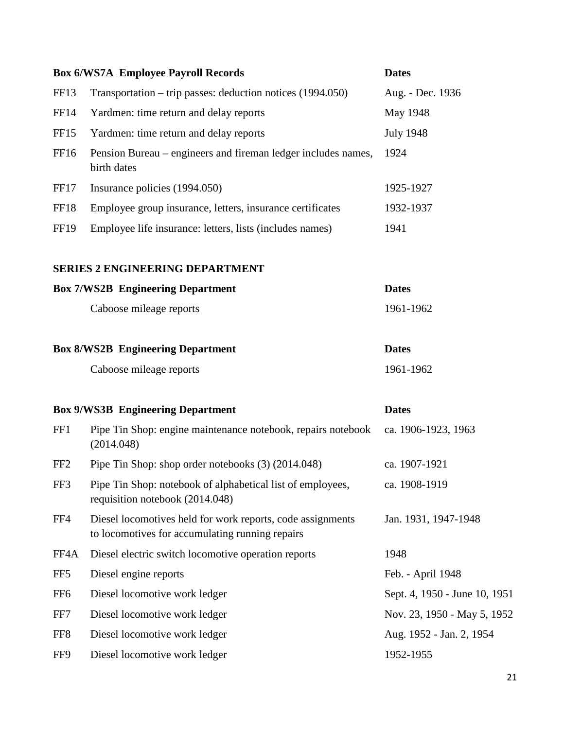|                  | <b>Box 6/WS7A Employee Payroll Records</b>                                                                    | <b>Dates</b>                  |
|------------------|---------------------------------------------------------------------------------------------------------------|-------------------------------|
| FF <sub>13</sub> | Transportation – trip passes: deduction notices $(1994.050)$                                                  | Aug. - Dec. 1936              |
| FF <sub>14</sub> | Yardmen: time return and delay reports                                                                        | May 1948                      |
| FF <sub>15</sub> | Yardmen: time return and delay reports                                                                        | <b>July 1948</b>              |
| FF16             | Pension Bureau – engineers and fireman ledger includes names,<br>birth dates                                  | 1924                          |
| FF17             | Insurance policies (1994.050)                                                                                 | 1925-1927                     |
| <b>FF18</b>      | Employee group insurance, letters, insurance certificates                                                     | 1932-1937                     |
| <b>FF19</b>      | Employee life insurance: letters, lists (includes names)                                                      | 1941                          |
|                  | <b>SERIES 2 ENGINEERING DEPARTMENT</b>                                                                        |                               |
|                  | <b>Box 7/WS2B Engineering Department</b>                                                                      | <b>Dates</b>                  |
|                  | Caboose mileage reports                                                                                       | 1961-1962                     |
|                  | <b>Box 8/WS2B</b> Engineering Department                                                                      | <b>Dates</b>                  |
|                  | Caboose mileage reports                                                                                       | 1961-1962                     |
|                  | <b>Box 9/WS3B Engineering Department</b>                                                                      | <b>Dates</b>                  |
| FF1              | Pipe Tin Shop: engine maintenance notebook, repairs notebook<br>(2014.048)                                    | ca. 1906-1923, 1963           |
| FF <sub>2</sub>  | Pipe Tin Shop: shop order notebooks (3) (2014.048)                                                            | ca. 1907-1921                 |
| FF3              | Pipe Tin Shop: notebook of alphabetical list of employees,<br>requisition notebook (2014.048)                 | ca. 1908-1919                 |
| FF4              | Diesel locomotives held for work reports, code assignments<br>to locomotives for accumulating running repairs | Jan. 1931, 1947-1948          |
| FF4A             | Diesel electric switch locomotive operation reports                                                           | 1948                          |
| FF <sub>5</sub>  | Diesel engine reports                                                                                         | Feb. - April 1948             |
| FF <sub>6</sub>  | Diesel locomotive work ledger                                                                                 | Sept. 4, 1950 - June 10, 1951 |
| FF7              | Diesel locomotive work ledger                                                                                 | Nov. 23, 1950 - May 5, 1952   |
| FF8              | Diesel locomotive work ledger                                                                                 | Aug. 1952 - Jan. 2, 1954      |
| FF9              | Diesel locomotive work ledger                                                                                 | 1952-1955                     |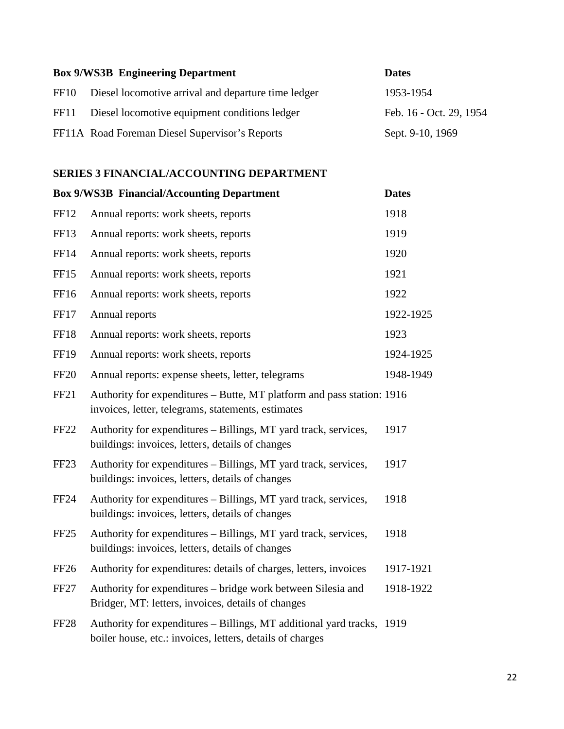| <b>Box 9/WS3B Engineering Department</b>                 | <b>Dates</b>            |
|----------------------------------------------------------|-------------------------|
| FF10 Diesel locomotive arrival and departure time ledger | 1953-1954               |
| FF11 Diesel locomotive equipment conditions ledger       | Feb. 16 - Oct. 29, 1954 |
| FF11A Road Foreman Diesel Supervisor's Reports           | Sept. 9-10, 1969        |

#### **SERIES 3 FINANCIAL/ACCOUNTING DEPARTMENT**

|                  | <b>Box 9/WS3B Financial/Accounting Department</b>                                                                                   | <b>Dates</b> |
|------------------|-------------------------------------------------------------------------------------------------------------------------------------|--------------|
| FF12             | Annual reports: work sheets, reports                                                                                                | 1918         |
| <b>FF13</b>      | Annual reports: work sheets, reports                                                                                                | 1919         |
| <b>FF14</b>      | Annual reports: work sheets, reports                                                                                                | 1920         |
| <b>FF15</b>      | Annual reports: work sheets, reports                                                                                                | 1921         |
| FF16             | Annual reports: work sheets, reports                                                                                                | 1922         |
| <b>FF17</b>      | Annual reports                                                                                                                      | 1922-1925    |
| <b>FF18</b>      | Annual reports: work sheets, reports                                                                                                | 1923         |
| <b>FF19</b>      | Annual reports: work sheets, reports                                                                                                | 1924-1925    |
| <b>FF20</b>      | Annual reports: expense sheets, letter, telegrams                                                                                   | 1948-1949    |
| <b>FF21</b>      | Authority for expenditures - Butte, MT platform and pass station: 1916<br>invoices, letter, telegrams, statements, estimates        |              |
| <b>FF22</b>      | Authority for expenditures – Billings, MT yard track, services,<br>buildings: invoices, letters, details of changes                 | 1917         |
| FF <sub>23</sub> | Authority for expenditures - Billings, MT yard track, services,<br>buildings: invoices, letters, details of changes                 | 1917         |
| <b>FF24</b>      | Authority for expenditures - Billings, MT yard track, services,<br>buildings: invoices, letters, details of changes                 | 1918         |
| FF <sub>25</sub> | Authority for expenditures – Billings, MT yard track, services,<br>buildings: invoices, letters, details of changes                 | 1918         |
| <b>FF26</b>      | Authority for expenditures: details of charges, letters, invoices                                                                   | 1917-1921    |
| FF <sub>27</sub> | Authority for expenditures – bridge work between Silesia and<br>Bridger, MT: letters, invoices, details of changes                  | 1918-1922    |
| <b>FF28</b>      | Authority for expenditures – Billings, MT additional yard tracks, 1919<br>boiler house, etc.: invoices, letters, details of charges |              |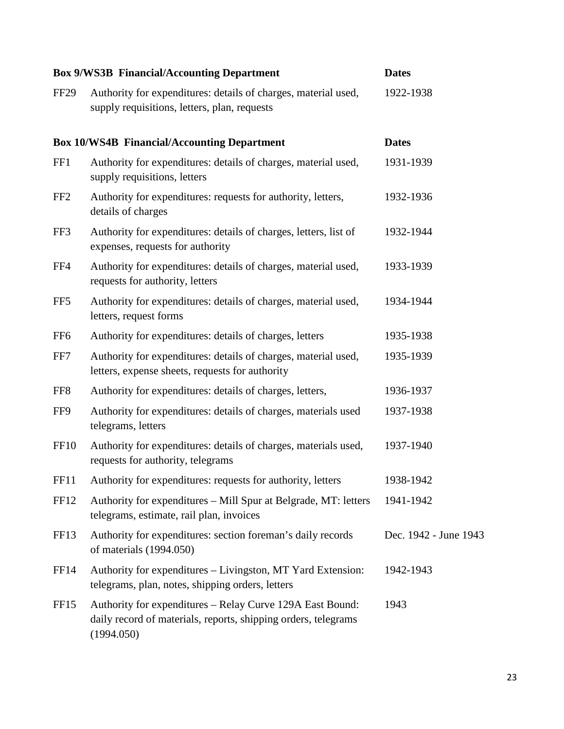|                  | <b>Box 9/WS3B Financial/Accounting Department</b>                                                                                         | <b>Dates</b>          |
|------------------|-------------------------------------------------------------------------------------------------------------------------------------------|-----------------------|
| FF <sub>29</sub> | Authority for expenditures: details of charges, material used,<br>supply requisitions, letters, plan, requests                            | 1922-1938             |
|                  | <b>Box 10/WS4B Financial/Accounting Department</b>                                                                                        | <b>Dates</b>          |
| FF1              | Authority for expenditures: details of charges, material used,<br>supply requisitions, letters                                            | 1931-1939             |
| FF <sub>2</sub>  | Authority for expenditures: requests for authority, letters,<br>details of charges                                                        | 1932-1936             |
| FF3              | Authority for expenditures: details of charges, letters, list of<br>expenses, requests for authority                                      | 1932-1944             |
| FF4              | Authority for expenditures: details of charges, material used,<br>requests for authority, letters                                         | 1933-1939             |
| FF <sub>5</sub>  | Authority for expenditures: details of charges, material used,<br>letters, request forms                                                  | 1934-1944             |
| FF <sub>6</sub>  | Authority for expenditures: details of charges, letters                                                                                   | 1935-1938             |
| FF7              | Authority for expenditures: details of charges, material used,<br>letters, expense sheets, requests for authority                         | 1935-1939             |
| FF <sub>8</sub>  | Authority for expenditures: details of charges, letters,                                                                                  | 1936-1937             |
| FF9              | Authority for expenditures: details of charges, materials used<br>telegrams, letters                                                      | 1937-1938             |
| <b>FF10</b>      | Authority for expenditures: details of charges, materials used,<br>requests for authority, telegrams                                      | 1937-1940             |
| FF11             | Authority for expenditures: requests for authority, letters                                                                               | 1938-1942             |
| FF12             | Authority for expenditures – Mill Spur at Belgrade, MT: letters<br>telegrams, estimate, rail plan, invoices                               | 1941-1942             |
| FF13             | Authority for expenditures: section foreman's daily records<br>of materials (1994.050)                                                    | Dec. 1942 - June 1943 |
| FF14             | Authority for expenditures – Livingston, MT Yard Extension:<br>telegrams, plan, notes, shipping orders, letters                           | 1942-1943             |
| FF <sub>15</sub> | Authority for expenditures - Relay Curve 129A East Bound:<br>daily record of materials, reports, shipping orders, telegrams<br>(1994.050) | 1943                  |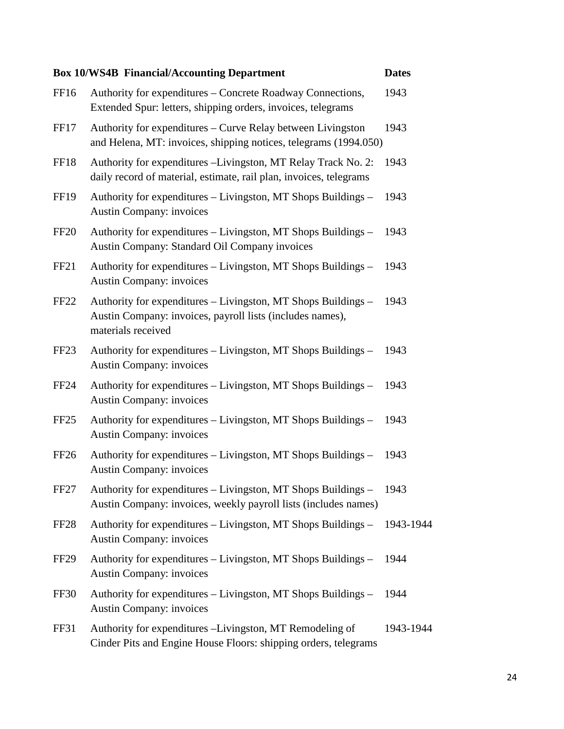|                  | <b>Box 10/WS4B Financial/Accounting Department</b>                                                                                               | <b>Dates</b> |
|------------------|--------------------------------------------------------------------------------------------------------------------------------------------------|--------------|
| FF <sub>16</sub> | Authority for expenditures – Concrete Roadway Connections,<br>Extended Spur: letters, shipping orders, invoices, telegrams                       | 1943         |
| FF17             | Authority for expenditures – Curve Relay between Livingston<br>and Helena, MT: invoices, shipping notices, telegrams (1994.050)                  | 1943         |
| FF18             | Authority for expenditures –Livingston, MT Relay Track No. 2:<br>daily record of material, estimate, rail plan, invoices, telegrams              | 1943         |
| <b>FF19</b>      | Authority for expenditures – Livingston, MT Shops Buildings –<br><b>Austin Company: invoices</b>                                                 | 1943         |
| FF <sub>20</sub> | Authority for expenditures – Livingston, MT Shops Buildings –<br>Austin Company: Standard Oil Company invoices                                   | 1943         |
| FF <sub>21</sub> | Authority for expenditures – Livingston, MT Shops Buildings –<br><b>Austin Company: invoices</b>                                                 | 1943         |
| FF <sub>22</sub> | Authority for expenditures – Livingston, MT Shops Buildings –<br>Austin Company: invoices, payroll lists (includes names),<br>materials received | 1943         |
| FF <sub>23</sub> | Authority for expenditures – Livingston, MT Shops Buildings –<br><b>Austin Company: invoices</b>                                                 | 1943         |
| FF <sub>24</sub> | Authority for expenditures – Livingston, MT Shops Buildings –<br><b>Austin Company: invoices</b>                                                 | 1943         |
| FF <sub>25</sub> | Authority for expenditures – Livingston, MT Shops Buildings –<br><b>Austin Company: invoices</b>                                                 | 1943         |
| FF <sub>26</sub> | Authority for expenditures – Livingston, MT Shops Buildings –<br><b>Austin Company: invoices</b>                                                 | 1943         |
| FF27             | Authority for expenditures – Livingston, MT Shops Buildings –<br>Austin Company: invoices, weekly payroll lists (includes names)                 | 1943         |
| FF <sub>28</sub> | Authority for expenditures – Livingston, MT Shops Buildings –<br><b>Austin Company: invoices</b>                                                 | 1943-1944    |
| FF <sub>29</sub> | Authority for expenditures – Livingston, MT Shops Buildings –<br><b>Austin Company: invoices</b>                                                 | 1944         |
| FF30             | Authority for expenditures – Livingston, MT Shops Buildings –<br><b>Austin Company: invoices</b>                                                 | 1944         |
| FF31             | Authority for expenditures - Livingston, MT Remodeling of<br>Cinder Pits and Engine House Floors: shipping orders, telegrams                     | 1943-1944    |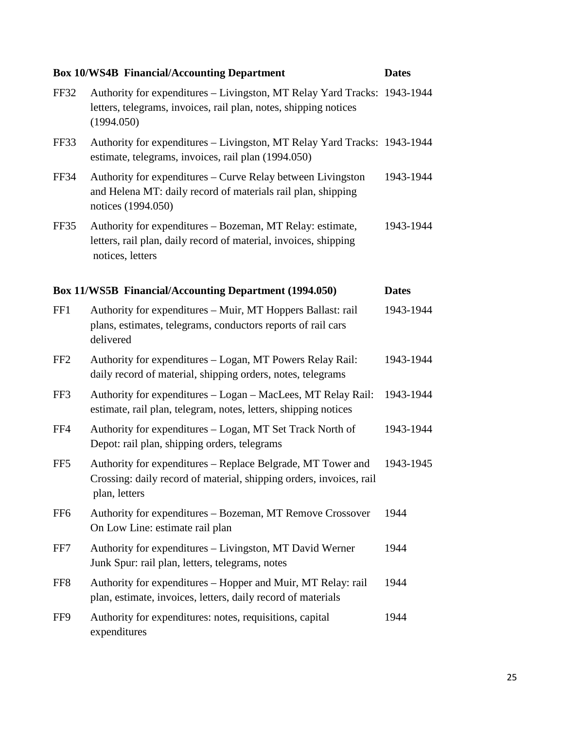|                 | <b>Box 10/WS4B Financial/Accounting Department</b>                                                                                                         | <b>Dates</b> |
|-----------------|------------------------------------------------------------------------------------------------------------------------------------------------------------|--------------|
| FF32            | Authority for expenditures - Livingston, MT Relay Yard Tracks: 1943-1944<br>letters, telegrams, invoices, rail plan, notes, shipping notices<br>(1994.050) |              |
| FF33            | Authority for expenditures - Livingston, MT Relay Yard Tracks: 1943-1944<br>estimate, telegrams, invoices, rail plan (1994.050)                            |              |
| <b>FF34</b>     | Authority for expenditures – Curve Relay between Livingston<br>and Helena MT: daily record of materials rail plan, shipping<br>notices (1994.050)          | 1943-1944    |
| FF35            | Authority for expenditures – Bozeman, MT Relay: estimate,<br>letters, rail plan, daily record of material, invoices, shipping<br>notices, letters          | 1943-1944    |
|                 | <b>Box 11/WS5B Financial/Accounting Department (1994.050)</b>                                                                                              | <b>Dates</b> |
| FF1             | Authority for expenditures – Muir, MT Hoppers Ballast: rail<br>plans, estimates, telegrams, conductors reports of rail cars<br>delivered                   | 1943-1944    |
| FF <sub>2</sub> | Authority for expenditures - Logan, MT Powers Relay Rail:<br>daily record of material, shipping orders, notes, telegrams                                   | 1943-1944    |
| FF3             | Authority for expenditures - Logan - MacLees, MT Relay Rail:<br>estimate, rail plan, telegram, notes, letters, shipping notices                            | 1943-1944    |
| FF4             | Authority for expenditures – Logan, MT Set Track North of<br>Depot: rail plan, shipping orders, telegrams                                                  | 1943-1944    |
| FF <sub>5</sub> | Authority for expenditures – Replace Belgrade, MT Tower and<br>Crossing: daily record of material, shipping orders, invoices, rail<br>plan, letters        | 1943-1945    |
| FF <sub>6</sub> | Authority for expenditures - Bozeman, MT Remove Crossover<br>On Low Line: estimate rail plan                                                               | 1944         |
| FF7             | Authority for expenditures - Livingston, MT David Werner<br>Junk Spur: rail plan, letters, telegrams, notes                                                | 1944         |
| FF <sub>8</sub> | Authority for expenditures – Hopper and Muir, MT Relay: rail<br>plan, estimate, invoices, letters, daily record of materials                               | 1944         |
| FF9             | Authority for expenditures: notes, requisitions, capital<br>expenditures                                                                                   | 1944         |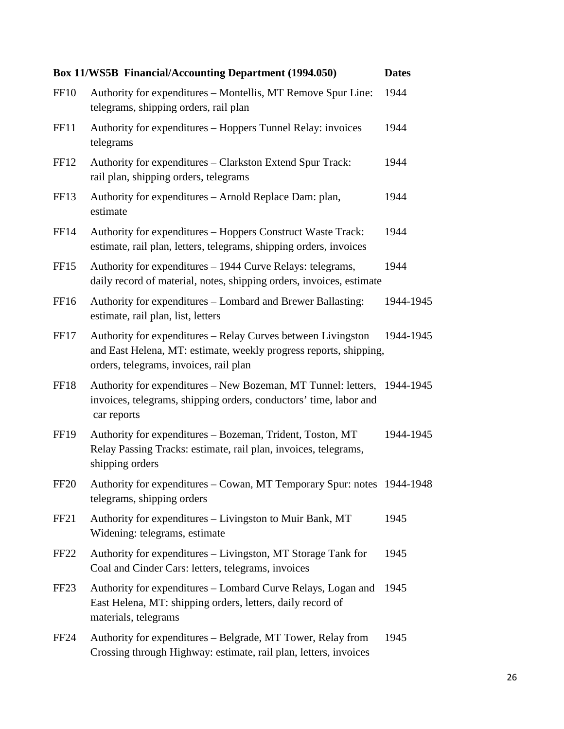|                  | <b>Box 11/WS5B Financial/Accounting Department (1994.050)</b>                                                                                                               | <b>Dates</b> |
|------------------|-----------------------------------------------------------------------------------------------------------------------------------------------------------------------------|--------------|
| <b>FF10</b>      | Authority for expenditures – Montellis, MT Remove Spur Line:<br>telegrams, shipping orders, rail plan                                                                       | 1944         |
| FF11             | Authority for expenditures – Hoppers Tunnel Relay: invoices<br>telegrams                                                                                                    | 1944         |
| FF12             | Authority for expenditures - Clarkston Extend Spur Track:<br>rail plan, shipping orders, telegrams                                                                          | 1944         |
| FF13             | Authority for expenditures – Arnold Replace Dam: plan,<br>estimate                                                                                                          | 1944         |
| <b>FF14</b>      | Authority for expenditures – Hoppers Construct Waste Track:<br>estimate, rail plan, letters, telegrams, shipping orders, invoices                                           | 1944         |
| FF <sub>15</sub> | Authority for expenditures – 1944 Curve Relays: telegrams,<br>daily record of material, notes, shipping orders, invoices, estimate                                          | 1944         |
| FF16             | Authority for expenditures – Lombard and Brewer Ballasting:<br>estimate, rail plan, list, letters                                                                           | 1944-1945    |
| FF17             | Authority for expenditures – Relay Curves between Livingston<br>and East Helena, MT: estimate, weekly progress reports, shipping,<br>orders, telegrams, invoices, rail plan | 1944-1945    |
| FF18             | Authority for expenditures - New Bozeman, MT Tunnel: letters, 1944-1945<br>invoices, telegrams, shipping orders, conductors' time, labor and<br>car reports                 |              |
| <b>FF19</b>      | Authority for expenditures - Bozeman, Trident, Toston, MT<br>Relay Passing Tracks: estimate, rail plan, invoices, telegrams,<br>shipping orders                             | 1944-1945    |
| <b>FF20</b>      | Authority for expenditures - Cowan, MT Temporary Spur: notes 1944-1948<br>telegrams, shipping orders                                                                        |              |
| FF <sub>21</sub> | Authority for expenditures - Livingston to Muir Bank, MT<br>Widening: telegrams, estimate                                                                                   | 1945         |
| <b>FF22</b>      | Authority for expenditures – Livingston, MT Storage Tank for<br>Coal and Cinder Cars: letters, telegrams, invoices                                                          | 1945         |
| FF <sub>23</sub> | Authority for expenditures – Lombard Curve Relays, Logan and<br>East Helena, MT: shipping orders, letters, daily record of<br>materials, telegrams                          | 1945         |
| FF24             | Authority for expenditures – Belgrade, MT Tower, Relay from<br>Crossing through Highway: estimate, rail plan, letters, invoices                                             | 1945         |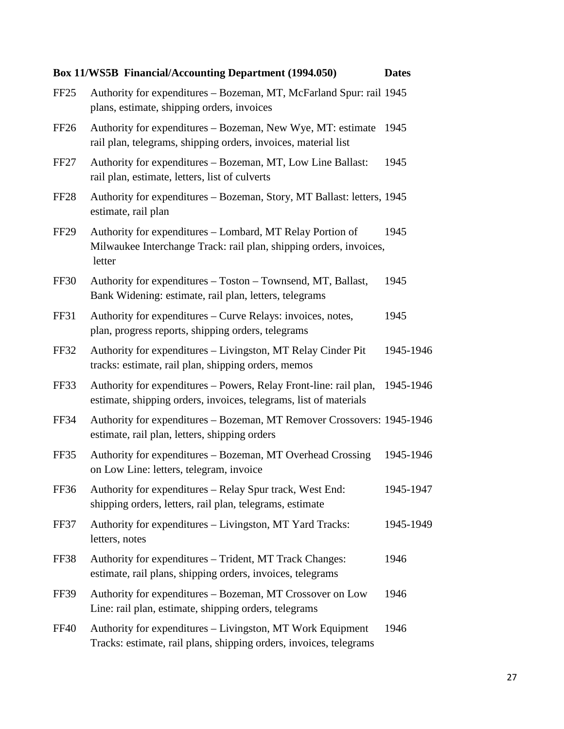|                  | <b>Box 11/WS5B Financial/Accounting Department (1994.050)</b>                                                                             | <b>Dates</b> |
|------------------|-------------------------------------------------------------------------------------------------------------------------------------------|--------------|
| FF <sub>25</sub> | Authority for expenditures - Bozeman, MT, McFarland Spur: rail 1945<br>plans, estimate, shipping orders, invoices                         |              |
| FF26             | Authority for expenditures – Bozeman, New Wye, MT: estimate<br>rail plan, telegrams, shipping orders, invoices, material list             | 1945         |
| FF <sub>27</sub> | Authority for expenditures – Bozeman, MT, Low Line Ballast:<br>rail plan, estimate, letters, list of culverts                             | 1945         |
| <b>FF28</b>      | Authority for expenditures - Bozeman, Story, MT Ballast: letters, 1945<br>estimate, rail plan                                             |              |
| FF <sub>29</sub> | Authority for expenditures – Lombard, MT Relay Portion of<br>Milwaukee Interchange Track: rail plan, shipping orders, invoices,<br>letter | 1945         |
| FF30             | Authority for expenditures – Toston – Townsend, MT, Ballast,<br>Bank Widening: estimate, rail plan, letters, telegrams                    | 1945         |
| <b>FF31</b>      | Authority for expenditures – Curve Relays: invoices, notes,<br>plan, progress reports, shipping orders, telegrams                         | 1945         |
| <b>FF32</b>      | Authority for expenditures - Livingston, MT Relay Cinder Pit<br>tracks: estimate, rail plan, shipping orders, memos                       | 1945-1946    |
| FF33             | Authority for expenditures – Powers, Relay Front-line: rail plan,<br>estimate, shipping orders, invoices, telegrams, list of materials    | 1945-1946    |
| FF34             | Authority for expenditures - Bozeman, MT Remover Crossovers: 1945-1946<br>estimate, rail plan, letters, shipping orders                   |              |
| FF35             | Authority for expenditures – Bozeman, MT Overhead Crossing<br>on Low Line: letters, telegram, invoice                                     | 1945-1946    |
| FF36             | Authority for expenditures – Relay Spur track, West End:<br>shipping orders, letters, rail plan, telegrams, estimate                      | 1945-1947    |
| FF37             | Authority for expenditures – Livingston, MT Yard Tracks:<br>letters, notes                                                                | 1945-1949    |
| FF38             | Authority for expenditures - Trident, MT Track Changes:<br>estimate, rail plans, shipping orders, invoices, telegrams                     | 1946         |
| <b>FF39</b>      | Authority for expenditures – Bozeman, MT Crossover on Low<br>Line: rail plan, estimate, shipping orders, telegrams                        | 1946         |
| <b>FF40</b>      | Authority for expenditures - Livingston, MT Work Equipment<br>Tracks: estimate, rail plans, shipping orders, invoices, telegrams          | 1946         |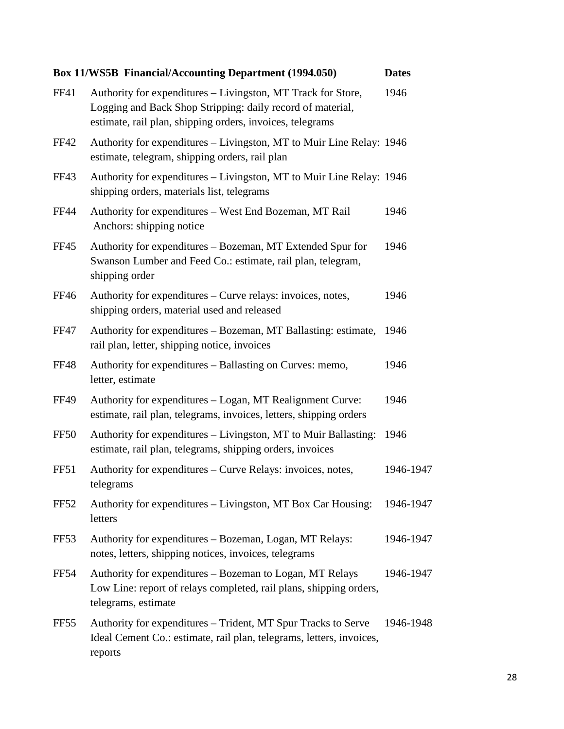|                  | <b>Box 11/WS5B Financial/Accounting Department (1994.050)</b>                                                                                                                           | <b>Dates</b> |
|------------------|-----------------------------------------------------------------------------------------------------------------------------------------------------------------------------------------|--------------|
| <b>FF41</b>      | Authority for expenditures – Livingston, MT Track for Store,<br>Logging and Back Shop Stripping: daily record of material,<br>estimate, rail plan, shipping orders, invoices, telegrams | 1946         |
| <b>FF42</b>      | Authority for expenditures – Livingston, MT to Muir Line Relay: 1946<br>estimate, telegram, shipping orders, rail plan                                                                  |              |
| FF43             | Authority for expenditures – Livingston, MT to Muir Line Relay: 1946<br>shipping orders, materials list, telegrams                                                                      |              |
| <b>FF44</b>      | Authority for expenditures - West End Bozeman, MT Rail<br>Anchors: shipping notice                                                                                                      | 1946         |
| <b>FF45</b>      | Authority for expenditures – Bozeman, MT Extended Spur for<br>Swanson Lumber and Feed Co.: estimate, rail plan, telegram,<br>shipping order                                             | 1946         |
| <b>FF46</b>      | Authority for expenditures – Curve relays: invoices, notes,<br>shipping orders, material used and released                                                                              | 1946         |
| <b>FF47</b>      | Authority for expenditures – Bozeman, MT Ballasting: estimate,<br>rail plan, letter, shipping notice, invoices                                                                          | 1946         |
| <b>FF48</b>      | Authority for expenditures – Ballasting on Curves: memo,<br>letter, estimate                                                                                                            | 1946         |
| <b>FF49</b>      | Authority for expenditures – Logan, MT Realignment Curve:<br>estimate, rail plan, telegrams, invoices, letters, shipping orders                                                         | 1946         |
| <b>FF50</b>      | Authority for expenditures – Livingston, MT to Muir Ballasting:<br>estimate, rail plan, telegrams, shipping orders, invoices                                                            | 1946         |
| FF51             | Authority for expenditures – Curve Relays: invoices, notes,<br>telegrams                                                                                                                | 1946-1947    |
| <b>FF52</b>      | Authority for expenditures – Livingston, MT Box Car Housing:<br>letters                                                                                                                 | 1946-1947    |
| FF <sub>53</sub> | Authority for expenditures – Bozeman, Logan, MT Relays:<br>notes, letters, shipping notices, invoices, telegrams                                                                        | 1946-1947    |
| <b>FF54</b>      | Authority for expenditures - Bozeman to Logan, MT Relays<br>Low Line: report of relays completed, rail plans, shipping orders,<br>telegrams, estimate                                   | 1946-1947    |
| FF <sub>55</sub> | Authority for expenditures – Trident, MT Spur Tracks to Serve<br>Ideal Cement Co.: estimate, rail plan, telegrams, letters, invoices,<br>reports                                        | 1946-1948    |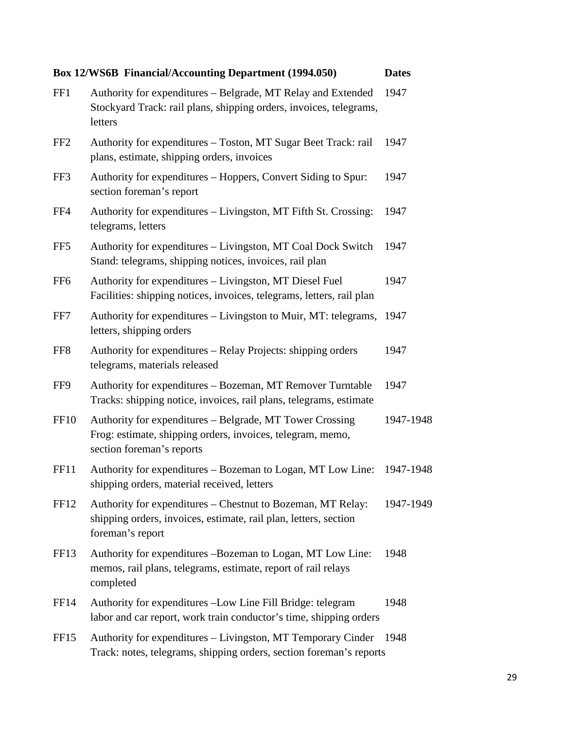|                  | <b>Box 12/WS6B Financial/Accounting Department (1994.050)</b>                                                                                       | <b>Dates</b> |
|------------------|-----------------------------------------------------------------------------------------------------------------------------------------------------|--------------|
| FF1              | Authority for expenditures – Belgrade, MT Relay and Extended<br>Stockyard Track: rail plans, shipping orders, invoices, telegrams,<br>letters       | 1947         |
| FF <sub>2</sub>  | Authority for expenditures – Toston, MT Sugar Beet Track: rail<br>plans, estimate, shipping orders, invoices                                        | 1947         |
| FF3              | Authority for expenditures – Hoppers, Convert Siding to Spur:<br>section foreman's report                                                           | 1947         |
| FF4              | Authority for expenditures – Livingston, MT Fifth St. Crossing:<br>telegrams, letters                                                               | 1947         |
| FF <sub>5</sub>  | Authority for expenditures – Livingston, MT Coal Dock Switch<br>Stand: telegrams, shipping notices, invoices, rail plan                             | 1947         |
| FF <sub>6</sub>  | Authority for expenditures – Livingston, MT Diesel Fuel<br>Facilities: shipping notices, invoices, telegrams, letters, rail plan                    | 1947         |
| FF7              | Authority for expenditures – Livingston to Muir, MT: telegrams,<br>letters, shipping orders                                                         | 1947         |
| FF8              | Authority for expenditures – Relay Projects: shipping orders<br>telegrams, materials released                                                       | 1947         |
| FF9              | Authority for expenditures - Bozeman, MT Remover Turntable<br>Tracks: shipping notice, invoices, rail plans, telegrams, estimate                    | 1947         |
| FF <sub>10</sub> | Authority for expenditures – Belgrade, MT Tower Crossing<br>Frog: estimate, shipping orders, invoices, telegram, memo,<br>section foreman's reports | 1947-1948    |
| FF11             | Authority for expenditures - Bozeman to Logan, MT Low Line: 1947-1948<br>shipping orders, material received, letters                                |              |
| FF12             | Authority for expenditures – Chestnut to Bozeman, MT Relay:<br>shipping orders, invoices, estimate, rail plan, letters, section<br>foreman's report | 1947-1949    |
| FF <sub>13</sub> | Authority for expenditures -Bozeman to Logan, MT Low Line:<br>memos, rail plans, telegrams, estimate, report of rail relays<br>completed            | 1948         |
| FF <sub>14</sub> | Authority for expenditures - Low Line Fill Bridge: telegram<br>labor and car report, work train conductor's time, shipping orders                   | 1948         |
| FF <sub>15</sub> | Authority for expenditures - Livingston, MT Temporary Cinder<br>Track: notes, telegrams, shipping orders, section foreman's reports                 | 1948         |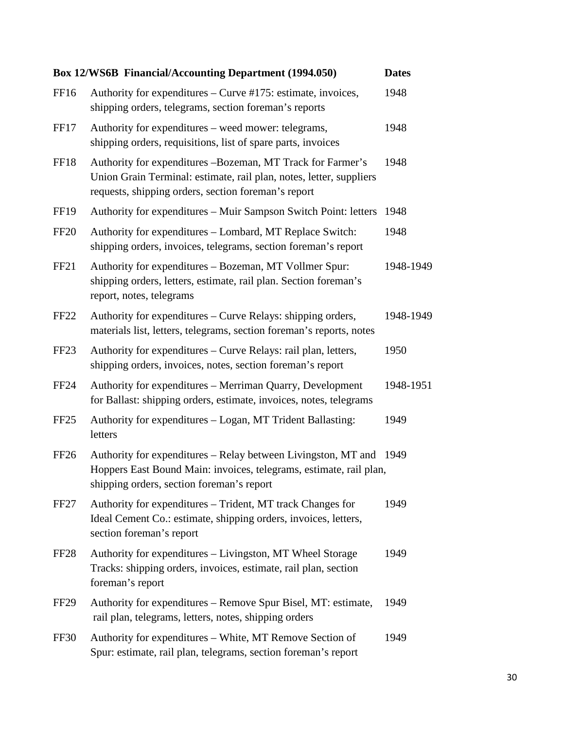|                  | <b>Box 12/WS6B Financial/Accounting Department (1994.050)</b>                                                                                                                            | <b>Dates</b> |
|------------------|------------------------------------------------------------------------------------------------------------------------------------------------------------------------------------------|--------------|
| FF16             | Authority for expenditures – Curve #175: estimate, invoices,<br>shipping orders, telegrams, section foreman's reports                                                                    | 1948         |
| FF17             | Authority for expenditures – weed mower: telegrams,<br>shipping orders, requisitions, list of spare parts, invoices                                                                      | 1948         |
| FF18             | Authority for expenditures -Bozeman, MT Track for Farmer's<br>Union Grain Terminal: estimate, rail plan, notes, letter, suppliers<br>requests, shipping orders, section foreman's report | 1948         |
| <b>FF19</b>      | Authority for expenditures – Muir Sampson Switch Point: letters                                                                                                                          | 1948         |
| <b>FF20</b>      | Authority for expenditures - Lombard, MT Replace Switch:<br>shipping orders, invoices, telegrams, section foreman's report                                                               | 1948         |
| FF <sub>21</sub> | Authority for expenditures - Bozeman, MT Vollmer Spur:<br>shipping orders, letters, estimate, rail plan. Section foreman's<br>report, notes, telegrams                                   | 1948-1949    |
| <b>FF22</b>      | Authority for expenditures – Curve Relays: shipping orders,<br>materials list, letters, telegrams, section foreman's reports, notes                                                      | 1948-1949    |
| FF <sub>23</sub> | Authority for expenditures - Curve Relays: rail plan, letters,<br>shipping orders, invoices, notes, section foreman's report                                                             | 1950         |
| FF <sub>24</sub> | Authority for expenditures - Merriman Quarry, Development<br>for Ballast: shipping orders, estimate, invoices, notes, telegrams                                                          | 1948-1951    |
| FF25             | Authority for expenditures - Logan, MT Trident Ballasting:<br>letters                                                                                                                    | 1949         |
| FF <sub>26</sub> | Authority for expenditures – Relay between Livingston, MT and 1949<br>Hoppers East Bound Main: invoices, telegrams, estimate, rail plan,<br>shipping orders, section foreman's report    |              |
| FF <sub>27</sub> | Authority for expenditures – Trident, MT track Changes for<br>Ideal Cement Co.: estimate, shipping orders, invoices, letters,<br>section foreman's report                                | 1949         |
| FF <sub>28</sub> | Authority for expenditures – Livingston, MT Wheel Storage<br>Tracks: shipping orders, invoices, estimate, rail plan, section<br>foreman's report                                         | 1949         |
| FF <sub>29</sub> | Authority for expenditures – Remove Spur Bisel, MT: estimate,<br>rail plan, telegrams, letters, notes, shipping orders                                                                   | 1949         |
| FF30             | Authority for expenditures – White, MT Remove Section of<br>Spur: estimate, rail plan, telegrams, section foreman's report                                                               | 1949         |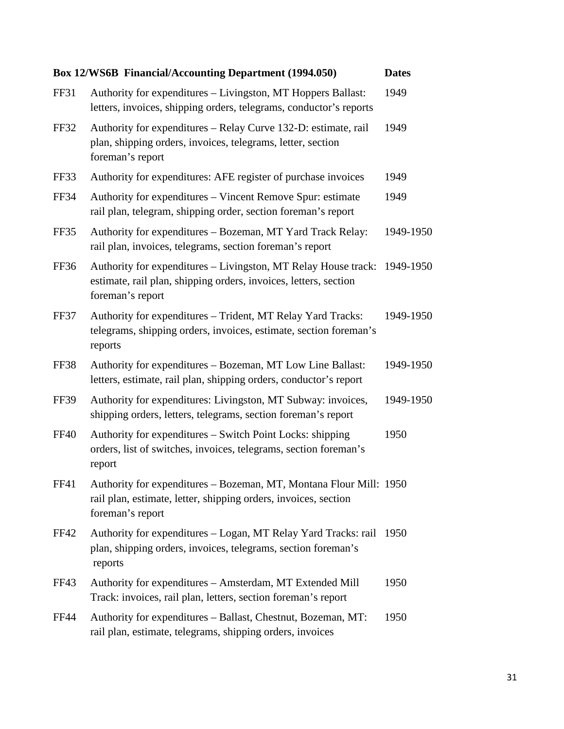|             | Box 12/WS6B Financial/Accounting Department (1994.050)                                                                                                           | <b>Dates</b> |
|-------------|------------------------------------------------------------------------------------------------------------------------------------------------------------------|--------------|
| <b>FF31</b> | Authority for expenditures – Livingston, MT Hoppers Ballast:<br>letters, invoices, shipping orders, telegrams, conductor's reports                               | 1949         |
| <b>FF32</b> | Authority for expenditures – Relay Curve 132-D: estimate, rail<br>plan, shipping orders, invoices, telegrams, letter, section<br>foreman's report                | 1949         |
| FF33        | Authority for expenditures: AFE register of purchase invoices                                                                                                    | 1949         |
| <b>FF34</b> | Authority for expenditures – Vincent Remove Spur: estimate<br>rail plan, telegram, shipping order, section foreman's report                                      | 1949         |
| FF35        | Authority for expenditures - Bozeman, MT Yard Track Relay:<br>rail plan, invoices, telegrams, section foreman's report                                           | 1949-1950    |
| FF36        | Authority for expenditures – Livingston, MT Relay House track: 1949-1950<br>estimate, rail plan, shipping orders, invoices, letters, section<br>foreman's report |              |
| FF37        | Authority for expenditures - Trident, MT Relay Yard Tracks:<br>telegrams, shipping orders, invoices, estimate, section foreman's<br>reports                      | 1949-1950    |
| FF38        | Authority for expenditures - Bozeman, MT Low Line Ballast:<br>letters, estimate, rail plan, shipping orders, conductor's report                                  | 1949-1950    |
| <b>FF39</b> | Authority for expenditures: Livingston, MT Subway: invoices,<br>shipping orders, letters, telegrams, section foreman's report                                    | 1949-1950    |
| <b>FF40</b> | Authority for expenditures – Switch Point Locks: shipping<br>orders, list of switches, invoices, telegrams, section foreman's<br>report                          | 1950         |
| <b>FF41</b> | Authority for expenditures - Bozeman, MT, Montana Flour Mill: 1950<br>rail plan, estimate, letter, shipping orders, invoices, section<br>foreman's report        |              |
| FF42        | Authority for expenditures – Logan, MT Relay Yard Tracks: rail<br>plan, shipping orders, invoices, telegrams, section foreman's<br>reports                       | 1950         |
| FF43        | Authority for expenditures – Amsterdam, MT Extended Mill<br>Track: invoices, rail plan, letters, section foreman's report                                        | 1950         |
| <b>FF44</b> | Authority for expenditures - Ballast, Chestnut, Bozeman, MT:<br>rail plan, estimate, telegrams, shipping orders, invoices                                        | 1950         |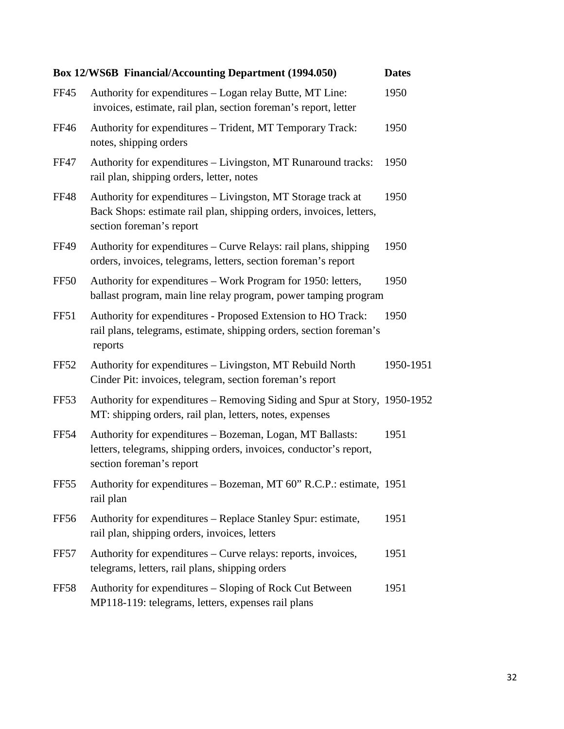|                  | <b>Box 12/WS6B Financial/Accounting Department (1994.050)</b>                                                                                                   | <b>Dates</b> |
|------------------|-----------------------------------------------------------------------------------------------------------------------------------------------------------------|--------------|
| <b>FF45</b>      | Authority for expenditures – Logan relay Butte, MT Line:<br>invoices, estimate, rail plan, section foreman's report, letter                                     | 1950         |
| FF46             | Authority for expenditures - Trident, MT Temporary Track:<br>notes, shipping orders                                                                             | 1950         |
| <b>FF47</b>      | Authority for expenditures – Livingston, MT Runaround tracks:<br>rail plan, shipping orders, letter, notes                                                      | 1950         |
| <b>FF48</b>      | Authority for expenditures – Livingston, MT Storage track at<br>Back Shops: estimate rail plan, shipping orders, invoices, letters,<br>section foreman's report | 1950         |
| <b>FF49</b>      | Authority for expenditures – Curve Relays: rail plans, shipping<br>orders, invoices, telegrams, letters, section foreman's report                               | 1950         |
| FF50             | Authority for expenditures – Work Program for 1950: letters,<br>ballast program, main line relay program, power tamping program                                 | 1950         |
| <b>FF51</b>      | Authority for expenditures - Proposed Extension to HO Track:<br>rail plans, telegrams, estimate, shipping orders, section foreman's<br>reports                  | 1950         |
| FF52             | Authority for expenditures - Livingston, MT Rebuild North<br>Cinder Pit: invoices, telegram, section foreman's report                                           | 1950-1951    |
| FF <sub>53</sub> | Authority for expenditures – Removing Siding and Spur at Story, 1950-1952<br>MT: shipping orders, rail plan, letters, notes, expenses                           |              |
| <b>FF54</b>      | Authority for expenditures - Bozeman, Logan, MT Ballasts:<br>letters, telegrams, shipping orders, invoices, conductor's report,<br>section foreman's report     | 1951         |
| FF55             | Authority for expenditures - Bozeman, MT 60" R.C.P.: estimate, 1951<br>rail plan                                                                                |              |
| FF56             | Authority for expenditures - Replace Stanley Spur: estimate,<br>rail plan, shipping orders, invoices, letters                                                   | 1951         |
| FF57             | Authority for expenditures – Curve relays: reports, invoices,<br>telegrams, letters, rail plans, shipping orders                                                | 1951         |
| <b>FF58</b>      | Authority for expenditures – Sloping of Rock Cut Between<br>MP118-119: telegrams, letters, expenses rail plans                                                  | 1951         |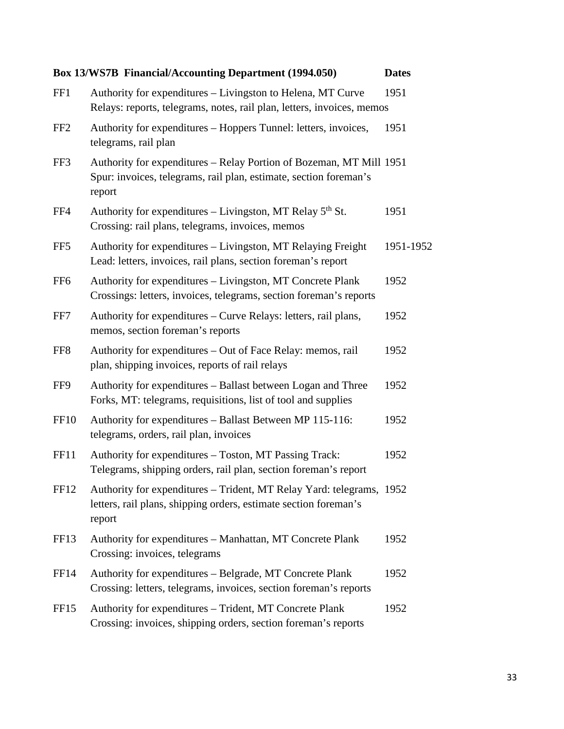|                  | Box 13/WS7B Financial/Accounting Department (1994.050)                                                                                             | <b>Dates</b> |
|------------------|----------------------------------------------------------------------------------------------------------------------------------------------------|--------------|
| FF1              | Authority for expenditures – Livingston to Helena, MT Curve<br>Relays: reports, telegrams, notes, rail plan, letters, invoices, memos              | 1951         |
| FF <sub>2</sub>  | Authority for expenditures – Hoppers Tunnel: letters, invoices,<br>telegrams, rail plan                                                            | 1951         |
| FF3              | Authority for expenditures – Relay Portion of Bozeman, MT Mill 1951<br>Spur: invoices, telegrams, rail plan, estimate, section foreman's<br>report |              |
| FF4              | Authority for expenditures – Livingston, MT Relay $5th$ St.<br>Crossing: rail plans, telegrams, invoices, memos                                    | 1951         |
| FF <sub>5</sub>  | Authority for expenditures – Livingston, MT Relaying Freight<br>Lead: letters, invoices, rail plans, section foreman's report                      | 1951-1952    |
| FF <sub>6</sub>  | Authority for expenditures - Livingston, MT Concrete Plank<br>Crossings: letters, invoices, telegrams, section foreman's reports                   | 1952         |
| FF7              | Authority for expenditures – Curve Relays: letters, rail plans,<br>memos, section foreman's reports                                                | 1952         |
| FF8              | Authority for expenditures – Out of Face Relay: memos, rail<br>plan, shipping invoices, reports of rail relays                                     | 1952         |
| FF9              | Authority for expenditures – Ballast between Logan and Three<br>Forks, MT: telegrams, requisitions, list of tool and supplies                      | 1952         |
| <b>FF10</b>      | Authority for expenditures - Ballast Between MP 115-116:<br>telegrams, orders, rail plan, invoices                                                 | 1952         |
| FF11             | Authority for expenditures - Toston, MT Passing Track:<br>Telegrams, shipping orders, rail plan, section foreman's report                          | 1952         |
| <b>FF12</b>      | Authority for expenditures – Trident, MT Relay Yard: telegrams, 1952<br>letters, rail plans, shipping orders, estimate section foreman's<br>report |              |
| FF13             | Authority for expenditures – Manhattan, MT Concrete Plank<br>Crossing: invoices, telegrams                                                         | 1952         |
| FF14             | Authority for expenditures – Belgrade, MT Concrete Plank<br>Crossing: letters, telegrams, invoices, section foreman's reports                      | 1952         |
| FF <sub>15</sub> | Authority for expenditures – Trident, MT Concrete Plank<br>Crossing: invoices, shipping orders, section foreman's reports                          | 1952         |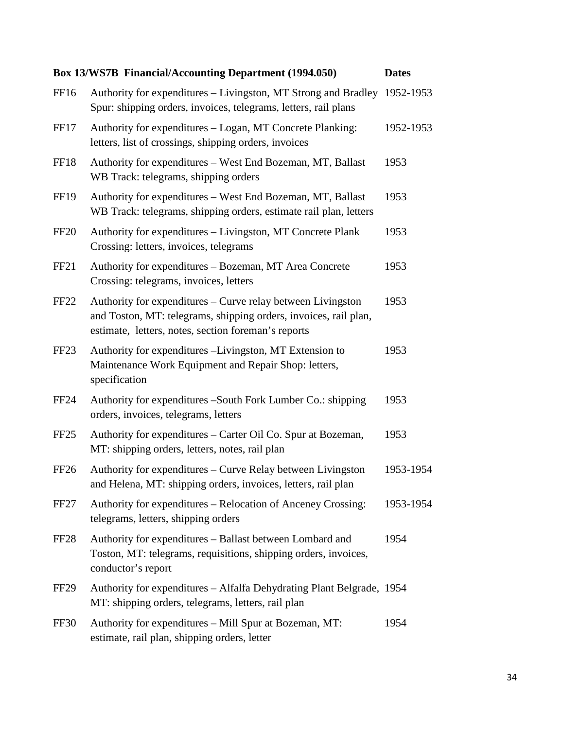|                  | <b>Box 13/WS7B Financial/Accounting Department (1994.050)</b>                                                                                                                          | <b>Dates</b> |
|------------------|----------------------------------------------------------------------------------------------------------------------------------------------------------------------------------------|--------------|
| FF16             | Authority for expenditures - Livingston, MT Strong and Bradley 1952-1953<br>Spur: shipping orders, invoices, telegrams, letters, rail plans                                            |              |
| FF17             | Authority for expenditures - Logan, MT Concrete Planking:<br>letters, list of crossings, shipping orders, invoices                                                                     | 1952-1953    |
| <b>FF18</b>      | Authority for expenditures – West End Bozeman, MT, Ballast<br>WB Track: telegrams, shipping orders                                                                                     | 1953         |
| <b>FF19</b>      | Authority for expenditures - West End Bozeman, MT, Ballast<br>WB Track: telegrams, shipping orders, estimate rail plan, letters                                                        | 1953         |
| <b>FF20</b>      | Authority for expenditures – Livingston, MT Concrete Plank<br>Crossing: letters, invoices, telegrams                                                                                   | 1953         |
| FF <sub>21</sub> | Authority for expenditures - Bozeman, MT Area Concrete<br>Crossing: telegrams, invoices, letters                                                                                       | 1953         |
| <b>FF22</b>      | Authority for expenditures – Curve relay between Livingston<br>and Toston, MT: telegrams, shipping orders, invoices, rail plan,<br>estimate, letters, notes, section foreman's reports | 1953         |
| FF <sub>23</sub> | Authority for expenditures -Livingston, MT Extension to<br>Maintenance Work Equipment and Repair Shop: letters,<br>specification                                                       | 1953         |
| <b>FF24</b>      | Authority for expenditures –South Fork Lumber Co.: shipping<br>orders, invoices, telegrams, letters                                                                                    | 1953         |
| FF <sub>25</sub> | Authority for expenditures – Carter Oil Co. Spur at Bozeman,<br>MT: shipping orders, letters, notes, rail plan                                                                         | 1953         |
| FF <sub>26</sub> | Authority for expenditures – Curve Relay between Livingston<br>and Helena, MT: shipping orders, invoices, letters, rail plan                                                           | 1953-1954    |
| FF <sub>27</sub> | Authority for expenditures - Relocation of Anceney Crossing:<br>telegrams, letters, shipping orders                                                                                    | 1953-1954    |
| FF <sub>28</sub> | Authority for expenditures - Ballast between Lombard and<br>Toston, MT: telegrams, requisitions, shipping orders, invoices,<br>conductor's report                                      | 1954         |
| FF <sub>29</sub> | Authority for expenditures – Alfalfa Dehydrating Plant Belgrade, 1954<br>MT: shipping orders, telegrams, letters, rail plan                                                            |              |
| <b>FF30</b>      | Authority for expenditures - Mill Spur at Bozeman, MT:<br>estimate, rail plan, shipping orders, letter                                                                                 | 1954         |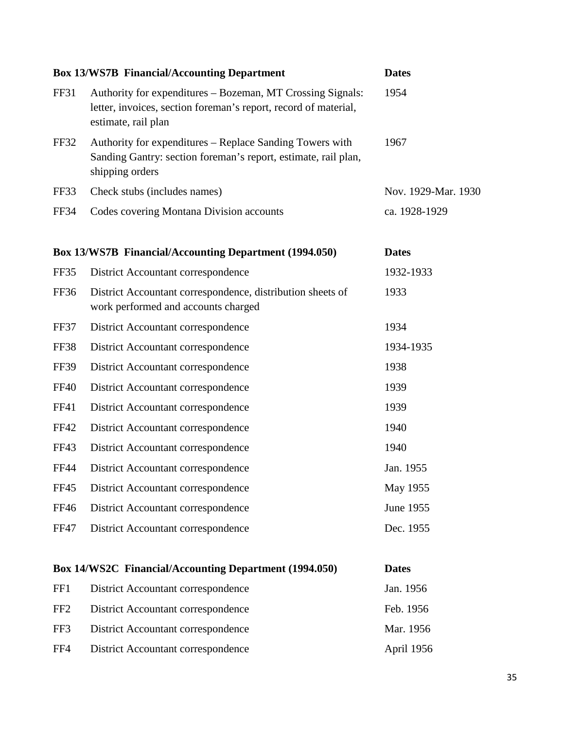|                 | <b>Box 13/WS7B Financial/Accounting Department</b>                                                                                                   | <b>Dates</b>        |
|-----------------|------------------------------------------------------------------------------------------------------------------------------------------------------|---------------------|
| FF31            | Authority for expenditures – Bozeman, MT Crossing Signals:<br>letter, invoices, section foreman's report, record of material,<br>estimate, rail plan | 1954                |
| FF32            | Authority for expenditures – Replace Sanding Towers with<br>Sanding Gantry: section foreman's report, estimate, rail plan,<br>shipping orders        | 1967                |
| FF33            | Check stubs (includes names)                                                                                                                         | Nov. 1929-Mar. 1930 |
| <b>FF34</b>     | Codes covering Montana Division accounts                                                                                                             | ca. 1928-1929       |
|                 | <b>Box 13/WS7B Financial/Accounting Department (1994.050)</b>                                                                                        | <b>Dates</b>        |
| FF35            | District Accountant correspondence                                                                                                                   | 1932-1933           |
| <b>FF36</b>     | District Accountant correspondence, distribution sheets of<br>work performed and accounts charged                                                    | 1933                |
| <b>FF37</b>     | District Accountant correspondence                                                                                                                   | 1934                |
| <b>FF38</b>     | District Accountant correspondence                                                                                                                   | 1934-1935           |
| <b>FF39</b>     | District Accountant correspondence                                                                                                                   | 1938                |
| <b>FF40</b>     | District Accountant correspondence                                                                                                                   | 1939                |
| FF41            | District Accountant correspondence                                                                                                                   | 1939                |
| <b>FF42</b>     | District Accountant correspondence                                                                                                                   | 1940                |
| FF43            | District Accountant correspondence                                                                                                                   | 1940                |
| <b>FF44</b>     | District Accountant correspondence                                                                                                                   | Jan. 1955           |
| <b>FF45</b>     | District Accountant correspondence                                                                                                                   | May 1955            |
| FF46            | District Accountant correspondence                                                                                                                   | June 1955           |
| <b>FF47</b>     | District Accountant correspondence                                                                                                                   | Dec. 1955           |
|                 | Box 14/WS2C Financial/Accounting Department (1994.050)                                                                                               | <b>Dates</b>        |
| FF1             | District Accountant correspondence                                                                                                                   | Jan. 1956           |
| FF <sub>2</sub> | District Accountant correspondence                                                                                                                   | Feb. 1956           |
| FF3             | District Accountant correspondence                                                                                                                   | Mar. 1956           |
| FF4             | District Accountant correspondence                                                                                                                   | April 1956          |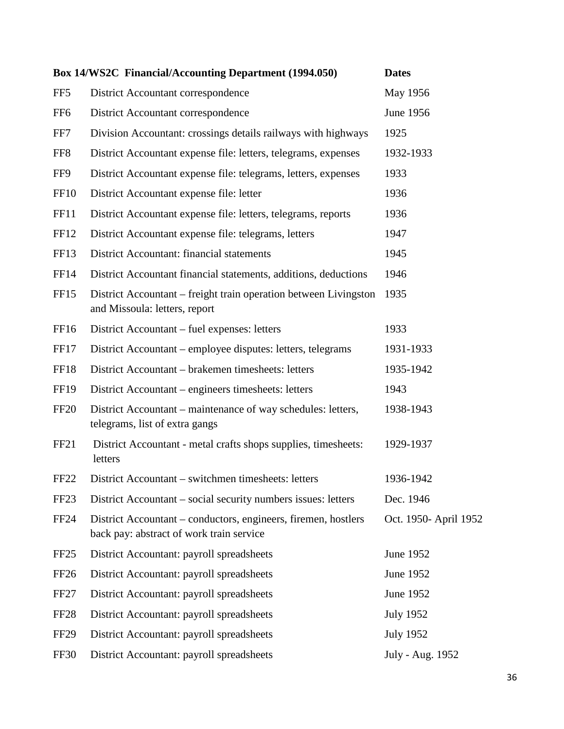|                  | Box 14/WS2C Financial/Accounting Department (1994.050)                                                     | <b>Dates</b>          |
|------------------|------------------------------------------------------------------------------------------------------------|-----------------------|
| FF <sub>5</sub>  | District Accountant correspondence                                                                         | May 1956              |
| FF <sub>6</sub>  | District Accountant correspondence                                                                         | June 1956             |
| FF7              | Division Accountant: crossings details railways with highways                                              | 1925                  |
| FF <sub>8</sub>  | District Accountant expense file: letters, telegrams, expenses                                             | 1932-1933             |
| FF9              | District Accountant expense file: telegrams, letters, expenses                                             | 1933                  |
| FF <sub>10</sub> | District Accountant expense file: letter                                                                   | 1936                  |
| <b>FF11</b>      | District Accountant expense file: letters, telegrams, reports                                              | 1936                  |
| FF12             | District Accountant expense file: telegrams, letters                                                       | 1947                  |
| <b>FF13</b>      | District Accountant: financial statements                                                                  | 1945                  |
| FF14             | District Accountant financial statements, additions, deductions                                            | 1946                  |
| <b>FF15</b>      | District Accountant – freight train operation between Livingston<br>and Missoula: letters, report          | 1935                  |
| FF16             | District Accountant – fuel expenses: letters                                                               | 1933                  |
| FF17             | District Accountant – employee disputes: letters, telegrams                                                | 1931-1933             |
| <b>FF18</b>      | District Accountant – brakemen timesheets: letters                                                         | 1935-1942             |
| <b>FF19</b>      | District Accountant – engineers timesheets: letters                                                        | 1943                  |
| <b>FF20</b>      | District Accountant – maintenance of way schedules: letters,<br>telegrams, list of extra gangs             | 1938-1943             |
| FF <sub>21</sub> | District Accountant - metal crafts shops supplies, timesheets:<br>letters                                  | 1929-1937             |
| FF <sub>22</sub> | District Accountant – switchmen timesheets: letters                                                        | 1936-1942             |
| FF <sub>23</sub> | District Accountant – social security numbers issues: letters                                              | Dec. 1946             |
| <b>FF24</b>      | District Accountant – conductors, engineers, firemen, hostlers<br>back pay: abstract of work train service | Oct. 1950- April 1952 |
| FF <sub>25</sub> | District Accountant: payroll spreadsheets                                                                  | June 1952             |
| FF <sub>26</sub> | District Accountant: payroll spreadsheets                                                                  | June 1952             |
| FF <sub>27</sub> | District Accountant: payroll spreadsheets                                                                  | June 1952             |
| FF <sub>28</sub> | District Accountant: payroll spreadsheets                                                                  | <b>July 1952</b>      |
| <b>FF29</b>      | District Accountant: payroll spreadsheets                                                                  | <b>July 1952</b>      |
| <b>FF30</b>      | District Accountant: payroll spreadsheets                                                                  | July - Aug. 1952      |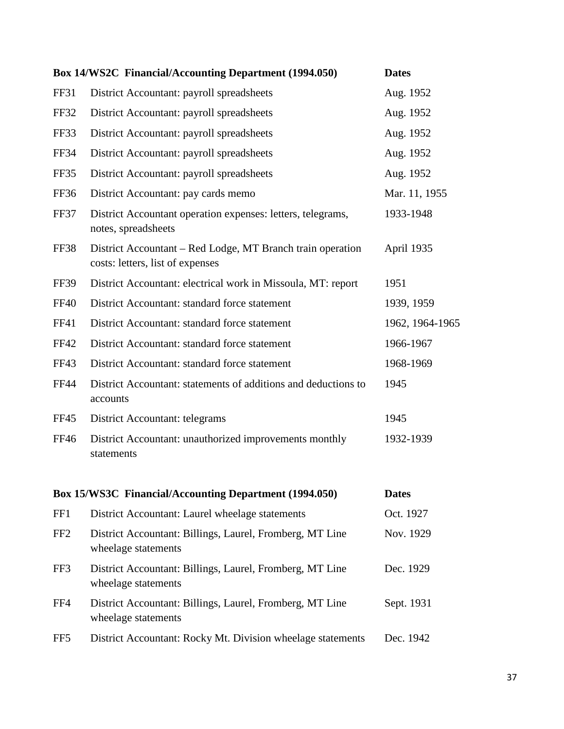|                 | <b>Box 14/WS2C Financial/Accounting Department (1994.050)</b>                                  | <b>Dates</b>    |
|-----------------|------------------------------------------------------------------------------------------------|-----------------|
| <b>FF31</b>     | District Accountant: payroll spreadsheets                                                      | Aug. 1952       |
| FF32            | District Accountant: payroll spreadsheets                                                      | Aug. 1952       |
| FF33            | District Accountant: payroll spreadsheets                                                      | Aug. 1952       |
| <b>FF34</b>     | District Accountant: payroll spreadsheets                                                      | Aug. 1952       |
| FF35            | District Accountant: payroll spreadsheets                                                      | Aug. 1952       |
| FF36            | District Accountant: pay cards memo                                                            | Mar. 11, 1955   |
| FF37            | District Accountant operation expenses: letters, telegrams,<br>notes, spreadsheets             | 1933-1948       |
| FF38            | District Accountant – Red Lodge, MT Branch train operation<br>costs: letters, list of expenses | April 1935      |
| <b>FF39</b>     | District Accountant: electrical work in Missoula, MT: report                                   | 1951            |
| <b>FF40</b>     | District Accountant: standard force statement                                                  | 1939, 1959      |
| <b>FF41</b>     | District Accountant: standard force statement                                                  | 1962, 1964-1965 |
| <b>FF42</b>     | District Accountant: standard force statement                                                  | 1966-1967       |
| FF43            | District Accountant: standard force statement                                                  | 1968-1969       |
| FF44            | District Accountant: statements of additions and deductions to<br>accounts                     | 1945            |
| <b>FF45</b>     | District Accountant: telegrams                                                                 | 1945            |
| <b>FF46</b>     | District Accountant: unauthorized improvements monthly<br>statements                           | 1932-1939       |
|                 | Box 15/WS3C Financial/Accounting Department (1994.050)                                         | <b>Dates</b>    |
| FF1             | District Accountant: Laurel wheelage statements                                                | Oct. 1927       |
| FF <sub>2</sub> | District Accountant: Billings, Laurel, Fromberg, MT Line<br>wheelage statements                | Nov. 1929       |
| FF3             | District Accountant: Billings, Laurel, Fromberg, MT Line<br>wheelage statements                | Dec. 1929       |
| FF4             | District Accountant: Billings, Laurel, Fromberg, MT Line<br>wheelage statements                | Sept. 1931      |
| FF <sub>5</sub> | District Accountant: Rocky Mt. Division wheelage statements                                    | Dec. 1942       |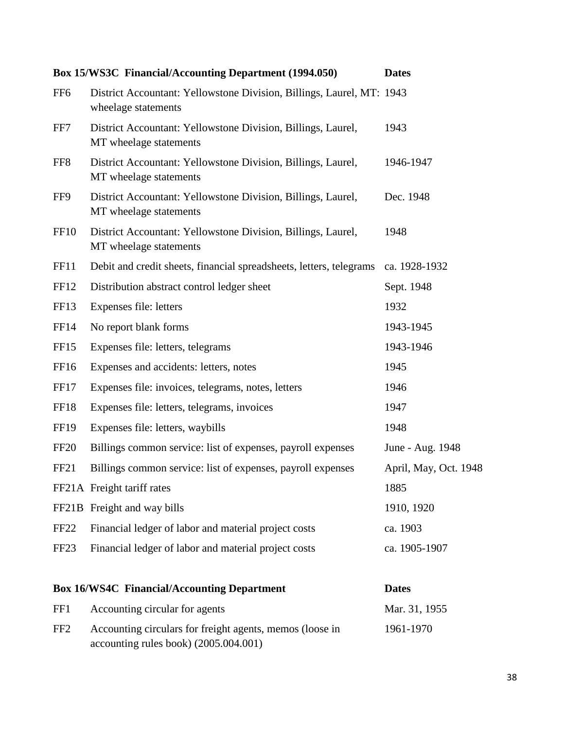|                  | <b>Box 15/WS3C Financial/Accounting Department (1994.050)</b>                                     | <b>Dates</b>          |
|------------------|---------------------------------------------------------------------------------------------------|-----------------------|
| FF <sub>6</sub>  | District Accountant: Yellowstone Division, Billings, Laurel, MT: 1943<br>wheelage statements      |                       |
| FF7              | District Accountant: Yellowstone Division, Billings, Laurel,<br>MT wheelage statements            | 1943                  |
| FF <sub>8</sub>  | District Accountant: Yellowstone Division, Billings, Laurel,<br>MT wheelage statements            | 1946-1947             |
| FF9              | District Accountant: Yellowstone Division, Billings, Laurel,<br>MT wheelage statements            | Dec. 1948             |
| <b>FF10</b>      | District Accountant: Yellowstone Division, Billings, Laurel,<br>MT wheelage statements            | 1948                  |
| <b>FF11</b>      | Debit and credit sheets, financial spreadsheets, letters, telegrams                               | ca. 1928-1932         |
| FF12             | Distribution abstract control ledger sheet                                                        | Sept. 1948            |
| FF13             | Expenses file: letters                                                                            | 1932                  |
| <b>FF14</b>      | No report blank forms                                                                             | 1943-1945             |
| FF <sub>15</sub> | Expenses file: letters, telegrams                                                                 | 1943-1946             |
| FF16             | Expenses and accidents: letters, notes                                                            | 1945                  |
| FF17             | Expenses file: invoices, telegrams, notes, letters                                                | 1946                  |
| FF18             | Expenses file: letters, telegrams, invoices                                                       | 1947                  |
| <b>FF19</b>      | Expenses file: letters, waybills                                                                  | 1948                  |
| <b>FF20</b>      | Billings common service: list of expenses, payroll expenses                                       | June - Aug. 1948      |
| FF <sub>21</sub> | Billings common service: list of expenses, payroll expenses                                       | April, May, Oct. 1948 |
|                  | FF21A Freight tariff rates                                                                        | 1885                  |
|                  | FF21B Freight and way bills                                                                       | 1910, 1920            |
| <b>FF22</b>      | Financial ledger of labor and material project costs                                              | ca. 1903              |
| FF <sub>23</sub> | Financial ledger of labor and material project costs                                              | ca. 1905-1907         |
|                  | <b>Box 16/WS4C Financial/Accounting Department</b>                                                | <b>Dates</b>          |
| FF1              | Accounting circular for agents                                                                    | Mar. 31, 1955         |
| FF <sub>2</sub>  | Accounting circulars for freight agents, memos (loose in<br>accounting rules book) (2005.004.001) | 1961-1970             |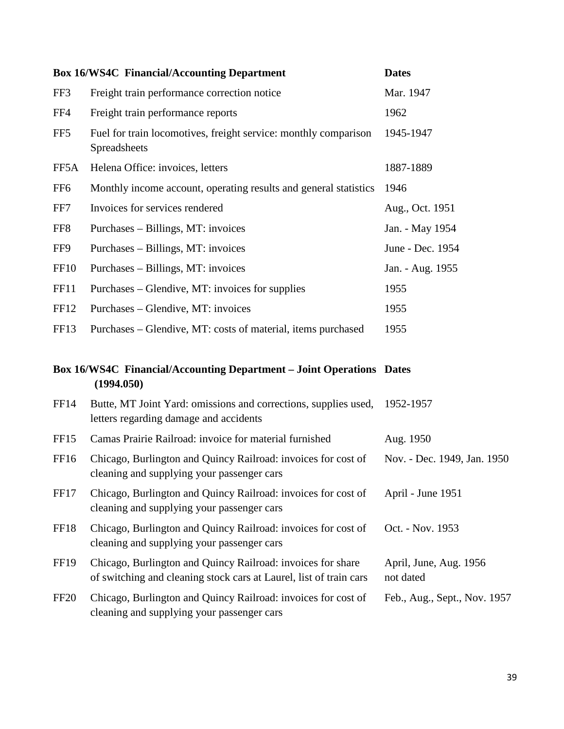|                  | <b>Box 16/WS4C Financial/Accounting Department</b>                                                                                | <b>Dates</b>                        |
|------------------|-----------------------------------------------------------------------------------------------------------------------------------|-------------------------------------|
| FF3              | Freight train performance correction notice                                                                                       | Mar. 1947                           |
| FF4              | Freight train performance reports                                                                                                 | 1962                                |
| FF5              | Fuel for train locomotives, freight service: monthly comparison<br>Spreadsheets                                                   | 1945-1947                           |
| FF5A             | Helena Office: invoices, letters                                                                                                  | 1887-1889                           |
| FF <sub>6</sub>  | Monthly income account, operating results and general statistics                                                                  | 1946                                |
| FF7              | Invoices for services rendered                                                                                                    | Aug., Oct. 1951                     |
| FF8              | Purchases – Billings, MT: invoices                                                                                                | Jan. - May 1954                     |
| FF9              | Purchases – Billings, MT: invoices                                                                                                | June - Dec. 1954                    |
| FF <sub>10</sub> | Purchases – Billings, MT: invoices                                                                                                | Jan. - Aug. 1955                    |
| <b>FF11</b>      | Purchases – Glendive, MT: invoices for supplies                                                                                   | 1955                                |
| FF <sub>12</sub> | Purchases – Glendive, MT: invoices                                                                                                | 1955                                |
| FF13             | Purchases – Glendive, MT: costs of material, items purchased                                                                      | 1955                                |
|                  |                                                                                                                                   |                                     |
|                  | <b>Box 16/WS4C Financial/Accounting Department - Joint Operations Dates</b><br>(1994.050)                                         |                                     |
| <b>FF14</b>      | Butte, MT Joint Yard: omissions and corrections, supplies used,<br>letters regarding damage and accidents                         | 1952-1957                           |
| FF <sub>15</sub> | Camas Prairie Railroad: invoice for material furnished                                                                            | Aug. 1950                           |
| FF <sub>16</sub> | Chicago, Burlington and Quincy Railroad: invoices for cost of<br>cleaning and supplying your passenger cars                       | Nov. - Dec. 1949, Jan. 1950         |
| FF17             | Chicago, Burlington and Quincy Railroad: invoices for cost of<br>cleaning and supplying your passenger cars                       | April - June 1951                   |
| FF18             | Chicago, Burlington and Quincy Railroad: invoices for cost of<br>cleaning and supplying your passenger cars                       | Oct. - Nov. 1953                    |
| <b>FF19</b>      | Chicago, Burlington and Quincy Railroad: invoices for share<br>of switching and cleaning stock cars at Laurel, list of train cars | April, June, Aug. 1956<br>not dated |
| FF <sub>20</sub> | Chicago, Burlington and Quincy Railroad: invoices for cost of<br>cleaning and supplying your passenger cars                       | Feb., Aug., Sept., Nov. 1957        |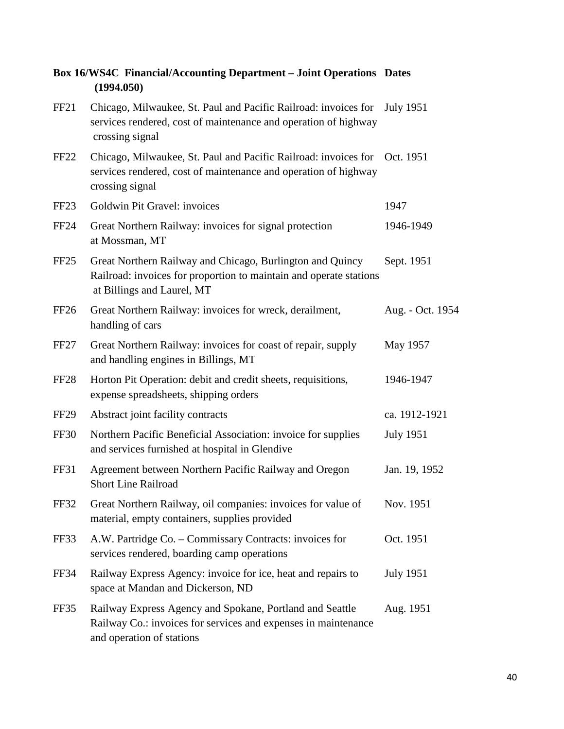|                  | рол того т плански песоининд рерагинент - донн ореганона - ракса<br>(1994.050)                                                                                  |                  |
|------------------|-----------------------------------------------------------------------------------------------------------------------------------------------------------------|------------------|
| FF <sub>21</sub> | Chicago, Milwaukee, St. Paul and Pacific Railroad: invoices for July 1951<br>services rendered, cost of maintenance and operation of highway<br>crossing signal |                  |
| FF <sub>22</sub> | Chicago, Milwaukee, St. Paul and Pacific Railroad: invoices for Oct. 1951<br>services rendered, cost of maintenance and operation of highway<br>crossing signal |                  |
| FF <sub>23</sub> | Goldwin Pit Gravel: invoices                                                                                                                                    | 1947             |
| <b>FF24</b>      | Great Northern Railway: invoices for signal protection<br>at Mossman, MT                                                                                        | 1946-1949        |
| FF <sub>25</sub> | Great Northern Railway and Chicago, Burlington and Quincy<br>Railroad: invoices for proportion to maintain and operate stations<br>at Billings and Laurel, MT   | Sept. 1951       |
| FF <sub>26</sub> | Great Northern Railway: invoices for wreck, derailment,<br>handling of cars                                                                                     | Aug. - Oct. 1954 |
| FF <sub>27</sub> | Great Northern Railway: invoices for coast of repair, supply<br>and handling engines in Billings, MT                                                            | May 1957         |
| FF <sub>28</sub> | Horton Pit Operation: debit and credit sheets, requisitions,<br>expense spreadsheets, shipping orders                                                           | 1946-1947        |
| FF <sub>29</sub> | Abstract joint facility contracts                                                                                                                               | ca. 1912-1921    |
| <b>FF30</b>      | Northern Pacific Beneficial Association: invoice for supplies<br>and services furnished at hospital in Glendive                                                 | <b>July 1951</b> |
| FF31             | Agreement between Northern Pacific Railway and Oregon<br><b>Short Line Railroad</b>                                                                             | Jan. 19, 1952    |
| FF32             | Great Northern Railway, oil companies: invoices for value of<br>material, empty containers, supplies provided                                                   | Nov. 1951        |
| FF33             | A.W. Partridge Co. – Commissary Contracts: invoices for<br>services rendered, boarding camp operations                                                          | Oct. 1951        |
| FF34             | Railway Express Agency: invoice for ice, heat and repairs to<br>space at Mandan and Dickerson, ND                                                               | <b>July 1951</b> |
| FF35             | Railway Express Agency and Spokane, Portland and Seattle<br>Railway Co.: invoices for services and expenses in maintenance<br>and operation of stations         | Aug. 1951        |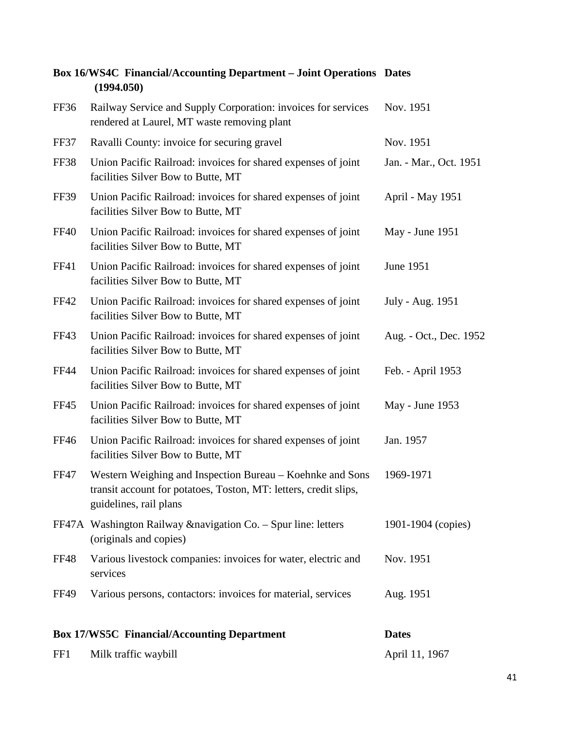|             | (1994.050)                                                                                                                                              |                        |
|-------------|---------------------------------------------------------------------------------------------------------------------------------------------------------|------------------------|
| FF36        | Railway Service and Supply Corporation: invoices for services<br>rendered at Laurel, MT waste removing plant                                            | Nov. 1951              |
| FF37        | Ravalli County: invoice for securing gravel                                                                                                             | Nov. 1951              |
| FF38        | Union Pacific Railroad: invoices for shared expenses of joint<br>facilities Silver Bow to Butte, MT                                                     | Jan. - Mar., Oct. 1951 |
| <b>FF39</b> | Union Pacific Railroad: invoices for shared expenses of joint<br>facilities Silver Bow to Butte, MT                                                     | April - May 1951       |
| <b>FF40</b> | Union Pacific Railroad: invoices for shared expenses of joint<br>facilities Silver Bow to Butte, MT                                                     | May - June 1951        |
| <b>FF41</b> | Union Pacific Railroad: invoices for shared expenses of joint<br>facilities Silver Bow to Butte, MT                                                     | June 1951              |
| <b>FF42</b> | Union Pacific Railroad: invoices for shared expenses of joint<br>facilities Silver Bow to Butte, MT                                                     | July - Aug. 1951       |
| FF43        | Union Pacific Railroad: invoices for shared expenses of joint<br>facilities Silver Bow to Butte, MT                                                     | Aug. - Oct., Dec. 1952 |
| <b>FF44</b> | Union Pacific Railroad: invoices for shared expenses of joint<br>facilities Silver Bow to Butte, MT                                                     | Feb. - April 1953      |
| <b>FF45</b> | Union Pacific Railroad: invoices for shared expenses of joint<br>facilities Silver Bow to Butte, MT                                                     | May - June 1953        |
| <b>FF46</b> | Union Pacific Railroad: invoices for shared expenses of joint<br>facilities Silver Bow to Butte, MT                                                     | Jan. 1957              |
| <b>FF47</b> | Western Weighing and Inspection Bureau – Koehnke and Sons<br>transit account for potatoes, Toston, MT: letters, credit slips,<br>guidelines, rail plans | 1969-1971              |
|             | FF47A Washington Railway & navigation Co. - Spur line: letters<br>(originals and copies)                                                                | 1901-1904 (copies)     |
| <b>FF48</b> | Various livestock companies: invoices for water, electric and<br>services                                                                               | Nov. 1951              |
| <b>FF49</b> | Various persons, contactors: invoices for material, services                                                                                            | Aug. 1951              |
|             | <b>Box 17/WS5C Financial/Accounting Department</b>                                                                                                      | <b>Dates</b>           |
| FF1         | Milk traffic waybill                                                                                                                                    | April 11, 1967         |

# **Box 16/WS4C Financial/Accounting Department – Joint Operations Dates**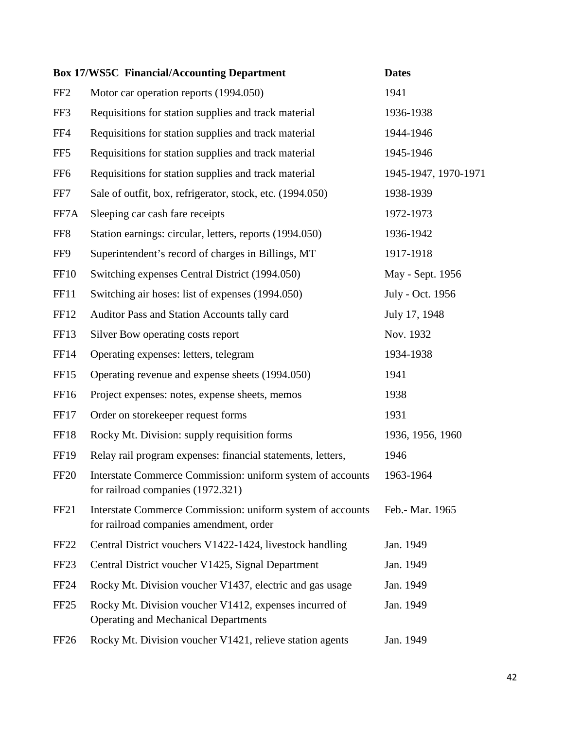|                  | <b>Box 17/WS5C Financial/Accounting Department</b>                                                    | <b>Dates</b>         |
|------------------|-------------------------------------------------------------------------------------------------------|----------------------|
| FF <sub>2</sub>  | Motor car operation reports (1994.050)                                                                | 1941                 |
| FF3              | Requisitions for station supplies and track material                                                  | 1936-1938            |
| FF4              | Requisitions for station supplies and track material                                                  | 1944-1946            |
| FF <sub>5</sub>  | Requisitions for station supplies and track material                                                  | 1945-1946            |
| FF <sub>6</sub>  | Requisitions for station supplies and track material                                                  | 1945-1947, 1970-1971 |
| FF7              | Sale of outfit, box, refrigerator, stock, etc. (1994.050)                                             | 1938-1939            |
| FF7A             | Sleeping car cash fare receipts                                                                       | 1972-1973            |
| FF8              | Station earnings: circular, letters, reports (1994.050)                                               | 1936-1942            |
| FF9              | Superintendent's record of charges in Billings, MT                                                    | 1917-1918            |
| <b>FF10</b>      | Switching expenses Central District (1994.050)                                                        | May - Sept. 1956     |
| <b>FF11</b>      | Switching air hoses: list of expenses (1994.050)                                                      | July - Oct. 1956     |
| FF12             | Auditor Pass and Station Accounts tally card                                                          | July 17, 1948        |
| <b>FF13</b>      | Silver Bow operating costs report                                                                     | Nov. 1932            |
| <b>FF14</b>      | Operating expenses: letters, telegram                                                                 | 1934-1938            |
| FF <sub>15</sub> | Operating revenue and expense sheets (1994.050)                                                       | 1941                 |
| FF16             | Project expenses: notes, expense sheets, memos                                                        | 1938                 |
| FF17             | Order on storekeeper request forms                                                                    | 1931                 |
| FF18             | Rocky Mt. Division: supply requisition forms                                                          | 1936, 1956, 1960     |
| <b>FF19</b>      | Relay rail program expenses: financial statements, letters,                                           | 1946                 |
| <b>FF20</b>      | Interstate Commerce Commission: uniform system of accounts<br>for railroad companies (1972.321)       | 1963-1964            |
| FF <sub>21</sub> | Interstate Commerce Commission: uniform system of accounts<br>for railroad companies amendment, order | Feb.- Mar. 1965      |
| FF <sub>22</sub> | Central District vouchers V1422-1424, livestock handling                                              | Jan. 1949            |
| FF <sub>23</sub> | Central District voucher V1425, Signal Department                                                     | Jan. 1949            |
| <b>FF24</b>      | Rocky Mt. Division voucher V1437, electric and gas usage                                              | Jan. 1949            |
| FF <sub>25</sub> | Rocky Mt. Division voucher V1412, expenses incurred of<br><b>Operating and Mechanical Departments</b> | Jan. 1949            |
| FF <sub>26</sub> | Rocky Mt. Division voucher V1421, relieve station agents                                              | Jan. 1949            |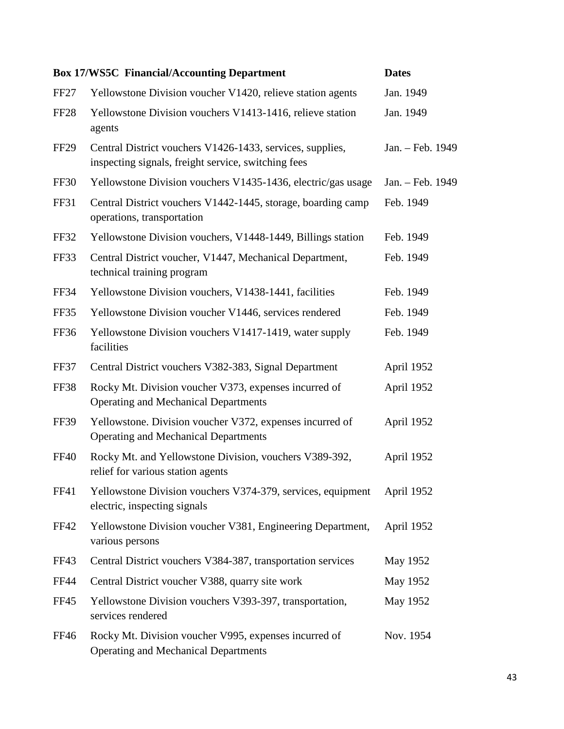|                  | <b>Box 17/WS5C Financial/Accounting Department</b>                                                               | <b>Dates</b>     |
|------------------|------------------------------------------------------------------------------------------------------------------|------------------|
| FF27             | Yellowstone Division voucher V1420, relieve station agents                                                       | Jan. 1949        |
| FF <sub>28</sub> | Yellowstone Division vouchers V1413-1416, relieve station<br>agents                                              | Jan. 1949        |
| FF <sub>29</sub> | Central District vouchers V1426-1433, services, supplies,<br>inspecting signals, freight service, switching fees | Jan. - Feb. 1949 |
| <b>FF30</b>      | Yellowstone Division vouchers V1435-1436, electric/gas usage                                                     | Jan. - Feb. 1949 |
| <b>FF31</b>      | Central District vouchers V1442-1445, storage, boarding camp<br>operations, transportation                       | Feb. 1949        |
| <b>FF32</b>      | Yellowstone Division vouchers, V1448-1449, Billings station                                                      | Feb. 1949        |
| FF33             | Central District voucher, V1447, Mechanical Department,<br>technical training program                            | Feb. 1949        |
| FF34             | Yellowstone Division vouchers, V1438-1441, facilities                                                            | Feb. 1949        |
| FF35             | Yellowstone Division voucher V1446, services rendered                                                            | Feb. 1949        |
| FF36             | Yellowstone Division vouchers V1417-1419, water supply<br>facilities                                             | Feb. 1949        |
| FF37             | Central District vouchers V382-383, Signal Department                                                            | April 1952       |
| <b>FF38</b>      | Rocky Mt. Division voucher V373, expenses incurred of<br><b>Operating and Mechanical Departments</b>             | April 1952       |
| <b>FF39</b>      | Yellowstone. Division voucher V372, expenses incurred of<br><b>Operating and Mechanical Departments</b>          | April 1952       |
| <b>FF40</b>      | Rocky Mt. and Yellowstone Division, vouchers V389-392,<br>relief for various station agents                      | April 1952       |
| <b>FF41</b>      | Yellowstone Division vouchers V374-379, services, equipment<br>electric, inspecting signals                      | April 1952       |
| <b>FF42</b>      | Yellowstone Division voucher V381, Engineering Department,<br>various persons                                    | April 1952       |
| FF43             | Central District vouchers V384-387, transportation services                                                      | May 1952         |
| <b>FF44</b>      | Central District voucher V388, quarry site work                                                                  | May 1952         |
| FF45             | Yellowstone Division vouchers V393-397, transportation,<br>services rendered                                     | May 1952         |
| <b>FF46</b>      | Rocky Mt. Division voucher V995, expenses incurred of<br><b>Operating and Mechanical Departments</b>             | Nov. 1954        |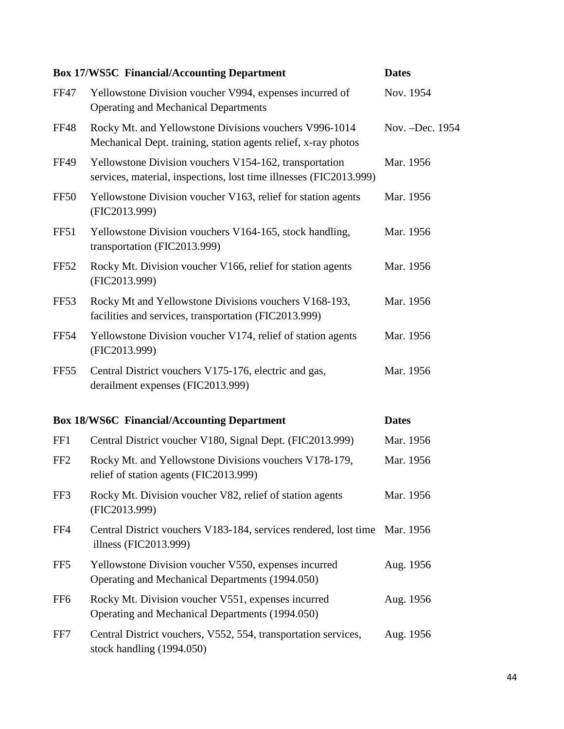|                  | <b>Box 17/WS5C Financial/Accounting Department</b>                                                                           | <b>Dates</b>     |
|------------------|------------------------------------------------------------------------------------------------------------------------------|------------------|
| <b>FF47</b>      | Yellowstone Division voucher V994, expenses incurred of<br><b>Operating and Mechanical Departments</b>                       | Nov. 1954        |
| <b>FF48</b>      | Rocky Mt. and Yellowstone Divisions vouchers V996-1014<br>Mechanical Dept. training, station agents relief, x-ray photos     | Nov. - Dec. 1954 |
| <b>FF49</b>      | Yellowstone Division vouchers V154-162, transportation<br>services, material, inspections, lost time illnesses (FIC2013.999) | Mar. 1956        |
| <b>FF50</b>      | Yellowstone Division voucher V163, relief for station agents<br>(FIC2013.999)                                                | Mar. 1956        |
| <b>FF51</b>      | Yellowstone Division vouchers V164-165, stock handling,<br>transportation (FIC2013.999)                                      | Mar. 1956        |
| <b>FF52</b>      | Rocky Mt. Division voucher V166, relief for station agents<br>(FIC2013.999)                                                  | Mar. 1956        |
| <b>FF53</b>      | Rocky Mt and Yellowstone Divisions vouchers V168-193,<br>facilities and services, transportation (FIC2013.999)               | Mar. 1956        |
| <b>FF54</b>      | Yellowstone Division voucher V174, relief of station agents<br>(FIC2013.999)                                                 | Mar. 1956        |
| FF <sub>55</sub> | Central District vouchers V175-176, electric and gas,<br>derailment expenses (FIC2013.999)                                   | Mar. 1956        |
|                  | <b>Box 18/WS6C Financial/Accounting Department</b>                                                                           | <b>Dates</b>     |
| FF1              | Central District voucher V180, Signal Dept. (FIC2013.999)                                                                    | Mar. 1956        |
| FF <sub>2</sub>  | Rocky Mt. and Yellowstone Divisions vouchers V178-179,<br>relief of station agents (FIC2013.999)                             | Mar. 1956        |
| FF3              | Rocky Mt. Division voucher V82, relief of station agents<br>(FIC2013.999)                                                    | Mar. 1956        |
| FF4              | Central District vouchers V183-184, services rendered, lost time Mar. 1956<br>illness (FIC2013.999)                          |                  |
| FF <sub>5</sub>  | Yellowstone Division voucher V550, expenses incurred<br>Operating and Mechanical Departments (1994.050)                      | Aug. 1956        |
| FF <sub>6</sub>  | Rocky Mt. Division voucher V551, expenses incurred<br>Operating and Mechanical Departments (1994.050)                        | Aug. 1956        |
| FF7              | Central District vouchers, V552, 554, transportation services,<br>stock handling (1994.050)                                  | Aug. 1956        |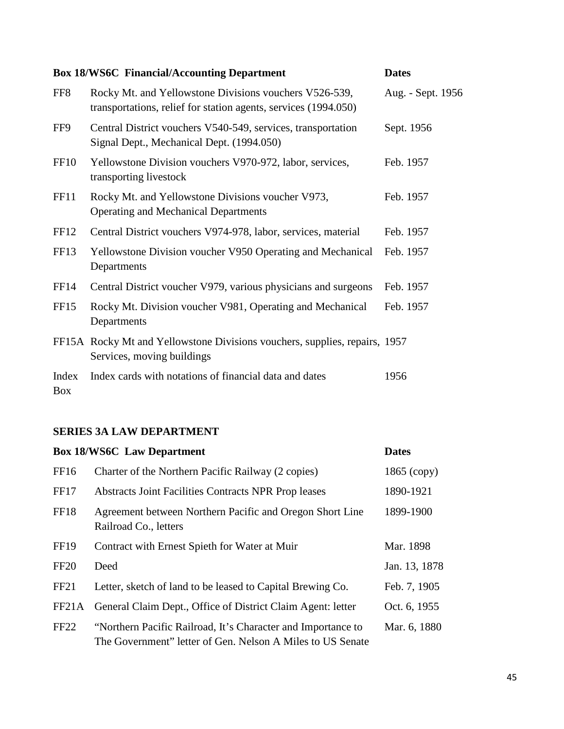## **Box 18/WS6C Financial/Accounting Department Dates**

| FF <sub>8</sub>     | Rocky Mt. and Yellowstone Divisions vouchers V526-539,<br>transportations, relief for station agents, services (1994.050) | Aug. - Sept. 1956 |
|---------------------|---------------------------------------------------------------------------------------------------------------------------|-------------------|
| FF9                 | Central District vouchers V540-549, services, transportation<br>Signal Dept., Mechanical Dept. (1994.050)                 | Sept. 1956        |
| FF <sub>10</sub>    | Yellowstone Division vouchers V970-972, labor, services,<br>transporting livestock                                        | Feb. 1957         |
| FF11                | Rocky Mt. and Yellowstone Divisions voucher V973,<br><b>Operating and Mechanical Departments</b>                          | Feb. 1957         |
| FF <sub>12</sub>    | Central District vouchers V974-978, labor, services, material                                                             | Feb. 1957         |
| FF <sub>13</sub>    | Yellowstone Division voucher V950 Operating and Mechanical<br>Departments                                                 | Feb. 1957         |
| FF14                | Central District voucher V979, various physicians and surgeons                                                            | Feb. 1957         |
| FF <sub>15</sub>    | Rocky Mt. Division voucher V981, Operating and Mechanical<br>Departments                                                  | Feb. 1957         |
|                     | FF15A Rocky Mt and Yellowstone Divisions vouchers, supplies, repairs, 1957<br>Services, moving buildings                  |                   |
| Index<br><b>Box</b> | Index cards with notations of financial data and dates                                                                    | 1956              |

## **SERIES 3A LAW DEPARTMENT**

|                  | <b>Box 18/WS6C</b> Law Department                                                                                          | <b>Dates</b>  |
|------------------|----------------------------------------------------------------------------------------------------------------------------|---------------|
| FF16             | Charter of the Northern Pacific Railway (2 copies)                                                                         | $1865$ (copy) |
| FF17             | Abstracts Joint Facilities Contracts NPR Prop leases                                                                       | 1890-1921     |
| FF18             | Agreement between Northern Pacific and Oregon Short Line<br>Railroad Co., letters                                          | 1899-1900     |
| <b>FF19</b>      | Contract with Ernest Spieth for Water at Muir                                                                              | Mar. 1898     |
| <b>FF20</b>      | Deed                                                                                                                       | Jan. 13, 1878 |
| FF <sub>21</sub> | Letter, sketch of land to be leased to Capital Brewing Co.                                                                 | Feb. 7, 1905  |
| FF21A            | General Claim Dept., Office of District Claim Agent: letter                                                                | Oct. 6, 1955  |
| FF <sub>22</sub> | "Northern Pacific Railroad, It's Character and Importance to<br>The Government" letter of Gen. Nelson A Miles to US Senate | Mar. 6, 1880  |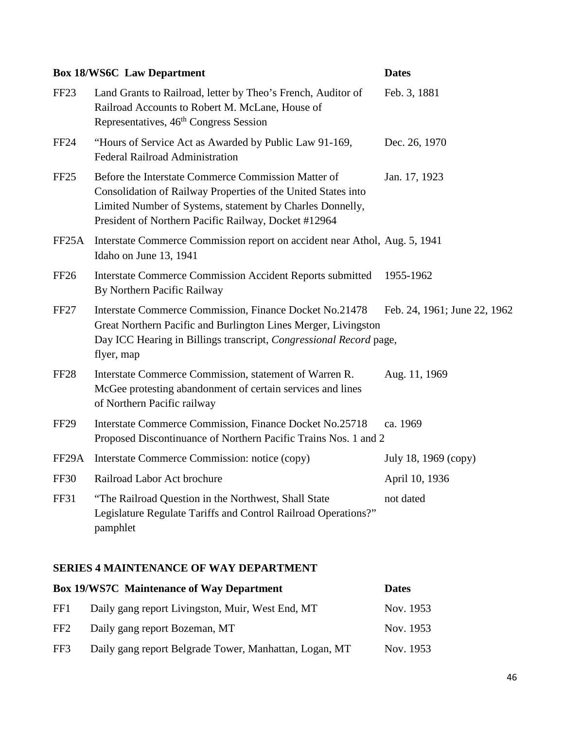|                    | <b>Box 18/WS6C</b> Law Department                                                                                                                                                                                                         | <b>Dates</b>                 |
|--------------------|-------------------------------------------------------------------------------------------------------------------------------------------------------------------------------------------------------------------------------------------|------------------------------|
| FF <sub>23</sub>   | Land Grants to Railroad, letter by Theo's French, Auditor of<br>Railroad Accounts to Robert M. McLane, House of<br>Representatives, 46 <sup>th</sup> Congress Session                                                                     | Feb. 3, 1881                 |
| <b>FF24</b>        | "Hours of Service Act as Awarded by Public Law 91-169,<br><b>Federal Railroad Administration</b>                                                                                                                                          | Dec. 26, 1970                |
| FF <sub>25</sub>   | Before the Interstate Commerce Commission Matter of<br>Consolidation of Railway Properties of the United States into<br>Limited Number of Systems, statement by Charles Donnelly,<br>President of Northern Pacific Railway, Docket #12964 | Jan. 17, 1923                |
| FF25A              | Interstate Commerce Commission report on accident near Athol, Aug. 5, 1941<br>Idaho on June 13, 1941                                                                                                                                      |                              |
| <b>FF26</b>        | <b>Interstate Commerce Commission Accident Reports submitted</b><br>By Northern Pacific Railway                                                                                                                                           | 1955-1962                    |
| <b>FF27</b>        | Interstate Commerce Commission, Finance Docket No.21478<br>Great Northern Pacific and Burlington Lines Merger, Livingston<br>Day ICC Hearing in Billings transcript, Congressional Record page,<br>flyer, map                             | Feb. 24, 1961; June 22, 1962 |
| <b>FF28</b>        | Interstate Commerce Commission, statement of Warren R.<br>McGee protesting abandonment of certain services and lines<br>of Northern Pacific railway                                                                                       | Aug. 11, 1969                |
| <b>FF29</b>        | Interstate Commerce Commission, Finance Docket No.25718<br>Proposed Discontinuance of Northern Pacific Trains Nos. 1 and 2                                                                                                                | ca. 1969                     |
| FF <sub>29</sub> A | Interstate Commerce Commission: notice (copy)                                                                                                                                                                                             | July 18, 1969 (copy)         |
| <b>FF30</b>        | Railroad Labor Act brochure                                                                                                                                                                                                               | April 10, 1936               |
| <b>FF31</b>        | "The Railroad Question in the Northwest, Shall State<br>Legislature Regulate Tariffs and Control Railroad Operations?"<br>pamphlet                                                                                                        | not dated                    |

## **SERIES 4 MAINTENANCE OF WAY DEPARTMENT**

|                 | <b>Box 19/WS7C</b> Maintenance of Way Department       | <b>Dates</b> |
|-----------------|--------------------------------------------------------|--------------|
| FF1.            | Daily gang report Livingston, Muir, West End, MT       | Nov. 1953    |
| FF <sub>2</sub> | Daily gang report Bozeman, MT                          | Nov. 1953    |
| FF3             | Daily gang report Belgrade Tower, Manhattan, Logan, MT | Nov. 1953    |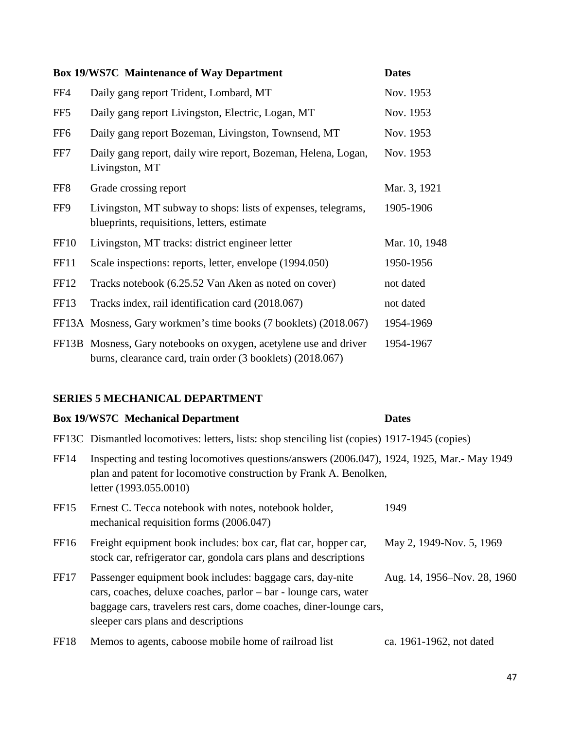|                  | <b>Box 19/WS7C Maintenance of Way Department</b>                                                                                | <b>Dates</b>  |
|------------------|---------------------------------------------------------------------------------------------------------------------------------|---------------|
| FF4              | Daily gang report Trident, Lombard, MT                                                                                          | Nov. 1953     |
| FF5              | Daily gang report Livingston, Electric, Logan, MT                                                                               | Nov. 1953     |
| FF <sub>6</sub>  | Daily gang report Bozeman, Livingston, Townsend, MT                                                                             | Nov. 1953     |
| FF7              | Daily gang report, daily wire report, Bozeman, Helena, Logan,<br>Livingston, MT                                                 | Nov. 1953     |
| FF <sub>8</sub>  | Grade crossing report                                                                                                           | Mar. 3, 1921  |
| FF9              | Livingston, MT subway to shops: lists of expenses, telegrams,<br>blueprints, requisitions, letters, estimate                    | 1905-1906     |
| <b>FF10</b>      | Livingston, MT tracks: district engineer letter                                                                                 | Mar. 10, 1948 |
| FF11             | Scale inspections: reports, letter, envelope (1994.050)                                                                         | 1950-1956     |
| <b>FF12</b>      | Tracks notebook (6.25.52 Van Aken as noted on cover)                                                                            | not dated     |
| FF <sub>13</sub> | Tracks index, rail identification card (2018.067)                                                                               | not dated     |
|                  | FF13A Mosness, Gary workmen's time books (7 booklets) (2018.067)                                                                | 1954-1969     |
|                  | FF13B Mosness, Gary notebooks on oxygen, acetylene use and driver<br>burns, clearance card, train order (3 booklets) (2018.067) | 1954-1967     |

## **SERIES 5 MECHANICAL DEPARTMENT**

|                  | <b>Box 19/WS7C Mechanical Department</b>                                                                                                                                                                                                    | <b>Dates</b>                |
|------------------|---------------------------------------------------------------------------------------------------------------------------------------------------------------------------------------------------------------------------------------------|-----------------------------|
|                  | FF13C Dismantled locomotives: letters, lists: shop stenciling list (copies) 1917-1945 (copies)                                                                                                                                              |                             |
| FF <sub>14</sub> | Inspecting and testing locomotives questions/answers (2006.047), 1924, 1925, Mar.- May 1949<br>plan and patent for locomotive construction by Frank A. Benolken,<br>letter (1993.055.0010)                                                  |                             |
| FF <sub>15</sub> | Ernest C. Tecca notebook with notes, notebook holder,<br>mechanical requisition forms (2006.047)                                                                                                                                            | 1949                        |
| FF <sub>16</sub> | Freight equipment book includes: box car, flat car, hopper car,<br>stock car, refrigerator car, gondola cars plans and descriptions                                                                                                         | May 2, 1949-Nov. 5, 1969    |
| FF17             | Passenger equipment book includes: baggage cars, day-nite<br>cars, coaches, deluxe coaches, parlor – bar - lounge cars, water<br>baggage cars, travelers rest cars, dome coaches, diner-lounge cars,<br>sleeper cars plans and descriptions | Aug. 14, 1956–Nov. 28, 1960 |
| FF18             | Memos to agents, caboose mobile home of railroad list                                                                                                                                                                                       | ca. 1961-1962, not dated    |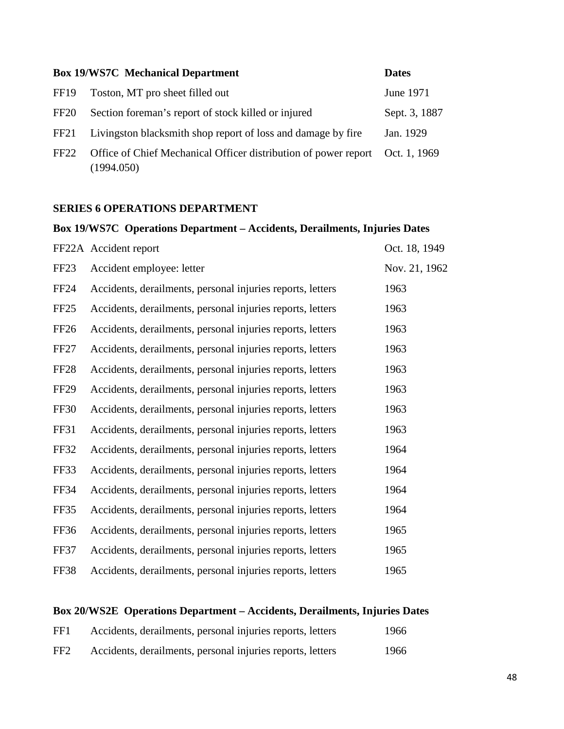|                  | <b>Box 19/WS7C</b> Mechanical Department                                      | <b>Dates</b>  |
|------------------|-------------------------------------------------------------------------------|---------------|
| FF <sub>19</sub> | Toston, MT pro sheet filled out                                               | June 1971     |
| FF <sub>20</sub> | Section foreman's report of stock killed or injured                           | Sept. 3, 1887 |
| FF <sub>21</sub> | Livingston blacksmith shop report of loss and damage by fire                  | Jan. 1929     |
| FF22             | Office of Chief Mechanical Officer distribution of power report<br>(1994.050) | Oct. 1, 1969  |

## **SERIES 6 OPERATIONS DEPARTMENT**

## **Box 19/WS7C Operations Department – Accidents, Derailments, Injuries Dates**

|                  | FF22A Accident report                                      | Oct. 18, 1949 |
|------------------|------------------------------------------------------------|---------------|
| FF <sub>23</sub> | Accident employee: letter                                  | Nov. 21, 1962 |
| <b>FF24</b>      | Accidents, derailments, personal injuries reports, letters | 1963          |
| FF25             | Accidents, derailments, personal injuries reports, letters | 1963          |
| FF <sub>26</sub> | Accidents, derailments, personal injuries reports, letters | 1963          |
| FF <sub>27</sub> | Accidents, derailments, personal injuries reports, letters | 1963          |
| FF <sub>28</sub> | Accidents, derailments, personal injuries reports, letters | 1963          |
| <b>FF29</b>      | Accidents, derailments, personal injuries reports, letters | 1963          |
| <b>FF30</b>      | Accidents, derailments, personal injuries reports, letters | 1963          |
| <b>FF31</b>      | Accidents, derailments, personal injuries reports, letters | 1963          |
| <b>FF32</b>      | Accidents, derailments, personal injuries reports, letters | 1964          |
| FF33             | Accidents, derailments, personal injuries reports, letters | 1964          |
| <b>FF34</b>      | Accidents, derailments, personal injuries reports, letters | 1964          |
| FF35             | Accidents, derailments, personal injuries reports, letters | 1964          |
| FF36             | Accidents, derailments, personal injuries reports, letters | 1965          |
| FF37             | Accidents, derailments, personal injuries reports, letters | 1965          |
| FF38             | Accidents, derailments, personal injuries reports, letters | 1965          |

## **Box 20/WS2E Operations Department – Accidents, Derailments, Injuries Dates**

| FF1             | Accidents, derailments, personal injuries reports, letters | 1966 |
|-----------------|------------------------------------------------------------|------|
| FF <sub>2</sub> | Accidents, derailments, personal injuries reports, letters | 1966 |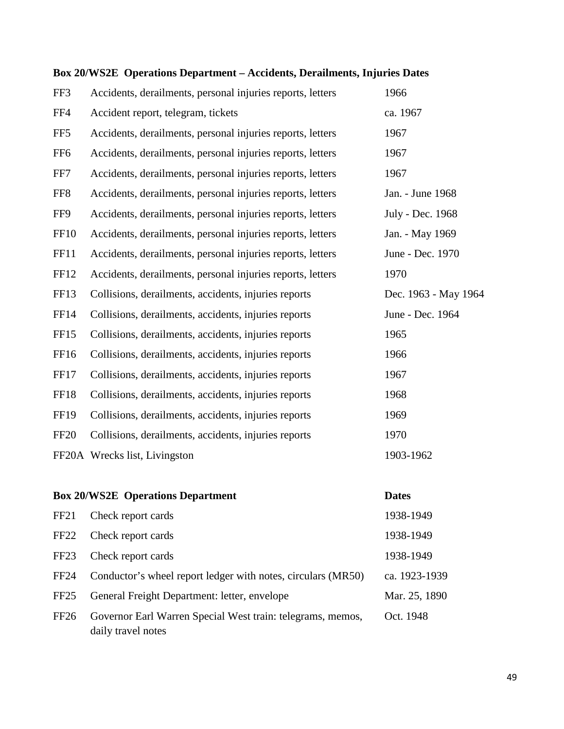| FF3              | Accidents, derailments, personal injuries reports, letters | 1966                 |
|------------------|------------------------------------------------------------|----------------------|
| FF4              | Accident report, telegram, tickets                         | ca. 1967             |
| FF <sub>5</sub>  | Accidents, derailments, personal injuries reports, letters | 1967                 |
| FF <sub>6</sub>  | Accidents, derailments, personal injuries reports, letters | 1967                 |
| FF7              | Accidents, derailments, personal injuries reports, letters | 1967                 |
| FF8              | Accidents, derailments, personal injuries reports, letters | Jan. - June 1968     |
| FF9              | Accidents, derailments, personal injuries reports, letters | July - Dec. 1968     |
| <b>FF10</b>      | Accidents, derailments, personal injuries reports, letters | Jan. - May 1969      |
| <b>FF11</b>      | Accidents, derailments, personal injuries reports, letters | June - Dec. 1970     |
| <b>FF12</b>      | Accidents, derailments, personal injuries reports, letters | 1970                 |
| FF13             | Collisions, derailments, accidents, injuries reports       | Dec. 1963 - May 1964 |
| <b>FF14</b>      | Collisions, derailments, accidents, injuries reports       | June - Dec. 1964     |
| FF <sub>15</sub> | Collisions, derailments, accidents, injuries reports       | 1965                 |
| FF16             | Collisions, derailments, accidents, injuries reports       | 1966                 |
| <b>FF17</b>      | Collisions, derailments, accidents, injuries reports       | 1967                 |
| <b>FF18</b>      | Collisions, derailments, accidents, injuries reports       | 1968                 |
| FF19             | Collisions, derailments, accidents, injuries reports       | 1969                 |
| <b>FF20</b>      | Collisions, derailments, accidents, injuries reports       | 1970                 |
|                  | FF20A Wrecks list, Livingston                              | 1903-1962            |
|                  |                                                            |                      |
|                  | <b>Box 20/WS2E Operations Department</b>                   | <b>Dates</b>         |
| FF <sub>21</sub> | Check report cards                                         | 1938-1949            |
|                  |                                                            |                      |

## **Box 20/WS2E Operations Department – Accidents, Derailments, Injuries Dates**

FF22 Check report cards 1938-1949 FF23 Check report cards 1938-1949 FF24 Conductor's wheel report ledger with notes, circulars (MR50) ca. 1923-1939 FF25 General Freight Department: letter, envelope Mar. 25, 1890 FF26 Governor Earl Warren Special West train: telegrams, memos, Oct. 1948 daily travel notes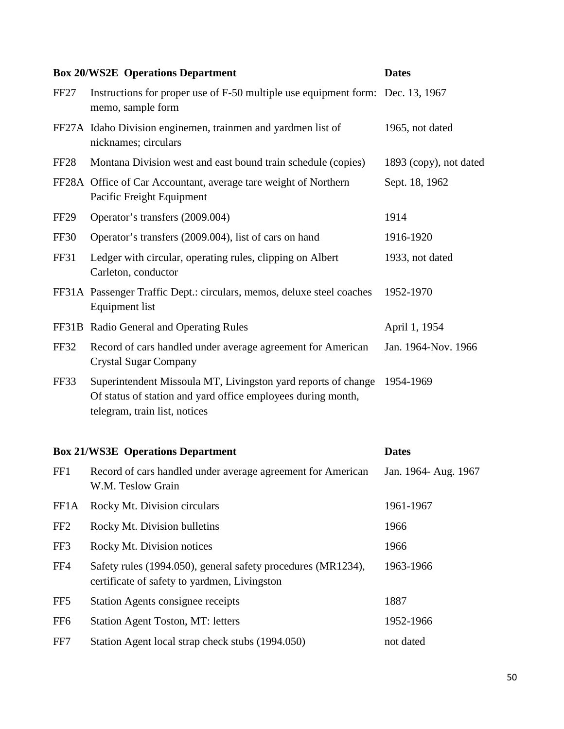|                  | <b>Box 20/WS2E Operations Department</b>                                                                                                                       | <b>Dates</b>           |  |  |
|------------------|----------------------------------------------------------------------------------------------------------------------------------------------------------------|------------------------|--|--|
| FF <sub>27</sub> | Instructions for proper use of F-50 multiple use equipment form: Dec. 13, 1967<br>memo, sample form                                                            |                        |  |  |
|                  | FF27A Idaho Division enginemen, trainmen and yardmen list of<br>nicknames; circulars                                                                           | 1965, not dated        |  |  |
| <b>FF28</b>      | Montana Division west and east bound train schedule (copies)                                                                                                   | 1893 (copy), not dated |  |  |
|                  | FF28A Office of Car Accountant, average tare weight of Northern<br>Pacific Freight Equipment                                                                   | Sept. 18, 1962         |  |  |
| FF <sub>29</sub> | Operator's transfers (2009.004)                                                                                                                                | 1914                   |  |  |
| <b>FF30</b>      | Operator's transfers (2009.004), list of cars on hand                                                                                                          | 1916-1920              |  |  |
| <b>FF31</b>      | Ledger with circular, operating rules, clipping on Albert<br>Carleton, conductor                                                                               | 1933, not dated        |  |  |
|                  | FF31A Passenger Traffic Dept.: circulars, memos, deluxe steel coaches<br><b>Equipment</b> list                                                                 | 1952-1970              |  |  |
|                  | FF31B Radio General and Operating Rules                                                                                                                        | April 1, 1954          |  |  |
| <b>FF32</b>      | Record of cars handled under average agreement for American<br><b>Crystal Sugar Company</b>                                                                    | Jan. 1964-Nov. 1966    |  |  |
| FF33             | Superintendent Missoula MT, Livingston yard reports of change<br>Of status of station and yard office employees during month,<br>telegram, train list, notices | 1954-1969              |  |  |
|                  | <b>Box 21/WS3E Operations Department</b><br><b>Dates</b>                                                                                                       |                        |  |  |

| FF1             | Record of cars handled under average agreement for American<br>W.M. Teslow Grain                             | Jan. 1964- Aug. 1967 |
|-----------------|--------------------------------------------------------------------------------------------------------------|----------------------|
| FF1A            | Rocky Mt. Division circulars                                                                                 | 1961-1967            |
| FF <sub>2</sub> | Rocky Mt. Division bulletins                                                                                 | 1966                 |
| FF3             | Rocky Mt. Division notices                                                                                   | 1966                 |
| FF4             | Safety rules (1994.050), general safety procedures (MR1234),<br>certificate of safety to yardmen, Livingston | 1963-1966            |
| FF5             | <b>Station Agents consignee receipts</b>                                                                     | 1887                 |
| FF <sub>6</sub> | <b>Station Agent Toston, MT: letters</b>                                                                     | 1952-1966            |
| FF7             | Station Agent local strap check stubs (1994.050)                                                             | not dated            |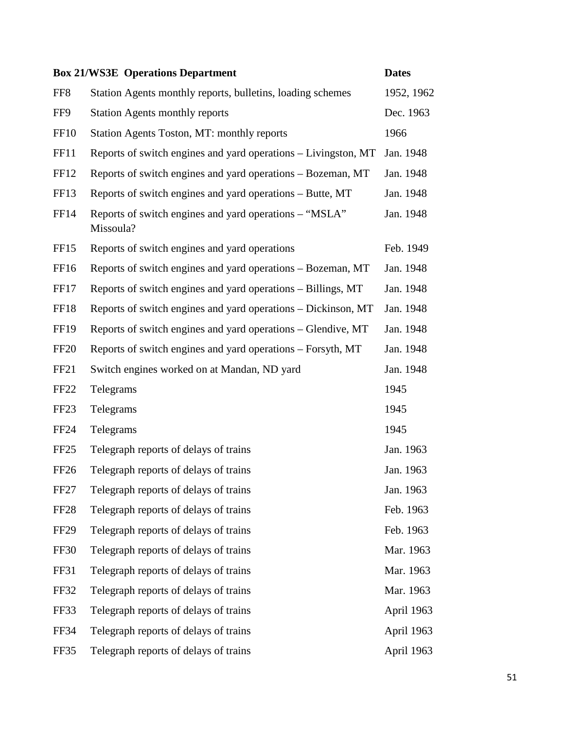|                  | <b>Box 21/WS3E Operations Department</b>                            | <b>Dates</b> |
|------------------|---------------------------------------------------------------------|--------------|
| FF <sub>8</sub>  | Station Agents monthly reports, bulletins, loading schemes          | 1952, 1962   |
| FF9              | <b>Station Agents monthly reports</b>                               | Dec. 1963    |
| <b>FF10</b>      | Station Agents Toston, MT: monthly reports                          | 1966         |
| <b>FF11</b>      | Reports of switch engines and yard operations – Livingston, MT      | Jan. 1948    |
| FF12             | Reports of switch engines and yard operations – Bozeman, MT         | Jan. 1948    |
| FF13             | Reports of switch engines and yard operations – Butte, MT           | Jan. 1948    |
| <b>FF14</b>      | Reports of switch engines and yard operations – "MSLA"<br>Missoula? | Jan. 1948    |
| <b>FF15</b>      | Reports of switch engines and yard operations                       | Feb. 1949    |
| FF16             | Reports of switch engines and yard operations – Bozeman, MT         | Jan. 1948    |
| FF17             | Reports of switch engines and yard operations – Billings, MT        | Jan. 1948    |
| FF18             | Reports of switch engines and yard operations – Dickinson, MT       | Jan. 1948    |
| <b>FF19</b>      | Reports of switch engines and yard operations – Glendive, MT        | Jan. 1948    |
| <b>FF20</b>      | Reports of switch engines and yard operations – Forsyth, MT         | Jan. 1948    |
| FF <sub>21</sub> | Switch engines worked on at Mandan, ND yard                         | Jan. 1948    |
| FF <sub>22</sub> | Telegrams                                                           | 1945         |
| FF <sub>23</sub> | Telegrams                                                           | 1945         |
| <b>FF24</b>      | Telegrams                                                           | 1945         |
| FF <sub>25</sub> | Telegraph reports of delays of trains                               | Jan. 1963    |
| <b>FF26</b>      | Telegraph reports of delays of trains                               | Jan. 1963    |
| FF <sub>27</sub> | Telegraph reports of delays of trains                               | Jan. 1963    |
| FF <sub>28</sub> | Telegraph reports of delays of trains                               | Feb. 1963    |
| FF <sub>29</sub> | Telegraph reports of delays of trains                               | Feb. 1963    |
| <b>FF30</b>      | Telegraph reports of delays of trains                               | Mar. 1963    |
| FF31             | Telegraph reports of delays of trains                               | Mar. 1963    |
| FF32             | Telegraph reports of delays of trains                               | Mar. 1963    |
| FF33             | Telegraph reports of delays of trains                               | April 1963   |
| <b>FF34</b>      | Telegraph reports of delays of trains                               | April 1963   |
| FF35             | Telegraph reports of delays of trains                               | April 1963   |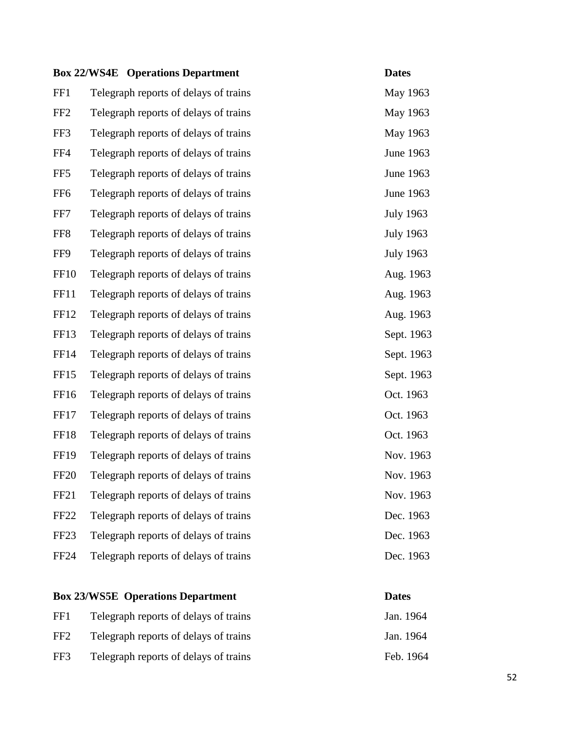|                  | <b>Box 22/WS4E</b> Operations Department | <b>Dates</b>     |
|------------------|------------------------------------------|------------------|
| FF1              | Telegraph reports of delays of trains    | May 1963         |
| FF <sub>2</sub>  | Telegraph reports of delays of trains    | May 1963         |
| FF3              | Telegraph reports of delays of trains    | May 1963         |
| FF4              | Telegraph reports of delays of trains    | June 1963        |
| FF <sub>5</sub>  | Telegraph reports of delays of trains    | June 1963        |
| FF <sub>6</sub>  | Telegraph reports of delays of trains    | June 1963        |
| FF7              | Telegraph reports of delays of trains    | <b>July 1963</b> |
| FF <sub>8</sub>  | Telegraph reports of delays of trains    | <b>July 1963</b> |
| FF9              | Telegraph reports of delays of trains    | <b>July 1963</b> |
| <b>FF10</b>      | Telegraph reports of delays of trains    | Aug. 1963        |
| <b>FF11</b>      | Telegraph reports of delays of trains    | Aug. 1963        |
| FF <sub>12</sub> | Telegraph reports of delays of trains    | Aug. 1963        |
| FF13             | Telegraph reports of delays of trains    | Sept. 1963       |
| FF14             | Telegraph reports of delays of trains    | Sept. 1963       |
| FF <sub>15</sub> | Telegraph reports of delays of trains    | Sept. 1963       |
| FF16             | Telegraph reports of delays of trains    | Oct. 1963        |
| FF17             | Telegraph reports of delays of trains    | Oct. 1963        |
| FF18             | Telegraph reports of delays of trains    | Oct. 1963        |
| <b>FF19</b>      | Telegraph reports of delays of trains    | Nov. 1963        |
| <b>FF20</b>      | Telegraph reports of delays of trains    | Nov. 1963        |
| FF <sub>21</sub> | Telegraph reports of delays of trains    | Nov. 1963        |
| FF <sub>22</sub> | Telegraph reports of delays of trains    | Dec. 1963        |
| FF <sub>23</sub> | Telegraph reports of delays of trains    | Dec. 1963        |
| <b>FF24</b>      | Telegraph reports of delays of trains    | Dec. 1963        |
|                  |                                          |                  |

## **Box 23/WS5E Operations Department Dates** FF1 Telegraph reports of delays of trains Jan. 1964 FF2 Telegraph reports of delays of trains Jan. 1964 FF3 Telegraph reports of delays of trains Feb. 1964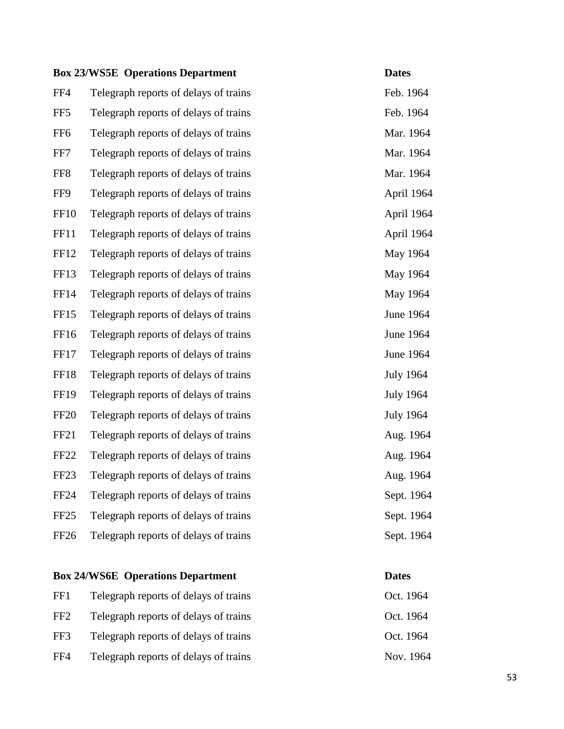|                  | <b>Box 23/WS5E Operations Department</b> | <b>Dates</b>     |
|------------------|------------------------------------------|------------------|
| FF4              | Telegraph reports of delays of trains    | Feb. 1964        |
| FF <sub>5</sub>  | Telegraph reports of delays of trains    | Feb. 1964        |
| FF <sub>6</sub>  | Telegraph reports of delays of trains    | Mar. 1964        |
| FF7              | Telegraph reports of delays of trains    | Mar. 1964        |
| FF <sub>8</sub>  | Telegraph reports of delays of trains    | Mar. 1964        |
| FF9              | Telegraph reports of delays of trains    | April 1964       |
| <b>FF10</b>      | Telegraph reports of delays of trains    | April 1964       |
| FF11             | Telegraph reports of delays of trains    | April 1964       |
| FF12             | Telegraph reports of delays of trains    | May 1964         |
| FF13             | Telegraph reports of delays of trains    | May 1964         |
| <b>FF14</b>      | Telegraph reports of delays of trains    | May 1964         |
| FF15             | Telegraph reports of delays of trains    | <b>June 1964</b> |
| FF16             | Telegraph reports of delays of trains    | June 1964        |
| FF17             | Telegraph reports of delays of trains    | <b>June 1964</b> |
| <b>FF18</b>      | Telegraph reports of delays of trains    | <b>July 1964</b> |
| <b>FF19</b>      | Telegraph reports of delays of trains    | <b>July 1964</b> |
| <b>FF20</b>      | Telegraph reports of delays of trains    | <b>July 1964</b> |
| <b>FF21</b>      | Telegraph reports of delays of trains    | Aug. 1964        |
| FF <sub>22</sub> | Telegraph reports of delays of trains    | Aug. 1964        |
| FF <sub>23</sub> | Telegraph reports of delays of trains    | Aug. 1964        |
| <b>FF24</b>      | Telegraph reports of delays of trains    | Sept. 1964       |
| FF <sub>25</sub> | Telegraph reports of delays of trains    | Sept. 1964       |
| FF26             | Telegraph reports of delays of trains    | Sept. 1964       |
|                  |                                          |                  |

## **Box 24/WS6E Operations Department Dates**

FF1 Telegraph reports of delays of trains Oct. 1964 FF2 Telegraph reports of delays of trains Oct. 1964 FF3 Telegraph reports of delays of trains Oct. 1964

FF4 Telegraph reports of delays of trains Nov. 1964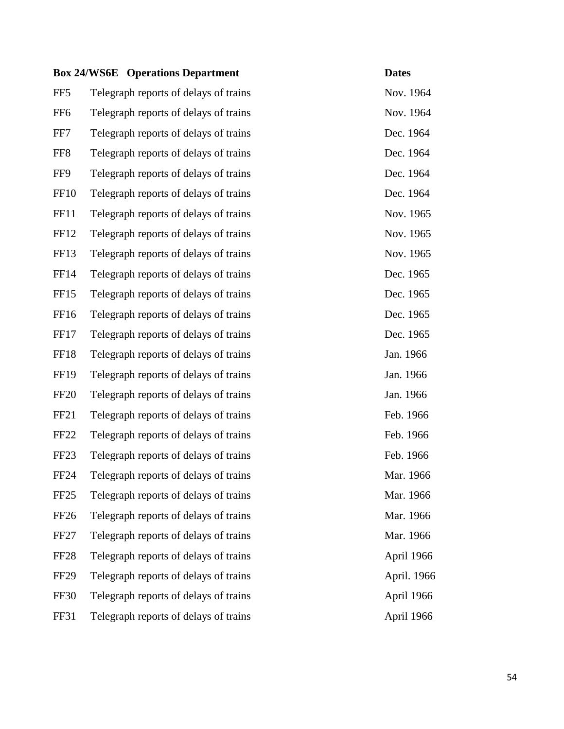|                  | <b>Box 24/WS6E</b> Operations Department | <b>Dates</b> |
|------------------|------------------------------------------|--------------|
| FF <sub>5</sub>  | Telegraph reports of delays of trains    | Nov. 1964    |
| FF <sub>6</sub>  | Telegraph reports of delays of trains    | Nov. 1964    |
| FF7              | Telegraph reports of delays of trains    | Dec. 1964    |
| FF8              | Telegraph reports of delays of trains    | Dec. 1964    |
| FF9              | Telegraph reports of delays of trains    | Dec. 1964    |
| FF <sub>10</sub> | Telegraph reports of delays of trains    | Dec. 1964    |
| <b>FF11</b>      | Telegraph reports of delays of trains    | Nov. 1965    |
| FF12             | Telegraph reports of delays of trains    | Nov. 1965    |
| FF <sub>13</sub> | Telegraph reports of delays of trains    | Nov. 1965    |
| FF14             | Telegraph reports of delays of trains    | Dec. 1965    |
| FF15             | Telegraph reports of delays of trains    | Dec. 1965    |
| FF <sub>16</sub> | Telegraph reports of delays of trains    | Dec. 1965    |
| FF17             | Telegraph reports of delays of trains    | Dec. 1965    |
| FF18             | Telegraph reports of delays of trains    | Jan. 1966    |
| <b>FF19</b>      | Telegraph reports of delays of trains    | Jan. 1966    |
| FF <sub>20</sub> | Telegraph reports of delays of trains    | Jan. 1966    |
| FF <sub>21</sub> | Telegraph reports of delays of trains    | Feb. 1966    |
| FF <sub>22</sub> | Telegraph reports of delays of trains    | Feb. 1966    |
| FF <sub>23</sub> | Telegraph reports of delays of trains    | Feb. 1966    |
| FF <sub>24</sub> | Telegraph reports of delays of trains    | Mar. 1966    |
| FF <sub>25</sub> | Telegraph reports of delays of trains    | Mar. 1966    |
| <b>FF26</b>      | Telegraph reports of delays of trains    | Mar. 1966    |
| FF <sub>27</sub> | Telegraph reports of delays of trains    | Mar. 1966    |
| FF <sub>28</sub> | Telegraph reports of delays of trains    | April 1966   |
| <b>FF29</b>      | Telegraph reports of delays of trains    | April. 1966  |
| FF30             | Telegraph reports of delays of trains    | April 1966   |
| FF31             | Telegraph reports of delays of trains    | April 1966   |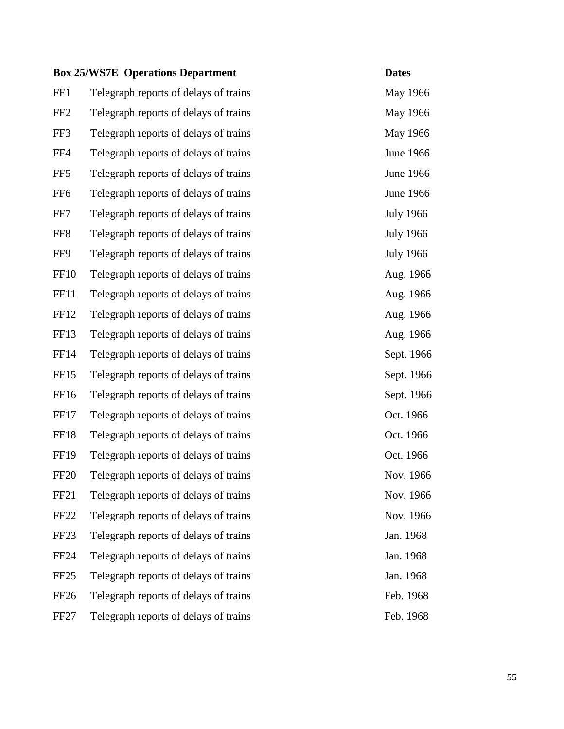|                  | <b>Box 25/WS7E Operations Department</b> | <b>Dates</b>     |
|------------------|------------------------------------------|------------------|
| FF1              | Telegraph reports of delays of trains    | May 1966         |
| FF <sub>2</sub>  | Telegraph reports of delays of trains    | May 1966         |
| FF3              | Telegraph reports of delays of trains    | May 1966         |
| FF4              | Telegraph reports of delays of trains    | <b>June 1966</b> |
| FF <sub>5</sub>  | Telegraph reports of delays of trains    | <b>June 1966</b> |
| FF <sub>6</sub>  | Telegraph reports of delays of trains    | <b>June 1966</b> |
| FF7              | Telegraph reports of delays of trains    | <b>July 1966</b> |
| FF <sub>8</sub>  | Telegraph reports of delays of trains    | <b>July 1966</b> |
| FF9              | Telegraph reports of delays of trains    | <b>July 1966</b> |
| <b>FF10</b>      | Telegraph reports of delays of trains    | Aug. 1966        |
| <b>FF11</b>      | Telegraph reports of delays of trains    | Aug. 1966        |
| FF <sub>12</sub> | Telegraph reports of delays of trains    | Aug. 1966        |
| FF <sub>13</sub> | Telegraph reports of delays of trains    | Aug. 1966        |
| FF14             | Telegraph reports of delays of trains    | Sept. 1966       |
| FF15             | Telegraph reports of delays of trains    | Sept. 1966       |
| FF16             | Telegraph reports of delays of trains    | Sept. 1966       |
| FF17             | Telegraph reports of delays of trains    | Oct. 1966        |
| FF18             | Telegraph reports of delays of trains    | Oct. 1966        |
| <b>FF19</b>      | Telegraph reports of delays of trains    | Oct. 1966        |
| FF <sub>20</sub> | Telegraph reports of delays of trains    | Nov. 1966        |
| FF <sub>21</sub> | Telegraph reports of delays of trains    | Nov. 1966        |
| <b>FF22</b>      | Telegraph reports of delays of trains    | Nov. 1966        |
| FF <sub>23</sub> | Telegraph reports of delays of trains    | Jan. 1968        |
| <b>FF24</b>      | Telegraph reports of delays of trains    | Jan. 1968        |
| FF <sub>25</sub> | Telegraph reports of delays of trains    | Jan. 1968        |
| FF <sub>26</sub> | Telegraph reports of delays of trains    | Feb. 1968        |
| FF <sub>27</sub> | Telegraph reports of delays of trains    | Feb. 1968        |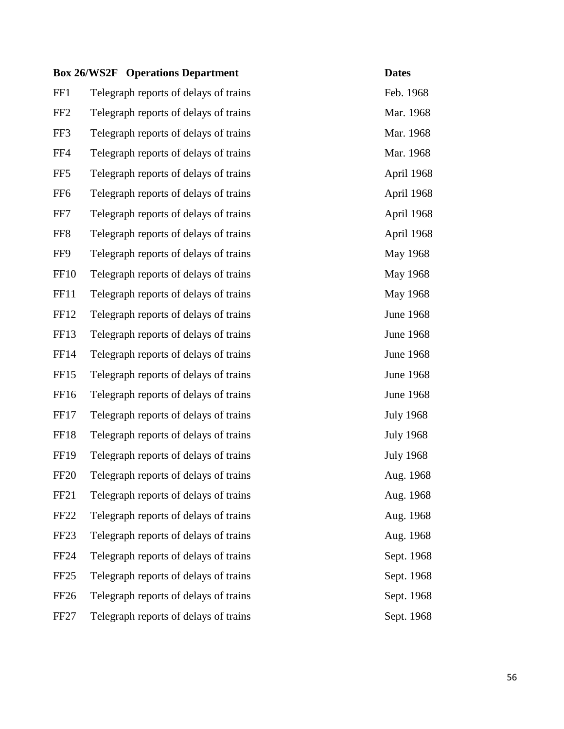|                  | <b>Box 26/WS2F</b> Operations Department | <b>Dates</b>     |
|------------------|------------------------------------------|------------------|
| FF1              | Telegraph reports of delays of trains    | Feb. 1968        |
| FF <sub>2</sub>  | Telegraph reports of delays of trains    | Mar. 1968        |
| FF3              | Telegraph reports of delays of trains    | Mar. 1968        |
| FF4              | Telegraph reports of delays of trains    | Mar. 1968        |
| FF <sub>5</sub>  | Telegraph reports of delays of trains    | April 1968       |
| FF <sub>6</sub>  | Telegraph reports of delays of trains    | April 1968       |
| FF7              | Telegraph reports of delays of trains    | April 1968       |
| FF8              | Telegraph reports of delays of trains    | April 1968       |
| FF9              | Telegraph reports of delays of trains    | May 1968         |
| <b>FF10</b>      | Telegraph reports of delays of trains    | May 1968         |
| <b>FF11</b>      | Telegraph reports of delays of trains    | May 1968         |
| FF <sub>12</sub> | Telegraph reports of delays of trains    | <b>June 1968</b> |
| FF13             | Telegraph reports of delays of trains    | <b>June 1968</b> |
| <b>FF14</b>      | Telegraph reports of delays of trains    | <b>June 1968</b> |
| FF15             | Telegraph reports of delays of trains    | <b>June 1968</b> |
| FF16             | Telegraph reports of delays of trains    | <b>June 1968</b> |
| FF17             | Telegraph reports of delays of trains    | <b>July 1968</b> |
| FF18             | Telegraph reports of delays of trains    | <b>July 1968</b> |
| <b>FF19</b>      | Telegraph reports of delays of trains    | <b>July 1968</b> |
| <b>FF20</b>      | Telegraph reports of delays of trains    | Aug. 1968        |
| FF <sub>21</sub> | Telegraph reports of delays of trains    | Aug. 1968        |
| FF <sub>22</sub> | Telegraph reports of delays of trains    | Aug. 1968        |
| FF <sub>23</sub> | Telegraph reports of delays of trains    | Aug. 1968        |
| <b>FF24</b>      | Telegraph reports of delays of trains    | Sept. 1968       |
| FF <sub>25</sub> | Telegraph reports of delays of trains    | Sept. 1968       |
| FF <sub>26</sub> | Telegraph reports of delays of trains    | Sept. 1968       |
| FF <sub>27</sub> | Telegraph reports of delays of trains    | Sept. 1968       |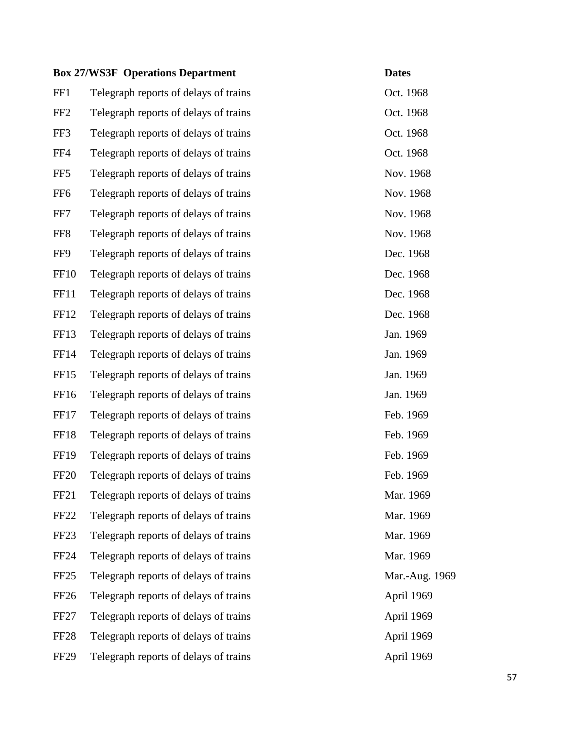|                  | <b>Box 27/WS3F Operations Department</b> | <b>Dates</b>   |
|------------------|------------------------------------------|----------------|
| FF1              | Telegraph reports of delays of trains    | Oct. 1968      |
| FF <sub>2</sub>  | Telegraph reports of delays of trains    | Oct. 1968      |
| FF3              | Telegraph reports of delays of trains    | Oct. 1968      |
| FF4              | Telegraph reports of delays of trains    | Oct. 1968      |
| FF <sub>5</sub>  | Telegraph reports of delays of trains    | Nov. 1968      |
| FF <sub>6</sub>  | Telegraph reports of delays of trains    | Nov. 1968      |
| FF7              | Telegraph reports of delays of trains    | Nov. 1968      |
| FF8              | Telegraph reports of delays of trains    | Nov. 1968      |
| FF9              | Telegraph reports of delays of trains    | Dec. 1968      |
| <b>FF10</b>      | Telegraph reports of delays of trains    | Dec. 1968      |
| FF11             | Telegraph reports of delays of trains    | Dec. 1968      |
| FF12             | Telegraph reports of delays of trains    | Dec. 1968      |
| FF13             | Telegraph reports of delays of trains    | Jan. 1969      |
| <b>FF14</b>      | Telegraph reports of delays of trains    | Jan. 1969      |
| FF15             | Telegraph reports of delays of trains    | Jan. 1969      |
| FF16             | Telegraph reports of delays of trains    | Jan. 1969      |
| FF17             | Telegraph reports of delays of trains    | Feb. 1969      |
| FF18             | Telegraph reports of delays of trains    | Feb. 1969      |
| <b>FF19</b>      | Telegraph reports of delays of trains    | Feb. 1969      |
| FF <sub>20</sub> | Telegraph reports of delays of trains    | Feb. 1969      |
| FF <sub>21</sub> | Telegraph reports of delays of trains    | Mar. 1969      |
| FF <sub>22</sub> | Telegraph reports of delays of trains    | Mar. 1969      |
| FF <sub>23</sub> | Telegraph reports of delays of trains    | Mar. 1969      |
| <b>FF24</b>      | Telegraph reports of delays of trains    | Mar. 1969      |
| FF <sub>25</sub> | Telegraph reports of delays of trains    | Mar.-Aug. 1969 |
| FF <sub>26</sub> | Telegraph reports of delays of trains    | April 1969     |
| FF <sub>27</sub> | Telegraph reports of delays of trains    | April 1969     |
| FF <sub>28</sub> | Telegraph reports of delays of trains    | April 1969     |
| <b>FF29</b>      | Telegraph reports of delays of trains    | April 1969     |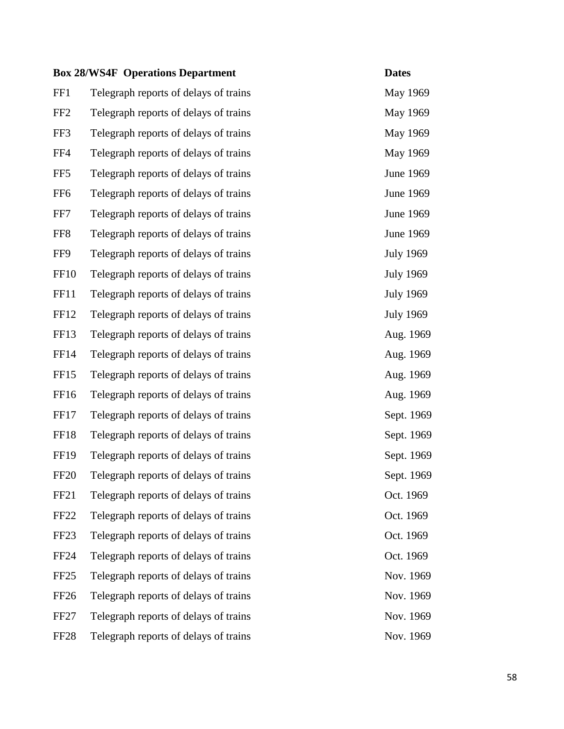|                  | <b>Box 28/WS4F Operations Department</b> | <b>Dates</b>     |
|------------------|------------------------------------------|------------------|
| FF1              | Telegraph reports of delays of trains    | May 1969         |
| FF <sub>2</sub>  | Telegraph reports of delays of trains    | May 1969         |
| FF3              | Telegraph reports of delays of trains    | May 1969         |
| FF4              | Telegraph reports of delays of trains    | May 1969         |
| FF <sub>5</sub>  | Telegraph reports of delays of trains    | June 1969        |
| FF <sub>6</sub>  | Telegraph reports of delays of trains    | June 1969        |
| FF7              | Telegraph reports of delays of trains    | June 1969        |
| FF <sub>8</sub>  | Telegraph reports of delays of trains    | June 1969        |
| FF9              | Telegraph reports of delays of trains    | <b>July 1969</b> |
| <b>FF10</b>      | Telegraph reports of delays of trains    | <b>July 1969</b> |
| FF11             | Telegraph reports of delays of trains    | <b>July 1969</b> |
| FF <sub>12</sub> | Telegraph reports of delays of trains    | <b>July 1969</b> |
| FF13             | Telegraph reports of delays of trains    | Aug. 1969        |
| FF14             | Telegraph reports of delays of trains    | Aug. 1969        |
| FF <sub>15</sub> | Telegraph reports of delays of trains    | Aug. 1969        |
| FF16             | Telegraph reports of delays of trains    | Aug. 1969        |
| FF17             | Telegraph reports of delays of trains    | Sept. 1969       |
| FF18             | Telegraph reports of delays of trains    | Sept. 1969       |
| FF <sub>19</sub> | Telegraph reports of delays of trains    | Sept. 1969       |
| <b>FF20</b>      | Telegraph reports of delays of trains    | Sept. 1969       |
| FF <sub>21</sub> | Telegraph reports of delays of trains    | Oct. 1969        |
| FF <sub>22</sub> | Telegraph reports of delays of trains    | Oct. 1969        |
| FF <sub>23</sub> | Telegraph reports of delays of trains    | Oct. 1969        |
| FF <sub>24</sub> | Telegraph reports of delays of trains    | Oct. 1969        |
| FF <sub>25</sub> | Telegraph reports of delays of trains    | Nov. 1969        |
| FF <sub>26</sub> | Telegraph reports of delays of trains    | Nov. 1969        |
| FF <sub>27</sub> | Telegraph reports of delays of trains    | Nov. 1969        |
| FF <sub>28</sub> | Telegraph reports of delays of trains    | Nov. 1969        |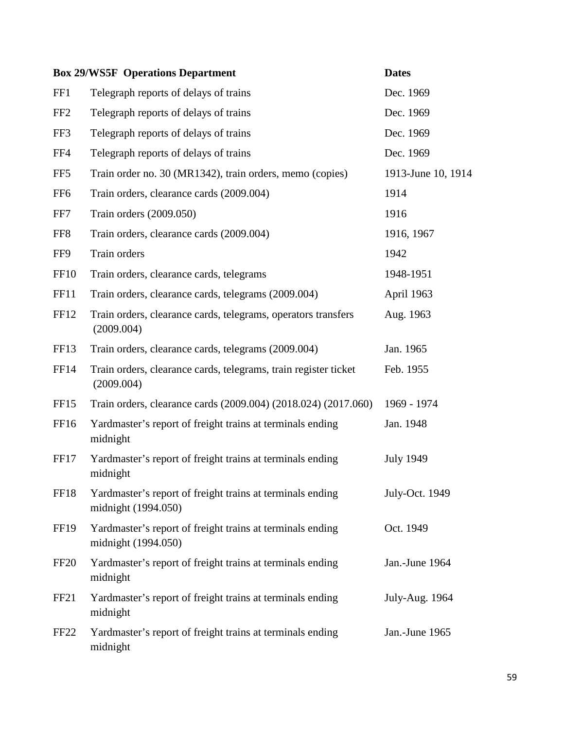|                  | <b>Box 29/WS5F Operations Department</b>                                         | <b>Dates</b>       |
|------------------|----------------------------------------------------------------------------------|--------------------|
| FF1              | Telegraph reports of delays of trains                                            | Dec. 1969          |
| FF <sub>2</sub>  | Telegraph reports of delays of trains                                            | Dec. 1969          |
| FF3              | Telegraph reports of delays of trains                                            | Dec. 1969          |
| FF4              | Telegraph reports of delays of trains                                            | Dec. 1969          |
| FF <sub>5</sub>  | Train order no. 30 (MR1342), train orders, memo (copies)                         | 1913-June 10, 1914 |
| FF <sub>6</sub>  | Train orders, clearance cards (2009.004)                                         | 1914               |
| FF7              | Train orders (2009.050)                                                          | 1916               |
| FF <sub>8</sub>  | Train orders, clearance cards (2009.004)                                         | 1916, 1967         |
| FF9              | Train orders                                                                     | 1942               |
| <b>FF10</b>      | Train orders, clearance cards, telegrams                                         | 1948-1951          |
| <b>FF11</b>      | Train orders, clearance cards, telegrams (2009.004)                              | April 1963         |
| FF12             | Train orders, clearance cards, telegrams, operators transfers<br>(2009.004)      | Aug. 1963          |
| FF <sub>13</sub> | Train orders, clearance cards, telegrams (2009.004)                              | Jan. 1965          |
| FF14             | Train orders, clearance cards, telegrams, train register ticket<br>(2009.004)    | Feb. 1955          |
| FF <sub>15</sub> | Train orders, clearance cards (2009.004) (2018.024) (2017.060)                   | 1969 - 1974        |
| FF16             | Yardmaster's report of freight trains at terminals ending<br>midnight            | Jan. 1948          |
| FF17             | Yardmaster's report of freight trains at terminals ending<br>midnight            | <b>July 1949</b>   |
| <b>FF18</b>      | Yardmaster's report of freight trains at terminals ending<br>midnight (1994.050) | July-Oct. 1949     |
| <b>FF19</b>      | Yardmaster's report of freight trains at terminals ending<br>midnight (1994.050) | Oct. 1949          |
| FF <sub>20</sub> | Yardmaster's report of freight trains at terminals ending<br>midnight            | Jan.-June 1964     |
| FF <sub>21</sub> | Yardmaster's report of freight trains at terminals ending<br>midnight            | July-Aug. 1964     |
| FF <sub>22</sub> | Yardmaster's report of freight trains at terminals ending<br>midnight            | Jan.-June 1965     |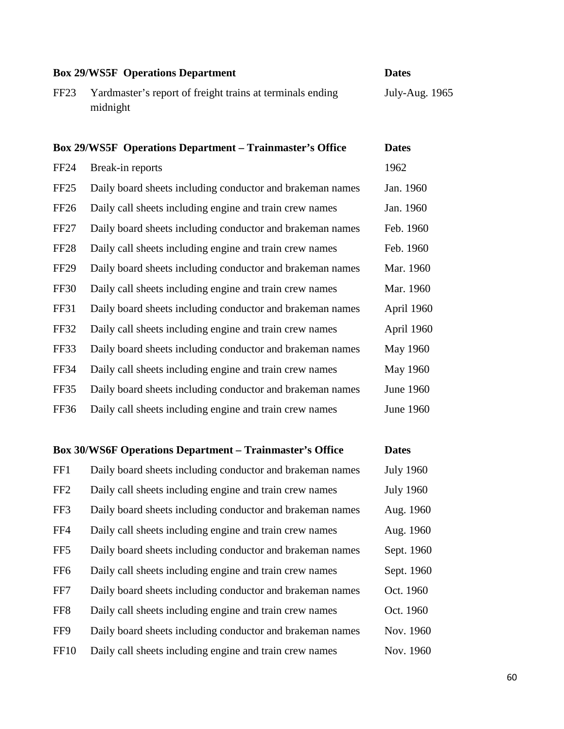| <b>Box 29/WS5F Operations Department</b> |                                                                       | <b>Dates</b>    |
|------------------------------------------|-----------------------------------------------------------------------|-----------------|
| FF <sub>23</sub>                         | Yardmaster's report of freight trains at terminals ending<br>midnight | July-Aug. 1965  |
|                                          | <b>Box 29/WS5F</b> Operations Department – Trainmaster's Office       | <b>Dates</b>    |
| <b>FF24</b>                              | Break-in reports                                                      | 1962            |
| FF <sub>25</sub>                         | Daily board sheets including conductor and brakeman names             | Jan. 1960       |
| <b>FF26</b>                              | Daily call sheets including engine and train crew names               | Jan. 1960       |
| <b>FF27</b>                              | Daily board sheets including conductor and brakeman names             | Feb. 1960       |
| FF <sub>28</sub>                         | Daily call sheets including engine and train crew names               | Feb. 1960       |
| <b>FF29</b>                              | Daily board sheets including conductor and brakeman names             | Mar. 1960       |
| <b>FF30</b>                              | Daily call sheets including engine and train crew names               | Mar. 1960       |
| FF31                                     | Daily board sheets including conductor and brakeman names             | April 1960      |
| FF32                                     | Daily call sheets including engine and train crew names               | April 1960      |
| FF33                                     | Daily board sheets including conductor and brakeman names             | <b>May 1960</b> |
| <b>FF34</b>                              | Daily call sheets including engine and train crew names               | May 1960        |
| FF35                                     | Daily board sheets including conductor and brakeman names             | June 1960       |
| FF36                                     | Daily call sheets including engine and train crew names               | June 1960       |
|                                          |                                                                       |                 |

## **Box 30/WS6F Operations Department – Trainmaster's Office Dates**

| FF1             | Daily board sheets including conductor and brakeman names | <b>July 1960</b> |
|-----------------|-----------------------------------------------------------|------------------|
| FF <sub>2</sub> | Daily call sheets including engine and train crew names   | <b>July 1960</b> |
| FF3             | Daily board sheets including conductor and brakeman names | Aug. 1960        |
| FF4             | Daily call sheets including engine and train crew names   | Aug. 1960        |
| FF <sub>5</sub> | Daily board sheets including conductor and brakeman names | Sept. 1960       |
| FF <sub>6</sub> | Daily call sheets including engine and train crew names   | Sept. 1960       |
| FF7             | Daily board sheets including conductor and brakeman names | Oct. 1960        |
| FF <sub>8</sub> | Daily call sheets including engine and train crew names   | Oct. 1960        |
| FF9             | Daily board sheets including conductor and brakeman names | Nov. 1960        |
| <b>FF10</b>     | Daily call sheets including engine and train crew names   | Nov. 1960        |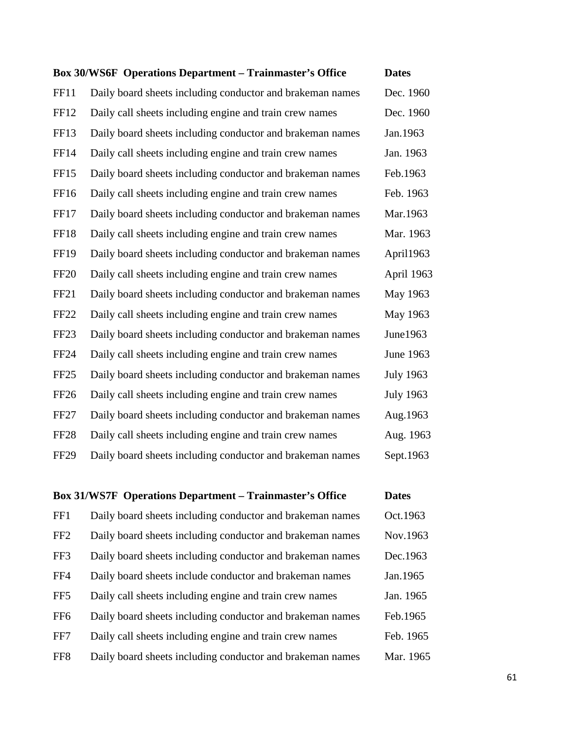|                  | <b>Box 30/WS6F</b> Operations Department - Trainmaster's Office | <b>Dates</b>     |
|------------------|-----------------------------------------------------------------|------------------|
| <b>FF11</b>      | Daily board sheets including conductor and brakeman names       | Dec. 1960        |
| FF12             | Daily call sheets including engine and train crew names         | Dec. 1960        |
| FF13             | Daily board sheets including conductor and brakeman names       | Jan.1963         |
| FF14             | Daily call sheets including engine and train crew names         | Jan. 1963        |
| FF15             | Daily board sheets including conductor and brakeman names       | Feb.1963         |
| FF16             | Daily call sheets including engine and train crew names         | Feb. 1963        |
| FF17             | Daily board sheets including conductor and brakeman names       | Mar.1963         |
| <b>FF18</b>      | Daily call sheets including engine and train crew names         | Mar. 1963        |
| <b>FF19</b>      | Daily board sheets including conductor and brakeman names       | April1963        |
| <b>FF20</b>      | Daily call sheets including engine and train crew names         | April 1963       |
| FF <sub>21</sub> | Daily board sheets including conductor and brakeman names       | May 1963         |
| FF <sub>22</sub> | Daily call sheets including engine and train crew names         | May 1963         |
| FF <sub>23</sub> | Daily board sheets including conductor and brakeman names       | June1963         |
| <b>FF24</b>      | Daily call sheets including engine and train crew names         | June 1963        |
| FF <sub>25</sub> | Daily board sheets including conductor and brakeman names       | <b>July 1963</b> |
| FF <sub>26</sub> | Daily call sheets including engine and train crew names         | <b>July 1963</b> |
| FF <sub>27</sub> | Daily board sheets including conductor and brakeman names       | Aug.1963         |
| <b>FF28</b>      | Daily call sheets including engine and train crew names         | Aug. 1963        |
| <b>FF29</b>      | Daily board sheets including conductor and brakeman names       | Sept.1963        |

|                 | <b>Box 31/WS7F</b> Operations Department – Trainmaster's Office | <b>Dates</b> |
|-----------------|-----------------------------------------------------------------|--------------|
| FF1             | Daily board sheets including conductor and brakeman names       | Oct.1963     |
| FF <sub>2</sub> | Daily board sheets including conductor and brakeman names       | Nov.1963     |
| FF3             | Daily board sheets including conductor and brakeman names       | Dec.1963     |
| FF4             | Daily board sheets include conductor and brakeman names         | Jan.1965     |
| FF <sub>5</sub> | Daily call sheets including engine and train crew names         | Jan. 1965    |
| FF <sub>6</sub> | Daily board sheets including conductor and brakeman names       | Feb.1965     |
| FF7             | Daily call sheets including engine and train crew names         | Feb. 1965    |
| FF <sub>8</sub> | Daily board sheets including conductor and brakeman names       | Mar. 1965    |
|                 |                                                                 |              |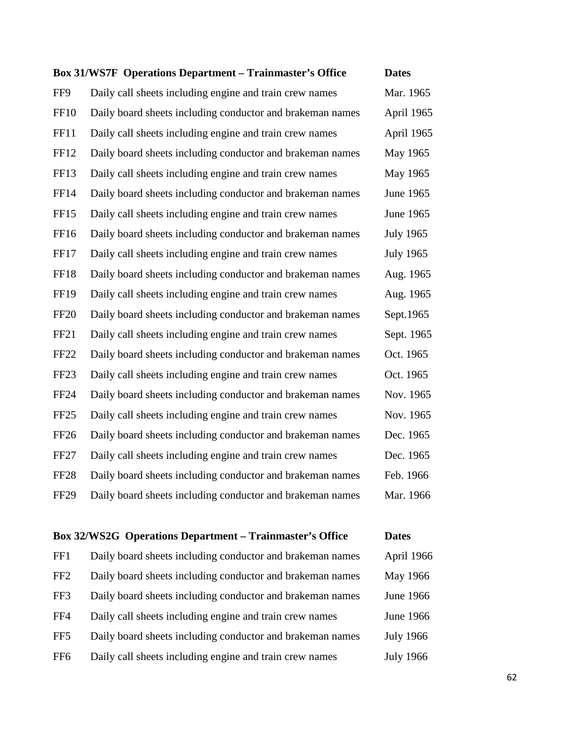| <b>Box 31/WS7F</b> Operations Department - Trainmaster's Office | <b>Dates</b>     |
|-----------------------------------------------------------------|------------------|
| Daily call sheets including engine and train crew names         | Mar. 1965        |
| Daily board sheets including conductor and brakeman names       | April 1965       |
| Daily call sheets including engine and train crew names         | April 1965       |
| Daily board sheets including conductor and brakeman names       | May 1965         |
| Daily call sheets including engine and train crew names         | May 1965         |
| Daily board sheets including conductor and brakeman names       | June 1965        |
| Daily call sheets including engine and train crew names         | June 1965        |
| Daily board sheets including conductor and brakeman names       | <b>July 1965</b> |
| Daily call sheets including engine and train crew names         | <b>July 1965</b> |
| Daily board sheets including conductor and brakeman names       | Aug. 1965        |
| Daily call sheets including engine and train crew names         | Aug. 1965        |
| Daily board sheets including conductor and brakeman names       | Sept.1965        |
| Daily call sheets including engine and train crew names         | Sept. 1965       |
| Daily board sheets including conductor and brakeman names       | Oct. 1965        |
| Daily call sheets including engine and train crew names         | Oct. 1965        |
| Daily board sheets including conductor and brakeman names       | Nov. 1965        |
| Daily call sheets including engine and train crew names         | Nov. 1965        |
| Daily board sheets including conductor and brakeman names       | Dec. 1965        |
| Daily call sheets including engine and train crew names         | Dec. 1965        |
| Daily board sheets including conductor and brakeman names       | Feb. 1966        |
| Daily board sheets including conductor and brakeman names       | Mar. 1966        |
|                                                                 |                  |

## **Box 32/WS2G Operations Department – Trainmaster's Office Dates**  $FFA = D_0$ ily board sheets including conductor and brake

| FF1             | Daily board sheets including conductor and brakeman names | April 1966       |
|-----------------|-----------------------------------------------------------|------------------|
| FF <sub>2</sub> | Daily board sheets including conductor and brakeman names | <b>May 1966</b>  |
| FF3             | Daily board sheets including conductor and brakeman names | <b>June 1966</b> |
| FF4             | Daily call sheets including engine and train crew names   | <b>June 1966</b> |
| FF <sub>5</sub> | Daily board sheets including conductor and brakeman names | <b>July 1966</b> |
| FF <sub>6</sub> | Daily call sheets including engine and train crew names   | <b>July 1966</b> |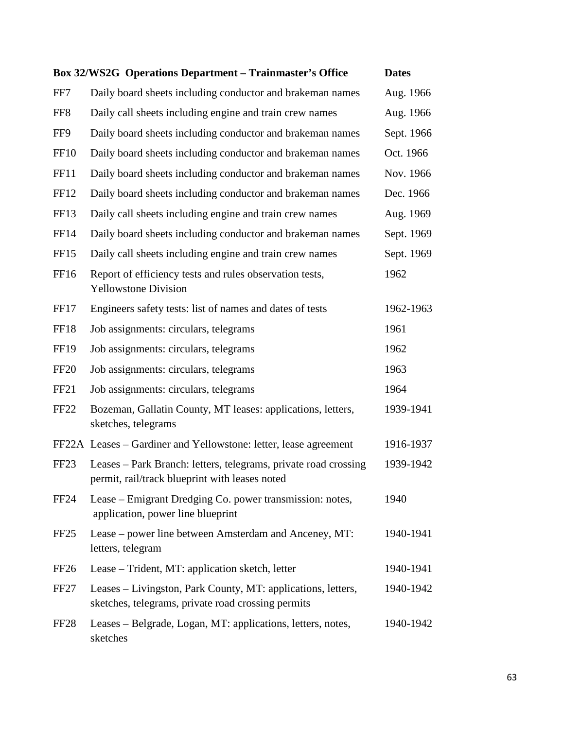|                  | Box 32/WS2G Operations Department - Trainmaster's Office                                                           | <b>Dates</b> |
|------------------|--------------------------------------------------------------------------------------------------------------------|--------------|
| FF7              | Daily board sheets including conductor and brakeman names                                                          | Aug. 1966    |
| FF <sub>8</sub>  | Daily call sheets including engine and train crew names                                                            | Aug. 1966    |
| FF9              | Daily board sheets including conductor and brakeman names                                                          | Sept. 1966   |
| <b>FF10</b>      | Daily board sheets including conductor and brakeman names                                                          | Oct. 1966    |
| FF11             | Daily board sheets including conductor and brakeman names                                                          | Nov. 1966    |
| FF12             | Daily board sheets including conductor and brakeman names                                                          | Dec. 1966    |
| FF13             | Daily call sheets including engine and train crew names                                                            | Aug. 1969    |
| <b>FF14</b>      | Daily board sheets including conductor and brakeman names                                                          | Sept. 1969   |
| FF <sub>15</sub> | Daily call sheets including engine and train crew names                                                            | Sept. 1969   |
| FF16             | Report of efficiency tests and rules observation tests,<br><b>Yellowstone Division</b>                             | 1962         |
| FF17             | Engineers safety tests: list of names and dates of tests                                                           | 1962-1963    |
| FF18             | Job assignments: circulars, telegrams                                                                              | 1961         |
| FF <sub>19</sub> | Job assignments: circulars, telegrams                                                                              | 1962         |
| <b>FF20</b>      | Job assignments: circulars, telegrams                                                                              | 1963         |
| FF21             | Job assignments: circulars, telegrams                                                                              | 1964         |
| FF <sub>22</sub> | Bozeman, Gallatin County, MT leases: applications, letters,<br>sketches, telegrams                                 | 1939-1941    |
|                  | FF22A Leases – Gardiner and Yellowstone: letter, lease agreement                                                   | 1916-1937    |
| FF <sub>23</sub> | Leases – Park Branch: letters, telegrams, private road crossing<br>permit, rail/track blueprint with leases noted  | 1939-1942    |
| <b>FF24</b>      | Lease – Emigrant Dredging Co. power transmission: notes,<br>application, power line blueprint                      | 1940         |
| FF <sub>25</sub> | Lease – power line between Amsterdam and Anceney, MT:<br>letters, telegram                                         | 1940-1941    |
| FF <sub>26</sub> | Lease – Trident, MT: application sketch, letter                                                                    | 1940-1941    |
| FF <sub>27</sub> | Leases – Livingston, Park County, MT: applications, letters,<br>sketches, telegrams, private road crossing permits | 1940-1942    |
| FF <sub>28</sub> | Leases - Belgrade, Logan, MT: applications, letters, notes,<br>sketches                                            | 1940-1942    |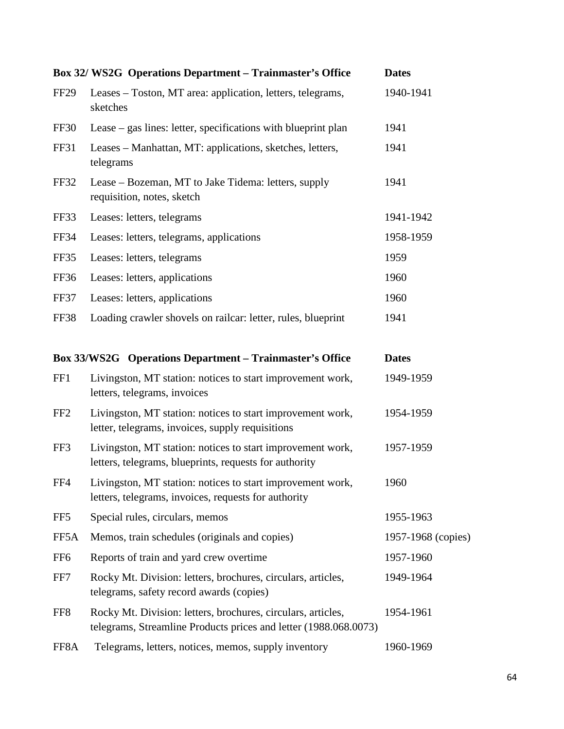|                 | Box 32/ WS2G Operations Department - Trainmaster's Office                                                                        | <b>Dates</b>       |
|-----------------|----------------------------------------------------------------------------------------------------------------------------------|--------------------|
| <b>FF29</b>     | Leases – Toston, MT area: application, letters, telegrams,<br>sketches                                                           | 1940-1941          |
| FF30            | Lease – gas lines: letter, specifications with blueprint plan                                                                    | 1941               |
| FF31            | Leases – Manhattan, MT: applications, sketches, letters,<br>telegrams                                                            | 1941               |
| <b>FF32</b>     | Lease – Bozeman, MT to Jake Tidema: letters, supply<br>requisition, notes, sketch                                                | 1941               |
| FF33            | Leases: letters, telegrams                                                                                                       | 1941-1942          |
| <b>FF34</b>     | Leases: letters, telegrams, applications                                                                                         | 1958-1959          |
| FF35            | Leases: letters, telegrams                                                                                                       | 1959               |
| FF36            | Leases: letters, applications                                                                                                    | 1960               |
| FF37            | Leases: letters, applications                                                                                                    | 1960               |
| FF38            | Loading crawler shovels on railcar: letter, rules, blueprint                                                                     | 1941               |
|                 | Box 33/WS2G Operations Department - Trainmaster's Office                                                                         | <b>Dates</b>       |
| FF1             | Livingston, MT station: notices to start improvement work,<br>letters, telegrams, invoices                                       | 1949-1959          |
| FF <sub>2</sub> | Livingston, MT station: notices to start improvement work,<br>letter, telegrams, invoices, supply requisitions                   | 1954-1959          |
| FF3             | Livingston, MT station: notices to start improvement work,<br>letters, telegrams, blueprints, requests for authority             | 1957-1959          |
| FF4             | Livingston, MT station: notices to start improvement work,<br>letters, telegrams, invoices, requests for authority               | 1960               |
| FF <sub>5</sub> | Special rules, circulars, memos                                                                                                  | 1955-1963          |
| FF5A            | Memos, train schedules (originals and copies)                                                                                    | 1957-1968 (copies) |
| FF <sub>6</sub> | Reports of train and yard crew overtime                                                                                          | 1957-1960          |
| FF7             | Rocky Mt. Division: letters, brochures, circulars, articles,<br>telegrams, safety record awards (copies)                         | 1949-1964          |
| FF8             | Rocky Mt. Division: letters, brochures, circulars, articles,<br>telegrams, Streamline Products prices and letter (1988.068.0073) | 1954-1961          |
| FF8A            | Telegrams, letters, notices, memos, supply inventory                                                                             | 1960-1969          |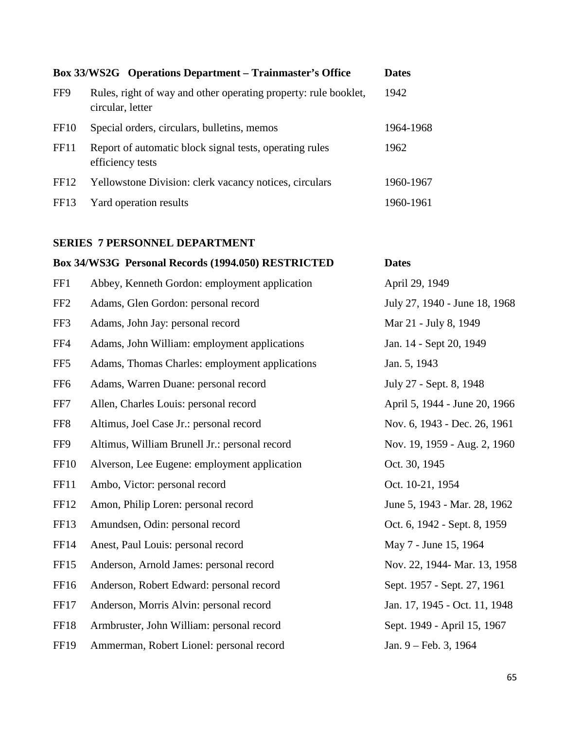|                  | <b>Box 33/WS2G</b> Operations Department – Trainmaster's Office                     | <b>Dates</b> |
|------------------|-------------------------------------------------------------------------------------|--------------|
| FF9              | Rules, right of way and other operating property: rule booklet,<br>circular, letter | 1942         |
| FF <sub>10</sub> | Special orders, circulars, bulletins, memos                                         | 1964-1968    |
| FF11             | Report of automatic block signal tests, operating rules<br>efficiency tests         | 1962         |
| FF <sub>12</sub> | Yellowstone Division: clerk vacancy notices, circulars                              | 1960-1967    |
| FF <sub>13</sub> | Yard operation results                                                              | 1960-1961    |

## **SERIES 7 PERSONNEL DEPARTMENT**

| Box 34/WS3G Personal Records (1994.050) RESTRICTED<br><b>Dates</b> |                                                |                               |
|--------------------------------------------------------------------|------------------------------------------------|-------------------------------|
| FF1                                                                | Abbey, Kenneth Gordon: employment application  | April 29, 1949                |
| FF <sub>2</sub>                                                    | Adams, Glen Gordon: personal record            | July 27, 1940 - June 18, 1968 |
| FF3                                                                | Adams, John Jay: personal record               | Mar 21 - July 8, 1949         |
| FF4                                                                | Adams, John William: employment applications   | Jan. 14 - Sept 20, 1949       |
| FF <sub>5</sub>                                                    | Adams, Thomas Charles: employment applications | Jan. 5, 1943                  |
| FF <sub>6</sub>                                                    | Adams, Warren Duane: personal record           | July 27 - Sept. 8, 1948       |
| FF7                                                                | Allen, Charles Louis: personal record          | April 5, 1944 - June 20, 1966 |
| FF <sub>8</sub>                                                    | Altimus, Joel Case Jr.: personal record        | Nov. 6, 1943 - Dec. 26, 1961  |
| FF9                                                                | Altimus, William Brunell Jr.: personal record  | Nov. 19, 1959 - Aug. 2, 1960  |
| <b>FF10</b>                                                        | Alverson, Lee Eugene: employment application   | Oct. 30, 1945                 |
| <b>FF11</b>                                                        | Ambo, Victor: personal record                  | Oct. 10-21, 1954              |
| FF12                                                               | Amon, Philip Loren: personal record            | June 5, 1943 - Mar. 28, 1962  |
| FF13                                                               | Amundsen, Odin: personal record                | Oct. 6, 1942 - Sept. 8, 1959  |
| FF14                                                               | Anest, Paul Louis: personal record             | May 7 - June 15, 1964         |
| FF15                                                               | Anderson, Arnold James: personal record        | Nov. 22, 1944- Mar. 13, 1958  |
| FF16                                                               | Anderson, Robert Edward: personal record       | Sept. 1957 - Sept. 27, 1961   |
| FF17                                                               | Anderson, Morris Alvin: personal record        | Jan. 17, 1945 - Oct. 11, 1948 |
| FF18                                                               | Armbruster, John William: personal record      | Sept. 1949 - April 15, 1967   |
| <b>FF19</b>                                                        | Ammerman, Robert Lionel: personal record       | Jan. 9 - Feb. 3, 1964         |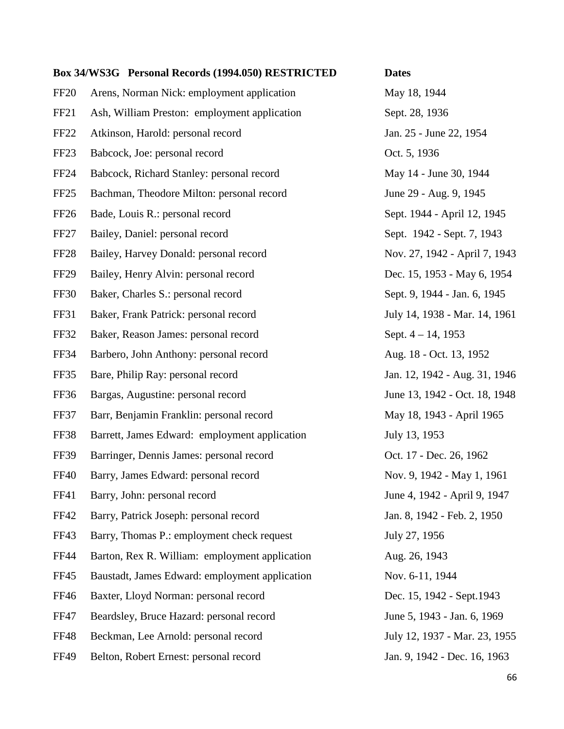|                  | Box 34/WS3G Personal Records (1994.050) RESTRICTED | <b>Dates</b>                  |
|------------------|----------------------------------------------------|-------------------------------|
| FF <sub>20</sub> | Arens, Norman Nick: employment application         | May 18, 1944                  |
| FF <sub>21</sub> | Ash, William Preston: employment application       | Sept. 28, 1936                |
| FF <sub>22</sub> | Atkinson, Harold: personal record                  | Jan. 25 - June 22, 1954       |
| FF <sub>23</sub> | Babcock, Joe: personal record                      | Oct. 5, 1936                  |
| <b>FF24</b>      | Babcock, Richard Stanley: personal record          | May 14 - June 30, 1944        |
| FF <sub>25</sub> | Bachman, Theodore Milton: personal record          | June 29 - Aug. 9, 1945        |
| FF <sub>26</sub> | Bade, Louis R.: personal record                    | Sept. 1944 - April 12, 1945   |
| FF <sub>27</sub> | Bailey, Daniel: personal record                    | Sept. 1942 - Sept. 7, 1943    |
| FF <sub>28</sub> | Bailey, Harvey Donald: personal record             | Nov. 27, 1942 - April 7, 1943 |
| FF <sub>29</sub> | Bailey, Henry Alvin: personal record               | Dec. 15, 1953 - May 6, 1954   |
| <b>FF30</b>      | Baker, Charles S.: personal record                 | Sept. 9, 1944 - Jan. 6, 1945  |
| FF31             | Baker, Frank Patrick: personal record              | July 14, 1938 - Mar. 14, 1961 |
| FF32             | Baker, Reason James: personal record               | Sept. $4 - 14$ , 1953         |
| <b>FF34</b>      | Barbero, John Anthony: personal record             | Aug. 18 - Oct. 13, 1952       |
| FF35             | Bare, Philip Ray: personal record                  | Jan. 12, 1942 - Aug. 31, 1946 |
| <b>FF36</b>      | Bargas, Augustine: personal record                 | June 13, 1942 - Oct. 18, 1948 |
| FF37             | Barr, Benjamin Franklin: personal record           | May 18, 1943 - April 1965     |
| FF38             | Barrett, James Edward: employment application      | July 13, 1953                 |
| FF39             | Barringer, Dennis James: personal record           | Oct. 17 - Dec. 26, 1962       |
| FF40             | Barry, James Edward: personal record               | Nov. 9, 1942 - May 1, 1961    |
| FF41             | Barry, John: personal record                       | June 4, 1942 - April 9, 1947  |
| <b>FF42</b>      | Barry, Patrick Joseph: personal record             | Jan. 8, 1942 - Feb. 2, 1950   |
| FF43             | Barry, Thomas P.: employment check request         | July 27, 1956                 |
| <b>FF44</b>      | Barton, Rex R. William: employment application     | Aug. 26, 1943                 |
| <b>FF45</b>      | Baustadt, James Edward: employment application     | Nov. 6-11, 1944               |
| <b>FF46</b>      | Baxter, Lloyd Norman: personal record              | Dec. 15, 1942 - Sept. 1943    |
| <b>FF47</b>      | Beardsley, Bruce Hazard: personal record           | June 5, 1943 - Jan. 6, 1969   |
| <b>FF48</b>      | Beckman, Lee Arnold: personal record               | July 12, 1937 - Mar. 23, 1955 |
| <b>FF49</b>      | Belton, Robert Ernest: personal record             | Jan. 9, 1942 - Dec. 16, 1963  |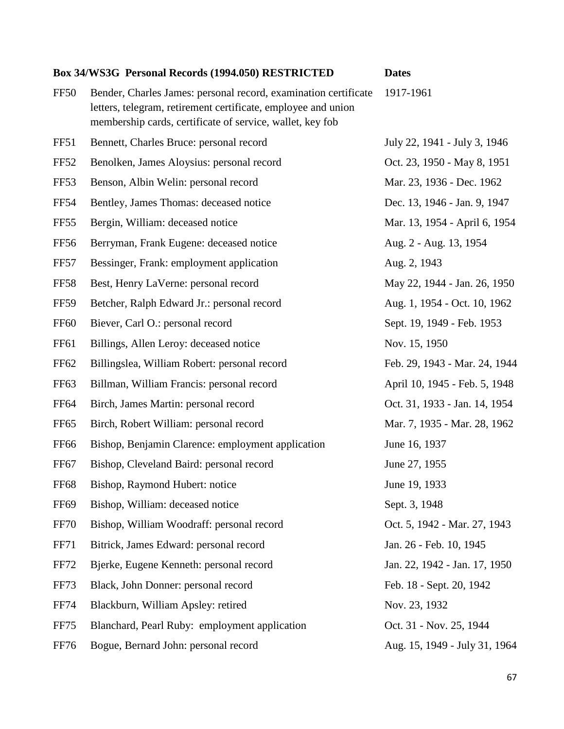| Box 34/WS3G Personal Records (1994.050) RESTRICTED |                                                                                                                                                                                               | <b>Dates</b>                  |
|----------------------------------------------------|-----------------------------------------------------------------------------------------------------------------------------------------------------------------------------------------------|-------------------------------|
| <b>FF50</b>                                        | Bender, Charles James: personal record, examination certificate<br>letters, telegram, retirement certificate, employee and union<br>membership cards, certificate of service, wallet, key fob | 1917-1961                     |
| FF51                                               | Bennett, Charles Bruce: personal record                                                                                                                                                       | July 22, 1941 - July 3, 1946  |
| FF52                                               | Benolken, James Aloysius: personal record                                                                                                                                                     | Oct. 23, 1950 - May 8, 1951   |
| FF53                                               | Benson, Albin Welin: personal record                                                                                                                                                          | Mar. 23, 1936 - Dec. 1962     |
| <b>FF54</b>                                        | Bentley, James Thomas: deceased notice                                                                                                                                                        | Dec. 13, 1946 - Jan. 9, 1947  |
| FF55                                               | Bergin, William: deceased notice                                                                                                                                                              | Mar. 13, 1954 - April 6, 1954 |
| <b>FF56</b>                                        | Berryman, Frank Eugene: deceased notice                                                                                                                                                       | Aug. 2 - Aug. 13, 1954        |
| FF57                                               | Bessinger, Frank: employment application                                                                                                                                                      | Aug. 2, 1943                  |
| <b>FF58</b>                                        | Best, Henry LaVerne: personal record                                                                                                                                                          | May 22, 1944 - Jan. 26, 1950  |
| <b>FF59</b>                                        | Betcher, Ralph Edward Jr.: personal record                                                                                                                                                    | Aug. 1, 1954 - Oct. 10, 1962  |
| <b>FF60</b>                                        | Biever, Carl O.: personal record                                                                                                                                                              | Sept. 19, 1949 - Feb. 1953    |
| FF <sub>61</sub>                                   | Billings, Allen Leroy: deceased notice                                                                                                                                                        | Nov. 15, 1950                 |
| <b>FF62</b>                                        | Billingslea, William Robert: personal record                                                                                                                                                  | Feb. 29, 1943 - Mar. 24, 1944 |
| <b>FF63</b>                                        | Billman, William Francis: personal record                                                                                                                                                     | April 10, 1945 - Feb. 5, 1948 |
| <b>FF64</b>                                        | Birch, James Martin: personal record                                                                                                                                                          | Oct. 31, 1933 - Jan. 14, 1954 |
| FF <sub>65</sub>                                   | Birch, Robert William: personal record                                                                                                                                                        | Mar. 7, 1935 - Mar. 28, 1962  |
| <b>FF66</b>                                        | Bishop, Benjamin Clarence: employment application                                                                                                                                             | June 16, 1937                 |
| FF67                                               | Bishop, Cleveland Baird: personal record                                                                                                                                                      | June 27, 1955                 |
| <b>FF68</b>                                        | Bishop, Raymond Hubert: notice                                                                                                                                                                | June 19, 1933                 |
| FF <sub>69</sub>                                   | Bishop, William: deceased notice                                                                                                                                                              | Sept. 3, 1948                 |
| <b>FF70</b>                                        | Bishop, William Woodraff: personal record                                                                                                                                                     | Oct. 5, 1942 - Mar. 27, 1943  |
| <b>FF71</b>                                        | Bitrick, James Edward: personal record                                                                                                                                                        | Jan. 26 - Feb. 10, 1945       |
| <b>FF72</b>                                        | Bjerke, Eugene Kenneth: personal record                                                                                                                                                       | Jan. 22, 1942 - Jan. 17, 1950 |
| FF73                                               | Black, John Donner: personal record                                                                                                                                                           | Feb. 18 - Sept. 20, 1942      |
| <b>FF74</b>                                        | Blackburn, William Apsley: retired                                                                                                                                                            | Nov. 23, 1932                 |
| FF75                                               | Blanchard, Pearl Ruby: employment application                                                                                                                                                 | Oct. 31 - Nov. 25, 1944       |
| <b>FF76</b>                                        | Bogue, Bernard John: personal record                                                                                                                                                          | Aug. 15, 1949 - July 31, 1964 |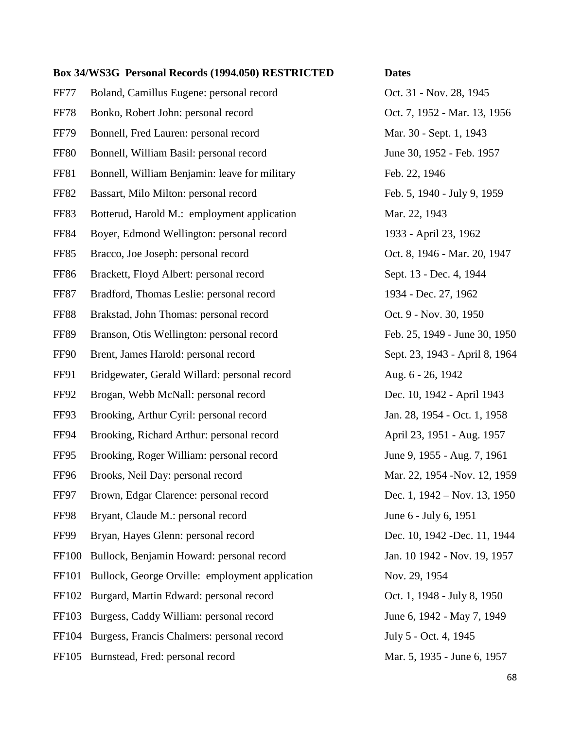FF77 Boland, Camillus Eugene: personal record Oct. 31 - Nov. 28, 1945 FF78 Bonko, Robert John: personal record Oct. 7, 1952 - Mar. 13, 1956 FF79 Bonnell, Fred Lauren: personal record Mar. 30 - Sept. 1, 1943 FF80 Bonnell, William Basil: personal record June 30, 1952 - Feb. 1957 FF81 Bonnell, William Benjamin: leave for military Feb. 22, 1946 FF82 Bassart, Milo Milton: personal record Feb. 5, 1940 - July 9, 1959 FF83 Botterud, Harold M.: employment application Mar. 22, 1943 FF84 Boyer, Edmond Wellington: personal record 1933 - April 23, 1962 FF85 Bracco, Joe Joseph: personal record Oct. 8, 1946 - Mar. 20, 1947 FF86 Brackett, Floyd Albert: personal record Sept. 13 - Dec. 4, 1944 FF87 Bradford, Thomas Leslie: personal record 1934 - Dec. 27, 1962 FF88 Brakstad, John Thomas: personal record Oct. 9 - Nov. 30, 1950 FF89 Branson, Otis Wellington: personal record Feb. 25, 1949 - June 30, 1950 FF90 Brent, James Harold: personal record Sept. 23, 1943 - April 8, 1964 FF91 Bridgewater, Gerald Willard: personal record Aug. 6 - 26, 1942 FF92 Brogan, Webb McNall: personal record Dec. 10, 1942 - April 1943 FF93 Brooking, Arthur Cyril: personal record Jan. 28, 1954 - Oct. 1, 1958 FF94 Brooking, Richard Arthur: personal record April 23, 1951 - Aug. 1957 FF95 Brooking, Roger William: personal record June 9, 1955 - Aug. 7, 1961 FF96 Brooks, Neil Day: personal record Mar. 22, 1954 -Nov. 12, 1959 FF97 Brown, Edgar Clarence: personal record Dec. 1, 1942 – Nov. 13, 1950 FF98 Bryant, Claude M.: personal record June 6 - July 6, 1951 FF99 Bryan, Hayes Glenn: personal record Dec. 10, 1942 -Dec. 11, 1944 FF100 Bullock, Benjamin Howard: personal record Jan. 10 1942 - Nov. 19, 1957 FF101 Bullock, George Orville: employment application Nov. 29, 1954 FF102 Burgard, Martin Edward: personal record Oct. 1, 1948 - July 8, 1950 FF103 Burgess, Caddy William: personal record June 6, 1942 - May 7, 1949 FF104 Burgess, Francis Chalmers: personal record July 5 - Oct. 4, 1945 FF105 Burnstead, Fred: personal record Mar. 5, 1935 - June 6, 1957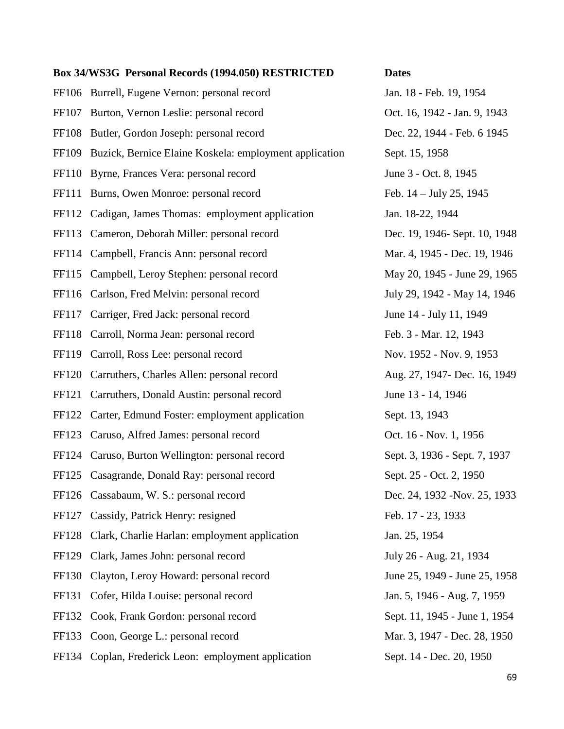FF106 Burrell, Eugene Vernon: personal record Jan. 18 - Feb. 19, 1954 FF107 Burton, Vernon Leslie: personal record Oct. 16, 1942 - Jan. 9, 1943 FF108 Butler, Gordon Joseph: personal record Dec. 22, 1944 - Feb. 6 1945 FF109 Buzick, Bernice Elaine Koskela: employment application Sept. 15, 1958 FF110 Byrne, Frances Vera: personal record June 3 - Oct. 8, 1945 FF111 Burns, Owen Monroe: personal record Feb. 14 – July 25, 1945 FF112 Cadigan, James Thomas: employment application Jan. 18-22, 1944 FF113 Cameron, Deborah Miller: personal record Dec. 19, 1946- Sept. 10, 1948 FF114 Campbell, Francis Ann: personal record Mar. 4, 1945 - Dec. 19, 1946 FF115 Campbell, Leroy Stephen: personal record May 20, 1945 - June 29, 1965 FF116 Carlson, Fred Melvin: personal record July 29, 1942 - May 14, 1946 FF117 Carriger, Fred Jack: personal record June 14 - July 11, 1949 FF118 Carroll, Norma Jean: personal record Feb. 3 - Mar. 12, 1943 FF119 Carroll, Ross Lee: personal record Nov. 1952 - Nov. 9, 1953 FF120 Carruthers, Charles Allen: personal record Aug. 27, 1947- Dec. 16, 1949 FF121 Carruthers, Donald Austin: personal record June 13 - 14, 1946 FF122 Carter, Edmund Foster: employment application Sept. 13, 1943 FF123 Caruso, Alfred James: personal record Oct. 16 - Nov. 1, 1956 FF124 Caruso, Burton Wellington: personal record Sept. 3, 1936 - Sept. 7, 1937 FF125 Casagrande, Donald Ray: personal record Sept. 25 - Oct. 2, 1950 FF126 Cassabaum, W. S.: personal record Dec. 24, 1932 -Nov. 25, 1933 FF127 Cassidy, Patrick Henry: resigned Feb. 17 - 23, 1933 FF128 Clark, Charlie Harlan: employment application Jan. 25, 1954 FF129 Clark, James John: personal record July 26 - Aug. 21, 1934 FF130 Clayton, Leroy Howard: personal record June 25, 1949 - June 25, 1958 FF131 Cofer, Hilda Louise: personal record Jan. 5, 1946 - Aug. 7, 1959 FF132 Cook, Frank Gordon: personal record Sept. 11, 1945 - June 1, 1954 FF133 Coon, George L.: personal record Mar. 3, 1947 - Dec. 28, 1950 FF134 Coplan, Frederick Leon: employment application Sept. 14 - Dec. 20, 1950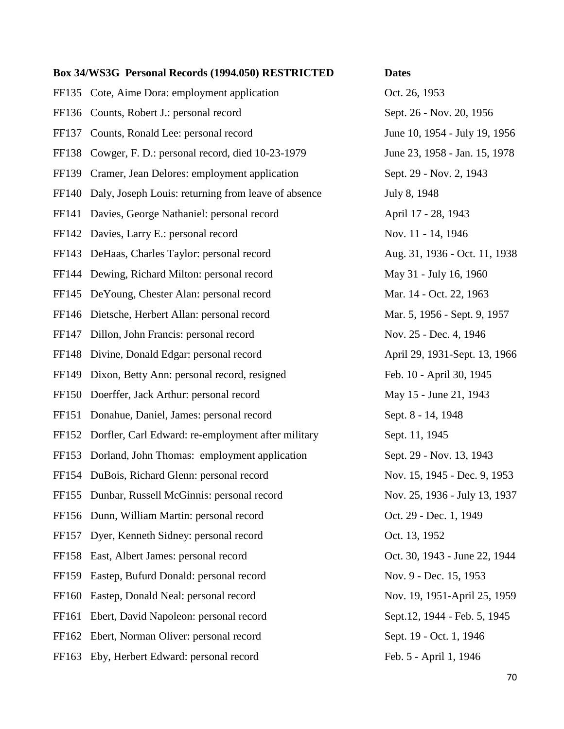FF135 Cote, Aime Dora: employment application Oct. 26, 1953 FF136 Counts, Robert J.: personal record Sept. 26 - Nov. 20, 1956 FF137 Counts, Ronald Lee: personal record June 10, 1954 - July 19, 1956 FF138 Cowger, F. D.: personal record, died 10-23-1979 June 23, 1958 - Jan. 15, 1978 FF139 Cramer, Jean Delores: employment application Sept. 29 - Nov. 2, 1943 FF140 Daly, Joseph Louis: returning from leave of absence July 8, 1948 FF141 Davies, George Nathaniel: personal record April 17 - 28, 1943 FF142 Davies, Larry E.: personal record Nov. 11 - 14, 1946 FF143 DeHaas, Charles Taylor: personal record Aug. 31, 1936 - Oct. 11, 1938 FF144 Dewing, Richard Milton: personal record May 31 - July 16, 1960 FF145 DeYoung, Chester Alan: personal record Mar. 14 - Oct. 22, 1963 FF146 Dietsche, Herbert Allan: personal record Mar. 5, 1956 - Sept. 9, 1957 FF147 Dillon, John Francis: personal record Nov. 25 - Dec. 4, 1946 FF148 Divine, Donald Edgar: personal record April 29, 1931-Sept. 13, 1966 FF149 Dixon, Betty Ann: personal record, resigned Feb. 10 - April 30, 1945 FF150 Doerffer, Jack Arthur: personal record May 15 - June 21, 1943 FF151 Donahue, Daniel, James: personal record Sept. 8 - 14, 1948 FF152 Dorfler, Carl Edward: re-employment after military Sept. 11, 1945 FF153 Dorland, John Thomas: employment application Sept. 29 - Nov. 13, 1943 FF154 DuBois, Richard Glenn: personal record Nov. 15, 1945 - Dec. 9, 1953 FF155 Dunbar, Russell McGinnis: personal record Nov. 25, 1936 - July 13, 1937 FF156 Dunn, William Martin: personal record Oct. 29 - Dec. 1, 1949 FF157 Dyer, Kenneth Sidney: personal record Oct. 13, 1952 FF158 East, Albert James: personal record Oct. 30, 1943 - June 22, 1944 FF159 Eastep, Bufurd Donald: personal record Nov. 9 - Dec. 15, 1953 FF160 Eastep, Donald Neal: personal record Nov. 19, 1951-April 25, 1959 FF161 Ebert, David Napoleon: personal record Sept.12, 1944 - Feb. 5, 1945 FF162 Ebert, Norman Oliver: personal record Sept. 19 - Oct. 1, 1946 FF163 Eby, Herbert Edward: personal record Feb. 5 - April 1, 1946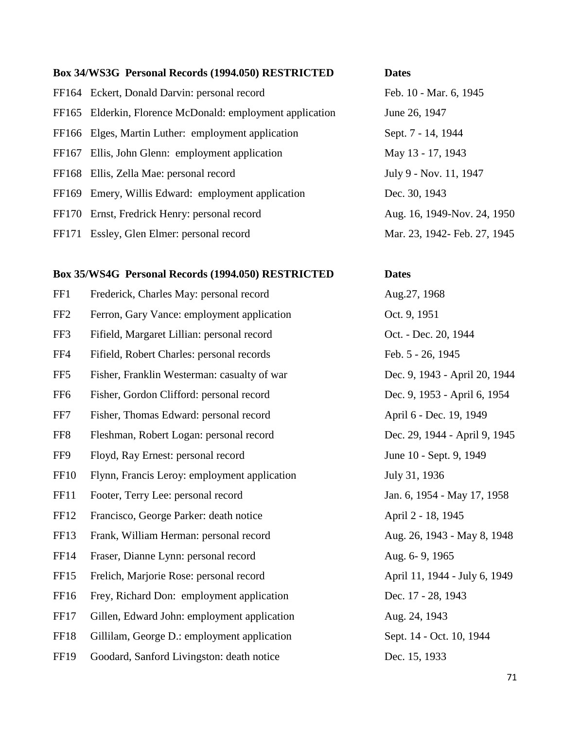FF164 Eckert, Donald Darvin: personal record Feb. 10 - Mar. 6, 1945 FF165 Elderkin, Florence McDonald: employment application June 26, 1947 FF166 Elges, Martin Luther: employment application Sept. 7 - 14, 1944 FF167 Ellis, John Glenn: employment application May 13 - 17, 1943 FF168 Ellis, Zella Mae: personal record July 9 - Nov. 11, 1947 FF169 Emery, Willis Edward: employment application Dec. 30, 1943 FF170 Ernst, Fredrick Henry: personal record Aug. 16, 1949-Nov. 24, 1950 FF171 Essley, Glen Elmer: personal record Mar. 23, 1942- Feb. 27, 1945

### **Box 35/WS4G Personal Records (1994.050) RESTRICTED Dates**

| FF1             | Frederick, Charles May: personal record      |
|-----------------|----------------------------------------------|
| FF <sub>2</sub> | Ferron, Gary Vance: employment application   |
| FF3             | Fifield, Margaret Lillian: personal record   |
| FF4             | Fifield, Robert Charles: personal records    |
| FF <sub>5</sub> | Fisher, Franklin Westerman: casualty of war  |
| FF <sub>6</sub> | Fisher, Gordon Clifford: personal record     |
| FF7             | Fisher, Thomas Edward: personal record       |
| FF8             | Fleshman, Robert Logan: personal record      |
| FF9             | Floyd, Ray Ernest: personal record           |
| <b>FF10</b>     | Flynn, Francis Leroy: employment application |
| FF11            | Footer, Terry Lee: personal record           |
| FF12            | Francisco, George Parker: death notice       |
| FF13            | Frank, William Herman: personal record       |
| <b>FF14</b>     | Fraser, Dianne Lynn: personal record         |
| FF15            | Frelich, Marjorie Rose: personal record      |
| FF16            | Frey, Richard Don: employment application    |
| FF17            | Gillen, Edward John: employment application  |
| FF18            | Gillilam, George D.: employment application  |
|                 |                                              |

Aug.27, 1968 Oct. 9, 1951 Oct. - Dec. 20, 1944 Feb. 5 - 26, 1945 Dec. 9, 1943 - April 20, 1944 Dec. 9, 1953 - April 6, 1954 April 6 - Dec. 19, 1949 Dec. 29, 1944 - April 9, 1945 June 10 - Sept. 9, 1949 July 31, 1936 Jan. 6, 1954 - May 17, 1958 April 2 - 18, 1945 Aug. 26, 1943 - May 8, 1948 Aug. 6- 9, 1965 April 11, 1944 - July 6, 1949 Dec. 17 - 28, 1943 Aug. 24, 1943 Sept. 14 - Oct. 10, 1944 FF19 Goodard, Sanford Livingston: death notice Dec. 15, 1933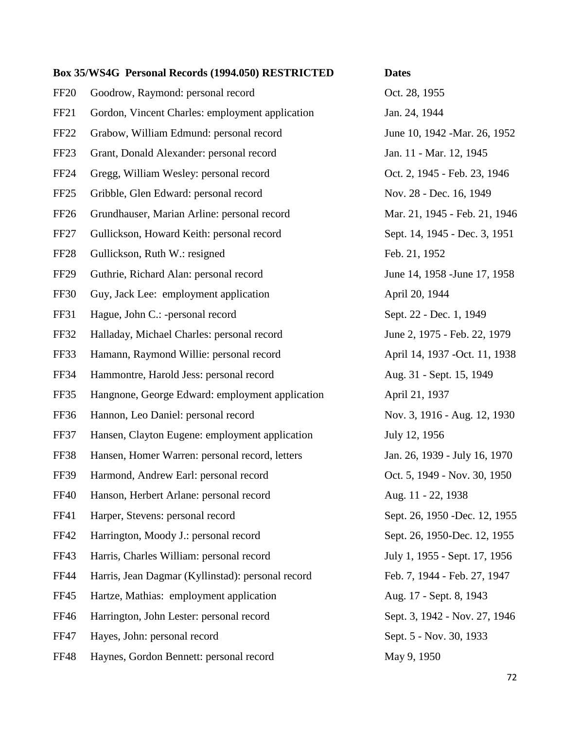| <b>FF20</b>      | Goodrow, Raymond: personal record                 | Oct. 28, 1955                  |
|------------------|---------------------------------------------------|--------------------------------|
| FF <sub>21</sub> | Gordon, Vincent Charles: employment application   | Jan. 24, 1944                  |
| FF <sub>22</sub> | Grabow, William Edmund: personal record           | June 10, 1942 -Mar. 26, 1952   |
| FF <sub>23</sub> | Grant, Donald Alexander: personal record          | Jan. 11 - Mar. 12, 1945        |
| <b>FF24</b>      | Gregg, William Wesley: personal record            | Oct. 2, 1945 - Feb. 23, 1946   |
| FF <sub>25</sub> | Gribble, Glen Edward: personal record             | Nov. 28 - Dec. 16, 1949        |
| FF26             | Grundhauser, Marian Arline: personal record       | Mar. 21, 1945 - Feb. 21, 1946  |
| FF <sub>27</sub> | Gullickson, Howard Keith: personal record         | Sept. 14, 1945 - Dec. 3, 1951  |
| <b>FF28</b>      | Gullickson, Ruth W.: resigned                     | Feb. 21, 1952                  |
| FF <sub>29</sub> | Guthrie, Richard Alan: personal record            | June 14, 1958 - June 17, 1958  |
| <b>FF30</b>      | Guy, Jack Lee: employment application             | April 20, 1944                 |
| FF31             | Hague, John C.: -personal record                  | Sept. 22 - Dec. 1, 1949        |
| <b>FF32</b>      | Halladay, Michael Charles: personal record        | June 2, 1975 - Feb. 22, 1979   |
| FF33             | Hamann, Raymond Willie: personal record           | April 14, 1937 - Oct. 11, 1938 |
| <b>FF34</b>      | Hammontre, Harold Jess: personal record           | Aug. 31 - Sept. 15, 1949       |
| FF35             | Hangnone, George Edward: employment application   | April 21, 1937                 |
| FF36             | Hannon, Leo Daniel: personal record               | Nov. 3, 1916 - Aug. 12, 1930   |
| FF37             | Hansen, Clayton Eugene: employment application    | July 12, 1956                  |
| <b>FF38</b>      | Hansen, Homer Warren: personal record, letters    | Jan. 26, 1939 - July 16, 1970  |
| FF39             | Harmond, Andrew Earl: personal record             | Oct. 5, 1949 - Nov. 30, 1950   |
| <b>FF40</b>      | Hanson, Herbert Arlane: personal record           | Aug. 11 - 22, 1938             |
| FF41             | Harper, Stevens: personal record                  | Sept. 26, 1950 - Dec. 12, 1955 |
| FF42             | Harrington, Moody J.: personal record             | Sept. 26, 1950-Dec. 12, 1955   |
| FF43             | Harris, Charles William: personal record          | July 1, 1955 - Sept. 17, 1956  |
| <b>FF44</b>      | Harris, Jean Dagmar (Kyllinstad): personal record | Feb. 7, 1944 - Feb. 27, 1947   |
| <b>FF45</b>      | Hartze, Mathias: employment application           | Aug. 17 - Sept. 8, 1943        |
| FF46             | Harrington, John Lester: personal record          | Sept. 3, 1942 - Nov. 27, 1946  |
| <b>FF47</b>      | Hayes, John: personal record                      | Sept. 5 - Nov. 30, 1933        |
| <b>FF48</b>      | Haynes, Gordon Bennett: personal record           | May 9, 1950                    |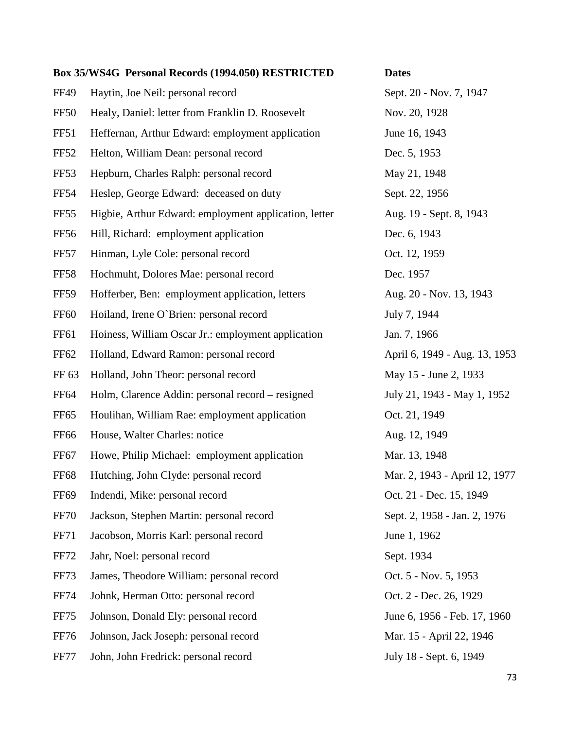**Box 35/WS4G Personal Records (1994.050) RESTRICTED Dates** FF49 Haytin, Joe Neil: personal record Sept. 20 - Nov. 7, 1947 FF50 Healy, Daniel: letter from Franklin D. Roosevelt Nov. 20, 1928 FF51 Heffernan, Arthur Edward: employment application June 16, 1943 FF52 Helton, William Dean: personal record Dec. 5, 1953 FF53 Hepburn, Charles Ralph: personal record May 21, 1948 FF54 Heslep, George Edward: deceased on duty Sept. 22, 1956 FF55 Higbie, Arthur Edward: employment application, letter Aug. 19 - Sept. 8, 1943 FF56 Hill, Richard: employment application Dec. 6, 1943 FF57 Hinman, Lyle Cole: personal record Oct. 12, 1959 FF58 Hochmuht, Dolores Mae: personal record Dec. 1957 FF59 Hofferber, Ben: employment application, letters Aug. 20 - Nov. 13, 1943 FF60 Hoiland, Irene O`Brien: personal record July 7, 1944 FF61 Hoiness, William Oscar Jr.: employment application Jan. 7, 1966 FF62 Holland, Edward Ramon: personal record April 6, 1949 - Aug. 13, 1953 FF 63 Holland, John Theor: personal record May 15 - June 2, 1933 FF64 Holm, Clarence Addin: personal record – resigned July 21, 1943 - May 1, 1952 FF65 Houlihan, William Rae: employment application Oct. 21, 1949 FF66 House, Walter Charles: notice Aug. 12, 1949 FF67 Howe, Philip Michael: employment application Mar. 13, 1948 FF68 Hutching, John Clyde: personal record Mar. 2, 1943 - April 12, 1977 FF69 Indendi, Mike: personal record Oct. 21 - Dec. 15, 1949 FF70 Jackson, Stephen Martin: personal record Sept. 2, 1958 - Jan. 2, 1976 FF71 Jacobson, Morris Karl: personal record June 1, 1962 FF72 Jahr, Noel: personal record Sept. 1934 FF73 James, Theodore William: personal record Oct. 5 - Nov. 5, 1953 FF74 Johnk, Herman Otto: personal record Oct. 2 - Dec. 26, 1929 FF75 Johnson, Donald Ely: personal record June 6, 1956 - Feb. 17, 1960 FF76 Johnson, Jack Joseph: personal record Mar. 15 - April 22, 1946 FF77 John, John Fredrick: personal record July 18 - Sept. 6, 1949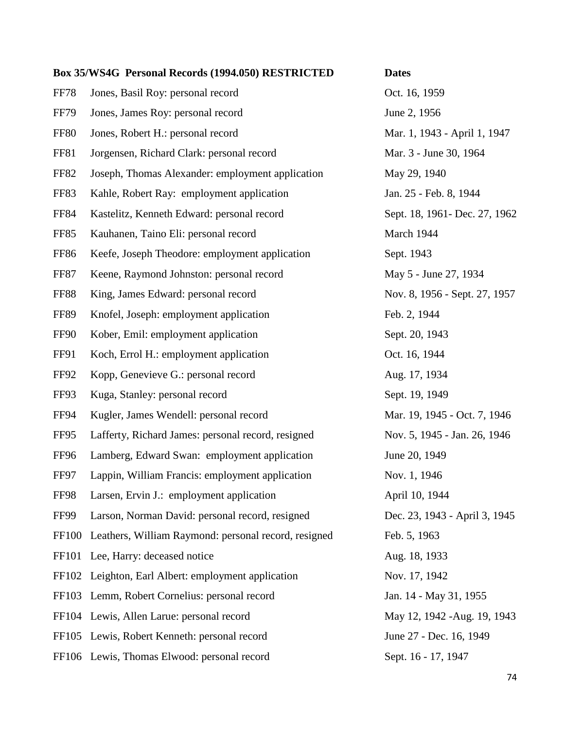| FF78        | Jones, Basil Roy: personal record                    |
|-------------|------------------------------------------------------|
| FF79        | Jones, James Roy: personal record                    |
| <b>FF80</b> | Jones, Robert H.: personal record                    |
| FF81        | Jorgensen, Richard Clark: personal record            |
| FF82        | Joseph, Thomas Alexander: employment application     |
| FF83        | Kahle, Robert Ray: employment application            |
| FF84        | Kastelitz, Kenneth Edward: personal record           |
| FF85        | Kauhanen, Taino Eli: personal record                 |
| FF86        | Keefe, Joseph Theodore: employment application       |
| FF87        | Keene, Raymond Johnston: personal record             |
| <b>FF88</b> | King, James Edward: personal record                  |
| FF89        | Knofel, Joseph: employment application               |
| FF90        | Kober, Emil: employment application                  |
| FF91        | Koch, Errol H.: employment application               |
| FF92        | Kopp, Genevieve G.: personal record                  |
| FF93        | Kuga, Stanley: personal record                       |
| FF94        | Kugler, James Wendell: personal record               |
| FF95        | Lafferty, Richard James: personal record, resigned   |
| FF96        | Lamberg, Edward Swan: employment application         |
| FF97        | Lappin, William Francis: employment application      |
| FF98        | Larsen, Ervin J.: employment application             |
| FF99        | Larson, Norman David: personal record, resigned      |
| FF100       | Leathers, William Raymond: personal record, resigned |
| FF101       | Lee, Harry: deceased notice                          |
| FF102       | Leighton, Earl Albert: employment application        |
| FF103       | Lemm, Robert Cornelius: personal record              |
| FF104       | Lewis, Allen Larue: personal record                  |
| FF105       | Lewis, Robert Kenneth: personal record               |
|             | FF106 Lewis, Thomas Elwood: personal record          |

Oct. 16, 1959 June 2, 1956 Mar. 1, 1943 - April 1, 1947 Mar. 3 - June 30, 1964 May 29, 1940 Jan. 25 - Feb. 8, 1944 Sept. 18, 1961- Dec. 27, 1962 March 1944 Sept. 1943 May 5 - June 27, 1934 Nov. 8, 1956 - Sept. 27, 1957 Feb. 2, 1944 Sept. 20, 1943 Oct. 16, 1944 Aug. 17, 1934 Sept. 19, 1949 Mar. 19, 1945 - Oct. 7, 1946 Nov. 5, 1945 - Jan. 26, 1946 June 20, 1949 Nov. 1, 1946 April 10, 1944 Dec. 23, 1943 - April 3, 1945 Feb. 5, 1963 Aug. 18, 1933 Nov. 17, 1942 Jan. 14 - May 31, 1955 May 12, 1942 -Aug. 19, 1943 June 27 - Dec. 16, 1949 Sept. 16 - 17, 1947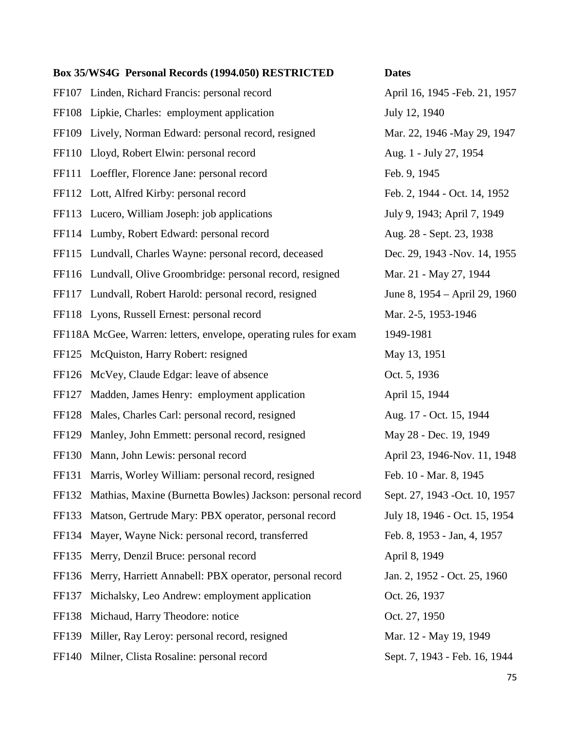FF107 Linden, Richard Francis: personal record April 16, 1945 - Feb. 21, 1957 FF108 Lipkie, Charles: employment application July 12, 1940 FF109 Lively, Norman Edward: personal record, resigned Mar. 22, 1946 -May 29, 1947 FF110 Lloyd, Robert Elwin: personal record Aug. 1 - July 27, 1954 FF111 Loeffler, Florence Jane: personal record Feb. 9, 1945 FF112 Lott, Alfred Kirby: personal record Feb. 2, 1944 - Oct. 14, 1952 FF113 Lucero, William Joseph: job applications July 9, 1943; April 7, 1949 FF114 Lumby, Robert Edward: personal record Aug. 28 - Sept. 23, 1938 FF115 Lundvall, Charles Wayne: personal record, deceased Dec. 29, 1943 -Nov. 14, 1955 FF116 Lundvall, Olive Groombridge: personal record, resigned Mar. 21 - May 27, 1944 FF117 Lundvall, Robert Harold: personal record, resigned June 8, 1954 – April 29, 1960 FF118 Lyons, Russell Ernest: personal record Mar. 2-5, 1953-1946 FF118A McGee, Warren: letters, envelope, operating rules for exam 1949-1981 FF125 McQuiston, Harry Robert: resigned May 13, 1951 FF126 McVey, Claude Edgar: leave of absence  $\qquad \qquad$  Oct. 5, 1936 FF127 Madden, James Henry: employment application April 15, 1944 FF128 Males, Charles Carl: personal record, resigned Aug. 17 - Oct. 15, 1944 FF129 Manley, John Emmett: personal record, resigned May 28 - Dec. 19, 1949 FF130 Mann, John Lewis: personal record April 23, 1946-Nov. 11, 1948 FF131 Marris, Worley William: personal record, resigned Feb. 10 - Mar. 8, 1945 FF132 Mathias, Maxine (Burnetta Bowles) Jackson: personal record Sept. 27, 1943 -Oct. 10, 1957 FF133 Matson, Gertrude Mary: PBX operator, personal record July 18, 1946 - Oct. 15, 1954 FF134 Mayer, Wayne Nick: personal record, transferred Feb. 8, 1953 - Jan, 4, 1957 FF135 Merry, Denzil Bruce: personal record April 8, 1949 FF136 Merry, Harriett Annabell: PBX operator, personal record Jan. 2, 1952 - Oct. 25, 1960 FF137 Michalsky, Leo Andrew: employment application Oct. 26, 1937 FF138 Michaud, Harry Theodore: notice Oct. 27, 1950 FF139 Miller, Ray Leroy: personal record, resigned Mar. 12 - May 19, 1949 FF140 Milner, Clista Rosaline: personal record Sept. 7, 1943 - Feb. 16, 1944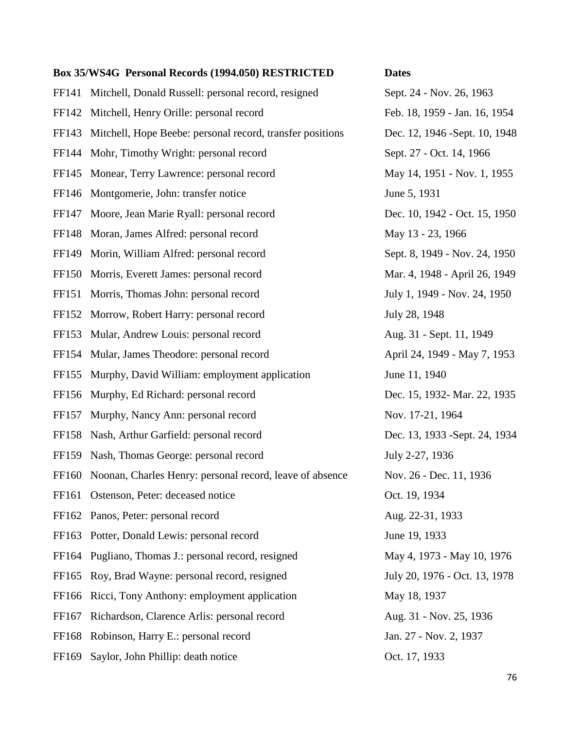FF141 Mitchell, Donald Russell: personal record, resigned Sept. 24 - Nov. 26, 1963 FF142 Mitchell, Henry Orille: personal record Feb. 18, 1959 - Jan. 16, 1954 FF143 Mitchell, Hope Beebe: personal record, transfer positions Dec. 12, 1946 -Sept. 10, 1948 FF144 Mohr, Timothy Wright: personal record Sept. 27 - Oct. 14, 1966 FF145 Monear, Terry Lawrence: personal record May 14, 1951 - Nov. 1, 1955 FF146 Montgomerie, John: transfer notice June 5, 1931 FF147 Moore, Jean Marie Ryall: personal record Dec. 10, 1942 - Oct. 15, 1950 FF148 Moran, James Alfred: personal record May 13 - 23, 1966 FF149 Morin, William Alfred: personal record Sept. 8, 1949 - Nov. 24, 1950 FF150 Morris, Everett James: personal record Mar. 4, 1948 - April 26, 1949 FF151 Morris, Thomas John: personal record July 1, 1949 - Nov. 24, 1950 FF152 Morrow, Robert Harry: personal record July 28, 1948 FF153 Mular, Andrew Louis: personal record Aug. 31 - Sept. 11, 1949 FF154 Mular, James Theodore: personal record April 24, 1949 - May 7, 1953 FF155 Murphy, David William: employment application June 11, 1940 FF156 Murphy, Ed Richard: personal record Dec. 15, 1932-Mar. 22, 1935 FF157 Murphy, Nancy Ann: personal record Nov. 17-21, 1964 FF158 Nash, Arthur Garfield: personal record Dec. 13, 1933 -Sept. 24, 1934 FF159 Nash, Thomas George: personal record July 2-27, 1936 FF160 Noonan, Charles Henry: personal record, leave of absence Nov. 26 - Dec. 11, 1936 FF161 Ostenson, Peter: deceased notice **Oct.** 19, 1934 FF162 Panos, Peter: personal record Aug. 22-31, 1933 FF163 Potter, Donald Lewis: personal record June 19, 1933 FF164 Pugliano, Thomas J.: personal record, resigned May 4, 1973 - May 10, 1976 FF165 Roy, Brad Wayne: personal record, resigned July 20, 1976 - Oct. 13, 1978 FF166 Ricci, Tony Anthony: employment application May 18, 1937 FF167 Richardson, Clarence Arlis: personal record Aug. 31 - Nov. 25, 1936 FF168 Robinson, Harry E.: personal record Jan. 27 - Nov. 2, 1937 FF169 Saylor, John Phillip: death notice Oct. 17, 1933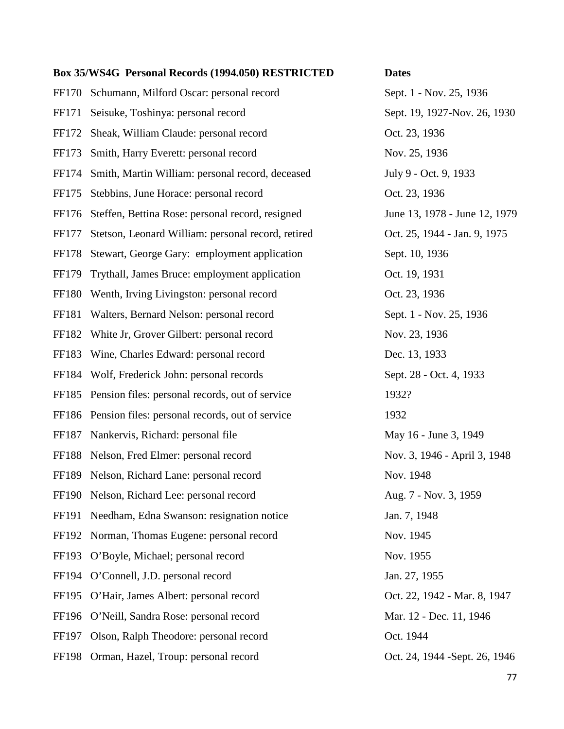FF170 Schumann, Milford Oscar: personal record Sept. 1 - Nov. 25, 1936 FF171 Seisuke, Toshinya: personal record Sept. 19, 1927-Nov. 26, 1930 FF172 Sheak, William Claude: personal record Oct. 23, 1936 FF173 Smith, Harry Everett: personal record Nov. 25, 1936 FF174 Smith, Martin William: personal record, deceased July 9 - Oct. 9, 1933 FF175 Stebbins, June Horace: personal record Oct. 23, 1936 FF176 Steffen, Bettina Rose: personal record, resigned June 13, 1978 - June 12, 1979 FF177 Stetson, Leonard William: personal record, retired Oct. 25, 1944 - Jan. 9, 1975 FF178 Stewart, George Gary: employment application Sept. 10, 1936 FF179 Trythall, James Bruce: employment application Oct. 19, 1931 FF180 Wenth, Irving Livingston: personal record Oct. 23, 1936 FF181 Walters, Bernard Nelson: personal record Sept. 1 - Nov. 25, 1936 FF182 White Jr, Grover Gilbert: personal record Nov. 23, 1936 FF183 Wine, Charles Edward: personal record Dec. 13, 1933 FF184 Wolf, Frederick John: personal records Sept. 28 - Oct. 4, 1933 FF185 Pension files: personal records, out of service 1932? FF186 Pension files: personal records, out of service 1932 FF187 Nankervis, Richard: personal file May 16 - June 3, 1949 FF188 Nelson, Fred Elmer: personal record Nov. 3, 1946 - April 3, 1948 FF189 Nelson, Richard Lane: personal record Nov. 1948 FF190 Nelson, Richard Lee: personal record Aug. 7 - Nov. 3, 1959 FF191 Needham, Edna Swanson: resignation notice Jan. 7, 1948 FF192 Norman, Thomas Eugene: personal record Nov. 1945 FF193 O'Boyle, Michael; personal record Nov. 1955 FF194 O'Connell, J.D. personal record Jan. 27, 1955 FF195 O'Hair, James Albert: personal record Oct. 22, 1942 - Mar. 8, 1947 FF196 O'Neill, Sandra Rose: personal record Mar. 12 - Dec. 11, 1946 FF197 Olson, Ralph Theodore: personal record Oct. 1944 FF198 Orman, Hazel, Troup: personal record Oct. 24, 1944 -Sept. 26, 1946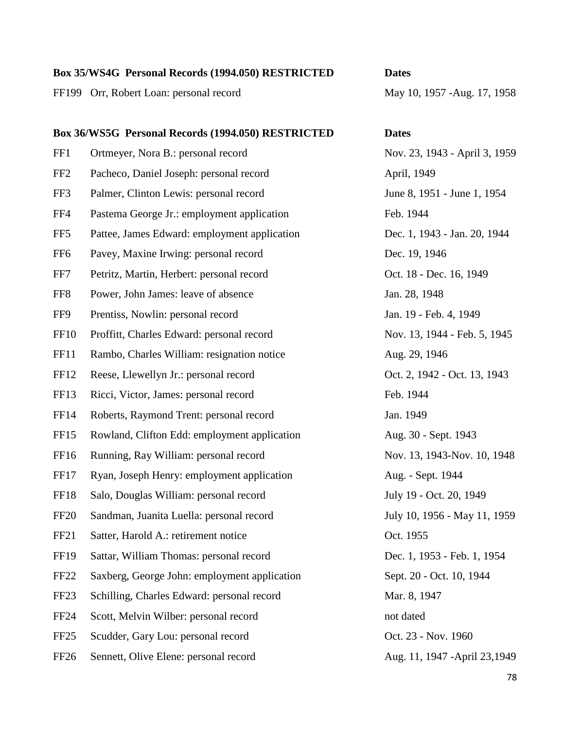FF199 Orr, Robert Loan: personal record May 10, 1957 -Aug. 17, 1958

# **Box 36/WS5G Personal Records (1994.050) RESTRICTED Dates** FF1 Ortmeyer, Nora B.: personal record Nov. 23, 1943 - April 3, 1959 FF2 Pacheco, Daniel Joseph: personal record April, 1949 FF3 Palmer, Clinton Lewis: personal record June 8, 1951 - June 1, 1954 FF4 Pastema George Jr.: employment application Feb. 1944 FF5 Pattee, James Edward: employment application Dec. 1, 1943 - Jan. 20, 1944 FF6 Pavey, Maxine Irwing: personal record Dec. 19, 1946 FF7 Petritz, Martin, Herbert: personal record Oct. 18 - Dec. 16, 1949 FF8 Power, John James: leave of absence Jan. 28, 1948 FF9 Prentiss, Nowlin: personal record Jan. 19 - Feb. 4, 1949 FF10 Proffitt, Charles Edward: personal record Nov. 13, 1944 - Feb. 5, 1945 FF11 Rambo, Charles William: resignation notice Aug. 29, 1946 FF12 Reese, Llewellyn Jr.: personal record Oct. 2, 1942 - Oct. 13, 1943 FF13 Ricci, Victor, James: personal record Feb. 1944 FF14 Roberts, Raymond Trent: personal record Jan. 1949 FF15 Rowland, Clifton Edd: employment application Aug. 30 - Sept. 1943 FF16 Running, Ray William: personal record Nov. 13, 1943-Nov. 10, 1948 FF17 Ryan, Joseph Henry: employment application Aug. - Sept. 1944 FF18 Salo, Douglas William: personal record July 19 - Oct. 20, 1949 FF20 Sandman, Juanita Luella: personal record July 10, 1956 - May 11, 1959 FF21 Satter, Harold A.: retirement notice Oct. 1955

- FF19 Sattar, William Thomas: personal record Dec. 1, 1953 Feb. 1, 1954
- FF22 Saxberg, George John: employment application Sept. 20 Oct. 10, 1944
- FF23 Schilling, Charles Edward: personal record Mar. 8, 1947
- FF24 Scott, Melvin Wilber: personal record not dated not dated
- FF25 Scudder, Gary Lou: personal record Oct. 23 Nov. 1960
- FF26 Sennett, Olive Elene: personal record Aug. 11, 1947 -April 23, 1949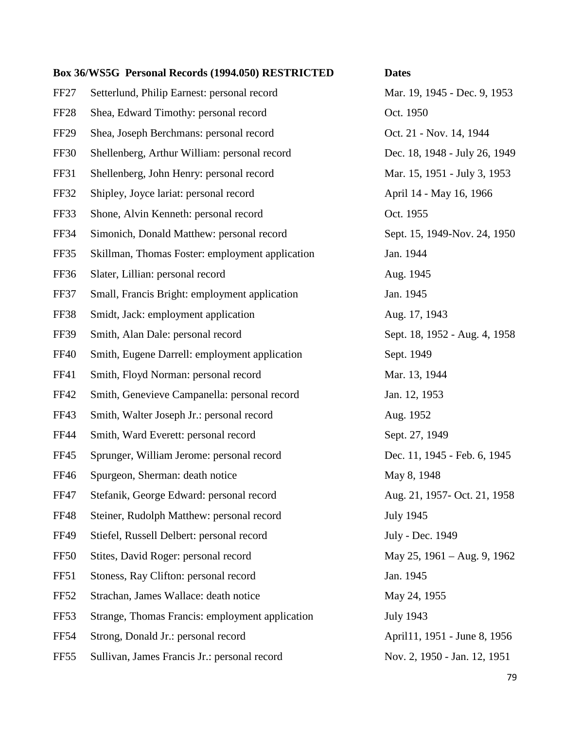FF27 Setterlund, Philip Earnest: personal record Mar. 19, 1945 - Dec. 9, 1953 FF28 Shea, Edward Timothy: personal record Oct. 1950 FF29 Shea, Joseph Berchmans: personal record Oct. 21 - Nov. 14, 1944 FF30 Shellenberg, Arthur William: personal record Dec. 18, 1948 - July 26, 1949 FF31 Shellenberg, John Henry: personal record Mar. 15, 1951 - July 3, 1953 FF32 Shipley, Joyce lariat: personal record April 14 - May 16, 1966 FF33 Shone, Alvin Kenneth: personal record Oct. 1955 FF34 Simonich, Donald Matthew: personal record Sept. 15, 1949-Nov. 24, 1950 FF35 Skillman, Thomas Foster: employment application Jan. 1944 FF36 Slater, Lillian: personal record Aug. 1945 FF37 Small, Francis Bright: employment application Jan. 1945 FF38 Smidt, Jack: employment application Aug. 17, 1943 FF39 Smith, Alan Dale: personal record Sept. 18, 1952 - Aug. 4, 1958 FF40 Smith, Eugene Darrell: employment application Sept. 1949 FF41 Smith, Floyd Norman: personal record Mar. 13, 1944 FF42 Smith, Genevieve Campanella: personal record Jan. 12, 1953 FF43 Smith, Walter Joseph Jr.: personal record Aug. 1952 FF44 Smith, Ward Everett: personal record Sept. 27, 1949 FF45 Sprunger, William Jerome: personal record Dec. 11, 1945 - Feb. 6, 1945 FF46 Spurgeon, Sherman: death notice May 8, 1948 FF47 Stefanik, George Edward: personal record Aug. 21, 1957- Oct. 21, 1958 FF48 Steiner, Rudolph Matthew: personal record July 1945 FF49 Stiefel, Russell Delbert: personal record July - Dec. 1949 FF50 Stites, David Roger: personal record May 25, 1961 – Aug. 9, 1962 FF51 Stoness, Ray Clifton: personal record Jan. 1945 FF52 Strachan, James Wallace: death notice May 24, 1955 FF53 Strange, Thomas Francis: employment application July 1943 FF54 Strong, Donald Jr.: personal record April 1, 1951 - June 8, 1956

FF55 Sullivan, James Francis Jr.: personal record Nov. 2, 1950 - Jan. 12, 1951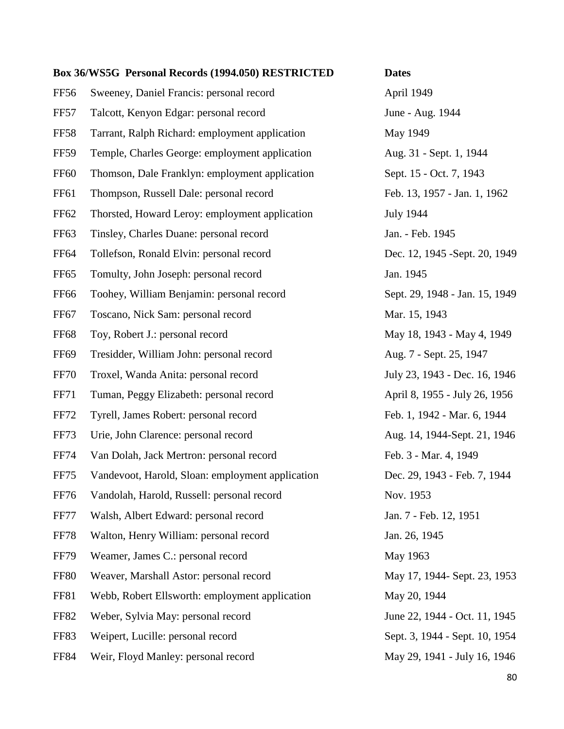FF56 Sweeney, Daniel Francis: personal record April 1949 FF57 Talcott, Kenyon Edgar: personal record June - Aug. 1944 FF58 Tarrant, Ralph Richard: employment application May 1949 FF59 Temple, Charles George: employment application Aug. 31 - Sept. 1, 1944 FF60 Thomson, Dale Franklyn: employment application Sept. 15 - Oct. 7, 1943 FF61 Thompson, Russell Dale: personal record Feb. 13, 1957 - Jan. 1, 1962 FF62 Thorsted, Howard Leroy: employment application July 1944 FF63 Tinsley, Charles Duane: personal record Jan. - Feb. 1945 FF64 Tollefson, Ronald Elvin: personal record Dec. 12, 1945 -Sept. 20, 1949 FF65 Tomulty, John Joseph: personal record Jan. 1945 FF66 Toohey, William Benjamin: personal record Sept. 29, 1948 - Jan. 15, 1949 FF67 Toscano, Nick Sam: personal record Mar. 15, 1943 FF68 Toy, Robert J.: personal record May 18, 1943 - May 4, 1949 FF69 Tresidder, William John: personal record Aug. 7 - Sept. 25, 1947 FF70 Troxel, Wanda Anita: personal record July 23, 1943 - Dec. 16, 1946 FF71 Tuman, Peggy Elizabeth: personal record April 8, 1955 - July 26, 1956 FF72 Tyrell, James Robert: personal record Feb. 1, 1942 - Mar. 6, 1944 FF73 Urie, John Clarence: personal record Aug. 14, 1944-Sept. 21, 1946 FF74 Van Dolah, Jack Mertron: personal record Feb. 3 - Mar. 4, 1949 FF75 Vandevoot, Harold, Sloan: employment application Dec. 29, 1943 - Feb. 7, 1944 FF76 Vandolah, Harold, Russell: personal record Nov. 1953 FF77 Walsh, Albert Edward: personal record Jan. 7 - Feb. 12, 1951 FF78 Walton, Henry William: personal record Jan. 26, 1945 FF79 Weamer, James C.: personal record May 1963 FF80 Weaver, Marshall Astor: personal record May 17, 1944- Sept. 23, 1953 FF81 Webb, Robert Ellsworth: employment application May 20, 1944 FF82 Weber, Sylvia May: personal record June 22, 1944 - Oct. 11, 1945 FF83 Weipert, Lucille: personal record Sept. 3, 1944 - Sept. 10, 1954 FF84 Weir, Floyd Manley: personal record May 29, 1941 - July 16, 1946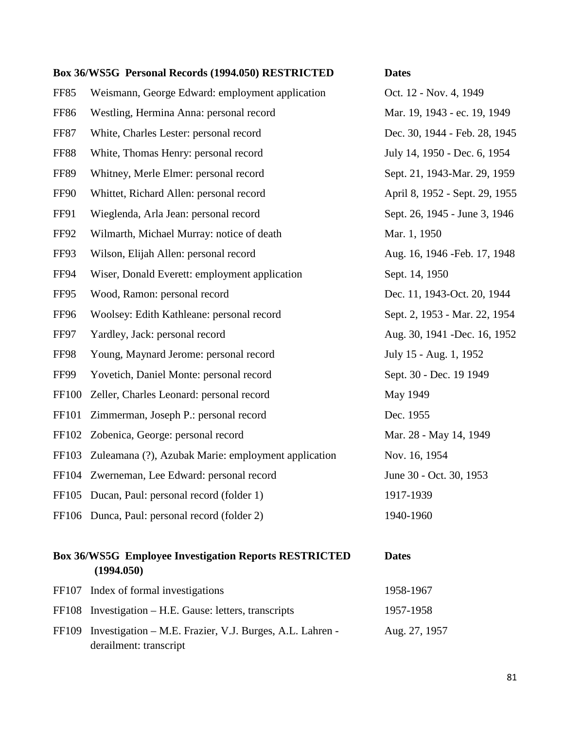|              | Box 36/WS5G Personal Records (1994.050) RESTRICTED  | <b>Dates</b>                   |
|--------------|-----------------------------------------------------|--------------------------------|
| FF85         | Weismann, George Edward: employment application     | Oct. 12 - Nov. 4, 1949         |
| <b>FF86</b>  | Westling, Hermina Anna: personal record             | Mar. 19, 1943 - ec. 19, 1949   |
| <b>FF87</b>  | White, Charles Lester: personal record              | Dec. 30, 1944 - Feb. 28, 1945  |
| <b>FF88</b>  | White, Thomas Henry: personal record                | July 14, 1950 - Dec. 6, 1954   |
| <b>FF89</b>  | Whitney, Merle Elmer: personal record               | Sept. 21, 1943-Mar. 29, 1959   |
| FF90         | Whittet, Richard Allen: personal record             | April 8, 1952 - Sept. 29, 1955 |
| <b>FF91</b>  | Wieglenda, Arla Jean: personal record               | Sept. 26, 1945 - June 3, 1946  |
| FF92         | Wilmarth, Michael Murray: notice of death           | Mar. 1, 1950                   |
| FF93         | Wilson, Elijah Allen: personal record               | Aug. 16, 1946 - Feb. 17, 1948  |
| <b>FF94</b>  | Wiser, Donald Everett: employment application       | Sept. 14, 1950                 |
| FF95         | Wood, Ramon: personal record                        | Dec. 11, 1943-Oct. 20, 1944    |
| FF96         | Woolsey: Edith Kathleane: personal record           | Sept. 2, 1953 - Mar. 22, 1954  |
| FF97         | Yardley, Jack: personal record                      | Aug. 30, 1941 - Dec. 16, 1952  |
| FF98         | Young, Maynard Jerome: personal record              | July 15 - Aug. 1, 1952         |
| FF99         | Yovetich, Daniel Monte: personal record             | Sept. 30 - Dec. 19 1949        |
| <b>FF100</b> | Zeller, Charles Leonard: personal record            | May 1949                       |
| FF101        | Zimmerman, Joseph P.: personal record               | Dec. 1955                      |
| FF102        | Zobenica, George: personal record                   | Mar. 28 - May 14, 1949         |
| FF103        | Zuleamana (?), Azubak Marie: employment application | Nov. 16, 1954                  |
| FF104        | Zwerneman, Lee Edward: personal record              | June 30 - Oct. 30, 1953        |
|              | FF105 Ducan, Paul: personal record (folder 1)       | 1917-1939                      |
|              | FF106 Dunca, Paul: personal record (folder 2)       | 1940-1960                      |
|              |                                                     |                                |

## **Box 36/WS5G Employee Investigation Reports RESTRICTED Dates (1994.050)**

| FF107 Index of formal investigations                           | 1958-1967     |
|----------------------------------------------------------------|---------------|
| FF108 Investigation – H.E. Gause: letters, transcripts         | 1957-1958     |
| FF109 Investigation – M.E. Frazier, V.J. Burges, A.L. Lahren - | Aug. 27, 1957 |
| derailment: transcript                                         |               |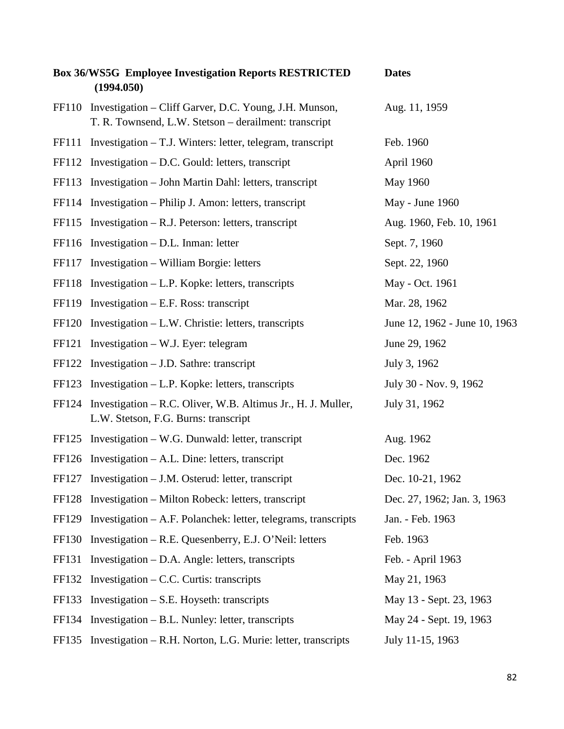|              | <b>Box 36/WS5G Employee Investigation Reports RESTRICTED</b><br>(1994.050)                                            | <b>Dates</b>                  |
|--------------|-----------------------------------------------------------------------------------------------------------------------|-------------------------------|
|              | FF110 Investigation – Cliff Garver, D.C. Young, J.H. Munson,<br>T. R. Townsend, L.W. Stetson - derailment: transcript | Aug. 11, 1959                 |
|              | FF111 Investigation – T.J. Winters: letter, telegram, transcript                                                      | Feb. 1960                     |
| FF112        | Investigation – D.C. Gould: letters, transcript                                                                       | April 1960                    |
| FF113        | Investigation – John Martin Dahl: letters, transcript                                                                 | May 1960                      |
|              | FF114 Investigation – Philip J. Amon: letters, transcript                                                             | May - June 1960               |
| FF115        | Investigation $- R.J.$ Peterson: letters, transcript                                                                  | Aug. 1960, Feb. 10, 1961      |
|              | FF116 Investigation - D.L. Inman: letter                                                                              | Sept. 7, 1960                 |
| FF117        | Investigation – William Borgie: letters                                                                               | Sept. 22, 1960                |
| <b>FF118</b> | Investigation – L.P. Kopke: letters, transcripts                                                                      | May - Oct. 1961               |
|              | $FF119$ Investigation – E.F. Ross: transcript                                                                         | Mar. 28, 1962                 |
|              | FF120 Investigation – L.W. Christie: letters, transcripts                                                             | June 12, 1962 - June 10, 1963 |
| FF121        | Investigation $-$ W.J. Eyer: telegram                                                                                 | June 29, 1962                 |
| FF122        | Investigation $-$ J.D. Sathre: transcript                                                                             | July 3, 1962                  |
| FF123        | Investigation $-L.P.$ Kopke: letters, transcripts                                                                     | July 30 - Nov. 9, 1962        |
| FF124        | Investigation – R.C. Oliver, W.B. Altimus Jr., H.J. Muller,<br>L.W. Stetson, F.G. Burns: transcript                   | July 31, 1962                 |
| FF125        | Investigation – W.G. Dunwald: letter, transcript                                                                      | Aug. 1962                     |
|              | $FF126$ Investigation – A.L. Dine: letters, transcript                                                                | Dec. 1962                     |
|              | FF127 Investigation - J.M. Osterud: letter, transcript                                                                | Dec. 10-21, 1962              |
| FF128        | Investigation – Milton Robeck: letters, transcript                                                                    | Dec. 27, 1962; Jan. 3, 1963   |
| FF129        | Investigation – A.F. Polanchek: letter, telegrams, transcripts                                                        | Jan. - Feb. 1963              |
| FF130        | Investigation – R.E. Quesenberry, E.J. O'Neil: letters                                                                | Feb. 1963                     |
| FF131        | Investigation – D.A. Angle: letters, transcripts                                                                      | Feb. - April 1963             |
| FF132        | Investigation $-$ C.C. Curtis: transcripts                                                                            | May 21, 1963                  |
| FF133        | Investigation $- S.E.$ Hoyseth: transcripts                                                                           | May 13 - Sept. 23, 1963       |
| FF134        | Investigation – B.L. Nunley: letter, transcripts                                                                      | May 24 - Sept. 19, 1963       |
| FF135        | Investigation – R.H. Norton, L.G. Murie: letter, transcripts                                                          | July 11-15, 1963              |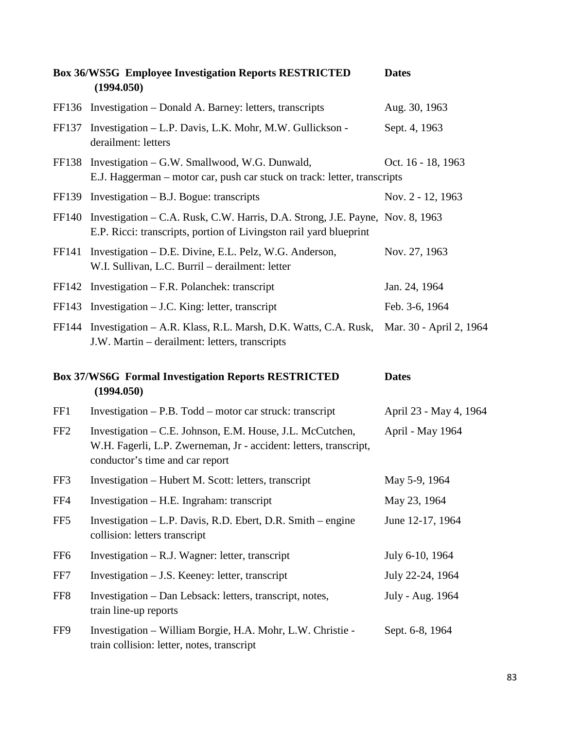|                 | <b>Box 36/WS5G Employee Investigation Reports RESTRICTED</b><br>(1994.050)                                                                                        | <b>Dates</b>            |
|-----------------|-------------------------------------------------------------------------------------------------------------------------------------------------------------------|-------------------------|
|                 | FF136 Investigation – Donald A. Barney: letters, transcripts                                                                                                      | Aug. 30, 1963           |
| FF137           | Investigation – L.P. Davis, L.K. Mohr, M.W. Gullickson -<br>derailment: letters                                                                                   | Sept. 4, 1963           |
| FF138           | Investigation – G.W. Smallwood, W.G. Dunwald,<br>E.J. Haggerman – motor car, push car stuck on track: letter, transcripts                                         | Oct. 16 - 18, 1963      |
| FF139           | Investigation $-$ B.J. Bogue: transcripts                                                                                                                         | Nov. 2 - 12, 1963       |
| FF140           | Investigation – C.A. Rusk, C.W. Harris, D.A. Strong, J.E. Payne, Nov. 8, 1963<br>E.P. Ricci: transcripts, portion of Livingston rail yard blueprint               |                         |
| FF141           | Investigation – D.E. Divine, E.L. Pelz, W.G. Anderson,<br>W.I. Sullivan, L.C. Burril - derailment: letter                                                         | Nov. 27, 1963           |
| FF142           | Investigation $-$ F.R. Polanchek: transcript                                                                                                                      | Jan. 24, 1964           |
| FF143           | Investigation $-$ J.C. King: letter, transcript                                                                                                                   | Feb. 3-6, 1964          |
| FF144           | Investigation – A.R. Klass, R.L. Marsh, D.K. Watts, C.A. Rusk,<br>J.W. Martin – derailment: letters, transcripts                                                  | Mar. 30 - April 2, 1964 |
|                 |                                                                                                                                                                   |                         |
|                 | <b>Box 37/WS6G Formal Investigation Reports RESTRICTED</b><br>(1994.050)                                                                                          | <b>Dates</b>            |
| FF1             | Investigation – P.B. Todd – motor car struck: transcript                                                                                                          | April 23 - May 4, 1964  |
| FF <sub>2</sub> | Investigation - C.E. Johnson, E.M. House, J.L. McCutchen,<br>W.H. Fagerli, L.P. Zwerneman, Jr - accident: letters, transcript,<br>conductor's time and car report | April - May 1964        |
| FF3             | Investigation - Hubert M. Scott: letters, transcript                                                                                                              | May 5-9, 1964           |
| FF4             | Investigation – H.E. Ingraham: transcript                                                                                                                         | May 23, 1964            |
| FF <sub>5</sub> | Investigation – L.P. Davis, R.D. Ebert, D.R. Smith – engine<br>collision: letters transcript                                                                      | June 12-17, 1964        |
| FF <sub>6</sub> | Investigation $-$ R.J. Wagner: letter, transcript                                                                                                                 | July 6-10, 1964         |
| FF7             | Investigation – J.S. Keeney: letter, transcript                                                                                                                   | July 22-24, 1964        |
| FF <sub>8</sub> | Investigation - Dan Lebsack: letters, transcript, notes,<br>train line-up reports                                                                                 | July - Aug. 1964        |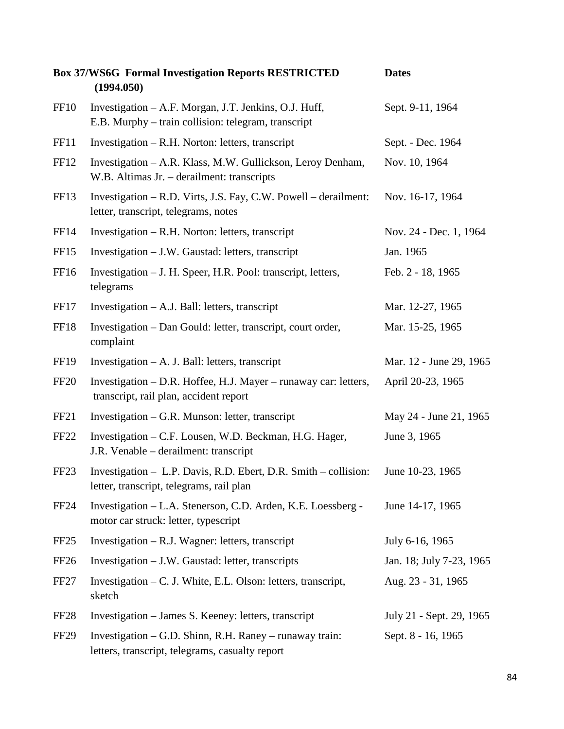|                  | <b>Box 37/WS6G Formal Investigation Reports RESTRICTED</b><br>(1994.050)                                       | <b>Dates</b>             |
|------------------|----------------------------------------------------------------------------------------------------------------|--------------------------|
| FF <sub>10</sub> | Investigation – A.F. Morgan, J.T. Jenkins, O.J. Huff,<br>E.B. Murphy - train collision: telegram, transcript   | Sept. 9-11, 1964         |
| FF11             | Investigation – R.H. Norton: letters, transcript                                                               | Sept. - Dec. 1964        |
| FF12             | Investigation - A.R. Klass, M.W. Gullickson, Leroy Denham,<br>W.B. Altimas Jr. - derailment: transcripts       | Nov. 10, 1964            |
| FF13             | Investigation – R.D. Virts, J.S. Fay, C.W. Powell – derailment:<br>letter, transcript, telegrams, notes        | Nov. 16-17, 1964         |
| FF14             | Investigation – R.H. Norton: letters, transcript                                                               | Nov. 24 - Dec. 1, 1964   |
| FF15             | Investigation – J.W. Gaustad: letters, transcript                                                              | Jan. 1965                |
| FF16             | Investigation – J. H. Speer, H.R. Pool: transcript, letters,<br>telegrams                                      | Feb. 2 - 18, 1965        |
| FF17             | Investigation $- A.J.$ Ball: letters, transcript                                                               | Mar. 12-27, 1965         |
| FF18             | Investigation – Dan Gould: letter, transcript, court order,<br>complaint                                       | Mar. 15-25, 1965         |
| FF <sub>19</sub> | Investigation $- A$ . J. Ball: letters, transcript                                                             | Mar. 12 - June 29, 1965  |
| <b>FF20</b>      | Investigation – D.R. Hoffee, H.J. Mayer – runaway car: letters,<br>transcript, rail plan, accident report      | April 20-23, 1965        |
| FF <sub>21</sub> | Investigation $-$ G.R. Munson: letter, transcript                                                              | May 24 - June 21, 1965   |
| <b>FF22</b>      | Investigation – C.F. Lousen, W.D. Beckman, H.G. Hager,<br>J.R. Venable – derailment: transcript                | June 3, 1965             |
| FF <sub>23</sub> | Investigation - L.P. Davis, R.D. Ebert, D.R. Smith - collision:<br>letter, transcript, telegrams, rail plan    | June 10-23, 1965         |
| <b>FF24</b>      | Investigation - L.A. Stenerson, C.D. Arden, K.E. Loessberg -<br>motor car struck: letter, typescript           | June 14-17, 1965         |
| FF <sub>25</sub> | Investigation $-$ R.J. Wagner: letters, transcript                                                             | July 6-16, 1965          |
| FF <sub>26</sub> | Investigation – J.W. Gaustad: letter, transcripts                                                              | Jan. 18; July 7-23, 1965 |
| FF <sub>27</sub> | Investigation – C. J. White, E.L. Olson: letters, transcript,<br>sketch                                        | Aug. 23 - 31, 1965       |
| FF <sub>28</sub> | Investigation – James S. Keeney: letters, transcript                                                           | July 21 - Sept. 29, 1965 |
| <b>FF29</b>      | Investigation $-$ G.D. Shinn, R.H. Raney $-$ runaway train:<br>letters, transcript, telegrams, casualty report | Sept. 8 - 16, 1965       |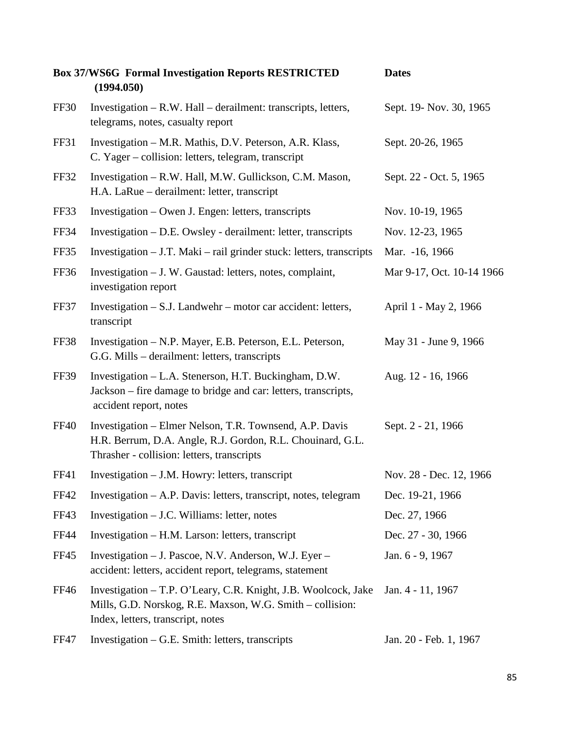|             | <b>Box 37/WS6G Formal Investigation Reports RESTRICTED</b><br>(1994.050)                                                                                            | <b>Dates</b>              |
|-------------|---------------------------------------------------------------------------------------------------------------------------------------------------------------------|---------------------------|
| FF30        | Investigation – R.W. Hall – derailment: transcripts, letters,<br>telegrams, notes, casualty report                                                                  | Sept. 19- Nov. 30, 1965   |
| FF31        | Investigation – M.R. Mathis, D.V. Peterson, A.R. Klass,<br>C. Yager – collision: letters, telegram, transcript                                                      | Sept. 20-26, 1965         |
| <b>FF32</b> | Investigation - R.W. Hall, M.W. Gullickson, C.M. Mason,<br>H.A. LaRue – derailment: letter, transcript                                                              | Sept. 22 - Oct. 5, 1965   |
| FF33        | Investigation – Owen J. Engen: letters, transcripts                                                                                                                 | Nov. 10-19, 1965          |
| <b>FF34</b> | Investigation – D.E. Owsley - derailment: letter, transcripts                                                                                                       | Nov. 12-23, 1965          |
| FF35        | Investigation $-$ J.T. Maki $-$ rail grinder stuck: letters, transcripts                                                                                            | Mar. -16, 1966            |
| <b>FF36</b> | Investigation – J. W. Gaustad: letters, notes, complaint,<br>investigation report                                                                                   | Mar 9-17, Oct. 10-14 1966 |
| FF37        | Investigation - S.J. Landwehr - motor car accident: letters,<br>transcript                                                                                          | April 1 - May 2, 1966     |
| FF38        | Investigation - N.P. Mayer, E.B. Peterson, E.L. Peterson,<br>G.G. Mills – derailment: letters, transcripts                                                          | May 31 - June 9, 1966     |
| FF39        | Investigation - L.A. Stenerson, H.T. Buckingham, D.W.<br>Jackson – fire damage to bridge and car: letters, transcripts,<br>accident report, notes                   | Aug. 12 - 16, 1966        |
| <b>FF40</b> | Investigation – Elmer Nelson, T.R. Townsend, A.P. Davis<br>H.R. Berrum, D.A. Angle, R.J. Gordon, R.L. Chouinard, G.L.<br>Thrasher - collision: letters, transcripts | Sept. 2 - 21, 1966        |
| FF41        | Investigation – J.M. Howry: letters, transcript                                                                                                                     | Nov. 28 - Dec. 12, 1966   |
| <b>FF42</b> | Investigation – A.P. Davis: letters, transcript, notes, telegram                                                                                                    | Dec. 19-21, 1966          |
| FF43        | Investigation $-$ J.C. Williams: letter, notes                                                                                                                      | Dec. 27, 1966             |
| <b>FF44</b> | Investigation – H.M. Larson: letters, transcript                                                                                                                    | Dec. 27 - 30, 1966        |
| FF45        | Investigation – J. Pascoe, N.V. Anderson, W.J. Eyer –<br>accident: letters, accident report, telegrams, statement                                                   | Jan. 6 - 9, 1967          |
| FF46        | Investigation - T.P. O'Leary, C.R. Knight, J.B. Woolcock, Jake<br>Mills, G.D. Norskog, R.E. Maxson, W.G. Smith - collision:<br>Index, letters, transcript, notes    | Jan. 4 - 11, 1967         |
| <b>FF47</b> | Investigation - G.E. Smith: letters, transcripts                                                                                                                    | Jan. 20 - Feb. 1, 1967    |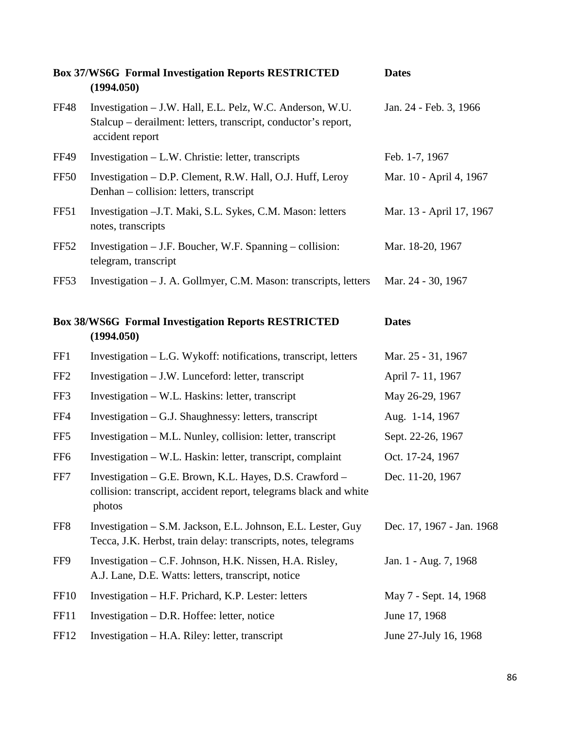|                  | <b>Box 37/WS6G Formal Investigation Reports RESTRICTED</b><br>(1994.050)                                                                       | <b>Dates</b>              |
|------------------|------------------------------------------------------------------------------------------------------------------------------------------------|---------------------------|
| <b>FF48</b>      | Investigation - J.W. Hall, E.L. Pelz, W.C. Anderson, W.U.<br>Stalcup – derailment: letters, transcript, conductor's report,<br>accident report | Jan. 24 - Feb. 3, 1966    |
| <b>FF49</b>      | Investigation – L.W. Christie: letter, transcripts                                                                                             | Feb. 1-7, 1967            |
| <b>FF50</b>      | Investigation - D.P. Clement, R.W. Hall, O.J. Huff, Leroy<br>Denhan – collision: letters, transcript                                           | Mar. 10 - April 4, 1967   |
| FF51             | Investigation - J.T. Maki, S.L. Sykes, C.M. Mason: letters<br>notes, transcripts                                                               | Mar. 13 - April 17, 1967  |
| <b>FF52</b>      | Investigation - J.F. Boucher, W.F. Spanning - collision:<br>telegram, transcript                                                               | Mar. 18-20, 1967          |
| FF <sub>53</sub> | Investigation - J. A. Gollmyer, C.M. Mason: transcripts, letters                                                                               | Mar. 24 - 30, 1967        |
|                  | <b>Box 38/WS6G Formal Investigation Reports RESTRICTED</b><br>(1994.050)                                                                       | <b>Dates</b>              |
| FF1              | Investigation - L.G. Wykoff: notifications, transcript, letters                                                                                | Mar. 25 - 31, 1967        |
| FF <sub>2</sub>  | Investigation – J.W. Lunceford: letter, transcript                                                                                             | April 7-11, 1967          |
| FF3              | Investigation – W.L. Haskins: letter, transcript                                                                                               | May 26-29, 1967           |
| FF4              | Investigation – G.J. Shaughnessy: letters, transcript                                                                                          | Aug. 1-14, 1967           |
| FF <sub>5</sub>  | Investigation – M.L. Nunley, collision: letter, transcript                                                                                     | Sept. 22-26, 1967         |
| FF <sub>6</sub>  | Investigation - W.L. Haskin: letter, transcript, complaint                                                                                     | Oct. 17-24, 1967          |
| FF7              | Investigation – G.E. Brown, K.L. Hayes, D.S. Crawford –<br>collision: transcript, accident report, telegrams black and white<br>photos         | Dec. 11-20, 1967          |
| FF8              | Investigation – S.M. Jackson, E.L. Johnson, E.L. Lester, Guy<br>Tecca, J.K. Herbst, train delay: transcripts, notes, telegrams                 | Dec. 17, 1967 - Jan. 1968 |
| FF9              | Investigation – C.F. Johnson, H.K. Nissen, H.A. Risley,<br>A.J. Lane, D.E. Watts: letters, transcript, notice                                  | Jan. 1 - Aug. 7, 1968     |
| <b>FF10</b>      | Investigation – H.F. Prichard, K.P. Lester: letters                                                                                            | May 7 - Sept. 14, 1968    |
| FF11             | Investigation $-$ D.R. Hoffee: letter, notice                                                                                                  | June 17, 1968             |
| FF12             | Investigation – H.A. Riley: letter, transcript                                                                                                 | June 27-July 16, 1968     |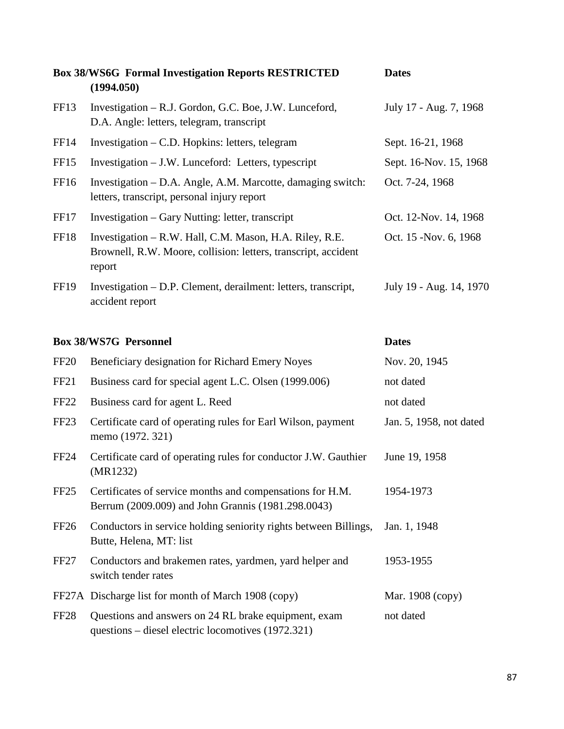|                  | <b>Box 38/WS6G Formal Investigation Reports RESTRICTED</b><br>(1994.050)                                                            | <b>Dates</b>            |
|------------------|-------------------------------------------------------------------------------------------------------------------------------------|-------------------------|
| FF <sub>13</sub> | Investigation – R.J. Gordon, G.C. Boe, J.W. Lunceford,<br>D.A. Angle: letters, telegram, transcript                                 | July 17 - Aug. 7, 1968  |
| FF <sub>14</sub> | Investigation $- C.D.$ Hopkins: letters, telegram                                                                                   | Sept. 16-21, 1968       |
| FF <sub>15</sub> | Investigation – J.W. Lunceford: Letters, typescript                                                                                 | Sept. 16-Nov. 15, 1968  |
| FF <sub>16</sub> | Investigation – D.A. Angle, A.M. Marcotte, damaging switch:<br>letters, transcript, personal injury report                          | Oct. 7-24, 1968         |
| FF17             | Investigation – Gary Nutting: letter, transcript                                                                                    | Oct. 12-Nov. 14, 1968   |
| FF18             | Investigation – R.W. Hall, C.M. Mason, H.A. Riley, R.E.<br>Brownell, R.W. Moore, collision: letters, transcript, accident<br>report | Oct. 15 - Nov. 6, 1968  |
| FF <sub>19</sub> | Investigation – D.P. Clement, derailment: letters, transcript,<br>accident report                                                   | July 19 - Aug. 14, 1970 |

## **Box 38/WS7G Personnel Dates**

| <b>FF20</b>      | Beneficiary designation for Richard Emery Noyes                                                                 | Nov. 20, 1945           |
|------------------|-----------------------------------------------------------------------------------------------------------------|-------------------------|
| FF <sub>21</sub> | Business card for special agent L.C. Olsen (1999.006)                                                           | not dated               |
| FF <sub>22</sub> | Business card for agent L. Reed                                                                                 | not dated               |
| FF <sub>23</sub> | Certificate card of operating rules for Earl Wilson, payment<br>memo (1972. 321)                                | Jan. 5, 1958, not dated |
| FF <sub>24</sub> | Certificate card of operating rules for conductor J.W. Gauthier<br>(MR1232)                                     | June 19, 1958           |
| FF <sub>25</sub> | Certificates of service months and compensations for H.M.<br>Berrum (2009.009) and John Grannis (1981.298.0043) | 1954-1973               |
| FF <sub>26</sub> | Conductors in service holding seniority rights between Billings,<br>Butte, Helena, MT: list                     | Jan. 1, 1948            |
| FF <sub>27</sub> | Conductors and brakemen rates, yardmen, yard helper and<br>switch tender rates                                  | 1953-1955               |
|                  | FF27A Discharge list for month of March 1908 (copy)                                                             | Mar. 1908 (copy)        |
| <b>FF28</b>      | Questions and answers on 24 RL brake equipment, exam<br>questions – diesel electric locomotives (1972.321)      | not dated               |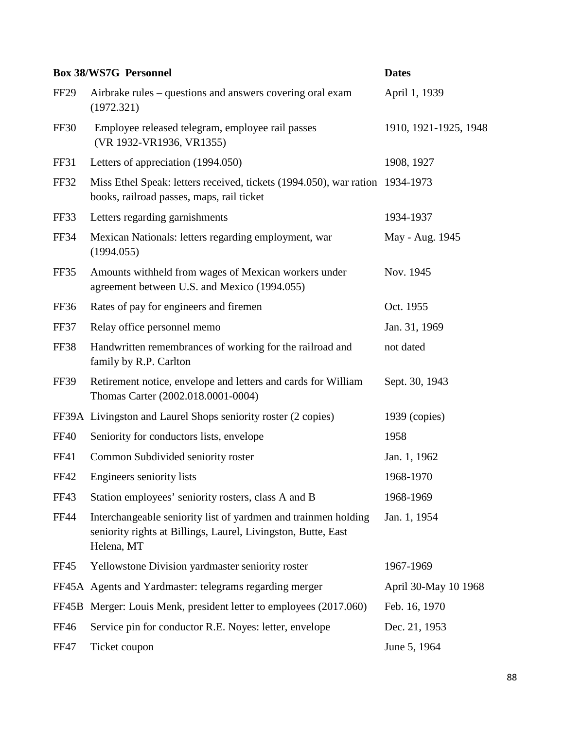|             | <b>Box 38/WS7G Personnel</b>                                                                                                                  | <b>Dates</b>          |
|-------------|-----------------------------------------------------------------------------------------------------------------------------------------------|-----------------------|
| <b>FF29</b> | Airbrake rules – questions and answers covering oral exam<br>(1972.321)                                                                       | April 1, 1939         |
| FF30        | Employee released telegram, employee rail passes<br>(VR 1932-VR1936, VR1355)                                                                  | 1910, 1921-1925, 1948 |
| FF31        | Letters of appreciation (1994.050)                                                                                                            | 1908, 1927            |
| <b>FF32</b> | Miss Ethel Speak: letters received, tickets (1994.050), war ration 1934-1973<br>books, railroad passes, maps, rail ticket                     |                       |
| FF33        | Letters regarding garnishments                                                                                                                | 1934-1937             |
| <b>FF34</b> | Mexican Nationals: letters regarding employment, war<br>(1994.055)                                                                            | May - Aug. 1945       |
| FF35        | Amounts withheld from wages of Mexican workers under<br>agreement between U.S. and Mexico (1994.055)                                          | Nov. 1945             |
| FF36        | Rates of pay for engineers and firemen                                                                                                        | Oct. 1955             |
| FF37        | Relay office personnel memo                                                                                                                   | Jan. 31, 1969         |
| <b>FF38</b> | Handwritten remembrances of working for the railroad and<br>family by R.P. Carlton                                                            | not dated             |
| <b>FF39</b> | Retirement notice, envelope and letters and cards for William<br>Thomas Carter (2002.018.0001-0004)                                           | Sept. 30, 1943        |
|             | FF39A Livingston and Laurel Shops seniority roster (2 copies)                                                                                 | $1939$ (copies)       |
| <b>FF40</b> | Seniority for conductors lists, envelope                                                                                                      | 1958                  |
| FF41        | Common Subdivided seniority roster                                                                                                            | Jan. 1, 1962          |
| FF42        | Engineers seniority lists                                                                                                                     | 1968-1970             |
| FF43        | Station employees' seniority rosters, class A and B                                                                                           | 1968-1969             |
| <b>FF44</b> | Interchangeable seniority list of yardmen and trainmen holding<br>seniority rights at Billings, Laurel, Livingston, Butte, East<br>Helena, MT | Jan. 1, 1954          |
| <b>FF45</b> | Yellowstone Division yardmaster seniority roster                                                                                              | 1967-1969             |
|             | FF45A Agents and Yardmaster: telegrams regarding merger                                                                                       | April 30-May 10 1968  |
| FF45B       | Merger: Louis Menk, president letter to employees (2017.060)                                                                                  | Feb. 16, 1970         |
| <b>FF46</b> | Service pin for conductor R.E. Noyes: letter, envelope                                                                                        | Dec. 21, 1953         |
| <b>FF47</b> | Ticket coupon                                                                                                                                 | June 5, 1964          |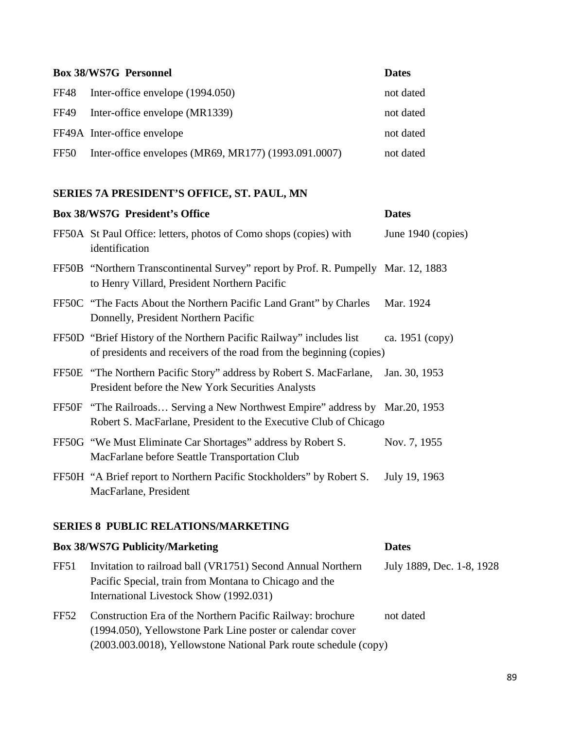| <b>Box 38/WS7G Personnel</b> |                                                      | <b>Dates</b> |
|------------------------------|------------------------------------------------------|--------------|
| FF48                         | Inter-office envelope (1994.050)                     | not dated    |
| FF49                         | Inter-office envelope (MR1339)                       | not dated    |
|                              | FF49A Inter-office envelope                          | not dated    |
| FF50                         | Inter-office envelopes (MR69, MR177) (1993.091.0007) | not dated    |

## **SERIES 7A PRESIDENT'S OFFICE, ST. PAUL, MN**

| <b>Box 38/WS7G President's Office</b>                                                                                                            | <b>Dates</b>       |
|--------------------------------------------------------------------------------------------------------------------------------------------------|--------------------|
| FF50A St Paul Office: letters, photos of Como shops (copies) with<br>identification                                                              | June 1940 (copies) |
| FF50B "Northern Transcontinental Survey" report by Prof. R. Pumpelly Mar. 12, 1883<br>to Henry Villard, President Northern Pacific               |                    |
| FF50C "The Facts About the Northern Pacific Land Grant" by Charles<br>Donnelly, President Northern Pacific                                       | Mar. 1924          |
| FF50D "Brief History of the Northern Pacific Railway" includes list<br>of presidents and receivers of the road from the beginning (copies)       | ca. 1951 (copy)    |
| FF50E "The Northern Pacific Story" address by Robert S. MacFarlane,<br>President before the New York Securities Analysts                         | Jan. 30, 1953      |
| FF50F "The Railroads Serving a New Northwest Empire" address by Mar.20, 1953<br>Robert S. MacFarlane, President to the Executive Club of Chicago |                    |
| FF50G "We Must Eliminate Car Shortages" address by Robert S.<br>MacFarlane before Seattle Transportation Club                                    | Nov. 7, 1955       |
| FF50H "A Brief report to Northern Pacific Stockholders" by Robert S.<br>MacFarlane, President                                                    | July 19, 1963      |
|                                                                                                                                                  |                    |

### **SERIES 8 PUBLIC RELATIONS/MARKETING**

|                  | <b>Box 38/WS7G Publicity/Marketing</b>                                                                                                                                                       | <b>Dates</b>              |
|------------------|----------------------------------------------------------------------------------------------------------------------------------------------------------------------------------------------|---------------------------|
| FF51             | Invitation to railroad ball (VR1751) Second Annual Northern<br>Pacific Special, train from Montana to Chicago and the<br>International Livestock Show (1992.031)                             | July 1889, Dec. 1-8, 1928 |
| FF <sub>52</sub> | Construction Era of the Northern Pacific Railway: brochure<br>(1994.050), Yellowstone Park Line poster or calendar cover<br>(2003.003.0018), Yellowstone National Park route schedule (copy) | not dated                 |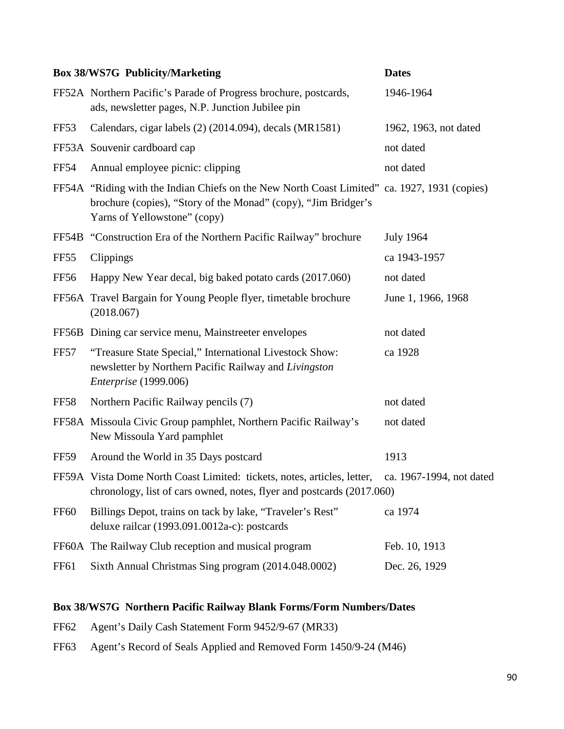|                  | <b>Box 38/WS7G Publicity/Marketing</b>                                                                                                                                                         | <b>Dates</b>          |
|------------------|------------------------------------------------------------------------------------------------------------------------------------------------------------------------------------------------|-----------------------|
|                  | FF52A Northern Pacific's Parade of Progress brochure, postcards,<br>ads, newsletter pages, N.P. Junction Jubilee pin                                                                           | 1946-1964             |
| FF <sub>53</sub> | Calendars, cigar labels (2) (2014.094), decals (MR1581)                                                                                                                                        | 1962, 1963, not dated |
|                  | FF53A Souvenir cardboard cap                                                                                                                                                                   | not dated             |
| <b>FF54</b>      | Annual employee picnic: clipping                                                                                                                                                               | not dated             |
|                  | FF54A "Riding with the Indian Chiefs on the New North Coast Limited" ca. 1927, 1931 (copies)<br>brochure (copies), "Story of the Monad" (copy), "Jim Bridger's<br>Yarns of Yellowstone" (copy) |                       |
|                  | FF54B "Construction Era of the Northern Pacific Railway" brochure                                                                                                                              | <b>July 1964</b>      |
| FF55             | Clippings                                                                                                                                                                                      | ca 1943-1957          |
| <b>FF56</b>      | Happy New Year decal, big baked potato cards (2017.060)                                                                                                                                        | not dated             |
|                  | FF56A Travel Bargain for Young People flyer, timetable brochure<br>(2018.067)                                                                                                                  | June 1, 1966, 1968    |
|                  | FF56B Dining car service menu, Mainstreeter envelopes                                                                                                                                          | not dated             |
| FF57             | "Treasure State Special," International Livestock Show:<br>newsletter by Northern Pacific Railway and Livingston<br>Enterprise (1999.006)                                                      | ca 1928               |
| FF58             | Northern Pacific Railway pencils (7)                                                                                                                                                           | not dated             |
|                  | FF58A Missoula Civic Group pamphlet, Northern Pacific Railway's<br>New Missoula Yard pamphlet                                                                                                  | not dated             |
| FF59             | Around the World in 35 Days postcard                                                                                                                                                           | 1913                  |
|                  | FF59A Vista Dome North Coast Limited: tickets, notes, articles, letter, ca. 1967-1994, not dated<br>chronology, list of cars owned, notes, flyer and postcards (2017.060)                      |                       |
| FF <sub>60</sub> | Billings Depot, trains on tack by lake, "Traveler's Rest"<br>deluxe railcar (1993.091.0012a-c): postcards                                                                                      | ca 1974               |
|                  | FF60A The Railway Club reception and musical program                                                                                                                                           | Feb. 10, 1913         |
| <b>FF61</b>      | Sixth Annual Christmas Sing program (2014.048.0002)                                                                                                                                            | Dec. 26, 1929         |

## **Box 38/WS7G Northern Pacific Railway Blank Forms/Form Numbers/Dates**

- FF62 Agent's Daily Cash Statement Form 9452/9-67 (MR33)
- FF63 Agent's Record of Seals Applied and Removed Form 1450/9-24 (M46)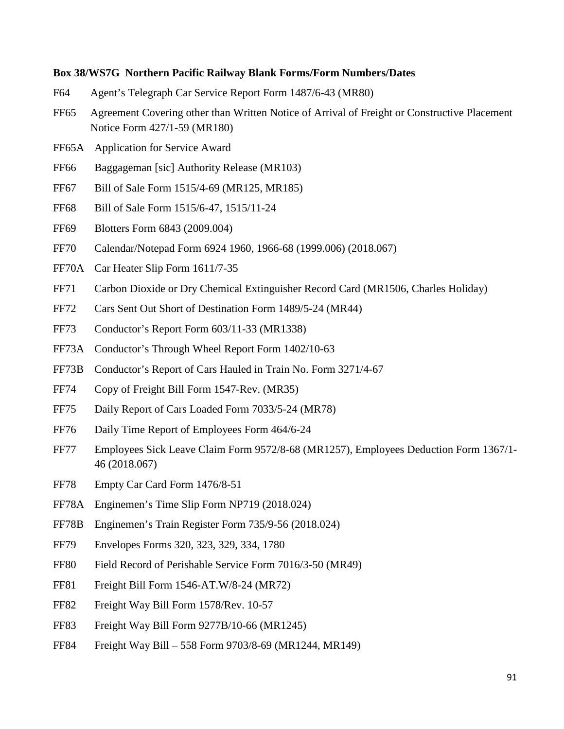#### **Box 38/WS7G Northern Pacific Railway Blank Forms/Form Numbers/Dates**

- F64 Agent's Telegraph Car Service Report Form 1487/6-43 (MR80)
- FF65 Agreement Covering other than Written Notice of Arrival of Freight or Constructive Placement Notice Form 427/1-59 (MR180)
- FF65A Application for Service Award
- FF66 Baggageman [sic] Authority Release (MR103)
- FF67 Bill of Sale Form 1515/4-69 (MR125, MR185)
- FF68 Bill of Sale Form 1515/6-47, 1515/11-24
- FF69 Blotters Form 6843 (2009.004)
- FF70 Calendar/Notepad Form 6924 1960, 1966-68 (1999.006) (2018.067)
- FF70A Car Heater Slip Form 1611/7-35
- FF71 Carbon Dioxide or Dry Chemical Extinguisher Record Card (MR1506, Charles Holiday)
- FF72 Cars Sent Out Short of Destination Form 1489/5-24 (MR44)
- FF73 Conductor's Report Form 603/11-33 (MR1338)
- FF73A Conductor's Through Wheel Report Form 1402/10-63
- FF73B Conductor's Report of Cars Hauled in Train No. Form 3271/4-67
- FF74 Copy of Freight Bill Form 1547-Rev. (MR35)
- FF75 Daily Report of Cars Loaded Form 7033/5-24 (MR78)
- FF76 Daily Time Report of Employees Form 464/6-24
- FF77 Employees Sick Leave Claim Form 9572/8-68 (MR1257), Employees Deduction Form 1367/1- 46 (2018.067)
- FF78 Empty Car Card Form 1476/8-51
- FF78A Enginemen's Time Slip Form NP719 (2018.024)
- FF78B Enginemen's Train Register Form 735/9-56 (2018.024)
- FF79 Envelopes Forms 320, 323, 329, 334, 1780
- FF80 Field Record of Perishable Service Form 7016/3-50 (MR49)
- FF81 Freight Bill Form 1546-AT.W/8-24 (MR72)
- FF82 Freight Way Bill Form 1578/Rev. 10-57
- FF83 Freight Way Bill Form 9277B/10-66 (MR1245)
- FF84 Freight Way Bill 558 Form 9703/8-69 (MR1244, MR149)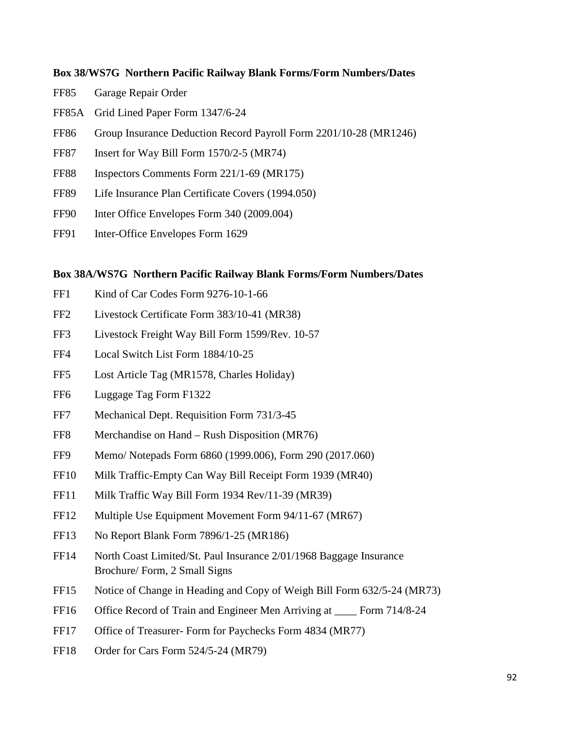#### **Box 38/WS7G Northern Pacific Railway Blank Forms/Form Numbers/Dates**

- FF85 Garage Repair Order
- FF85A Grid Lined Paper Form 1347/6-24
- FF86 Group Insurance Deduction Record Payroll Form 2201/10-28 (MR1246)
- FF87 Insert for Way Bill Form 1570/2-5 (MR74)
- FF88 Inspectors Comments Form 221/1-69 (MR175)
- FF89 Life Insurance Plan Certificate Covers (1994.050)
- FF90 Inter Office Envelopes Form 340 (2009.004)
- FF91 Inter-Office Envelopes Form 1629

### **Box 38A/WS7G Northern Pacific Railway Blank Forms/Form Numbers/Dates**

- FF1 Kind of Car Codes Form 9276-10-1-66
- FF2 Livestock Certificate Form 383/10-41 (MR38)
- FF3 Livestock Freight Way Bill Form 1599/Rev. 10-57
- FF4 Local Switch List Form 1884/10-25
- FF5 Lost Article Tag (MR1578, Charles Holiday)
- FF6 Luggage Tag Form F1322
- FF7 Mechanical Dept. Requisition Form 731/3-45
- FF8 Merchandise on Hand Rush Disposition (MR76)
- FF9 Memo/ Notepads Form 6860 (1999.006), Form 290 (2017.060)
- FF10 Milk Traffic-Empty Can Way Bill Receipt Form 1939 (MR40)
- FF11 Milk Traffic Way Bill Form 1934 Rev/11-39 (MR39)
- FF12 Multiple Use Equipment Movement Form 94/11-67 (MR67)
- FF13 No Report Blank Form 7896/1-25 (MR186)
- FF14 North Coast Limited/St. Paul Insurance 2/01/1968 Baggage Insurance Brochure/ Form, 2 Small Signs
- FF15 Notice of Change in Heading and Copy of Weigh Bill Form 632/5-24 (MR73)
- FF16 Office Record of Train and Engineer Men Arriving at \_\_\_\_ Form 714/8-24
- FF17 Office of Treasurer- Form for Paychecks Form 4834 (MR77)
- FF18 Order for Cars Form 524/5-24 (MR79)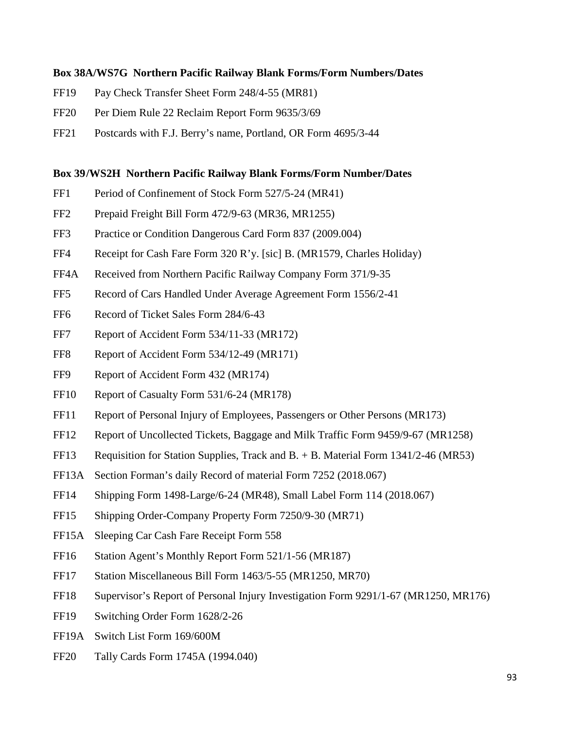#### **Box 38A/WS7G Northern Pacific Railway Blank Forms/Form Numbers/Dates**

- FF19 Pay Check Transfer Sheet Form 248/4-55 (MR81)
- FF20 Per Diem Rule 22 Reclaim Report Form 9635/3/69
- FF21 Postcards with F.J. Berry's name, Portland, OR Form 4695/3-44

#### **Box 39/WS2H Northern Pacific Railway Blank Forms/Form Number/Dates**

- FF1 Period of Confinement of Stock Form 527/5-24 (MR41)
- FF2 Prepaid Freight Bill Form 472/9-63 (MR36, MR1255)
- FF3 Practice or Condition Dangerous Card Form 837 (2009.004)
- FF4 Receipt for Cash Fare Form 320 R'y. [sic] B. (MR1579, Charles Holiday)
- FF4A Received from Northern Pacific Railway Company Form 371/9-35
- FF5 Record of Cars Handled Under Average Agreement Form 1556/2-41
- FF6 Record of Ticket Sales Form 284/6-43
- FF7 Report of Accident Form 534/11-33 (MR172)
- FF8 Report of Accident Form 534/12-49 (MR171)
- FF9 Report of Accident Form 432 (MR174)
- FF10 Report of Casualty Form 531/6-24 (MR178)
- FF11 Report of Personal Injury of Employees, Passengers or Other Persons (MR173)
- FF12 Report of Uncollected Tickets, Baggage and Milk Traffic Form 9459/9-67 (MR1258)
- FF13 Requisition for Station Supplies, Track and B. + B. Material Form 1341/2-46 (MR53)
- FF13A Section Forman's daily Record of material Form 7252 (2018.067)
- FF14 Shipping Form 1498-Large/6-24 (MR48), Small Label Form 114 (2018.067)
- FF15 Shipping Order-Company Property Form 7250/9-30 (MR71)
- FF15A Sleeping Car Cash Fare Receipt Form 558
- FF16 Station Agent's Monthly Report Form 521/1-56 (MR187)
- FF17 Station Miscellaneous Bill Form 1463/5-55 (MR1250, MR70)
- FF18 Supervisor's Report of Personal Injury Investigation Form 9291/1-67 (MR1250, MR176)
- FF19 Switching Order Form 1628/2-26
- FF19A Switch List Form 169/600M
- FF20 Tally Cards Form 1745A (1994.040)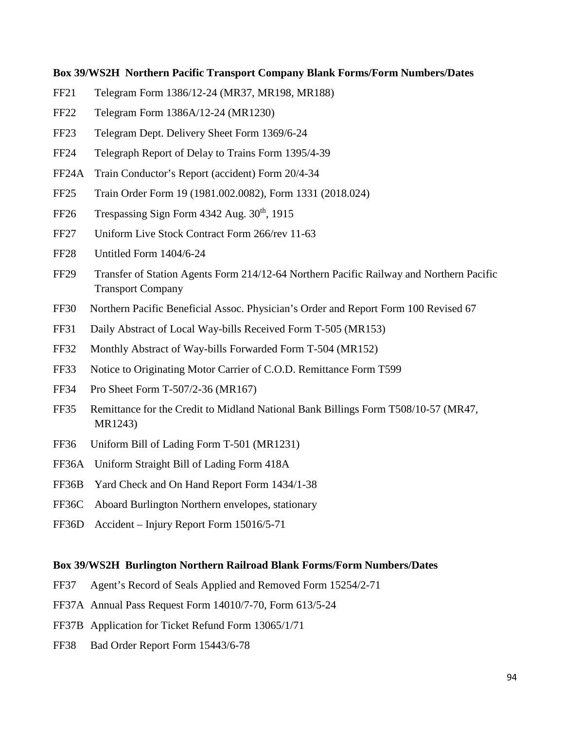#### **Box 39/WS2H Northern Pacific Transport Company Blank Forms/Form Numbers/Dates**

- FF21 Telegram Form 1386/12-24 (MR37, MR198, MR188)
- FF22 Telegram Form 1386A/12-24 (MR1230)
- FF23 Telegram Dept. Delivery Sheet Form 1369/6-24
- FF24 Telegraph Report of Delay to Trains Form 1395/4-39
- FF24A Train Conductor's Report (accident) Form 20/4-34
- FF25 Train Order Form 19 (1981.002.0082), Form 1331 (2018.024)
- FF26 Trespassing Sign Form  $4342$  Aug.  $30<sup>th</sup>$ , 1915
- FF27 Uniform Live Stock Contract Form 266/rev 11-63
- FF28 Untitled Form 1404/6-24
- FF29 Transfer of Station Agents Form 214/12-64 Northern Pacific Railway and Northern Pacific Transport Company
- FF30 Northern Pacific Beneficial Assoc. Physician's Order and Report Form 100 Revised 67
- FF31 Daily Abstract of Local Way-bills Received Form T-505 (MR153)
- FF32 Monthly Abstract of Way-bills Forwarded Form T-504 (MR152)
- FF33 Notice to Originating Motor Carrier of C.O.D. Remittance Form T599
- FF34 Pro Sheet Form T-507/2-36 (MR167)
- FF35 Remittance for the Credit to Midland National Bank Billings Form T508/10-57 (MR47, MR1243)
- FF36 Uniform Bill of Lading Form T-501 (MR1231)
- FF36A Uniform Straight Bill of Lading Form 418A
- FF36B Yard Check and On Hand Report Form 1434/1-38
- FF36C Aboard Burlington Northern envelopes, stationary
- FF36D Accident Injury Report Form 15016/5-71

#### **Box 39/WS2H Burlington Northern Railroad Blank Forms/Form Numbers/Dates**

- FF37 Agent's Record of Seals Applied and Removed Form 15254/2-71
- FF37A Annual Pass Request Form 14010/7-70, Form 613/5-24
- FF37B Application for Ticket Refund Form 13065/1/71
- FF38 Bad Order Report Form 15443/6-78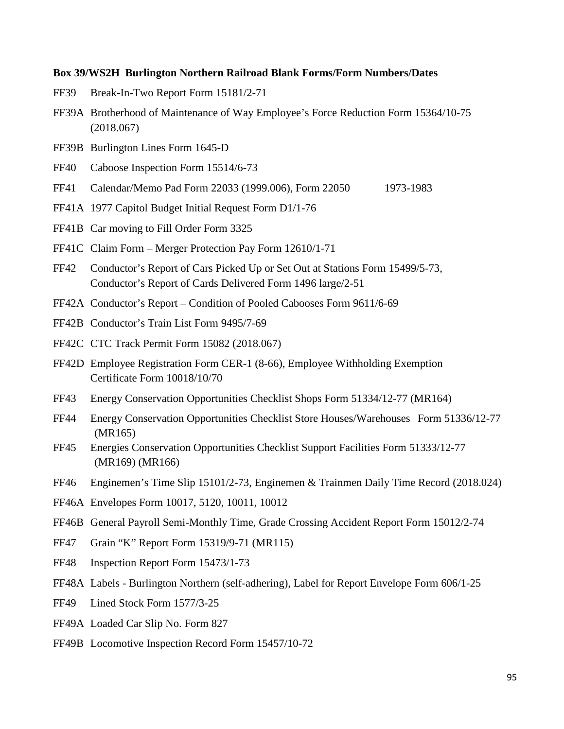#### **Box 39/WS2H Burlington Northern Railroad Blank Forms/Form Numbers/Dates**

- FF39 Break-In-Two Report Form 15181/2-71
- FF39A Brotherhood of Maintenance of Way Employee's Force Reduction Form 15364/10-75 (2018.067)
- FF39B Burlington Lines Form 1645-D
- FF40 Caboose Inspection Form 15514/6-73
- FF41 Calendar/Memo Pad Form 22033 (1999.006), Form 22050 1973-1983
- FF41A 1977 Capitol Budget Initial Request Form D1/1-76
- FF41B Car moving to Fill Order Form 3325
- FF41C Claim Form Merger Protection Pay Form 12610/1-71
- FF42 Conductor's Report of Cars Picked Up or Set Out at Stations Form 15499/5-73, Conductor's Report of Cards Delivered Form 1496 large/2-51
- FF42A Conductor's Report Condition of Pooled Cabooses Form 9611/6-69
- FF42B Conductor's Train List Form 9495/7-69
- FF42C CTC Track Permit Form 15082 (2018.067)
- FF42D Employee Registration Form CER-1 (8-66), Employee Withholding Exemption Certificate Form 10018/10/70
- FF43 Energy Conservation Opportunities Checklist Shops Form 51334/12-77 (MR164)
- FF44 Energy Conservation Opportunities Checklist Store Houses/Warehouses Form 51336/12-77 (MR165)
- FF45 Energies Conservation Opportunities Checklist Support Facilities Form 51333/12-77 (MR169) (MR166)
- FF46 Enginemen's Time Slip 15101/2-73, Enginemen & Trainmen Daily Time Record (2018.024)
- FF46A Envelopes Form 10017, 5120, 10011, 10012
- FF46B General Payroll Semi-Monthly Time, Grade Crossing Accident Report Form 15012/2-74
- FF47 Grain "K" Report Form 15319/9-71 (MR115)
- FF48 Inspection Report Form 15473/1-73
- FF48A Labels Burlington Northern (self-adhering), Label for Report Envelope Form 606/1-25
- FF49 Lined Stock Form 1577/3-25
- FF49A Loaded Car Slip No. Form 827
- FF49B Locomotive Inspection Record Form 15457/10-72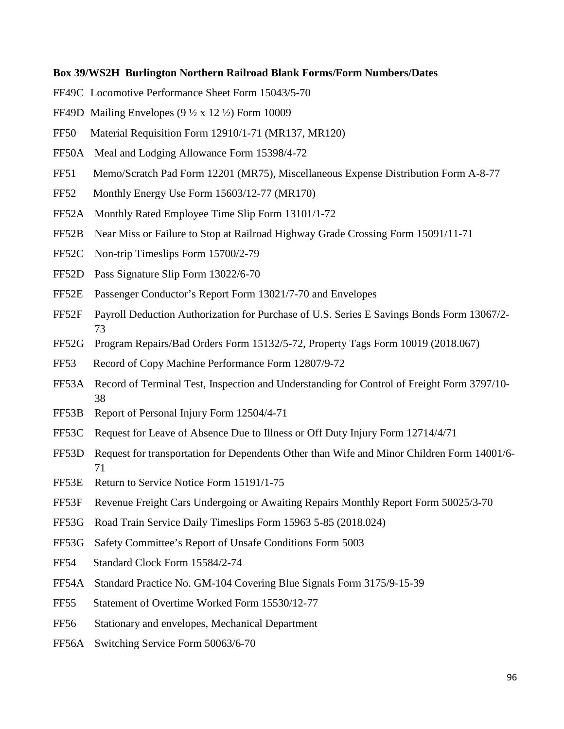#### **Box 39/WS2H Burlington Northern Railroad Blank Forms/Form Numbers/Dates**

- FF49C Locomotive Performance Sheet Form 15043/5-70
- FF49D Mailing Envelopes  $(9 \frac{1}{2} \times 12 \frac{1}{2})$  Form 10009
- FF50 Material Requisition Form 12910/1-71 (MR137, MR120)
- FF50A Meal and Lodging Allowance Form 15398/4-72
- FF51 Memo/Scratch Pad Form 12201 (MR75), Miscellaneous Expense Distribution Form A-8-77
- FF52 Monthly Energy Use Form 15603/12-77 (MR170)
- FF52A Monthly Rated Employee Time Slip Form 13101/1-72
- FF52B Near Miss or Failure to Stop at Railroad Highway Grade Crossing Form 15091/11-71
- FF52C Non-trip Timeslips Form 15700/2-79
- FF52D Pass Signature Slip Form 13022/6-70
- FF52E Passenger Conductor's Report Form 13021/7-70 and Envelopes
- FF52F Payroll Deduction Authorization for Purchase of U.S. Series E Savings Bonds Form 13067/2- 73
- FF52G Program Repairs/Bad Orders Form 15132/5-72, Property Tags Form 10019 (2018.067)
- FF53 Record of Copy Machine Performance Form 12807/9-72
- FF53A Record of Terminal Test, Inspection and Understanding for Control of Freight Form 3797/10- 38
- FF53B Report of Personal Injury Form 12504/4-71
- FF53C Request for Leave of Absence Due to Illness or Off Duty Injury Form 12714/4/71
- FF53D Request for transportation for Dependents Other than Wife and Minor Children Form 14001/6- 71
- FF53E Return to Service Notice Form 15191/1-75
- FF53F Revenue Freight Cars Undergoing or Awaiting Repairs Monthly Report Form 50025/3-70
- FF53G Road Train Service Daily Timeslips Form 15963 5-85 (2018.024)
- FF53G Safety Committee's Report of Unsafe Conditions Form 5003
- FF54 Standard Clock Form 15584/2-74
- FF54A Standard Practice No. GM-104 Covering Blue Signals Form 3175/9-15-39
- FF55 Statement of Overtime Worked Form 15530/12-77
- FF56 Stationary and envelopes, Mechanical Department
- FF56A Switching Service Form 50063/6-70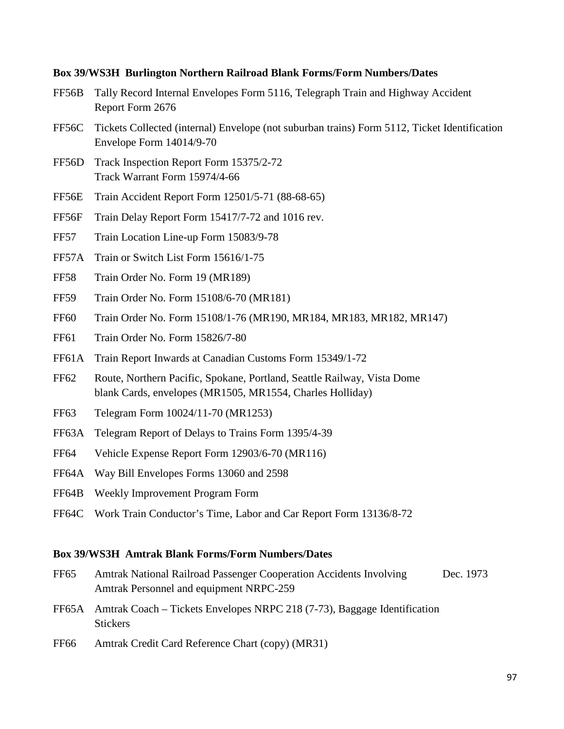#### **Box 39/WS3H Burlington Northern Railroad Blank Forms/Form Numbers/Dates**

- FF56B Tally Record Internal Envelopes Form 5116, Telegraph Train and Highway Accident Report Form 2676
- FF56C Tickets Collected (internal) Envelope (not suburban trains) Form 5112, Ticket Identification Envelope Form 14014/9-70
- FF56D Track Inspection Report Form 15375/2-72 Track Warrant Form 15974/4-66
- FF56E Train Accident Report Form 12501/5-71 (88-68-65)
- FF56F Train Delay Report Form 15417/7-72 and 1016 rev.
- FF57 Train Location Line-up Form 15083/9-78
- FF57A Train or Switch List Form 15616/1-75
- FF58 Train Order No. Form 19 (MR189)
- FF59 Train Order No. Form 15108/6-70 (MR181)
- FF60 Train Order No. Form 15108/1-76 (MR190, MR184, MR183, MR182, MR147)
- FF61 Train Order No. Form 15826/7-80
- FF61A Train Report Inwards at Canadian Customs Form 15349/1-72
- FF62 Route, Northern Pacific, Spokane, Portland, Seattle Railway, Vista Dome blank Cards, envelopes (MR1505, MR1554, Charles Holliday)
- FF63 Telegram Form 10024/11-70 (MR1253)
- FF63A Telegram Report of Delays to Trains Form 1395/4-39
- FF64 Vehicle Expense Report Form 12903/6-70 (MR116)
- FF64A Way Bill Envelopes Forms 13060 and 2598
- FF64B Weekly Improvement Program Form
- FF64C Work Train Conductor's Time, Labor and Car Report Form 13136/8-72

#### **Box 39/WS3H Amtrak Blank Forms/Form Numbers/Dates**

- FF65 Amtrak National Railroad Passenger Cooperation Accidents Involving Dec. 1973 Amtrak Personnel and equipment NRPC-259
- FF65A Amtrak Coach Tickets Envelopes NRPC 218 (7-73), Baggage Identification **Stickers**
- FF66 Amtrak Credit Card Reference Chart (copy) (MR31)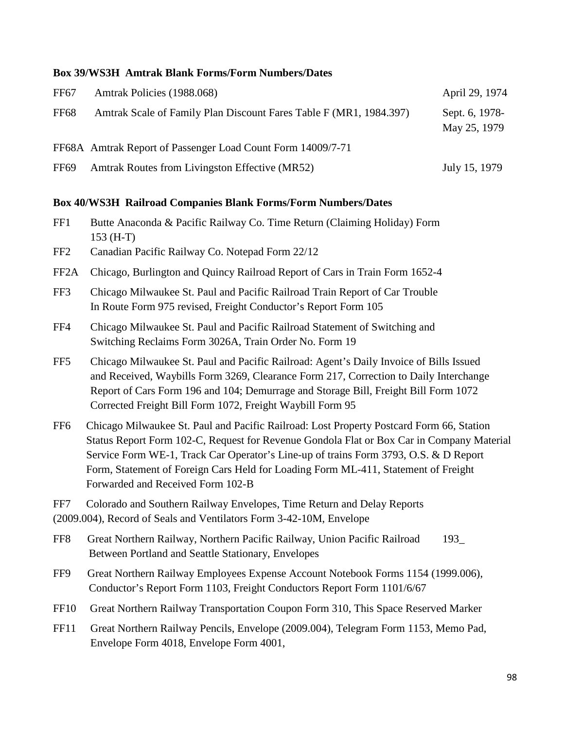#### **Box 39/WS3H Amtrak Blank Forms/Form Numbers/Dates**

| FF <sub>67</sub> | Amtrak Policies (1988.068)                                         | April 29, 1974                 |
|------------------|--------------------------------------------------------------------|--------------------------------|
| <b>FF68</b>      | Amtrak Scale of Family Plan Discount Fares Table F (MR1, 1984.397) | Sept. 6, 1978-<br>May 25, 1979 |
|                  | FF68A Amtrak Report of Passenger Load Count Form 14009/7-71        |                                |
| FF <sub>69</sub> | Amtrak Routes from Livingston Effective (MR52)                     | July 15, 1979                  |

#### **Box 40/WS3H Railroad Companies Blank Forms/Form Numbers/Dates**

- FF1 Butte Anaconda & Pacific Railway Co. Time Return (Claiming Holiday) Form 153 (H-T)
- FF2 Canadian Pacific Railway Co. Notepad Form 22/12
- FF2A Chicago, Burlington and Quincy Railroad Report of Cars in Train Form 1652-4
- FF3 Chicago Milwaukee St. Paul and Pacific Railroad Train Report of Car Trouble In Route Form 975 revised, Freight Conductor's Report Form 105
- FF4 Chicago Milwaukee St. Paul and Pacific Railroad Statement of Switching and Switching Reclaims Form 3026A, Train Order No. Form 19
- FF5 Chicago Milwaukee St. Paul and Pacific Railroad: Agent's Daily Invoice of Bills Issued and Received, Waybills Form 3269, Clearance Form 217, Correction to Daily Interchange Report of Cars Form 196 and 104; Demurrage and Storage Bill, Freight Bill Form 1072 Corrected Freight Bill Form 1072, Freight Waybill Form 95
- FF6 Chicago Milwaukee St. Paul and Pacific Railroad: Lost Property Postcard Form 66, Station Status Report Form 102-C, Request for Revenue Gondola Flat or Box Car in Company Material Service Form WE-1, Track Car Operator's Line-up of trains Form 3793, O.S. & D Report Form, Statement of Foreign Cars Held for Loading Form ML-411, Statement of Freight Forwarded and Received Form 102-B

FF7 Colorado and Southern Railway Envelopes, Time Return and Delay Reports (2009.004), Record of Seals and Ventilators Form 3-42-10M, Envelope

- FF8 Great Northern Railway, Northern Pacific Railway, Union Pacific Railroad 193\_ Between Portland and Seattle Stationary, Envelopes
- FF9 Great Northern Railway Employees Expense Account Notebook Forms 1154 (1999.006), Conductor's Report Form 1103, Freight Conductors Report Form 1101/6/67
- FF10 Great Northern Railway Transportation Coupon Form 310, This Space Reserved Marker
- FF11 Great Northern Railway Pencils, Envelope (2009.004), Telegram Form 1153, Memo Pad, Envelope Form 4018, Envelope Form 4001,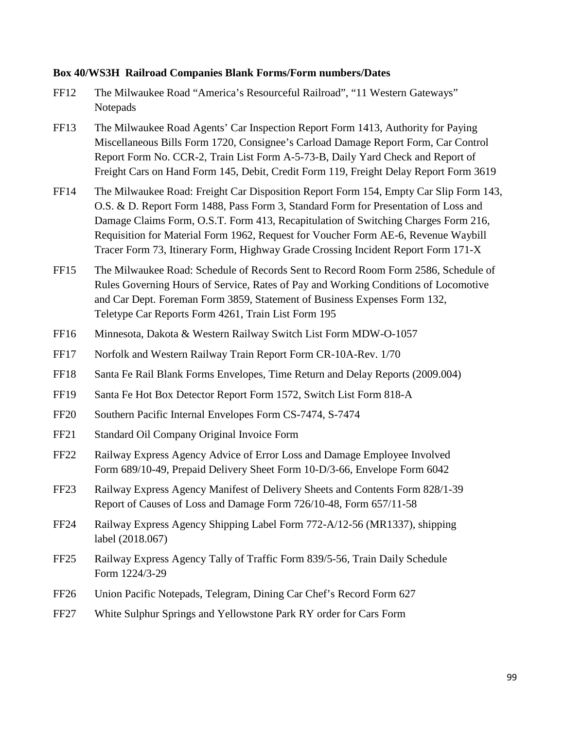#### **Box 40/WS3H Railroad Companies Blank Forms/Form numbers/Dates**

- FF12 The Milwaukee Road "America's Resourceful Railroad", "11 Western Gateways" **Notepads**
- FF13 The Milwaukee Road Agents' Car Inspection Report Form 1413, Authority for Paying Miscellaneous Bills Form 1720, Consignee's Carload Damage Report Form, Car Control Report Form No. CCR-2, Train List Form A-5-73-B, Daily Yard Check and Report of Freight Cars on Hand Form 145, Debit, Credit Form 119, Freight Delay Report Form 3619
- FF14 The Milwaukee Road: Freight Car Disposition Report Form 154, Empty Car Slip Form 143, O.S. & D. Report Form 1488, Pass Form 3, Standard Form for Presentation of Loss and Damage Claims Form, O.S.T. Form 413, Recapitulation of Switching Charges Form 216, Requisition for Material Form 1962, Request for Voucher Form AE-6, Revenue Waybill Tracer Form 73, Itinerary Form, Highway Grade Crossing Incident Report Form 171-X
- FF15 The Milwaukee Road: Schedule of Records Sent to Record Room Form 2586, Schedule of Rules Governing Hours of Service, Rates of Pay and Working Conditions of Locomotive and Car Dept. Foreman Form 3859, Statement of Business Expenses Form 132, Teletype Car Reports Form 4261, Train List Form 195
- FF16 Minnesota, Dakota & Western Railway Switch List Form MDW-O-1057
- FF17 Norfolk and Western Railway Train Report Form CR-10A-Rev. 1/70
- FF18 Santa Fe Rail Blank Forms Envelopes, Time Return and Delay Reports (2009.004)
- FF19 Santa Fe Hot Box Detector Report Form 1572, Switch List Form 818-A
- FF20 Southern Pacific Internal Envelopes Form CS-7474, S-7474
- FF21 Standard Oil Company Original Invoice Form
- FF22 Railway Express Agency Advice of Error Loss and Damage Employee Involved Form 689/10-49, Prepaid Delivery Sheet Form 10-D/3-66, Envelope Form 6042
- FF23 Railway Express Agency Manifest of Delivery Sheets and Contents Form 828/1-39 Report of Causes of Loss and Damage Form 726/10-48, Form 657/11-58
- FF24 Railway Express Agency Shipping Label Form 772-A/12-56 (MR1337), shipping label (2018.067)
- FF25 Railway Express Agency Tally of Traffic Form 839/5-56, Train Daily Schedule Form 1224/3-29
- FF26 Union Pacific Notepads, Telegram, Dining Car Chef's Record Form 627
- FF27 White Sulphur Springs and Yellowstone Park RY order for Cars Form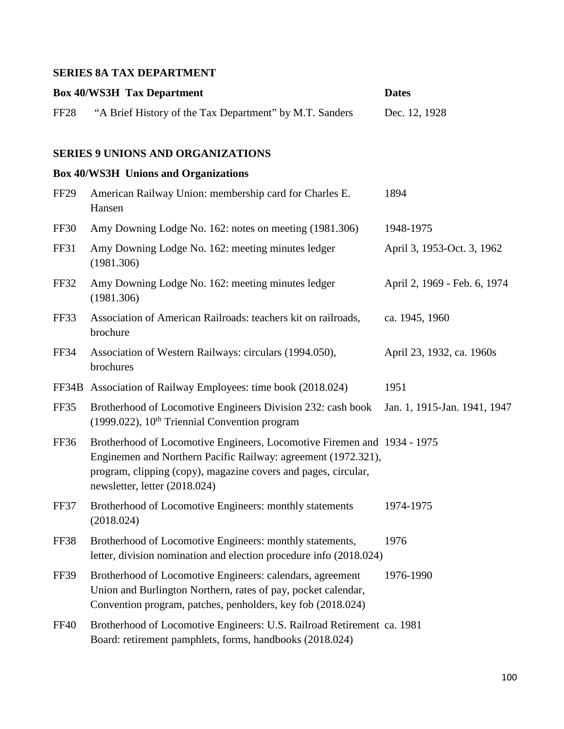## **SERIES 8A TAX DEPARTMENT**

|                  | <b>Box 40/WS3H Tax Department</b>                                                                                                                                                                                                           | <b>Dates</b>                 |
|------------------|---------------------------------------------------------------------------------------------------------------------------------------------------------------------------------------------------------------------------------------------|------------------------------|
| FF <sub>28</sub> | "A Brief History of the Tax Department" by M.T. Sanders                                                                                                                                                                                     | Dec. 12, 1928                |
|                  | <b>SERIES 9 UNIONS AND ORGANIZATIONS</b>                                                                                                                                                                                                    |                              |
|                  | <b>Box 40/WS3H Unions and Organizations</b>                                                                                                                                                                                                 |                              |
| FF <sub>29</sub> | American Railway Union: membership card for Charles E.<br>Hansen                                                                                                                                                                            | 1894                         |
| FF30             | Amy Downing Lodge No. 162: notes on meeting (1981.306)                                                                                                                                                                                      | 1948-1975                    |
| FF31             | Amy Downing Lodge No. 162: meeting minutes ledger<br>(1981.306)                                                                                                                                                                             | April 3, 1953-Oct. 3, 1962   |
| <b>FF32</b>      | Amy Downing Lodge No. 162: meeting minutes ledger<br>(1981.306)                                                                                                                                                                             | April 2, 1969 - Feb. 6, 1974 |
| FF33             | Association of American Railroads: teachers kit on railroads,<br>brochure                                                                                                                                                                   | ca. 1945, 1960               |
| <b>FF34</b>      | Association of Western Railways: circulars (1994.050),<br>brochures                                                                                                                                                                         | April 23, 1932, ca. 1960s    |
|                  | FF34B Association of Railway Employees: time book (2018.024)                                                                                                                                                                                | 1951                         |
| FF35             | Brotherhood of Locomotive Engineers Division 232: cash book<br>(1999.022), 10 <sup>th</sup> Triennial Convention program                                                                                                                    | Jan. 1, 1915-Jan. 1941, 1947 |
| FF36             | Brotherhood of Locomotive Engineers, Locomotive Firemen and 1934 - 1975<br>Enginemen and Northern Pacific Railway: agreement (1972.321),<br>program, clipping (copy), magazine covers and pages, circular,<br>newsletter, letter (2018.024) |                              |
| FF37             | Brotherhood of Locomotive Engineers: monthly statements<br>(2018.024)                                                                                                                                                                       | 1974-1975                    |
| <b>FF38</b>      | Brotherhood of Locomotive Engineers: monthly statements,<br>letter, division nomination and election procedure info (2018.024)                                                                                                              | 1976                         |
| <b>FF39</b>      | Brotherhood of Locomotive Engineers: calendars, agreement<br>Union and Burlington Northern, rates of pay, pocket calendar,<br>Convention program, patches, penholders, key fob (2018.024)                                                   | 1976-1990                    |
| FF40             | Brotherhood of Locomotive Engineers: U.S. Railroad Retirement ca. 1981<br>Board: retirement pamphlets, forms, handbooks (2018.024)                                                                                                          |                              |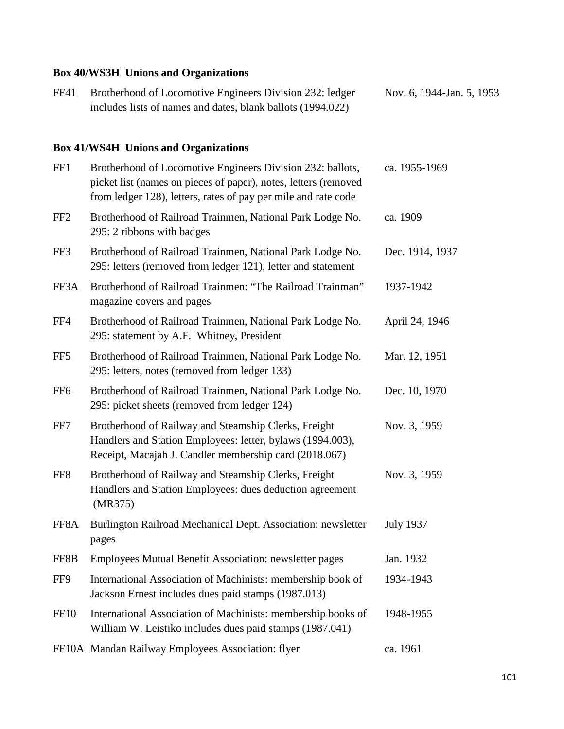## **Box 40/WS3H Unions and Organizations**

| FF41 | Brotherhood of Locomotive Engineers Division 232: ledger    | Nov. 6, 1944-Jan. 5, 1953 |
|------|-------------------------------------------------------------|---------------------------|
|      | includes lists of names and dates, blank ballots (1994.022) |                           |

## **Box 41/WS4H Unions and Organizations**

| FF1             | Brotherhood of Locomotive Engineers Division 232: ballots,<br>picket list (names on pieces of paper), notes, letters (removed<br>from ledger 128), letters, rates of pay per mile and rate code | ca. 1955-1969    |
|-----------------|-------------------------------------------------------------------------------------------------------------------------------------------------------------------------------------------------|------------------|
| FF <sub>2</sub> | Brotherhood of Railroad Trainmen, National Park Lodge No.<br>295: 2 ribbons with badges                                                                                                         | ca. 1909         |
| FF3             | Brotherhood of Railroad Trainmen, National Park Lodge No.<br>295: letters (removed from ledger 121), letter and statement                                                                       | Dec. 1914, 1937  |
| FF3A            | Brotherhood of Railroad Trainmen: "The Railroad Trainman"<br>magazine covers and pages                                                                                                          | 1937-1942        |
| FF4             | Brotherhood of Railroad Trainmen, National Park Lodge No.<br>295: statement by A.F. Whitney, President                                                                                          | April 24, 1946   |
| FF <sub>5</sub> | Brotherhood of Railroad Trainmen, National Park Lodge No.<br>295: letters, notes (removed from ledger 133)                                                                                      | Mar. 12, 1951    |
| FF <sub>6</sub> | Brotherhood of Railroad Trainmen, National Park Lodge No.<br>295: picket sheets (removed from ledger 124)                                                                                       | Dec. 10, 1970    |
| FF7             | Brotherhood of Railway and Steamship Clerks, Freight<br>Handlers and Station Employees: letter, bylaws (1994.003),<br>Receipt, Macajah J. Candler membership card (2018.067)                    | Nov. 3, 1959     |
| FF <sub>8</sub> | Brotherhood of Railway and Steamship Clerks, Freight<br>Handlers and Station Employees: dues deduction agreement<br>(MR375)                                                                     | Nov. 3, 1959     |
| FF8A            | Burlington Railroad Mechanical Dept. Association: newsletter<br>pages                                                                                                                           | <b>July 1937</b> |
| FF8B            | Employees Mutual Benefit Association: newsletter pages                                                                                                                                          | Jan. 1932        |
| FF9             | International Association of Machinists: membership book of<br>Jackson Ernest includes dues paid stamps (1987.013)                                                                              | 1934-1943        |
| <b>FF10</b>     | International Association of Machinists: membership books of<br>William W. Leistiko includes dues paid stamps (1987.041)                                                                        | 1948-1955        |
|                 | FF10A Mandan Railway Employees Association: flyer                                                                                                                                               | ca. 1961         |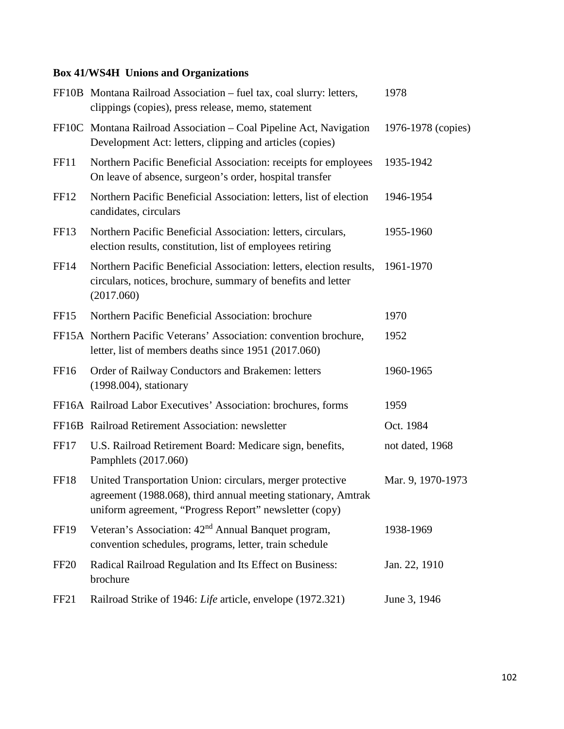## **Box 41/WS4H Unions and Organizations**

|                  | FF10B Montana Railroad Association – fuel tax, coal slurry: letters,<br>clippings (copies), press release, memo, statement                                                           | 1978               |
|------------------|--------------------------------------------------------------------------------------------------------------------------------------------------------------------------------------|--------------------|
|                  | FF10C Montana Railroad Association – Coal Pipeline Act, Navigation<br>Development Act: letters, clipping and articles (copies)                                                       | 1976-1978 (copies) |
| <b>FF11</b>      | Northern Pacific Beneficial Association: receipts for employees<br>On leave of absence, surgeon's order, hospital transfer                                                           | 1935-1942          |
| FF <sub>12</sub> | Northern Pacific Beneficial Association: letters, list of election<br>candidates, circulars                                                                                          | 1946-1954          |
| FF <sub>13</sub> | Northern Pacific Beneficial Association: letters, circulars,<br>election results, constitution, list of employees retiring                                                           | 1955-1960          |
| FF14             | Northern Pacific Beneficial Association: letters, election results,<br>circulars, notices, brochure, summary of benefits and letter<br>(2017.060)                                    | 1961-1970          |
| FF <sub>15</sub> | Northern Pacific Beneficial Association: brochure                                                                                                                                    | 1970               |
|                  | FF15A Northern Pacific Veterans' Association: convention brochure,<br>letter, list of members deaths since 1951 (2017.060)                                                           | 1952               |
| FF <sub>16</sub> | Order of Railway Conductors and Brakemen: letters<br>$(1998.004)$ , stationary                                                                                                       | 1960-1965          |
|                  | FF16A Railroad Labor Executives' Association: brochures, forms                                                                                                                       | 1959               |
|                  | FF16B Railroad Retirement Association: newsletter                                                                                                                                    | Oct. 1984          |
| FF17             | U.S. Railroad Retirement Board: Medicare sign, benefits,<br>Pamphlets (2017.060)                                                                                                     | not dated, 1968    |
| FF18             | United Transportation Union: circulars, merger protective<br>agreement (1988.068), third annual meeting stationary, Amtrak<br>uniform agreement, "Progress Report" newsletter (copy) | Mar. 9, 1970-1973  |
| <b>FF19</b>      | Veteran's Association: 42 <sup>nd</sup> Annual Banquet program,<br>convention schedules, programs, letter, train schedule                                                            | 1938-1969          |
| <b>FF20</b>      | Radical Railroad Regulation and Its Effect on Business:<br>brochure                                                                                                                  | Jan. 22, 1910      |
| FF <sub>21</sub> | Railroad Strike of 1946: Life article, envelope (1972.321)                                                                                                                           | June 3, 1946       |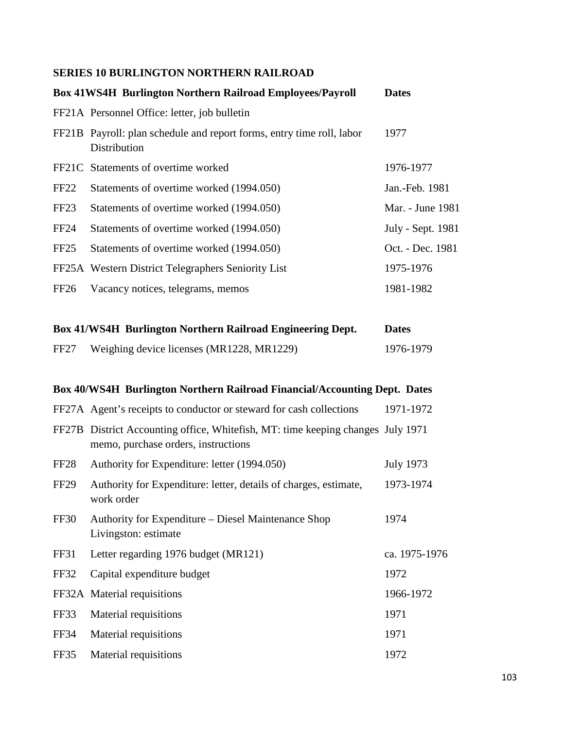## **SERIES 10 BURLINGTON NORTHERN RAILROAD**

|                  | <b>Box 41WS4H Burlington Northern Railroad Employees/Payroll</b>                      | <b>Dates</b>      |
|------------------|---------------------------------------------------------------------------------------|-------------------|
|                  | FF21A Personnel Office: letter, job bulletin                                          |                   |
|                  | FF21B Payroll: plan schedule and report forms, entry time roll, labor<br>Distribution | 1977              |
|                  | FF21C Statements of overtime worked                                                   | 1976-1977         |
| FF22             | Statements of overtime worked (1994.050)                                              | Jan.-Feb. 1981    |
| FF <sub>23</sub> | Statements of overtime worked (1994.050)                                              | Mar. - June 1981  |
| FF24             | Statements of overtime worked (1994.050)                                              | July - Sept. 1981 |
| FF <sub>25</sub> | Statements of overtime worked (1994.050)                                              | Oct. - Dec. 1981  |
|                  | FF25A Western District Telegraphers Seniority List                                    | 1975-1976         |
| FF <sub>26</sub> | Vacancy notices, telegrams, memos                                                     | 1981-1982         |

|                  | <b>Box 41/WS4H Burlington Northern Railroad Engineering Dept.</b> | <b>Dates</b> |
|------------------|-------------------------------------------------------------------|--------------|
| FF <sub>27</sub> | Weighing device licenses (MR1228, MR1229)                         | 1976-1979    |

## **Box 40/WS4H Burlington Northern Railroad Financial/Accounting Dept. Dates**

|                  | FF27A Agent's receipts to conductor or steward for cash collections                                                    | 1971-1972        |
|------------------|------------------------------------------------------------------------------------------------------------------------|------------------|
|                  | FF27B District Accounting office, Whitefish, MT: time keeping changes July 1971<br>memo, purchase orders, instructions |                  |
| FF <sub>28</sub> | Authority for Expenditure: letter (1994.050)                                                                           | <b>July 1973</b> |
| FF <sub>29</sub> | Authority for Expenditure: letter, details of charges, estimate,<br>work order                                         | 1973-1974        |
| FF30             | Authority for Expenditure – Diesel Maintenance Shop<br>Livingston: estimate                                            | 1974             |
| FF31             | Letter regarding 1976 budget (MR121)                                                                                   | ca. 1975-1976    |
| FF32             | Capital expenditure budget                                                                                             | 1972             |
|                  | FF32A Material requisitions                                                                                            | 1966-1972        |
| FF33             | Material requisitions                                                                                                  | 1971             |
| FF34             | Material requisitions                                                                                                  | 1971             |
| FF35             | Material requisitions                                                                                                  | 1972             |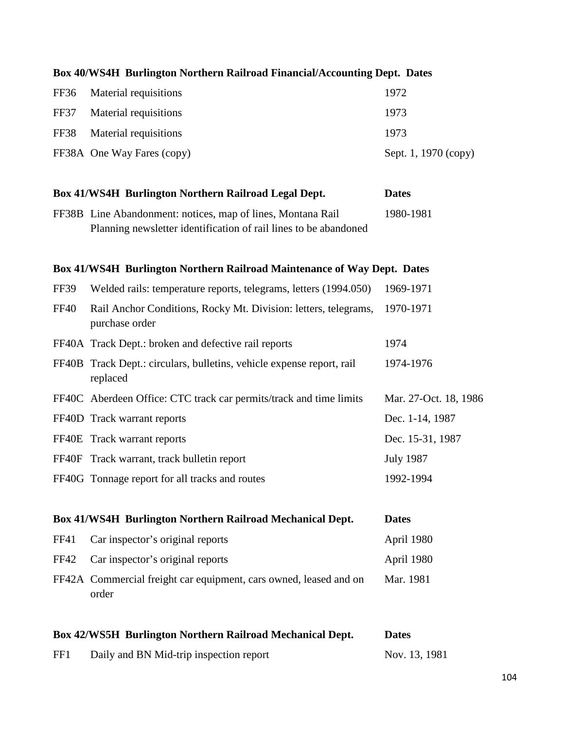| Box 40/WS4H Burlington Northern Railroad Financial/Accounting Dept. Dates |                                                                                                                                 |                       |
|---------------------------------------------------------------------------|---------------------------------------------------------------------------------------------------------------------------------|-----------------------|
| FF36                                                                      | Material requisitions                                                                                                           | 1972                  |
| FF37                                                                      | Material requisitions                                                                                                           | 1973                  |
| <b>FF38</b>                                                               | Material requisitions                                                                                                           | 1973                  |
|                                                                           | FF38A One Way Fares (copy)                                                                                                      | Sept. 1, 1970 (copy)  |
|                                                                           | Box 41/WS4H Burlington Northern Railroad Legal Dept.                                                                            | <b>Dates</b>          |
|                                                                           | FF38B Line Abandonment: notices, map of lines, Montana Rail<br>Planning newsletter identification of rail lines to be abandoned | 1980-1981             |
|                                                                           | Box 41/WS4H Burlington Northern Railroad Maintenance of Way Dept. Dates                                                         |                       |
| FF39                                                                      | Welded rails: temperature reports, telegrams, letters (1994.050)                                                                | 1969-1971             |
| <b>FF40</b>                                                               | Rail Anchor Conditions, Rocky Mt. Division: letters, telegrams,<br>purchase order                                               | 1970-1971             |
|                                                                           | FF40A Track Dept.: broken and defective rail reports                                                                            | 1974                  |
| FF40B                                                                     | Track Dept.: circulars, bulletins, vehicle expense report, rail<br>replaced                                                     | 1974-1976             |
|                                                                           | FF40C Aberdeen Office: CTC track car permits/track and time limits                                                              | Mar. 27-Oct. 18, 1986 |
|                                                                           | FF40D Track warrant reports                                                                                                     | Dec. 1-14, 1987       |
|                                                                           | FF40E Track warrant reports                                                                                                     | Dec. 15-31, 1987      |
|                                                                           | FF40F Track warrant, track bulletin report                                                                                      | <b>July 1987</b>      |
|                                                                           | FF40G Tonnage report for all tracks and routes                                                                                  | 1992-1994             |
|                                                                           | Box 41/WS4H Burlington Northern Railroad Mechanical Dept.                                                                       | <b>Dates</b>          |
| <b>FF41</b>                                                               | Car inspector's original reports                                                                                                | April 1980            |
| <b>FF42</b>                                                               | Car inspector's original reports                                                                                                | April 1980            |
|                                                                           | FF42A Commercial freight car equipment, cars owned, leased and on<br>order                                                      | Mar. 1981             |
|                                                                           | Box 42/WS5H Burlington Northern Railroad Mechanical Dept.                                                                       | <b>Dates</b>          |
| FF1                                                                       | Daily and BN Mid-trip inspection report                                                                                         | Nov. 13, 1981         |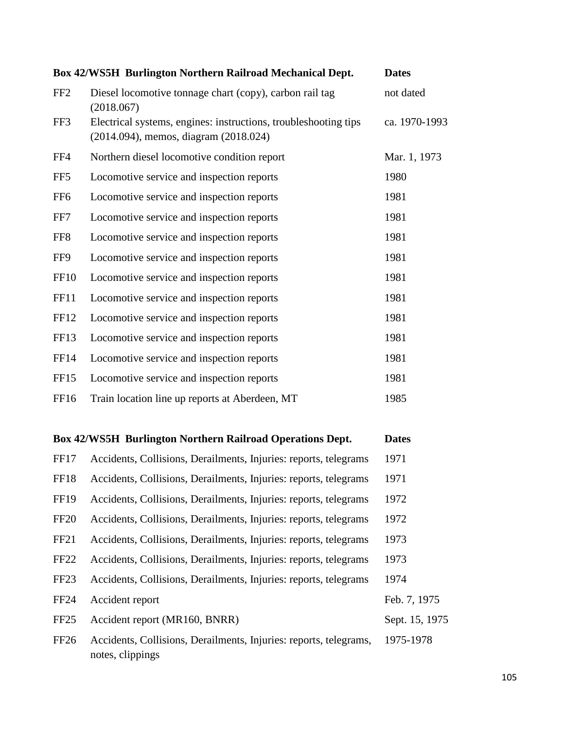|                 | Box 42/WS5H Burlington Northern Railroad Mechanical Dept.                                                | <b>Dates</b>  |
|-----------------|----------------------------------------------------------------------------------------------------------|---------------|
| FF <sub>2</sub> | Diesel locomotive tonnage chart (copy), carbon rail tag<br>(2018.067)                                    | not dated     |
| FF3             | Electrical systems, engines: instructions, troubleshooting tips<br>(2014.094), memos, diagram (2018.024) | ca. 1970-1993 |
| FF4             | Northern diesel locomotive condition report                                                              | Mar. 1, 1973  |
| FF <sub>5</sub> | Locomotive service and inspection reports                                                                | 1980          |
| FF <sub>6</sub> | Locomotive service and inspection reports                                                                | 1981          |
| FF7             | Locomotive service and inspection reports                                                                | 1981          |
| FF8             | Locomotive service and inspection reports                                                                | 1981          |
| FF9             | Locomotive service and inspection reports                                                                | 1981          |
| <b>FF10</b>     | Locomotive service and inspection reports                                                                | 1981          |
| <b>FF11</b>     | Locomotive service and inspection reports                                                                | 1981          |
| FF12            | Locomotive service and inspection reports                                                                | 1981          |
| <b>FF13</b>     | Locomotive service and inspection reports                                                                | 1981          |
| <b>FF14</b>     | Locomotive service and inspection reports                                                                | 1981          |
| <b>FF15</b>     | Locomotive service and inspection reports                                                                | 1981          |
| FF16            | Train location line up reports at Aberdeen, MT                                                           | 1985          |

| <b>Box 42/WS5H Burlington Northern Railroad Operations Dept.</b> |                                                                                       | <b>Dates</b>   |
|------------------------------------------------------------------|---------------------------------------------------------------------------------------|----------------|
| FF17                                                             | Accidents, Collisions, Derailments, Injuries: reports, telegrams                      | 1971           |
| FF18                                                             | Accidents, Collisions, Derailments, Injuries: reports, telegrams                      | 1971           |
| <b>FF19</b>                                                      | Accidents, Collisions, Derailments, Injuries: reports, telegrams                      | 1972           |
| <b>FF20</b>                                                      | Accidents, Collisions, Derailments, Injuries: reports, telegrams                      | 1972           |
| <b>FF21</b>                                                      | Accidents, Collisions, Derailments, Injuries: reports, telegrams                      | 1973           |
| FF <sub>22</sub>                                                 | Accidents, Collisions, Derailments, Injuries: reports, telegrams                      | 1973           |
| FF <sub>23</sub>                                                 | Accidents, Collisions, Derailments, Injuries: reports, telegrams                      | 1974           |
| <b>FF24</b>                                                      | Accident report                                                                       | Feb. 7, 1975   |
| FF <sub>25</sub>                                                 | Accident report (MR160, BNRR)                                                         | Sept. 15, 1975 |
| FF <sub>26</sub>                                                 | Accidents, Collisions, Derailments, Injuries: reports, telegrams,<br>notes, clippings | 1975-1978      |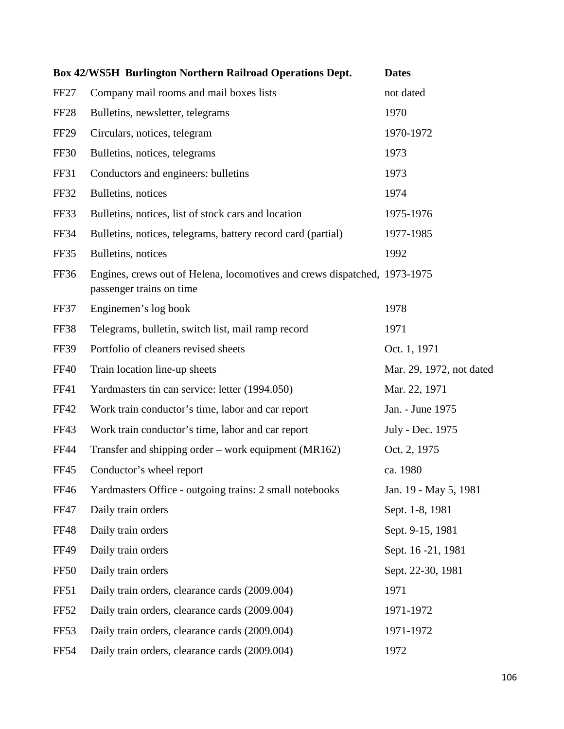|                  | <b>Box 42/WS5H Burlington Northern Railroad Operations Dept.</b>                                      | <b>Dates</b>             |
|------------------|-------------------------------------------------------------------------------------------------------|--------------------------|
| FF <sub>27</sub> | Company mail rooms and mail boxes lists                                                               | not dated                |
| FF <sub>28</sub> | Bulletins, newsletter, telegrams                                                                      | 1970                     |
| <b>FF29</b>      | Circulars, notices, telegram                                                                          | 1970-1972                |
| <b>FF30</b>      | Bulletins, notices, telegrams                                                                         | 1973                     |
| <b>FF31</b>      | Conductors and engineers: bulletins                                                                   | 1973                     |
| <b>FF32</b>      | Bulletins, notices                                                                                    | 1974                     |
| FF33             | Bulletins, notices, list of stock cars and location                                                   | 1975-1976                |
| FF34             | Bulletins, notices, telegrams, battery record card (partial)                                          | 1977-1985                |
| FF35             | Bulletins, notices                                                                                    | 1992                     |
| FF36             | Engines, crews out of Helena, locomotives and crews dispatched, 1973-1975<br>passenger trains on time |                          |
| FF37             | Enginemen's log book                                                                                  | 1978                     |
| <b>FF38</b>      | Telegrams, bulletin, switch list, mail ramp record                                                    | 1971                     |
| <b>FF39</b>      | Portfolio of cleaners revised sheets                                                                  | Oct. 1, 1971             |
| <b>FF40</b>      | Train location line-up sheets                                                                         | Mar. 29, 1972, not dated |
| FF41             | Yardmasters tin can service: letter (1994.050)                                                        | Mar. 22, 1971            |
| <b>FF42</b>      | Work train conductor's time, labor and car report                                                     | Jan. - June 1975         |
| FF43             | Work train conductor's time, labor and car report                                                     | July - Dec. 1975         |
| <b>FF44</b>      | Transfer and shipping order – work equipment (MR162)                                                  | Oct. 2, 1975             |
| <b>FF45</b>      | Conductor's wheel report                                                                              | ca. 1980                 |
| <b>FF46</b>      | Yardmasters Office - outgoing trains: 2 small notebooks                                               | Jan. 19 - May 5, 1981    |
| <b>FF47</b>      | Daily train orders                                                                                    | Sept. 1-8, 1981          |
| <b>FF48</b>      | Daily train orders                                                                                    | Sept. 9-15, 1981         |
| <b>FF49</b>      | Daily train orders                                                                                    | Sept. 16 -21, 1981       |
| <b>FF50</b>      | Daily train orders                                                                                    | Sept. 22-30, 1981        |
| <b>FF51</b>      | Daily train orders, clearance cards (2009.004)                                                        | 1971                     |
| <b>FF52</b>      | Daily train orders, clearance cards (2009.004)                                                        | 1971-1972                |
| FF53             | Daily train orders, clearance cards (2009.004)                                                        | 1971-1972                |
| <b>FF54</b>      | Daily train orders, clearance cards (2009.004)                                                        | 1972                     |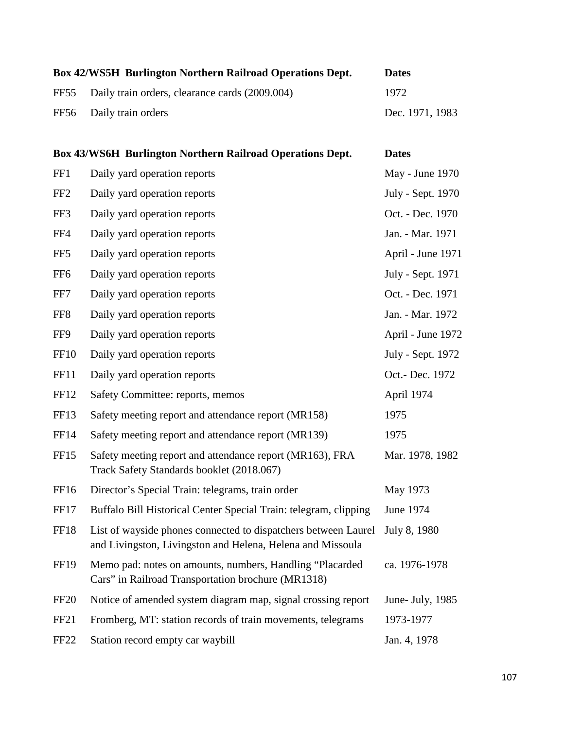| <b>Box 42/WS5H Burlington Northern Railroad Operations Dept.</b> | <b>Dates</b>    |
|------------------------------------------------------------------|-----------------|
| FF55 Daily train orders, clearance cards (2009.004)              | 1972            |
| FF56 Daily train orders                                          | Dec. 1971, 1983 |

|                 | <b>Box 43/WS6H Burlington Northern Railroad Operations Dept.</b>                                                             | <b>Dates</b>      |
|-----------------|------------------------------------------------------------------------------------------------------------------------------|-------------------|
| FF1             | Daily yard operation reports                                                                                                 | May - June 1970   |
| FF <sub>2</sub> | Daily yard operation reports                                                                                                 | July - Sept. 1970 |
| FF3             | Daily yard operation reports                                                                                                 | Oct. - Dec. 1970  |
| FF4             | Daily yard operation reports                                                                                                 | Jan. - Mar. 1971  |
| FF5             | Daily yard operation reports                                                                                                 | April - June 1971 |
| FF <sub>6</sub> | Daily yard operation reports                                                                                                 | July - Sept. 1971 |
| FF7             | Daily yard operation reports                                                                                                 | Oct. - Dec. 1971  |
| FF8             | Daily yard operation reports                                                                                                 | Jan. - Mar. 1972  |
| FF9             | Daily yard operation reports                                                                                                 | April - June 1972 |
| <b>FF10</b>     | Daily yard operation reports                                                                                                 | July - Sept. 1972 |
| <b>FF11</b>     | Daily yard operation reports                                                                                                 | Oct.- Dec. 1972   |
| <b>FF12</b>     | Safety Committee: reports, memos                                                                                             | April 1974        |
| FF13            | Safety meeting report and attendance report (MR158)                                                                          | 1975              |
| <b>FF14</b>     | Safety meeting report and attendance report (MR139)                                                                          | 1975              |
| FF15            | Safety meeting report and attendance report (MR163), FRA<br>Track Safety Standards booklet (2018.067)                        | Mar. 1978, 1982   |
| FF16            | Director's Special Train: telegrams, train order                                                                             | May 1973          |
| FF17            | Buffalo Bill Historical Center Special Train: telegram, clipping                                                             | June 1974         |
| <b>FF18</b>     | List of wayside phones connected to dispatchers between Laurel<br>and Livingston, Livingston and Helena, Helena and Missoula | July 8, 1980      |
| <b>FF19</b>     | Memo pad: notes on amounts, numbers, Handling "Placarded<br>Cars" in Railroad Transportation brochure (MR1318)               | ca. 1976-1978     |
| <b>FF20</b>     | Notice of amended system diagram map, signal crossing report                                                                 | June- July, 1985  |
| <b>FF21</b>     | Fromberg, MT: station records of train movements, telegrams                                                                  | 1973-1977         |
| <b>FF22</b>     | Station record empty car waybill                                                                                             | Jan. 4, 1978      |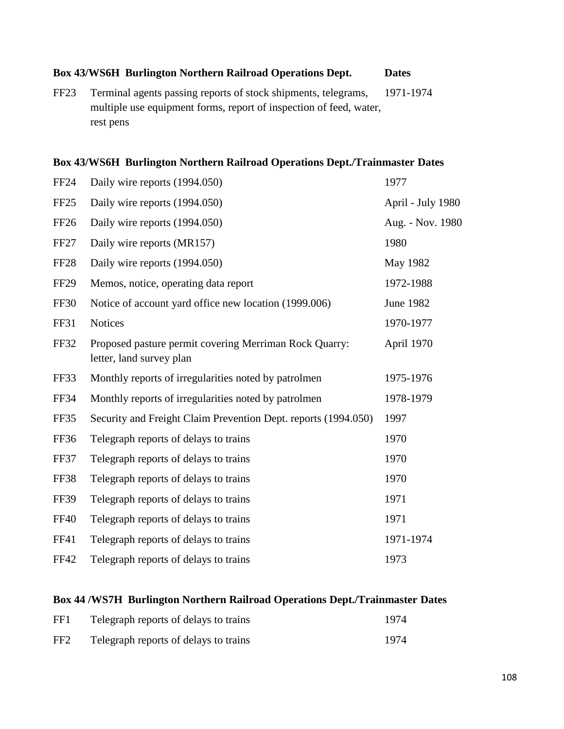### **Box 43/WS6H Burlington Northern Railroad Operations Dept. Dates**

FF23 Terminal agents passing reports of stock shipments, telegrams, 1971-1974 multiple use equipment forms, report of inspection of feed, water, rest pens

### **Box 43/WS6H Burlington Northern Railroad Operations Dept./Trainmaster Dates**

| <b>FF24</b>      | Daily wire reports (1994.050)                                                      | 1977              |
|------------------|------------------------------------------------------------------------------------|-------------------|
| FF <sub>25</sub> | Daily wire reports (1994.050)                                                      | April - July 1980 |
| <b>FF26</b>      | Daily wire reports (1994.050)                                                      | Aug. - Nov. 1980  |
| FF <sub>27</sub> | Daily wire reports (MR157)                                                         | 1980              |
| <b>FF28</b>      | Daily wire reports (1994.050)                                                      | May 1982          |
| <b>FF29</b>      | Memos, notice, operating data report                                               | 1972-1988         |
| <b>FF30</b>      | Notice of account yard office new location (1999.006)                              | <b>June 1982</b>  |
| FF31             | <b>Notices</b>                                                                     | 1970-1977         |
| <b>FF32</b>      | Proposed pasture permit covering Merriman Rock Quarry:<br>letter, land survey plan | April 1970        |
| FF33             | Monthly reports of irregularities noted by patrolmen                               | 1975-1976         |
| <b>FF34</b>      | Monthly reports of irregularities noted by patrolmen                               | 1978-1979         |
| FF35             | Security and Freight Claim Prevention Dept. reports (1994.050)                     | 1997              |
| <b>FF36</b>      | Telegraph reports of delays to trains                                              | 1970              |
| FF37             | Telegraph reports of delays to trains                                              | 1970              |
| FF38             | Telegraph reports of delays to trains                                              | 1970              |
| <b>FF39</b>      | Telegraph reports of delays to trains                                              | 1971              |
| <b>FF40</b>      | Telegraph reports of delays to trains                                              | 1971              |
| FF41             | Telegraph reports of delays to trains                                              | 1971-1974         |
| <b>FF42</b>      | Telegraph reports of delays to trains                                              | 1973              |

### **Box 44 /WS7H Burlington Northern Railroad Operations Dept./Trainmaster Dates**

| FF1 | Telegraph reports of delays to trains | 1974 |
|-----|---------------------------------------|------|
| FF2 | Telegraph reports of delays to trains | 1974 |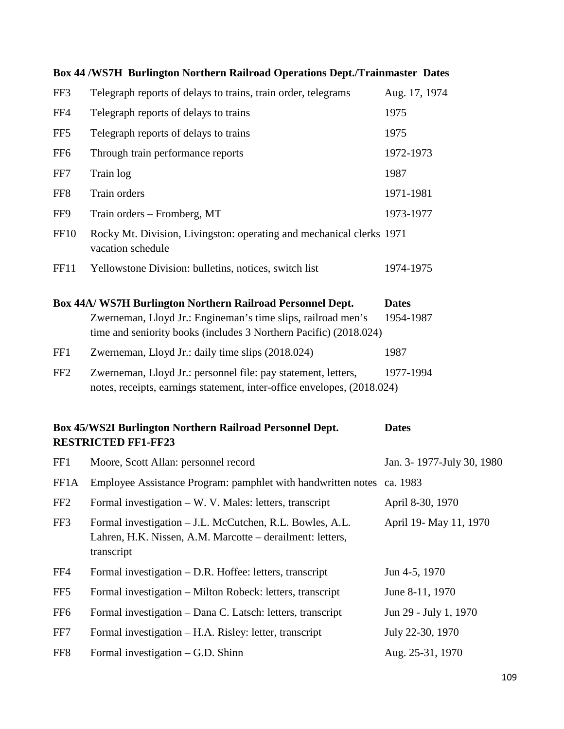|                 | Box 44/WS7H Burlington Northern Railroad Operations Dept./Trainmaster Dates                                                                                                                     |                           |
|-----------------|-------------------------------------------------------------------------------------------------------------------------------------------------------------------------------------------------|---------------------------|
| FF3             | Telegraph reports of delays to trains, train order, telegrams                                                                                                                                   | Aug. 17, 1974             |
| FF4             | Telegraph reports of delays to trains                                                                                                                                                           | 1975                      |
| FF <sub>5</sub> | Telegraph reports of delays to trains                                                                                                                                                           | 1975                      |
| FF <sub>6</sub> | Through train performance reports                                                                                                                                                               | 1972-1973                 |
| FF7             | Train log                                                                                                                                                                                       | 1987                      |
| FF <sub>8</sub> | Train orders                                                                                                                                                                                    | 1971-1981                 |
| FF9             | Train orders – Fromberg, MT                                                                                                                                                                     | 1973-1977                 |
| <b>FF10</b>     | Rocky Mt. Division, Livingston: operating and mechanical clerks 1971<br>vacation schedule                                                                                                       |                           |
| FF11            | Yellowstone Division: bulletins, notices, switch list                                                                                                                                           | 1974-1975                 |
|                 | Box 44A/ WS7H Burlington Northern Railroad Personnel Dept.<br>Zwerneman, Lloyd Jr.: Engineman's time slips, railroad men's<br>time and seniority books (includes 3 Northern Pacific) (2018.024) | <b>Dates</b><br>1954-1987 |
| FF1             | Zwerneman, Lloyd Jr.: daily time slips (2018.024)                                                                                                                                               | 1987                      |
| FF <sub>2</sub> | Zwerneman, Lloyd Jr.: personnel file: pay statement, letters,<br>notes, receipts, earnings statement, inter-office envelopes, (2018.024)                                                        | 1977-1994                 |
|                 | Box 45/WS2I Burlington Northern Railroad Personnel Dept.<br><b>RESTRICTED FF1-FF23</b>                                                                                                          | <b>Dates</b>              |
| FF1             | Moore, Scott Allan: personnel record                                                                                                                                                            | Jan. 3-1977-July 30, 1980 |
|                 | FF1A Employee Assistance Program: pamphlet with handwritten notes ca. 1983                                                                                                                      |                           |
| FF <sub>2</sub> | Formal investigation – W. V. Males: letters, transcript                                                                                                                                         | April 8-30, 1970          |
| FF3             | Formal investigation - J.L. McCutchen, R.L. Bowles, A.L.<br>Lahren, H.K. Nissen, A.M. Marcotte - derailment: letters,<br>transcript                                                             | April 19- May 11, 1970    |
| FF4             | Formal investigation – D.R. Hoffee: letters, transcript                                                                                                                                         | Jun 4-5, 1970             |
| FF <sub>5</sub> | Formal investigation – Milton Robeck: letters, transcript                                                                                                                                       | June 8-11, 1970           |
| FF <sub>6</sub> | Formal investigation - Dana C. Latsch: letters, transcript                                                                                                                                      | Jun 29 - July 1, 1970     |
| FF7             | Formal investigation – H.A. Risley: letter, transcript                                                                                                                                          | July 22-30, 1970          |
| FF8             | Formal investigation $-$ G.D. Shinn                                                                                                                                                             | Aug. 25-31, 1970          |

### **Box 44 /WS7H Burlington Northern Railroad Operations Dept./Trainmaster Dates**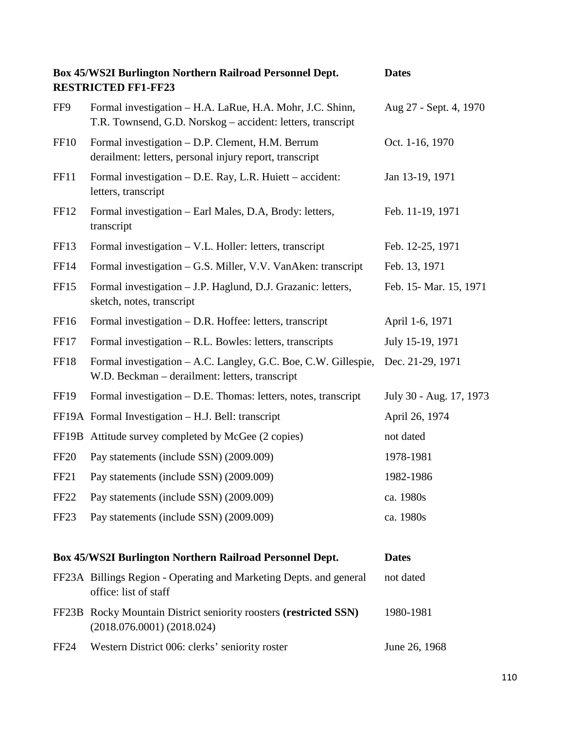|                  | Box 45/WS2I Burlington Northern Railroad Personnel Dept.<br><b>RESTRICTED FF1-FF23</b>                                   | <b>Dates</b>            |
|------------------|--------------------------------------------------------------------------------------------------------------------------|-------------------------|
| FF9              | Formal investigation - H.A. LaRue, H.A. Mohr, J.C. Shinn,<br>T.R. Townsend, G.D. Norskog – accident: letters, transcript | Aug 27 - Sept. 4, 1970  |
| <b>FF10</b>      | Formal investigation - D.P. Clement, H.M. Berrum<br>derailment: letters, personal injury report, transcript              | Oct. 1-16, 1970         |
| <b>FF11</b>      | Formal investigation - D.E. Ray, L.R. Huiett - accident:<br>letters, transcript                                          | Jan 13-19, 1971         |
| FF12             | Formal investigation – Earl Males, D.A, Brody: letters,<br>transcript                                                    | Feb. 11-19, 1971        |
| FF <sub>13</sub> | Formal investigation – V.L. Holler: letters, transcript                                                                  | Feb. 12-25, 1971        |
| <b>FF14</b>      | Formal investigation - G.S. Miller, V.V. VanAken: transcript                                                             | Feb. 13, 1971           |
| <b>FF15</b>      | Formal investigation - J.P. Haglund, D.J. Grazanic: letters,<br>sketch, notes, transcript                                | Feb. 15 - Mar. 15, 1971 |
| FF16             | Formal investigation – D.R. Hoffee: letters, transcript                                                                  | April 1-6, 1971         |
| FF17             | Formal investigation – R.L. Bowles: letters, transcripts                                                                 | July 15-19, 1971        |
| FF18             | Formal investigation - A.C. Langley, G.C. Boe, C.W. Gillespie,<br>W.D. Beckman - derailment: letters, transcript         | Dec. 21-29, 1971        |
| <b>FF19</b>      | Formal investigation – D.E. Thomas: letters, notes, transcript                                                           | July 30 - Aug. 17, 1973 |
|                  | FF19A Formal Investigation - H.J. Bell: transcript                                                                       | April 26, 1974          |
|                  | FF19B Attitude survey completed by McGee (2 copies)                                                                      | not dated               |
| <b>FF20</b>      | Pay statements (include SSN) (2009.009)                                                                                  | 1978-1981               |
| <b>FF21</b>      | Pay statements (include SSN) (2009.009)                                                                                  | 1982-1986               |
| FF <sub>22</sub> | Pay statements (include SSN) (2009.009)                                                                                  | ca. 1980s               |
| FF <sub>23</sub> | Pay statements (include SSN) (2009.009)                                                                                  | ca. 1980s               |
|                  | Box 45/WS2I Burlington Northern Railroad Personnel Dept.                                                                 | <b>Dates</b>            |
|                  | FF23A Billings Region - Operating and Marketing Depts. and general<br>office: list of staff                              | not dated               |
|                  | FF23B Rocky Mountain District seniority roosters (restricted SSN)<br>(2018.076.0001) (2018.024)                          | 1980-1981               |
| FF <sub>24</sub> | Western District 006: clerks' seniority roster                                                                           | June 26, 1968           |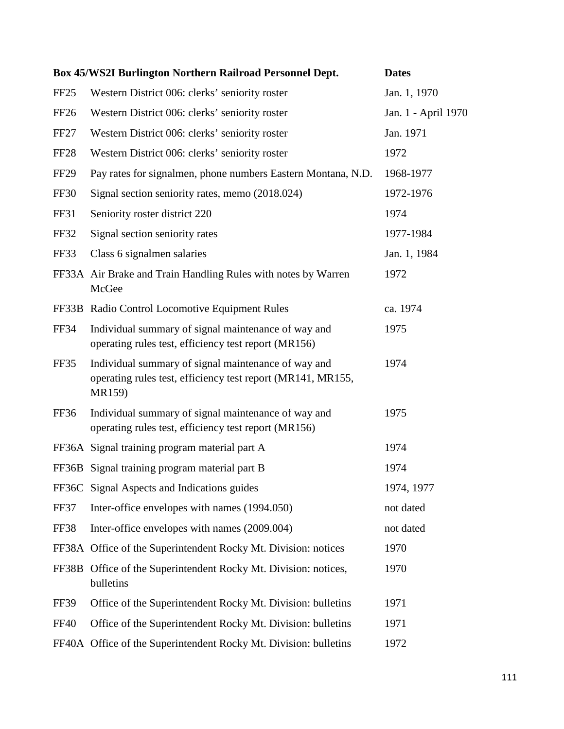|                  | Box 45/WS2I Burlington Northern Railroad Personnel Dept.                                                                     | <b>Dates</b>        |
|------------------|------------------------------------------------------------------------------------------------------------------------------|---------------------|
| FF <sub>25</sub> | Western District 006: clerks' seniority roster                                                                               | Jan. 1, 1970        |
| <b>FF26</b>      | Western District 006: clerks' seniority roster                                                                               | Jan. 1 - April 1970 |
| FF <sub>27</sub> | Western District 006: clerks' seniority roster                                                                               | Jan. 1971           |
| <b>FF28</b>      | Western District 006: clerks' seniority roster                                                                               | 1972                |
| FF <sub>29</sub> | Pay rates for signalmen, phone numbers Eastern Montana, N.D.                                                                 | 1968-1977           |
| <b>FF30</b>      | Signal section seniority rates, memo (2018.024)                                                                              | 1972-1976           |
| FF31             | Seniority roster district 220                                                                                                | 1974                |
| <b>FF32</b>      | Signal section seniority rates                                                                                               | 1977-1984           |
| FF33             | Class 6 signalmen salaries                                                                                                   | Jan. 1, 1984        |
|                  | FF33A Air Brake and Train Handling Rules with notes by Warren<br>McGee                                                       | 1972                |
|                  | FF33B Radio Control Locomotive Equipment Rules                                                                               | ca. 1974            |
| <b>FF34</b>      | Individual summary of signal maintenance of way and<br>operating rules test, efficiency test report (MR156)                  | 1975                |
| FF35             | Individual summary of signal maintenance of way and<br>operating rules test, efficiency test report (MR141, MR155,<br>MR159) | 1974                |
| <b>FF36</b>      | Individual summary of signal maintenance of way and<br>operating rules test, efficiency test report (MR156)                  | 1975                |
|                  | FF36A Signal training program material part A                                                                                | 1974                |
|                  | FF36B Signal training program material part B                                                                                | 1974                |
|                  | FF36C Signal Aspects and Indications guides                                                                                  | 1974, 1977          |
| FF37             | Inter-office envelopes with names (1994.050)                                                                                 | not dated           |
| FF38             | Inter-office envelopes with names (2009.004)                                                                                 | not dated           |
|                  | FF38A Office of the Superintendent Rocky Mt. Division: notices                                                               | 1970                |
| FF38B            | Office of the Superintendent Rocky Mt. Division: notices,<br>bulletins                                                       | 1970                |
| FF39             | Office of the Superintendent Rocky Mt. Division: bulletins                                                                   | 1971                |
| <b>FF40</b>      | Office of the Superintendent Rocky Mt. Division: bulletins                                                                   | 1971                |
|                  | FF40A Office of the Superintendent Rocky Mt. Division: bulletins                                                             | 1972                |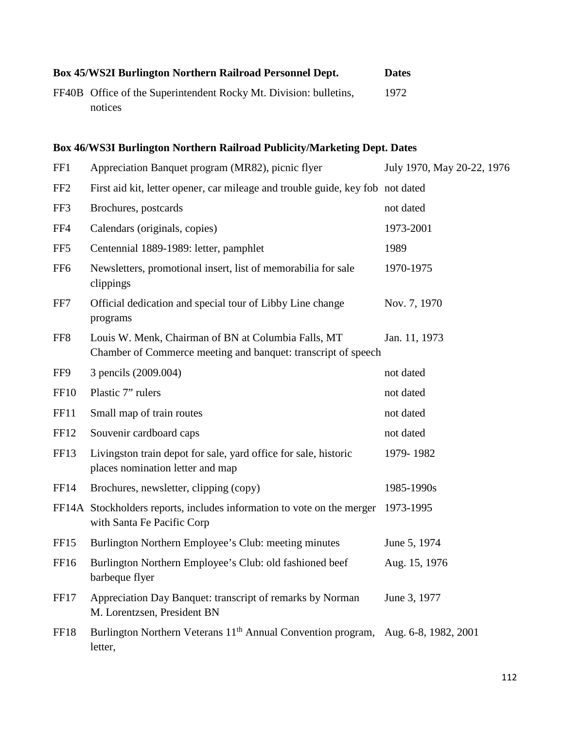| <b>Box 45/WS2I Burlington Northern Railroad Personnel Dept.</b>   | <b>Dates</b> |
|-------------------------------------------------------------------|--------------|
| FF40B Office of the Superintendent Rocky Mt. Division: bulletins, | 1972         |
| notices                                                           |              |

## **Box 46/WS3I Burlington Northern Railroad Publicity/Marketing Dept. Dates**

| FF1              | Appreciation Banquet program (MR82), picnic flyer                                                                    | July 1970, May 20-22, 1976 |
|------------------|----------------------------------------------------------------------------------------------------------------------|----------------------------|
| FF <sub>2</sub>  | First aid kit, letter opener, car mileage and trouble guide, key fob not dated                                       |                            |
| FF3              | Brochures, postcards                                                                                                 | not dated                  |
| FF4              | Calendars (originals, copies)                                                                                        | 1973-2001                  |
| FF <sub>5</sub>  | Centennial 1889-1989: letter, pamphlet                                                                               | 1989                       |
| FF <sub>6</sub>  | Newsletters, promotional insert, list of memorabilia for sale<br>clippings                                           | 1970-1975                  |
| FF7              | Official dedication and special tour of Libby Line change<br>programs                                                | Nov. 7, 1970               |
| FF8              | Louis W. Menk, Chairman of BN at Columbia Falls, MT<br>Chamber of Commerce meeting and banquet: transcript of speech | Jan. 11, 1973              |
| FF9              | 3 pencils (2009.004)                                                                                                 | not dated                  |
| <b>FF10</b>      | Plastic 7" rulers                                                                                                    | not dated                  |
| <b>FF11</b>      | Small map of train routes                                                                                            | not dated                  |
| FF12             | Souvenir cardboard caps                                                                                              | not dated                  |
| <b>FF13</b>      | Livingston train depot for sale, yard office for sale, historic<br>places nomination letter and map                  | 1979-1982                  |
| FF14             | Brochures, newsletter, clipping (copy)                                                                               | 1985-1990s                 |
|                  | FF14A Stockholders reports, includes information to vote on the merger<br>with Santa Fe Pacific Corp                 | 1973-1995                  |
| FF <sub>15</sub> | Burlington Northern Employee's Club: meeting minutes                                                                 | June 5, 1974               |
| FF16             | Burlington Northern Employee's Club: old fashioned beef<br>barbeque flyer                                            | Aug. 15, 1976              |
| FF17             | Appreciation Day Banquet: transcript of remarks by Norman<br>M. Lorentzsen, President BN                             | June 3, 1977               |
| <b>FF18</b>      | Burlington Northern Veterans 11 <sup>th</sup> Annual Convention program, Aug. 6-8, 1982, 2001<br>letter,             |                            |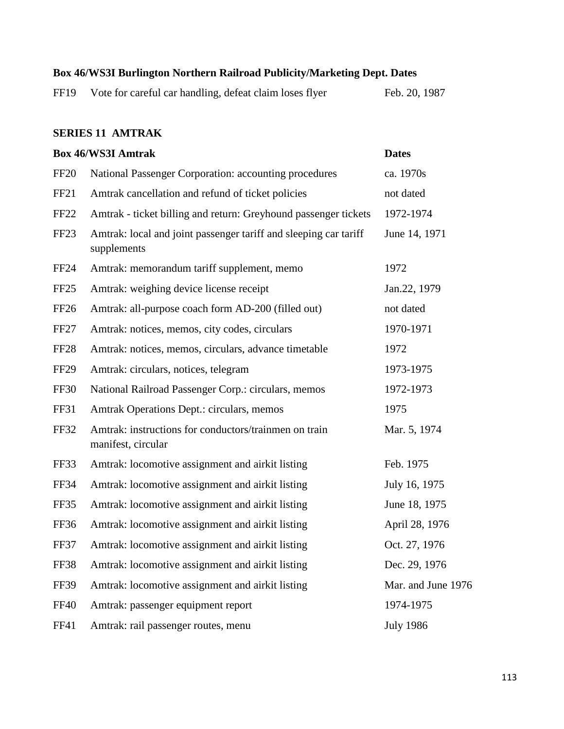#### **Box 46/WS3I Burlington Northern Railroad Publicity/Marketing Dept. Dates**

| FF19 | Vote for careful car handling, defeat claim loses flyer |  | Feb. 20, 1987 |  |
|------|---------------------------------------------------------|--|---------------|--|
|      |                                                         |  |               |  |

#### **SERIES 11 AMTRAK**

# **Box 46/WS3I Amtrak Dates** FF20 National Passenger Corporation: accounting procedures ca. 1970s FF21 Amtrak cancellation and refund of ticket policies not dated FF22 Amtrak - ticket billing and return: Greyhound passenger tickets 1972-1974 FF23 Amtrak: local and joint passenger tariff and sleeping car tariff June 14, 1971 supplements FF24 Amtrak: memorandum tariff supplement, memo 1972 FF25 Amtrak: weighing device license receipt Jan.22, 1979 FF26 Amtrak: all-purpose coach form AD-200 (filled out) not dated FF27 Amtrak: notices, memos, city codes, circulars 1970-1971 FF28 Amtrak: notices, memos, circulars, advance timetable 1972 FF29 Amtrak: circulars, notices, telegram 1973-1975 FF30 National Railroad Passenger Corp.: circulars, memos 1972-1973 FF31 Amtrak Operations Dept.: circulars, memos 1975 FF32 Amtrak: instructions for conductors/trainmen on train Mar. 5, 1974 manifest, circular FF33 Amtrak: locomotive assignment and airkit listing Feb. 1975 FF34 Amtrak: locomotive assignment and airkit listing July 16, 1975 FF35 Amtrak: locomotive assignment and airkit listing June 18, 1975 FF36 Amtrak: locomotive assignment and airkit listing April 28, 1976 FF37 Amtrak: locomotive assignment and airkit listing Oct. 27, 1976 FF38 Amtrak: locomotive assignment and airkit listing Dec. 29, 1976 FF39 Amtrak: locomotive assignment and airkit listing Mar. and June 1976 FF40 Amtrak: passenger equipment report 1974-1975 FF41 Amtrak: rail passenger routes, menu July 1986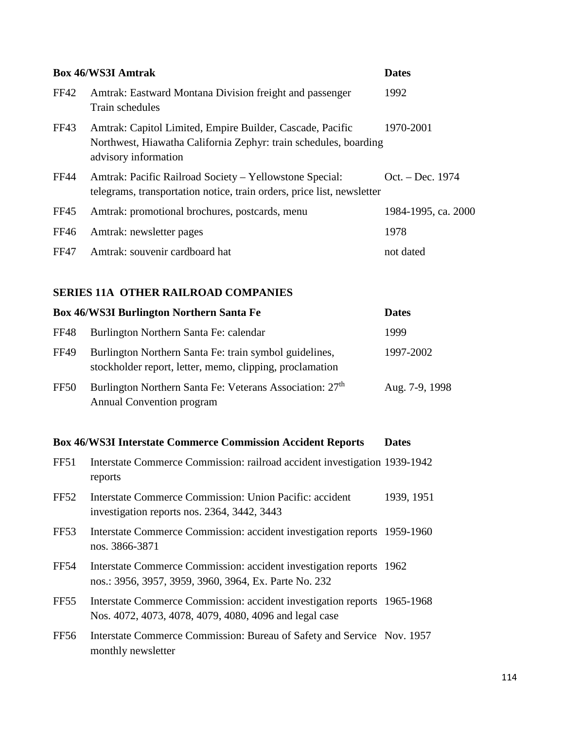| <b>Box 46/WS3I Amtrak</b> |                                                                                                                                                       | <b>Dates</b>        |
|---------------------------|-------------------------------------------------------------------------------------------------------------------------------------------------------|---------------------|
| FF42                      | Amtrak: Eastward Montana Division freight and passenger<br>Train schedules                                                                            | 1992                |
| FF43                      | Amtrak: Capitol Limited, Empire Builder, Cascade, Pacific<br>Northwest, Hiawatha California Zephyr: train schedules, boarding<br>advisory information | 1970-2001           |
| <b>FF44</b>               | Amtrak: Pacific Railroad Society - Yellowstone Special:<br>telegrams, transportation notice, train orders, price list, newsletter                     | Oct. – Dec. 1974    |
| <b>FF45</b>               | Amtrak: promotional brochures, postcards, menu                                                                                                        | 1984-1995, ca. 2000 |
| FF46                      | Amtrak: newsletter pages                                                                                                                              | 1978                |
| <b>FF47</b>               | Amtrak: souvenir cardboard hat                                                                                                                        | not dated           |

### **SERIES 11A OTHER RAILROAD COMPANIES**

| <b>Box 46/WS3I Burlington Northern Santa Fe</b> |                                                                                                                    | <b>Dates</b>   |
|-------------------------------------------------|--------------------------------------------------------------------------------------------------------------------|----------------|
| <b>FF48</b>                                     | Burlington Northern Santa Fe: calendar                                                                             | 1999           |
| <b>FF49</b>                                     | Burlington Northern Santa Fe: train symbol guidelines,<br>stockholder report, letter, memo, clipping, proclamation | 1997-2002      |
| FF50                                            | Burlington Northern Santa Fe: Veterans Association: 27 <sup>th</sup><br><b>Annual Convention program</b>           | Aug. 7-9, 1998 |

## **Box 46/WS3I Interstate Commerce Commission Accident Reports Dates**

| FF51             | Interstate Commerce Commission: railroad accident investigation 1939-1942<br>reports                                               |            |
|------------------|------------------------------------------------------------------------------------------------------------------------------------|------------|
| <b>FF52</b>      | Interstate Commerce Commission: Union Pacific: accident<br>investigation reports nos. 2364, 3442, 3443                             | 1939, 1951 |
| FF <sub>53</sub> | Interstate Commerce Commission: accident investigation reports 1959-1960<br>nos. 3866-3871                                         |            |
| <b>FF54</b>      | Interstate Commerce Commission: accident investigation reports 1962<br>nos.: 3956, 3957, 3959, 3960, 3964, Ex. Parte No. 232       |            |
| FF <sub>55</sub> | Interstate Commerce Commission: accident investigation reports 1965-1968<br>Nos. 4072, 4073, 4078, 4079, 4080, 4096 and legal case |            |
| FF <sub>56</sub> | Interstate Commerce Commission: Bureau of Safety and Service Nov. 1957<br>monthly newsletter                                       |            |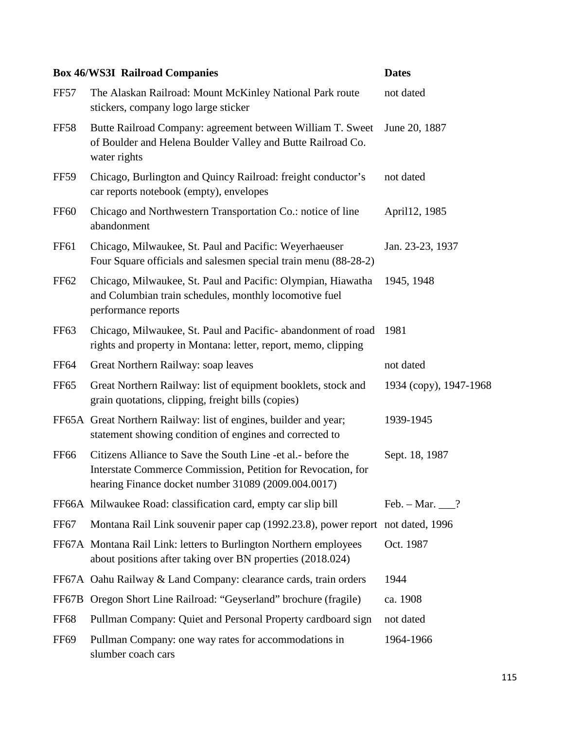|                  | <b>Box 46/WS3I Railroad Companies</b>                                                                                                                                                | <b>Dates</b>           |
|------------------|--------------------------------------------------------------------------------------------------------------------------------------------------------------------------------------|------------------------|
| <b>FF57</b>      | The Alaskan Railroad: Mount McKinley National Park route<br>stickers, company logo large sticker                                                                                     | not dated              |
| <b>FF58</b>      | Butte Railroad Company: agreement between William T. Sweet<br>of Boulder and Helena Boulder Valley and Butte Railroad Co.<br>water rights                                            | June 20, 1887          |
| <b>FF59</b>      | Chicago, Burlington and Quincy Railroad: freight conductor's<br>car reports notebook (empty), envelopes                                                                              | not dated              |
| <b>FF60</b>      | Chicago and Northwestern Transportation Co.: notice of line<br>abandonment                                                                                                           | April 12, 1985         |
| FF <sub>61</sub> | Chicago, Milwaukee, St. Paul and Pacific: Weyerhaeuser<br>Four Square officials and salesmen special train menu (88-28-2)                                                            | Jan. 23-23, 1937       |
| <b>FF62</b>      | Chicago, Milwaukee, St. Paul and Pacific: Olympian, Hiawatha<br>and Columbian train schedules, monthly locomotive fuel<br>performance reports                                        | 1945, 1948             |
| FF <sub>63</sub> | Chicago, Milwaukee, St. Paul and Pacific-abandonment of road<br>rights and property in Montana: letter, report, memo, clipping                                                       | 1981                   |
| <b>FF64</b>      | Great Northern Railway: soap leaves                                                                                                                                                  | not dated              |
| <b>FF65</b>      | Great Northern Railway: list of equipment booklets, stock and<br>grain quotations, clipping, freight bills (copies)                                                                  | 1934 (copy), 1947-1968 |
|                  | FF65A Great Northern Railway: list of engines, builder and year;<br>statement showing condition of engines and corrected to                                                          | 1939-1945              |
| <b>FF66</b>      | Citizens Alliance to Save the South Line -et al. - before the<br>Interstate Commerce Commission, Petition for Revocation, for<br>hearing Finance docket number 31089 (2009.004.0017) | Sept. 18, 1987         |
|                  | FF66A Milwaukee Road: classification card, empty car slip bill                                                                                                                       | Feb. $-$ Mar. $\_\_$ ? |
| FF <sub>67</sub> | Montana Rail Link souvenir paper cap (1992.23.8), power report not dated, 1996                                                                                                       |                        |
|                  | FF67A Montana Rail Link: letters to Burlington Northern employees<br>about positions after taking over BN properties (2018.024)                                                      | Oct. 1987              |
|                  | FF67A Oahu Railway & Land Company: clearance cards, train orders                                                                                                                     | 1944                   |
|                  | FF67B Oregon Short Line Railroad: "Geyserland" brochure (fragile)                                                                                                                    | ca. 1908               |
| <b>FF68</b>      | Pullman Company: Quiet and Personal Property cardboard sign                                                                                                                          | not dated              |
| <b>FF69</b>      | Pullman Company: one way rates for accommodations in<br>slumber coach cars                                                                                                           | 1964-1966              |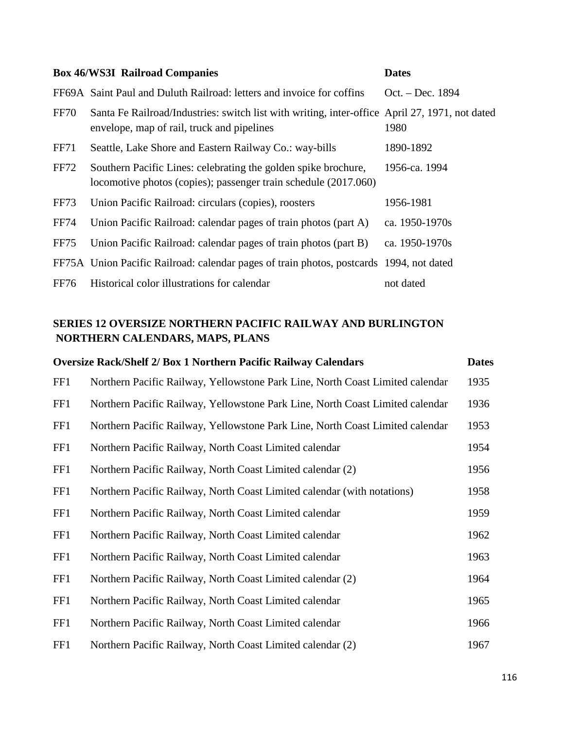|             | <b>Box 46/WS3I Railroad Companies</b><br><b>Dates</b>                                                                                        |                  |  |
|-------------|----------------------------------------------------------------------------------------------------------------------------------------------|------------------|--|
|             | FF69A Saint Paul and Duluth Railroad: letters and invoice for coffins                                                                        | Oct. – Dec. 1894 |  |
| <b>FF70</b> | Santa Fe Railroad/Industries: switch list with writing, inter-office April 27, 1971, not dated<br>envelope, map of rail, truck and pipelines | 1980             |  |
| <b>FF71</b> | Seattle, Lake Shore and Eastern Railway Co.: way-bills                                                                                       | 1890-1892        |  |
| FF72        | Southern Pacific Lines: celebrating the golden spike brochure,<br>locomotive photos (copies); passenger train schedule (2017.060)            | 1956-ca. 1994    |  |
| FF73        | Union Pacific Railroad: circulars (copies), roosters                                                                                         | 1956-1981        |  |
| <b>FF74</b> | Union Pacific Railroad: calendar pages of train photos (part A)                                                                              | ca. 1950-1970s   |  |
| <b>FF75</b> | Union Pacific Railroad: calendar pages of train photos (part B)                                                                              | ca. 1950-1970s   |  |
|             | FF75A Union Pacific Railroad: calendar pages of train photos, postcards 1994, not dated                                                      |                  |  |
| FF76        | Historical color illustrations for calendar                                                                                                  | not dated        |  |

### **SERIES 12 OVERSIZE NORTHERN PACIFIC RAILWAY AND BURLINGTON NORTHERN CALENDARS, MAPS, PLANS**

|     | <b>Oversize Rack/Shelf 2/ Box 1 Northern Pacific Railway Calendars</b>        | <b>Dates</b> |
|-----|-------------------------------------------------------------------------------|--------------|
| FF1 | Northern Pacific Railway, Yellowstone Park Line, North Coast Limited calendar | 1935         |
| FF1 | Northern Pacific Railway, Yellowstone Park Line, North Coast Limited calendar | 1936         |
| FF1 | Northern Pacific Railway, Yellowstone Park Line, North Coast Limited calendar | 1953         |
| FF1 | Northern Pacific Railway, North Coast Limited calendar                        | 1954         |
| FF1 | Northern Pacific Railway, North Coast Limited calendar (2)                    | 1956         |
| FF1 | Northern Pacific Railway, North Coast Limited calendar (with notations)       | 1958         |
| FF1 | Northern Pacific Railway, North Coast Limited calendar                        | 1959         |
| FF1 | Northern Pacific Railway, North Coast Limited calendar                        | 1962         |
| FF1 | Northern Pacific Railway, North Coast Limited calendar                        | 1963         |
| FF1 | Northern Pacific Railway, North Coast Limited calendar (2)                    | 1964         |
| FF1 | Northern Pacific Railway, North Coast Limited calendar                        | 1965         |
| FF1 | Northern Pacific Railway, North Coast Limited calendar                        | 1966         |
| FF1 | Northern Pacific Railway, North Coast Limited calendar (2)                    | 1967         |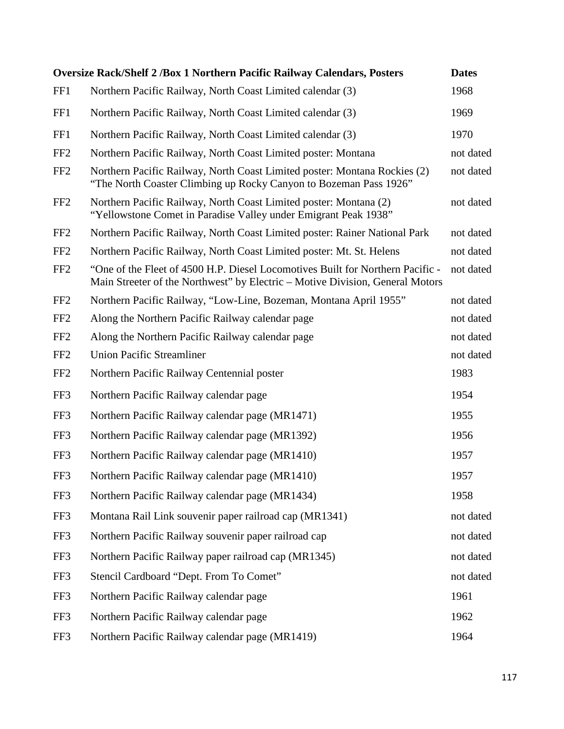|                 | <b>Oversize Rack/Shelf 2 /Box 1 Northern Pacific Railway Calendars, Posters</b>                                                                                 | <b>Dates</b> |
|-----------------|-----------------------------------------------------------------------------------------------------------------------------------------------------------------|--------------|
| FF1             | Northern Pacific Railway, North Coast Limited calendar (3)                                                                                                      | 1968         |
| FF1             | Northern Pacific Railway, North Coast Limited calendar (3)                                                                                                      | 1969         |
| FF1             | Northern Pacific Railway, North Coast Limited calendar (3)                                                                                                      | 1970         |
| FF <sub>2</sub> | Northern Pacific Railway, North Coast Limited poster: Montana                                                                                                   | not dated    |
| FF <sub>2</sub> | Northern Pacific Railway, North Coast Limited poster: Montana Rockies (2)<br>"The North Coaster Climbing up Rocky Canyon to Bozeman Pass 1926"                  | not dated    |
| FF <sub>2</sub> | Northern Pacific Railway, North Coast Limited poster: Montana (2)<br>"Yellowstone Comet in Paradise Valley under Emigrant Peak 1938"                            | not dated    |
| FF <sub>2</sub> | Northern Pacific Railway, North Coast Limited poster: Rainer National Park                                                                                      | not dated    |
| FF <sub>2</sub> | Northern Pacific Railway, North Coast Limited poster: Mt. St. Helens                                                                                            | not dated    |
| FF <sub>2</sub> | "One of the Fleet of 4500 H.P. Diesel Locomotives Built for Northern Pacific -<br>Main Streeter of the Northwest" by Electric – Motive Division, General Motors | not dated    |
| FF <sub>2</sub> | Northern Pacific Railway, "Low-Line, Bozeman, Montana April 1955"                                                                                               | not dated    |
| FF <sub>2</sub> | Along the Northern Pacific Railway calendar page                                                                                                                | not dated    |
| FF <sub>2</sub> | Along the Northern Pacific Railway calendar page                                                                                                                | not dated    |
| FF <sub>2</sub> | <b>Union Pacific Streamliner</b>                                                                                                                                | not dated    |
| FF <sub>2</sub> | Northern Pacific Railway Centennial poster                                                                                                                      | 1983         |
| FF3             | Northern Pacific Railway calendar page                                                                                                                          | 1954         |
| FF3             | Northern Pacific Railway calendar page (MR1471)                                                                                                                 | 1955         |
| FF3             | Northern Pacific Railway calendar page (MR1392)                                                                                                                 | 1956         |
| FF3             | Northern Pacific Railway calendar page (MR1410)                                                                                                                 | 1957         |
| FF3             | Northern Pacific Railway calendar page (MR1410)                                                                                                                 | 1957         |
| FF3             | Northern Pacific Railway calendar page (MR1434)                                                                                                                 | 1958         |
| FF3             | Montana Rail Link souvenir paper railroad cap (MR1341)                                                                                                          | not dated    |
| FF3             | Northern Pacific Railway souvenir paper railroad cap                                                                                                            | not dated    |
| FF3             | Northern Pacific Railway paper railroad cap (MR1345)                                                                                                            | not dated    |
| FF3             | Stencil Cardboard "Dept. From To Comet"                                                                                                                         | not dated    |
| FF3             | Northern Pacific Railway calendar page                                                                                                                          | 1961         |
| FF3             | Northern Pacific Railway calendar page                                                                                                                          | 1962         |
| FF3             | Northern Pacific Railway calendar page (MR1419)                                                                                                                 | 1964         |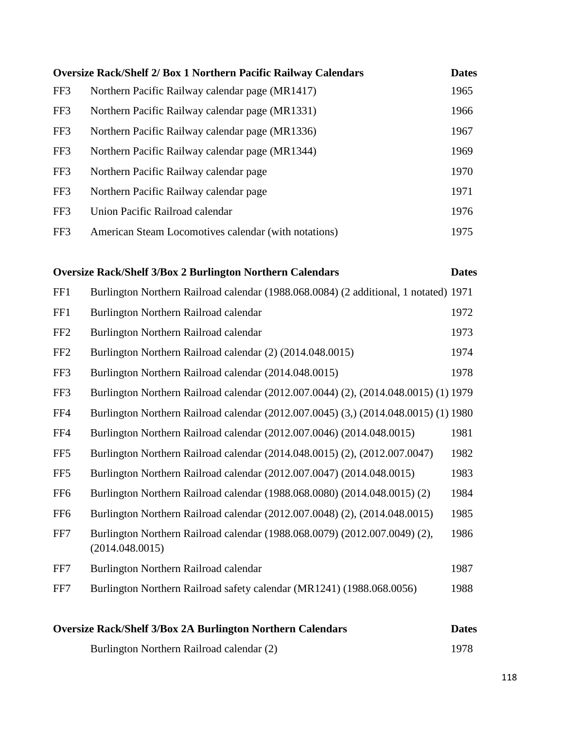|     | <b>Oversize Rack/Shelf 2/ Box 1 Northern Pacific Railway Calendars</b> | <b>Dates</b> |
|-----|------------------------------------------------------------------------|--------------|
| FF3 | Northern Pacific Railway calendar page (MR1417)                        | 1965         |
| FF3 | Northern Pacific Railway calendar page (MR1331)                        | 1966         |
| FF3 | Northern Pacific Railway calendar page (MR1336)                        | 1967         |
| FF3 | Northern Pacific Railway calendar page (MR1344)                        | 1969         |
| FF3 | Northern Pacific Railway calendar page                                 | 1970         |
| FF3 | Northern Pacific Railway calendar page                                 | 1971         |
| FF3 | Union Pacific Railroad calendar                                        | 1976         |
| FF3 | American Steam Locomotives calendar (with notations)                   | 1975         |
|     |                                                                        |              |

### **Oversize Rack/Shelf 3/Box 2 Burlington Northern Calendars Dates**

| <b>Oversize Rack/Shelf 3/Box 2A Burlington Northern Calendars</b> |                                                                                               | <b>Dates</b> |
|-------------------------------------------------------------------|-----------------------------------------------------------------------------------------------|--------------|
| FF7                                                               | Burlington Northern Railroad safety calendar (MR1241) (1988.068.0056)                         | 1988         |
| FF7                                                               | Burlington Northern Railroad calendar                                                         | 1987         |
| FF7                                                               | Burlington Northern Railroad calendar (1988.068.0079) (2012.007.0049) (2),<br>(2014.048.0015) | 1986         |
| FF <sub>6</sub>                                                   | Burlington Northern Railroad calendar (2012.007.0048) (2), (2014.048.0015)                    | 1985         |
| FF <sub>6</sub>                                                   | Burlington Northern Railroad calendar (1988.068.0080) (2014.048.0015) (2)                     | 1984         |
| FF <sub>5</sub>                                                   | Burlington Northern Railroad calendar (2012.007.0047) (2014.048.0015)                         | 1983         |
| FF <sub>5</sub>                                                   | Burlington Northern Railroad calendar (2014.048.0015) (2), (2012.007.0047)                    | 1982         |
| FF4                                                               | Burlington Northern Railroad calendar (2012.007.0046) (2014.048.0015)                         | 1981         |
| FF4                                                               | Burlington Northern Railroad calendar (2012.007.0045) (3,) (2014.048.0015) (1) 1980           |              |
| FF3                                                               | Burlington Northern Railroad calendar (2012.007.0044) (2), (2014.048.0015) (1) 1979           |              |
| FF3                                                               | Burlington Northern Railroad calendar (2014.048.0015)                                         | 1978         |
| FF <sub>2</sub>                                                   | Burlington Northern Railroad calendar (2) (2014.048.0015)                                     | 1974         |
| FF <sub>2</sub>                                                   | Burlington Northern Railroad calendar                                                         | 1973         |
| FF1                                                               | Burlington Northern Railroad calendar                                                         | 1972         |
| FF1                                                               | Burlington Northern Railroad calendar (1988.068.0084) (2 additional, 1 notated) 1971          |              |

Burlington Northern Railroad calendar (2) 1978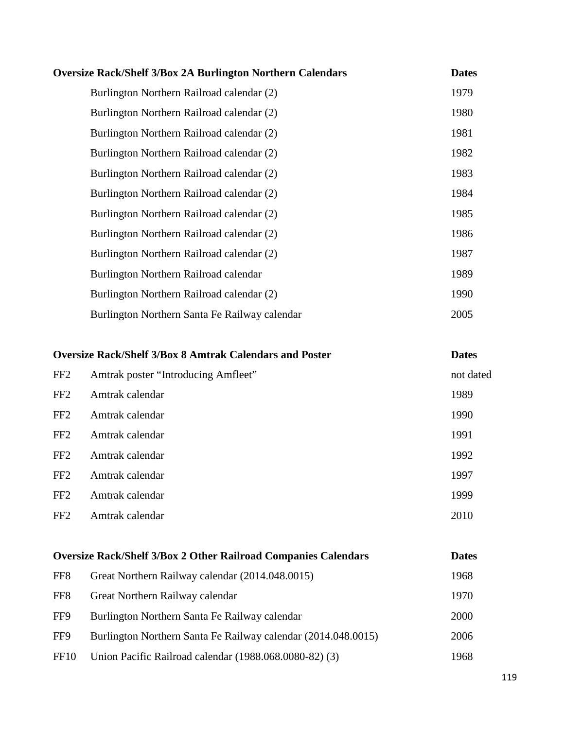| <b>Oversize Rack/Shelf 3/Box 2A Burlington Northern Calendars</b> | <b>Dates</b> |
|-------------------------------------------------------------------|--------------|
| Burlington Northern Railroad calendar (2)                         | 1979         |
| Burlington Northern Railroad calendar (2)                         | 1980         |
| Burlington Northern Railroad calendar (2)                         | 1981         |
| Burlington Northern Railroad calendar (2)                         | 1982         |
| Burlington Northern Railroad calendar (2)                         | 1983         |
| Burlington Northern Railroad calendar (2)                         | 1984         |
| Burlington Northern Railroad calendar (2)                         | 1985         |
| Burlington Northern Railroad calendar (2)                         | 1986         |
| Burlington Northern Railroad calendar (2)                         | 1987         |
| Burlington Northern Railroad calendar                             | 1989         |
| Burlington Northern Railroad calendar (2)                         | 1990         |
| Burlington Northern Santa Fe Railway calendar                     | 2005         |

| <b>Oversize Rack/Shelf 3/Box 8 Amtrak Calendars and Poster</b> |                                     | <b>Dates</b> |
|----------------------------------------------------------------|-------------------------------------|--------------|
| FF <sub>2</sub>                                                | Amtrak poster "Introducing Amfleet" | not dated    |
| FF <sub>2</sub>                                                | Amtrak calendar                     | 1989         |
| FF <sub>2</sub>                                                | Amtrak calendar                     | 1990         |
| FF <sub>2</sub>                                                | Amtrak calendar                     | 1991         |
| FF <sub>2</sub>                                                | Amtrak calendar                     | 1992         |
| FF <sub>2</sub>                                                | Amtrak calendar                     | 1997         |
| FF <sub>2</sub>                                                | Amtrak calendar                     | 1999         |
| FF <sub>2</sub>                                                | Amtrak calendar                     | 2010         |

| <b>Oversize Rack/Shelf 3/Box 2 Other Railroad Companies Calendars</b> |      |
|-----------------------------------------------------------------------|------|
| Great Northern Railway calendar (2014.048.0015)                       | 1968 |
| Great Northern Railway calendar                                       | 1970 |
| Burlington Northern Santa Fe Railway calendar                         | 2000 |
| Burlington Northern Santa Fe Railway calendar (2014.048.0015)         | 2006 |
| Union Pacific Railroad calendar (1988.068.0080-82) (3)                | 1968 |
|                                                                       |      |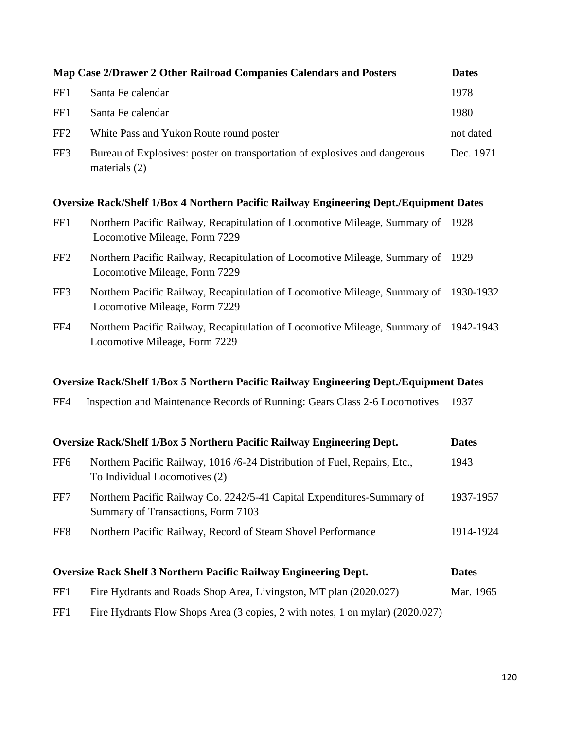|                 | Map Case 2/Drawer 2 Other Railroad Companies Calendars and Posters                                                    | <b>Dates</b> |
|-----------------|-----------------------------------------------------------------------------------------------------------------------|--------------|
| FF1             | Santa Fe calendar                                                                                                     | 1978         |
| FF1             | Santa Fe calendar                                                                                                     | 1980         |
| FF <sub>2</sub> | White Pass and Yukon Route round poster                                                                               | not dated    |
| FF3             | Bureau of Explosives: poster on transportation of explosives and dangerous<br>materials (2)                           | Dec. 1971    |
|                 | <b>Oversize Rack/Shelf 1/Box 4 Northern Pacific Railway Engineering Dept./Equipment Dates</b>                         |              |
| FF1             | Northern Pacific Railway, Recapitulation of Locomotive Mileage, Summary of<br>Locomotive Mileage, Form 7229           | 1928         |
| FF <sub>2</sub> | Northern Pacific Railway, Recapitulation of Locomotive Mileage, Summary of<br>Locomotive Mileage, Form 7229           | 1929         |
| FF3             | Northern Pacific Railway, Recapitulation of Locomotive Mileage, Summary of 1930-1932<br>Locomotive Mileage, Form 7229 |              |
| FF4             | Northern Pacific Railway, Recapitulation of Locomotive Mileage, Summary of 1942-1943<br>Locomotive Mileage, Form 7229 |              |
|                 | <b>Oversize Rack/Shelf 1/Box 5 Northern Pacific Railway Engineering Dept./Equipment Dates</b>                         |              |
| FF4             | Inspection and Maintenance Records of Running: Gears Class 2-6 Locomotives                                            | 1937         |
|                 | Oversize Rack/Shelf 1/Box 5 Northern Pacific Railway Engineering Dept.                                                | <b>Dates</b> |
| FF <sub>6</sub> | Northern Pacific Railway, 1016/6-24 Distribution of Fuel, Repairs, Etc.,<br>To Individual Locomotives (2)             | 1943         |
| FF7             | Northern Pacific Railway Co. 2242/5-41 Capital Expenditures-Summary of<br>Summary of Transactions, Form 7103          | 1937-1957    |
| FF8             | Northern Pacific Railway, Record of Steam Shovel Performance                                                          | 1914-1924    |
|                 | <b>Oversize Rack Shelf 3 Northern Pacific Railway Engineering Dept.</b>                                               | <b>Dates</b> |
| FF1             | Fire Hydrants and Roads Shop Area, Livingston, MT plan (2020.027)                                                     | Mar. 1965    |

FF1 Fire Hydrants Flow Shops Area (3 copies, 2 with notes, 1 on mylar) (2020.027)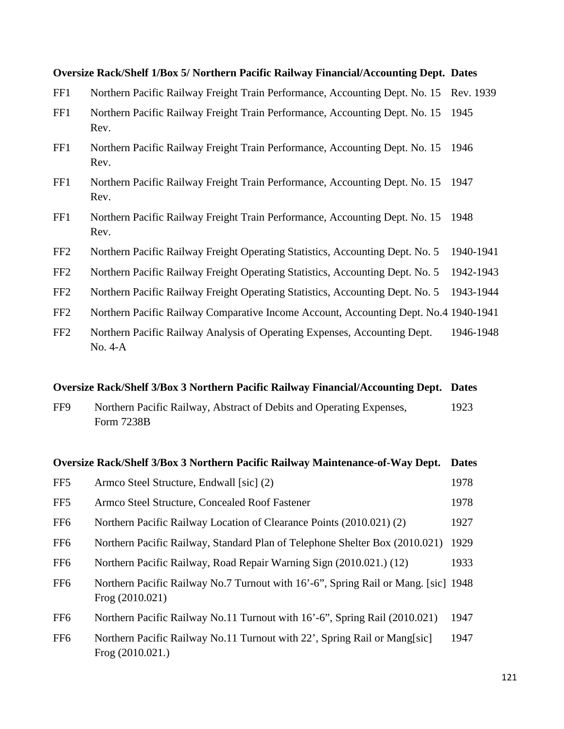#### **Oversize Rack/Shelf 1/Box 5/ Northern Pacific Railway Financial/Accounting Dept. Dates**

- FF1 Northern Pacific Railway Freight Train Performance, Accounting Dept. No. 15 Rev. 1939
- FF1 Northern Pacific Railway Freight Train Performance, Accounting Dept. No. 15 1945 Rev.
- FF1 Northern Pacific Railway Freight Train Performance, Accounting Dept. No. 15 1946 Rev.
- FF1 Northern Pacific Railway Freight Train Performance, Accounting Dept. No. 15 1947 Rev.
- FF1 Northern Pacific Railway Freight Train Performance, Accounting Dept. No. 15 1948 Rev.
- FF2 Northern Pacific Railway Freight Operating Statistics, Accounting Dept. No. 5 1940-1941
- FF2 Northern Pacific Railway Freight Operating Statistics, Accounting Dept. No. 5 1942-1943
- FF2 Northern Pacific Railway Freight Operating Statistics, Accounting Dept. No. 5 1943-1944
- FF2 Northern Pacific Railway Comparative Income Account, Accounting Dept. No.4 1940-1941
- FF2 Northern Pacific Railway Analysis of Operating Expenses, Accounting Dept. 1946-1948 No. 4-A

#### **Oversize Rack/Shelf 3/Box 3 Northern Pacific Railway Financial/Accounting Dept. Dates**

FF9 Northern Pacific Railway, Abstract of Debits and Operating Expenses, 1923 Form 7238B

## **Oversize Rack/Shelf 3/Box 3 Northern Pacific Railway Maintenance-of-Way Dept. Dates**

| FF <sub>5</sub> | Armco Steel Structure, Endwall [sic] (2)                                                                | 1978 |
|-----------------|---------------------------------------------------------------------------------------------------------|------|
| FF <sub>5</sub> | Armco Steel Structure, Concealed Roof Fastener                                                          | 1978 |
| FF <sub>6</sub> | Northern Pacific Railway Location of Clearance Points (2010.021) (2)                                    | 1927 |
| FF <sub>6</sub> | Northern Pacific Railway, Standard Plan of Telephone Shelter Box (2010.021)                             | 1929 |
| FF <sub>6</sub> | Northern Pacific Railway, Road Repair Warning Sign (2010.021.) (12)                                     | 1933 |
| FF <sub>6</sub> | Northern Pacific Railway No.7 Turnout with 16'-6", Spring Rail or Mang. [sic] 1948<br>Frog $(2010.021)$ |      |
| FF <sub>6</sub> | Northern Pacific Railway No.11 Turnout with 16'-6", Spring Rail (2010.021)                              | 1947 |
| FF <sub>6</sub> | Northern Pacific Railway No.11 Turnout with 22', Spring Rail or Mang[sic]<br>Frog $(2010.021.)$         | 1947 |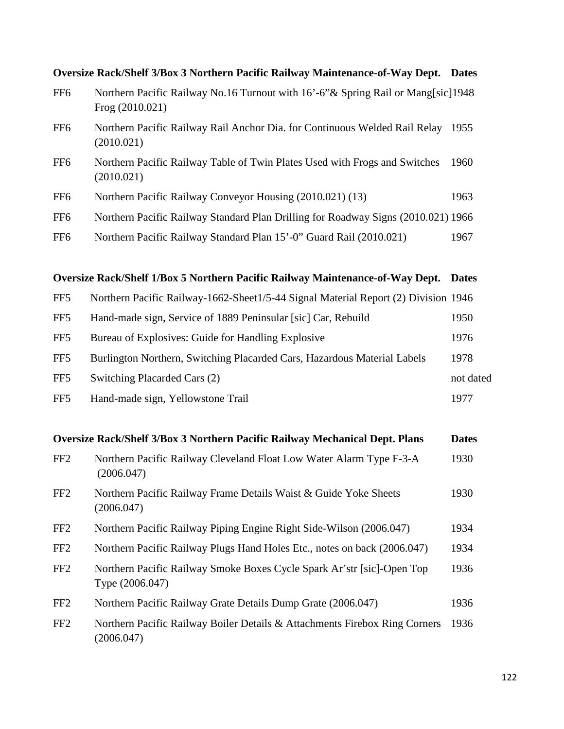|                 | <b>Oversize Rack/Shelf 3/Box 3 Northern Pacific Railway Maintenance-of-Way Dept.</b>                    | <b>Dates</b> |
|-----------------|---------------------------------------------------------------------------------------------------------|--------------|
| FF <sub>6</sub> | Northern Pacific Railway No.16 Turnout with 16'-6" & Spring Rail or Mang[sic] 1948<br>Frog $(2010.021)$ |              |
| FF <sub>6</sub> | Northern Pacific Railway Rail Anchor Dia. for Continuous Welded Rail Relay<br>(2010.021)                | 1955         |
| FF <sub>6</sub> | Northern Pacific Railway Table of Twin Plates Used with Frogs and Switches<br>(2010.021)                | 1960         |
| FF <sub>6</sub> | Northern Pacific Railway Conveyor Housing (2010.021) (13)                                               | 1963         |
| FF <sub>6</sub> | Northern Pacific Railway Standard Plan Drilling for Roadway Signs (2010.021) 1966                       |              |
| FF <sub>6</sub> | Northern Pacific Railway Standard Plan 15'-0" Guard Rail (2010.021)                                     | 1967         |

### **Oversize Rack/Shelf 1/Box 5 Northern Pacific Railway Maintenance-of-Way Dept. Dates**

| FF5             | Northern Pacific Railway-1662-Sheet1/5-44 Signal Material Report (2) Division 1946 |           |
|-----------------|------------------------------------------------------------------------------------|-----------|
| FF5             | Hand-made sign, Service of 1889 Peninsular [sic] Car, Rebuild                      | 1950      |
| FF5             | Bureau of Explosives: Guide for Handling Explosive                                 | 1976      |
| FF5             | Burlington Northern, Switching Placarded Cars, Hazardous Material Labels           | 1978      |
| FF5             | Switching Placarded Cars (2)                                                       | not dated |
| FF <sub>5</sub> | Hand-made sign, Yellowstone Trail                                                  | 1977      |

### **Oversize Rack/Shelf 3/Box 3 Northern Pacific Railway Mechanical Dept. Plans Dates**

| FF <sub>2</sub> | Northern Pacific Railway Cleveland Float Low Water Alarm Type F-3-A<br>(2006.047)         | 1930 |
|-----------------|-------------------------------------------------------------------------------------------|------|
| FF <sub>2</sub> | Northern Pacific Railway Frame Details Waist & Guide Yoke Sheets<br>(2006.047)            | 1930 |
| FF <sub>2</sub> | Northern Pacific Railway Piping Engine Right Side-Wilson (2006.047)                       | 1934 |
| FF <sub>2</sub> | Northern Pacific Railway Plugs Hand Holes Etc., notes on back (2006.047)                  | 1934 |
| FF <sub>2</sub> | Northern Pacific Railway Smoke Boxes Cycle Spark Ar'str [sic]-Open Top<br>Type (2006.047) | 1936 |
| FF <sub>2</sub> | Northern Pacific Railway Grate Details Dump Grate (2006.047)                              | 1936 |
| FF <sub>2</sub> | Northern Pacific Railway Boiler Details & Attachments Firebox Ring Corners<br>(2006.047)  | 1936 |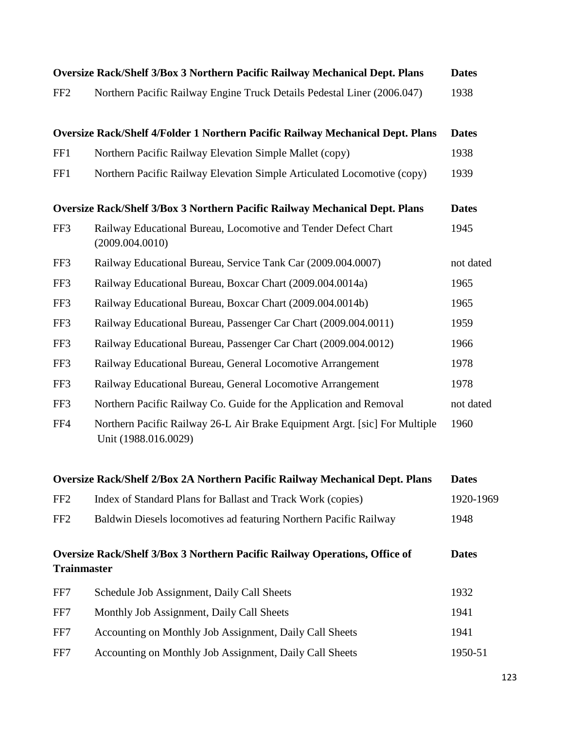|                    | <b>Oversize Rack/Shelf 3/Box 3 Northern Pacific Railway Mechanical Dept. Plans</b>                 | <b>Dates</b> |
|--------------------|----------------------------------------------------------------------------------------------------|--------------|
| FF <sub>2</sub>    | Northern Pacific Railway Engine Truck Details Pedestal Liner (2006.047)                            | 1938         |
|                    | Oversize Rack/Shelf 4/Folder 1 Northern Pacific Railway Mechanical Dept. Plans                     | <b>Dates</b> |
| FF1                | Northern Pacific Railway Elevation Simple Mallet (copy)                                            | 1938         |
| FF1                | Northern Pacific Railway Elevation Simple Articulated Locomotive (copy)                            | 1939         |
|                    | <b>Oversize Rack/Shelf 3/Box 3 Northern Pacific Railway Mechanical Dept. Plans</b>                 | <b>Dates</b> |
| FF3                | Railway Educational Bureau, Locomotive and Tender Defect Chart<br>(2009.004.0010)                  | 1945         |
| FF3                | Railway Educational Bureau, Service Tank Car (2009.004.0007)                                       | not dated    |
| FF3                | Railway Educational Bureau, Boxcar Chart (2009.004.0014a)                                          | 1965         |
| FF3                | Railway Educational Bureau, Boxcar Chart (2009.004.0014b)                                          | 1965         |
| FF3                | Railway Educational Bureau, Passenger Car Chart (2009.004.0011)                                    | 1959         |
| FF3                | Railway Educational Bureau, Passenger Car Chart (2009.004.0012)                                    | 1966         |
| FF3                | Railway Educational Bureau, General Locomotive Arrangement                                         | 1978         |
| FF3                | Railway Educational Bureau, General Locomotive Arrangement                                         | 1978         |
| FF3                | Northern Pacific Railway Co. Guide for the Application and Removal                                 | not dated    |
| FF4                | Northern Pacific Railway 26-L Air Brake Equipment Argt. [sic] For Multiple<br>Unit (1988.016.0029) | 1960         |
|                    | Oversize Rack/Shelf 2/Box 2A Northern Pacific Railway Mechanical Dept. Plans                       | <b>Dates</b> |
| FF <sub>2</sub>    | Index of Standard Plans for Ballast and Track Work (copies)                                        | 1920-1969    |
| FF <sub>2</sub>    | Baldwin Diesels locomotives ad featuring Northern Pacific Railway                                  | 1948         |
| <b>Trainmaster</b> | <b>Oversize Rack/Shelf 3/Box 3 Northern Pacific Railway Operations, Office of</b>                  | <b>Dates</b> |
| FF7                | Schedule Job Assignment, Daily Call Sheets                                                         | 1932         |
| FF7                | Monthly Job Assignment, Daily Call Sheets                                                          | 1941         |
| FF7                | Accounting on Monthly Job Assignment, Daily Call Sheets                                            | 1941         |
| FF7                | Accounting on Monthly Job Assignment, Daily Call Sheets                                            | 1950-51      |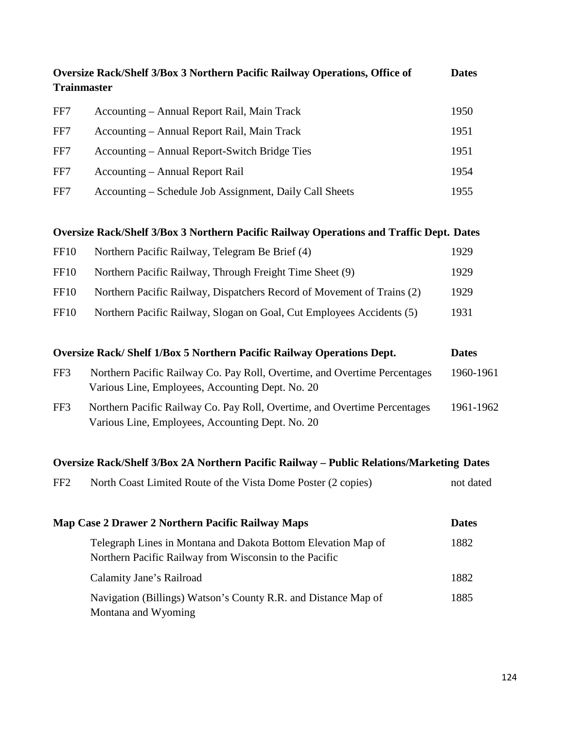| <b>Trainmaster</b> | Oversize Rack/Shelf 3/Box 3 Northern Pacific Railway Operations, Office of                                                    | <b>Dates</b> |
|--------------------|-------------------------------------------------------------------------------------------------------------------------------|--------------|
| FF7                | Accounting - Annual Report Rail, Main Track                                                                                   | 1950         |
| FF7                | Accounting – Annual Report Rail, Main Track                                                                                   | 1951         |
| FF7                | Accounting – Annual Report-Switch Bridge Ties                                                                                 | 1951         |
| FF7                | Accounting – Annual Report Rail                                                                                               | 1954         |
| FF7                | Accounting – Schedule Job Assignment, Daily Call Sheets                                                                       | 1955         |
|                    | <b>Oversize Rack/Shelf 3/Box 3 Northern Pacific Railway Operations and Traffic Dept. Dates</b>                                |              |
| <b>FF10</b>        | Northern Pacific Railway, Telegram Be Brief (4)                                                                               | 1929         |
| <b>FF10</b>        | Northern Pacific Railway, Through Freight Time Sheet (9)                                                                      | 1929         |
| <b>FF10</b>        | Northern Pacific Railway, Dispatchers Record of Movement of Trains (2)                                                        | 1929         |
| <b>FF10</b>        | Northern Pacific Railway, Slogan on Goal, Cut Employees Accidents (5)                                                         | 1931         |
|                    | <b>Oversize Rack/Shelf 1/Box 5 Northern Pacific Railway Operations Dept.</b>                                                  | <b>Dates</b> |
| FF3                | Northern Pacific Railway Co. Pay Roll, Overtime, and Overtime Percentages<br>Various Line, Employees, Accounting Dept. No. 20 | 1960-1961    |
| FF3                | Northern Pacific Railway Co. Pay Roll, Overtime, and Overtime Percentages<br>Various Line, Employees, Accounting Dept. No. 20 | 1961-1962    |
|                    | Oversize Rack/Shelf 3/Box 2A Northern Pacific Railway - Public Relations/Marketing Dates                                      |              |
| FF <sub>2</sub>    | North Coast Limited Route of the Vista Dome Poster (2 copies)                                                                 | not dated    |
|                    | Map Case 2 Drawer 2 Northern Pacific Railway Maps                                                                             | <b>Dates</b> |
|                    | Telegraph Lines in Montana and Dakota Bottom Elevation Map of<br>Northern Pacific Railway from Wisconsin to the Pacific       | 1882         |
|                    | Calamity Jane's Railroad                                                                                                      | 1882         |
|                    | Navigation (Billings) Watson's County R.R. and Distance Map of<br>Montana and Wyoming                                         | 1885         |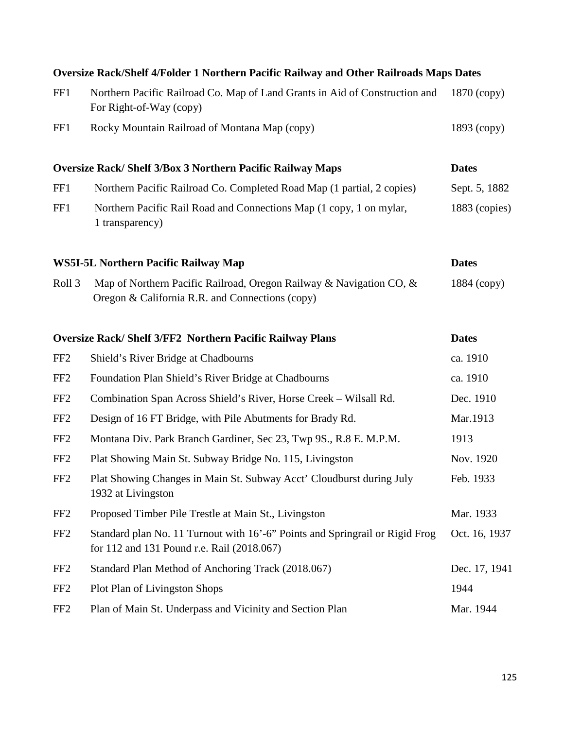| Oversize Rack/Shelf 4/Folder 1 Northern Pacific Railway and Other Railroads Maps Dates |                                                                                                                            |                 |  |
|----------------------------------------------------------------------------------------|----------------------------------------------------------------------------------------------------------------------------|-----------------|--|
| FF1                                                                                    | Northern Pacific Railroad Co. Map of Land Grants in Aid of Construction and<br>For Right-of-Way (copy)                     | $1870$ (copy)   |  |
| FF1                                                                                    | Rocky Mountain Railroad of Montana Map (copy)                                                                              | $1893$ (copy)   |  |
|                                                                                        | <b>Oversize Rack/Shelf 3/Box 3 Northern Pacific Railway Maps</b>                                                           | <b>Dates</b>    |  |
| FF1                                                                                    | Northern Pacific Railroad Co. Completed Road Map (1 partial, 2 copies)                                                     | Sept. 5, 1882   |  |
| FF1                                                                                    | Northern Pacific Rail Road and Connections Map (1 copy, 1 on mylar,<br>1 transparency)                                     | $1883$ (copies) |  |
|                                                                                        | <b>WS5I-5L Northern Pacific Railway Map</b>                                                                                | <b>Dates</b>    |  |
| Roll <sub>3</sub>                                                                      | Map of Northern Pacific Railroad, Oregon Railway & Navigation CO, &<br>Oregon & California R.R. and Connections (copy)     | 1884 (copy)     |  |
|                                                                                        | <b>Oversize Rack/Shelf 3/FF2 Northern Pacific Railway Plans</b>                                                            | <b>Dates</b>    |  |
| FF <sub>2</sub>                                                                        | Shield's River Bridge at Chadbourns                                                                                        | ca. 1910        |  |
| FF <sub>2</sub>                                                                        | Foundation Plan Shield's River Bridge at Chadbourns                                                                        | ca. 1910        |  |
| FF <sub>2</sub>                                                                        | Combination Span Across Shield's River, Horse Creek – Wilsall Rd.                                                          | Dec. 1910       |  |
| FF <sub>2</sub>                                                                        | Design of 16 FT Bridge, with Pile Abutments for Brady Rd.                                                                  | Mar.1913        |  |
| FF <sub>2</sub>                                                                        | Montana Div. Park Branch Gardiner, Sec 23, Twp 9S., R.8 E. M.P.M.                                                          | 1913            |  |
| FF <sub>2</sub>                                                                        | Plat Showing Main St. Subway Bridge No. 115, Livingston                                                                    | Nov. 1920       |  |
| FF <sub>2</sub>                                                                        | Plat Showing Changes in Main St. Subway Acct' Cloudburst during July<br>1932 at Livingston                                 | Feb. 1933       |  |
| FF <sub>2</sub>                                                                        | Proposed Timber Pile Trestle at Main St., Livingston                                                                       | Mar. 1933       |  |
| FF <sub>2</sub>                                                                        | Standard plan No. 11 Turnout with 16'-6" Points and Springrail or Rigid Frog<br>for 112 and 131 Pound r.e. Rail (2018.067) | Oct. 16, 1937   |  |
| FF <sub>2</sub>                                                                        | Standard Plan Method of Anchoring Track (2018.067)                                                                         | Dec. 17, 1941   |  |
| FF <sub>2</sub>                                                                        | <b>Plot Plan of Livingston Shops</b>                                                                                       | 1944            |  |
| FF <sub>2</sub>                                                                        | Plan of Main St. Underpass and Vicinity and Section Plan                                                                   | Mar. 1944       |  |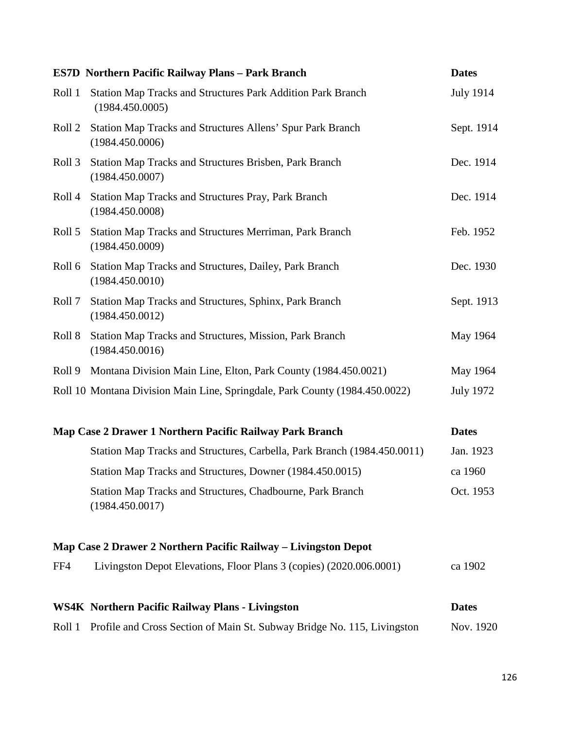|        | <b>ES7D Northern Pacific Railway Plans - Park Branch</b>                              | <b>Dates</b>     |
|--------|---------------------------------------------------------------------------------------|------------------|
| Roll 1 | <b>Station Map Tracks and Structures Park Addition Park Branch</b><br>(1984.450.0005) | <b>July 1914</b> |
| Roll 2 | Station Map Tracks and Structures Allens' Spur Park Branch<br>(1984.450.0006)         | Sept. 1914       |
| Roll 3 | Station Map Tracks and Structures Brisben, Park Branch<br>(1984.450.0007)             | Dec. 1914        |
| Roll 4 | Station Map Tracks and Structures Pray, Park Branch<br>(1984.450.0008)                | Dec. 1914        |
| Roll 5 | Station Map Tracks and Structures Merriman, Park Branch<br>(1984.450.0009)            | Feb. 1952        |
| Roll 6 | Station Map Tracks and Structures, Dailey, Park Branch<br>(1984.450.0010)             | Dec. 1930        |
| Roll 7 | Station Map Tracks and Structures, Sphinx, Park Branch<br>(1984.450.0012)             | Sept. 1913       |
| Roll 8 | Station Map Tracks and Structures, Mission, Park Branch<br>(1984.450.0016)            | May 1964         |
| Roll 9 | Montana Division Main Line, Elton, Park County (1984.450.0021)                        | May 1964         |
|        | Roll 10 Montana Division Main Line, Springdale, Park County (1984.450.0022)           | <b>July 1972</b> |
|        | Map Case 2 Drawer 1 Northern Pacific Railway Park Branch                              | <b>Dates</b>     |
|        | Station Map Tracks and Structures, Carbella, Park Branch (1984.450.0011)              | Jan. 1923        |
|        | Station Map Tracks and Structures, Downer (1984.450.0015)                             | ca 1960          |
|        | Station Map Tracks and Structures, Chadbourne, Park Branch<br>(1984.450.0017)         | Oct. 1953        |
|        | Map Case 2 Drawer 2 Northern Pacific Railway – Livingston Depot                       |                  |
| FF4    | Livingston Depot Elevations, Floor Plans 3 (copies) (2020.006.0001)                   | ca 1902          |
|        | <b>WS4K Northern Pacific Railway Plans - Livingston</b>                               | <b>Dates</b>     |
| Roll 1 | Profile and Cross Section of Main St. Subway Bridge No. 115, Livingston               | Nov. 1920        |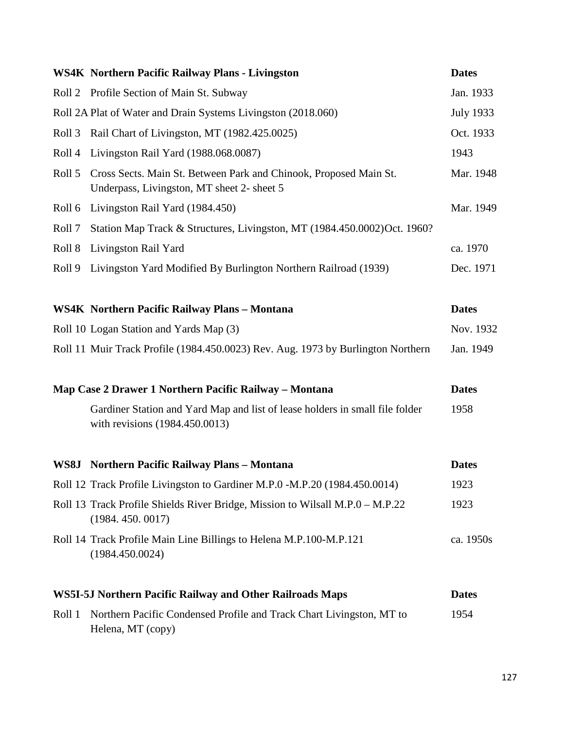|        | <b>WS4K Northern Pacific Railway Plans - Livingston</b>                                                         | <b>Dates</b>     |
|--------|-----------------------------------------------------------------------------------------------------------------|------------------|
|        | Roll 2 Profile Section of Main St. Subway                                                                       | Jan. 1933        |
|        | Roll 2A Plat of Water and Drain Systems Livingston (2018.060)                                                   | <b>July 1933</b> |
| Roll 3 | Rail Chart of Livingston, MT (1982.425.0025)                                                                    | Oct. 1933        |
| Roll 4 | Livingston Rail Yard (1988.068.0087)                                                                            | 1943             |
| Roll 5 | Cross Sects. Main St. Between Park and Chinook, Proposed Main St.<br>Underpass, Livingston, MT sheet 2- sheet 5 | Mar. 1948        |
| Roll 6 | Livingston Rail Yard (1984.450)                                                                                 | Mar. 1949        |
| Roll 7 | Station Map Track & Structures, Livingston, MT (1984.450.0002)Oct. 1960?                                        |                  |
| Roll 8 | Livingston Rail Yard                                                                                            | ca. 1970         |
| Roll 9 | Livingston Yard Modified By Burlington Northern Railroad (1939)                                                 | Dec. 1971        |
|        |                                                                                                                 |                  |
|        | <b>WS4K Northern Pacific Railway Plans - Montana</b>                                                            | <b>Dates</b>     |
|        | Roll 10 Logan Station and Yards Map (3)                                                                         | Nov. 1932        |
|        | Roll 11 Muir Track Profile (1984.450.0023) Rev. Aug. 1973 by Burlington Northern                                | Jan. 1949        |
|        | Map Case 2 Drawer 1 Northern Pacific Railway – Montana                                                          | <b>Dates</b>     |
|        | Gardiner Station and Yard Map and list of lease holders in small file folder<br>with revisions (1984.450.0013)  | 1958             |
| WS8J   | <b>Northern Pacific Railway Plans - Montana</b>                                                                 | <b>Dates</b>     |
|        | Roll 12 Track Profile Livingston to Gardiner M.P.0 -M.P.20 (1984.450.0014)                                      | 1923             |
|        | Roll 13 Track Profile Shields River Bridge, Mission to Wilsall M.P.0 - M.P.22<br>(1984.450.0017)                | 1923             |
|        | Roll 14 Track Profile Main Line Billings to Helena M.P.100-M.P.121<br>(1984.450.0024)                           | ca. 1950s        |
|        | <b>WS5I-5J Northern Pacific Railway and Other Railroads Maps</b>                                                | <b>Dates</b>     |
| Roll 1 | Northern Pacific Condensed Profile and Track Chart Livingston, MT to<br>Helena, MT (copy)                       | 1954             |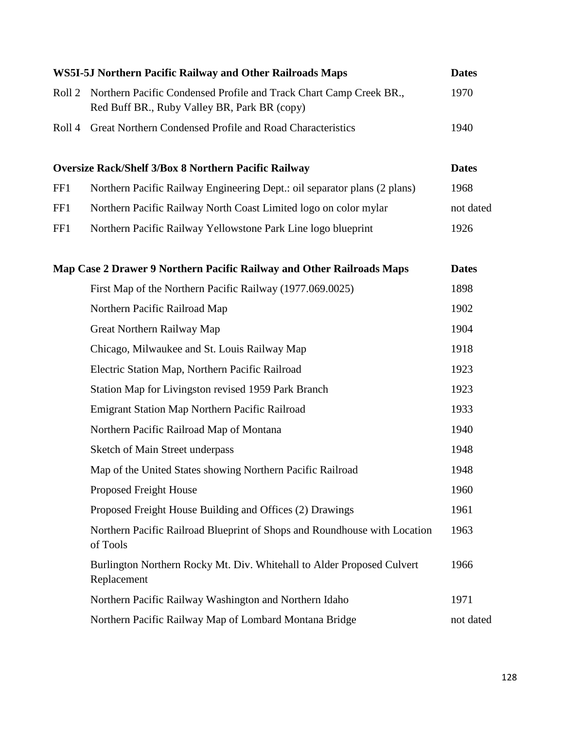|                   | WS5I-5J Northern Pacific Railway and Other Railroads Maps                                                          | <b>Dates</b> |
|-------------------|--------------------------------------------------------------------------------------------------------------------|--------------|
| Roll <sub>2</sub> | Northern Pacific Condensed Profile and Track Chart Camp Creek BR.,<br>Red Buff BR., Ruby Valley BR, Park BR (copy) | 1970         |
| Roll 4            | Great Northern Condensed Profile and Road Characteristics                                                          | 1940         |
|                   | <b>Oversize Rack/Shelf 3/Box 8 Northern Pacific Railway</b>                                                        | <b>Dates</b> |
| FF1               | Northern Pacific Railway Engineering Dept.: oil separator plans (2 plans)                                          | 1968         |
| FF1               | Northern Pacific Railway North Coast Limited logo on color mylar                                                   | not dated    |
| FF1               | Northern Pacific Railway Yellowstone Park Line logo blueprint                                                      | 1926         |
|                   | Map Case 2 Drawer 9 Northern Pacific Railway and Other Railroads Maps                                              | <b>Dates</b> |
|                   | First Map of the Northern Pacific Railway (1977.069.0025)                                                          | 1898         |
|                   | Northern Pacific Railroad Map                                                                                      | 1902         |
|                   | Great Northern Railway Map                                                                                         | 1904         |
|                   | Chicago, Milwaukee and St. Louis Railway Map                                                                       | 1918         |
|                   | Electric Station Map, Northern Pacific Railroad                                                                    | 1923         |
|                   | Station Map for Livingston revised 1959 Park Branch                                                                | 1923         |
|                   | Emigrant Station Map Northern Pacific Railroad                                                                     | 1933         |
|                   | Northern Pacific Railroad Map of Montana                                                                           | 1940         |
|                   | Sketch of Main Street underpass                                                                                    | 1948         |
|                   | Map of the United States showing Northern Pacific Railroad                                                         | 1948         |
|                   | <b>Proposed Freight House</b>                                                                                      | 1960         |
|                   | Proposed Freight House Building and Offices (2) Drawings                                                           | 1961         |
|                   | Northern Pacific Railroad Blueprint of Shops and Roundhouse with Location<br>of Tools                              | 1963         |
|                   | Burlington Northern Rocky Mt. Div. Whitehall to Alder Proposed Culvert<br>Replacement                              | 1966         |
|                   | Northern Pacific Railway Washington and Northern Idaho                                                             | 1971         |
|                   | Northern Pacific Railway Map of Lombard Montana Bridge                                                             | not dated    |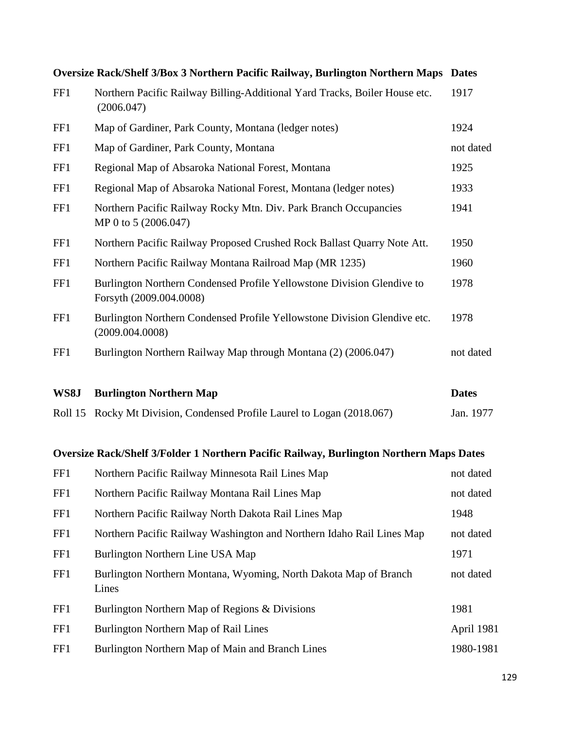|     | Oversize Rack/Shelf 3/Box 3 Northern Pacific Railway, Burlington Northern Maps                    | <b>Dates</b> |
|-----|---------------------------------------------------------------------------------------------------|--------------|
| FF1 | Northern Pacific Railway Billing-Additional Yard Tracks, Boiler House etc.<br>(2006.047)          | 1917         |
| FF1 | Map of Gardiner, Park County, Montana (ledger notes)                                              | 1924         |
| FF1 | Map of Gardiner, Park County, Montana                                                             | not dated    |
| FF1 | Regional Map of Absaroka National Forest, Montana                                                 | 1925         |
| FF1 | Regional Map of Absaroka National Forest, Montana (ledger notes)                                  | 1933         |
| FF1 | Northern Pacific Railway Rocky Mtn. Div. Park Branch Occupancies<br>MP 0 to 5 (2006.047)          | 1941         |
| FF1 | Northern Pacific Railway Proposed Crushed Rock Ballast Quarry Note Att.                           | 1950         |
| FF1 | Northern Pacific Railway Montana Railroad Map (MR 1235)                                           | 1960         |
| FF1 | Burlington Northern Condensed Profile Yellowstone Division Glendive to<br>Forsyth (2009.004.0008) | 1978         |
| FF1 | Burlington Northern Condensed Profile Yellowstone Division Glendive etc.<br>(2009.004.0008)       | 1978         |
| FF1 | Burlington Northern Railway Map through Montana (2) (2006.047)                                    | not dated    |

| WS8J | <b>Burlington Northern Map</b>                                          | <b>Dates</b> |
|------|-------------------------------------------------------------------------|--------------|
|      | Roll 15 Rocky Mt Division, Condensed Profile Laurel to Logan (2018.067) | Jan. 1977    |

## **Oversize Rack/Shelf 3/Folder 1 Northern Pacific Railway, Burlington Northern Maps Dates**

| FF1 | Northern Pacific Railway Minnesota Rail Lines Map                         | not dated  |
|-----|---------------------------------------------------------------------------|------------|
| FF1 | Northern Pacific Railway Montana Rail Lines Map                           | not dated  |
| FF1 | Northern Pacific Railway North Dakota Rail Lines Map                      | 1948       |
| FF1 | Northern Pacific Railway Washington and Northern Idaho Rail Lines Map     | not dated  |
| FF1 | Burlington Northern Line USA Map                                          | 1971       |
| FF1 | Burlington Northern Montana, Wyoming, North Dakota Map of Branch<br>Lines | not dated  |
| FF1 | Burlington Northern Map of Regions & Divisions                            | 1981       |
| FF1 | Burlington Northern Map of Rail Lines                                     | April 1981 |
| FF1 | Burlington Northern Map of Main and Branch Lines                          | 1980-1981  |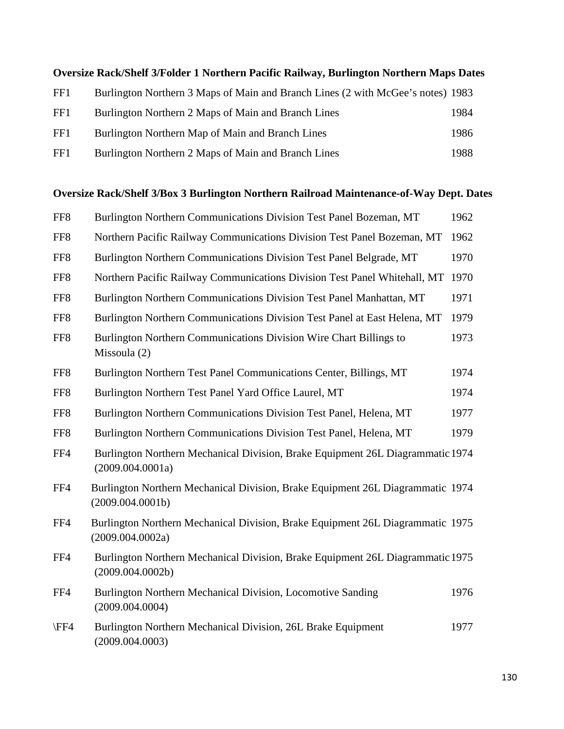|     | Oversize Rack/Shelf 3/Folder 1 Northern Pacific Railway, Burlington Northern Maps Dates |      |
|-----|-----------------------------------------------------------------------------------------|------|
| FF1 | Burlington Northern 3 Maps of Main and Branch Lines (2 with McGee's notes) 1983         |      |
| FF1 | Burlington Northern 2 Maps of Main and Branch Lines                                     | 1984 |
| FF1 | Burlington Northern Map of Main and Branch Lines                                        | 1986 |
| FF1 | Burlington Northern 2 Maps of Main and Branch Lines                                     | 1988 |

### **Oversize Rack/Shelf 3/Box 3 Burlington Northern Railroad Maintenance-of-Way Dept. Dates**

| FF <sub>8</sub> | Burlington Northern Communications Division Test Panel Bozeman, MT                                 | 1962 |
|-----------------|----------------------------------------------------------------------------------------------------|------|
| FF <sub>8</sub> | Northern Pacific Railway Communications Division Test Panel Bozeman, MT                            | 1962 |
| FF <sub>8</sub> | Burlington Northern Communications Division Test Panel Belgrade, MT                                | 1970 |
| FF8             | Northern Pacific Railway Communications Division Test Panel Whitehall, MT                          | 1970 |
| FF8             | Burlington Northern Communications Division Test Panel Manhattan, MT                               | 1971 |
| FF8             | Burlington Northern Communications Division Test Panel at East Helena, MT                          | 1979 |
| FF8             | Burlington Northern Communications Division Wire Chart Billings to<br>Missoula (2)                 | 1973 |
| FF <sub>8</sub> | Burlington Northern Test Panel Communications Center, Billings, MT                                 | 1974 |
| FF8             | Burlington Northern Test Panel Yard Office Laurel, MT                                              | 1974 |
| FF <sub>8</sub> | Burlington Northern Communications Division Test Panel, Helena, MT                                 | 1977 |
| FF <sub>8</sub> | Burlington Northern Communications Division Test Panel, Helena, MT                                 | 1979 |
| FF4             | Burlington Northern Mechanical Division, Brake Equipment 26L Diagrammatic 1974<br>(2009.004.0001a) |      |
| FF4             | Burlington Northern Mechanical Division, Brake Equipment 26L Diagrammatic 1974<br>(2009.004.0001b) |      |
| FF4             | Burlington Northern Mechanical Division, Brake Equipment 26L Diagrammatic 1975<br>(2009.004.0002a) |      |
| FF4             | Burlington Northern Mechanical Division, Brake Equipment 26L Diagrammatic 1975<br>(2009.004.0002b) |      |
| FF4             | Burlington Northern Mechanical Division, Locomotive Sanding<br>(2009.004.0004)                     | 1976 |
| \FF4            | Burlington Northern Mechanical Division, 26L Brake Equipment<br>(2009.004.0003)                    | 1977 |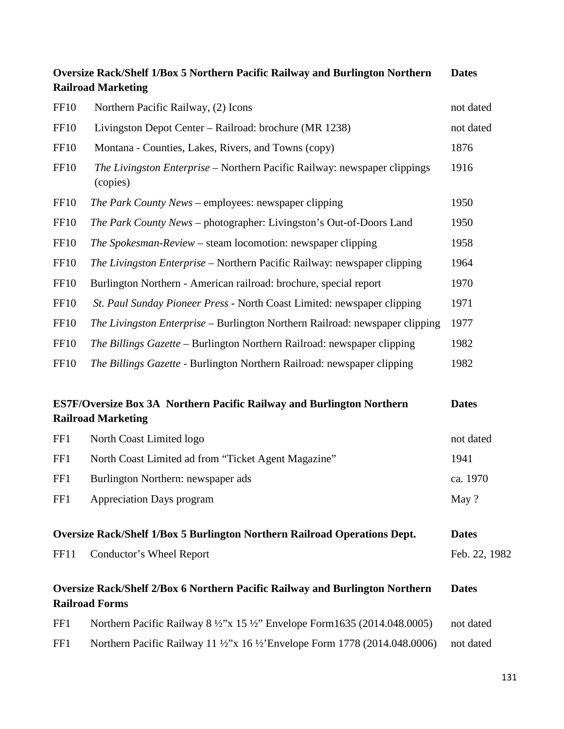| <b>Oversize Rack/Shelf 1/Box 5 Northern Pacific Railway and Burlington Northern</b><br><b>Railroad Marketing</b> |                                                                                                           | <b>Dates</b>  |
|------------------------------------------------------------------------------------------------------------------|-----------------------------------------------------------------------------------------------------------|---------------|
| <b>FF10</b>                                                                                                      | Northern Pacific Railway, (2) Icons                                                                       | not dated     |
| <b>FF10</b>                                                                                                      | Livingston Depot Center - Railroad: brochure (MR 1238)                                                    | not dated     |
| <b>FF10</b>                                                                                                      | Montana - Counties, Lakes, Rivers, and Towns (copy)                                                       | 1876          |
| <b>FF10</b>                                                                                                      | The Livingston Enterprise – Northern Pacific Railway: newspaper clippings<br>(copies)                     | 1916          |
| FF <sub>10</sub>                                                                                                 | <i>The Park County News – employees: newspaper clipping</i>                                               | 1950          |
| <b>FF10</b>                                                                                                      | The Park County News - photographer: Livingston's Out-of-Doors Land                                       | 1950          |
| <b>FF10</b>                                                                                                      | The Spokesman-Review – steam locomotion: newspaper clipping                                               | 1958          |
| <b>FF10</b>                                                                                                      | The Livingston Enterprise – Northern Pacific Railway: newspaper clipping                                  | 1964          |
| <b>FF10</b>                                                                                                      | Burlington Northern - American railroad: brochure, special report                                         | 1970          |
| <b>FF10</b>                                                                                                      | St. Paul Sunday Pioneer Press - North Coast Limited: newspaper clipping                                   | 1971          |
| <b>FF10</b>                                                                                                      | The Livingston Enterprise – Burlington Northern Railroad: newspaper clipping                              | 1977          |
| <b>FF10</b>                                                                                                      | The Billings Gazette – Burlington Northern Railroad: newspaper clipping                                   | 1982          |
| <b>FF10</b>                                                                                                      | The Billings Gazette - Burlington Northern Railroad: newspaper clipping                                   | 1982          |
|                                                                                                                  | <b>ES7F/Oversize Box 3A Northern Pacific Railway and Burlington Northern</b><br><b>Railroad Marketing</b> | <b>Dates</b>  |
| FF1                                                                                                              | North Coast Limited logo                                                                                  | not dated     |
| FF1                                                                                                              | North Coast Limited ad from "Ticket Agent Magazine"                                                       | 1941          |
| FF1                                                                                                              | Burlington Northern: newspaper ads                                                                        | ca. 1970      |
| FF1                                                                                                              | <b>Appreciation Days program</b>                                                                          | May ?         |
|                                                                                                                  | <b>Oversize Rack/Shelf 1/Box 5 Burlington Northern Railroad Operations Dept.</b>                          | <b>Dates</b>  |
| <b>FF11</b>                                                                                                      | Conductor's Wheel Report                                                                                  | Feb. 22, 1982 |
|                                                                                                                  | Oversize Rack/Shelf 2/Box 6 Northern Pacific Railway and Burlington Northern<br><b>Railroad Forms</b>     | <b>Dates</b>  |
| FF1                                                                                                              | Northern Pacific Railway 8 ½"x 15 ½" Envelope Form1635 (2014.048.0005)                                    | not dated     |
| FF1                                                                                                              | Northern Pacific Railway 11 1/2"x 16 1/2 Envelope Form 1778 (2014.048.0006)                               | not dated     |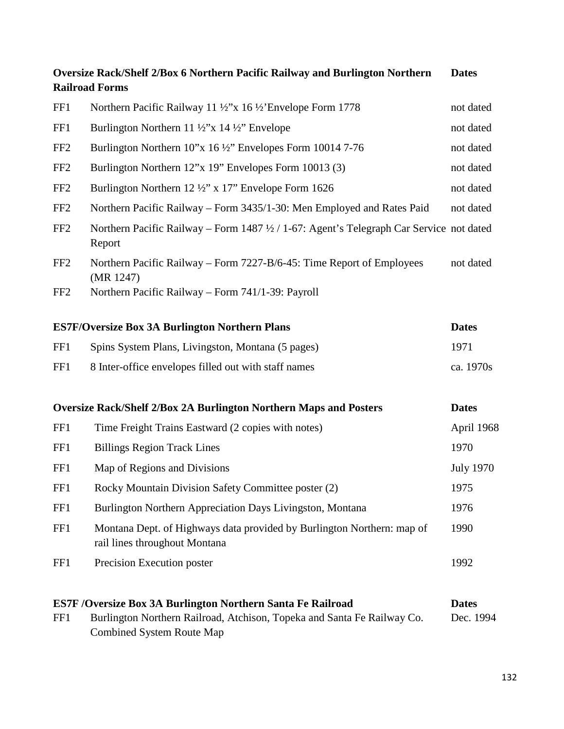|                 | Oversize Rack/Shelf 2/Box 6 Northern Pacific Railway and Burlington Northern<br><b>Railroad Forms</b>                                                                             | <b>Dates</b>              |
|-----------------|-----------------------------------------------------------------------------------------------------------------------------------------------------------------------------------|---------------------------|
| FF1             | Northern Pacific Railway 11 ½"x 16 ½ Envelope Form 1778                                                                                                                           | not dated                 |
| FF1             | Burlington Northern 11 $\frac{1}{2}$ "x 14 $\frac{1}{2}$ " Envelope                                                                                                               | not dated                 |
| FF <sub>2</sub> | Burlington Northern 10"x 16 ½" Envelopes Form 10014 7-76                                                                                                                          | not dated                 |
| FF <sub>2</sub> | Burlington Northern 12"x 19" Envelopes Form 10013 (3)                                                                                                                             | not dated                 |
| FF <sub>2</sub> | Burlington Northern 12 $\frac{1}{2}$ " x 17" Envelope Form 1626                                                                                                                   | not dated                 |
| FF <sub>2</sub> | Northern Pacific Railway – Form 3435/1-30: Men Employed and Rates Paid                                                                                                            | not dated                 |
| FF <sub>2</sub> | Northern Pacific Railway – Form 1487 ½ / 1-67: Agent's Telegraph Car Service not dated<br>Report                                                                                  |                           |
| FF <sub>2</sub> | Northern Pacific Railway – Form 7227-B/6-45: Time Report of Employees<br>(MR 1247)                                                                                                | not dated                 |
| FF <sub>2</sub> | Northern Pacific Railway - Form 741/1-39: Payroll                                                                                                                                 |                           |
|                 | <b>ES7F/Oversize Box 3A Burlington Northern Plans</b>                                                                                                                             | <b>Dates</b>              |
| FF1             | Spins System Plans, Livingston, Montana (5 pages)                                                                                                                                 | 1971                      |
| FF1             | 8 Inter-office envelopes filled out with staff names                                                                                                                              | ca. 1970s                 |
|                 | <b>Oversize Rack/Shelf 2/Box 2A Burlington Northern Maps and Posters</b>                                                                                                          | <b>Dates</b>              |
| FF1             | Time Freight Trains Eastward (2 copies with notes)                                                                                                                                | April 1968                |
| FF1             | <b>Billings Region Track Lines</b>                                                                                                                                                | 1970                      |
| FF1             | Map of Regions and Divisions                                                                                                                                                      | <b>July 1970</b>          |
| FF1             | Rocky Mountain Division Safety Committee poster (2)                                                                                                                               | 1975                      |
| FF1             | Burlington Northern Appreciation Days Livingston, Montana                                                                                                                         | 1976                      |
| FF1             | Montana Dept. of Highways data provided by Burlington Northern: map of<br>rail lines throughout Montana                                                                           | 1990                      |
| FF1             | Precision Execution poster                                                                                                                                                        | 1992                      |
| FF1             | <b>ES7F /Oversize Box 3A Burlington Northern Santa Fe Railroad</b><br>Burlington Northern Railroad, Atchison, Topeka and Santa Fe Railway Co.<br><b>Combined System Route Map</b> | <b>Dates</b><br>Dec. 1994 |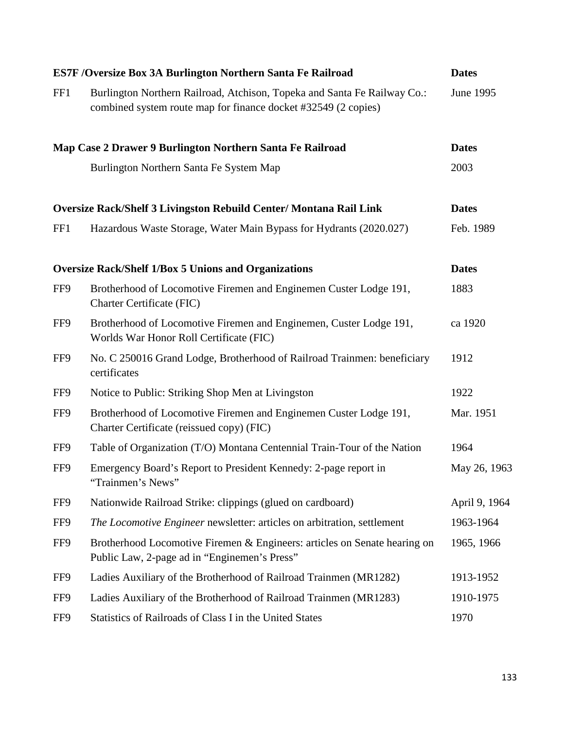| <b>ES7F /Oversize Box 3A Burlington Northern Santa Fe Railroad</b> |                                                                                                                                            | <b>Dates</b>  |
|--------------------------------------------------------------------|--------------------------------------------------------------------------------------------------------------------------------------------|---------------|
| FF1                                                                | Burlington Northern Railroad, Atchison, Topeka and Santa Fe Railway Co.:<br>combined system route map for finance docket #32549 (2 copies) | June 1995     |
|                                                                    | Map Case 2 Drawer 9 Burlington Northern Santa Fe Railroad                                                                                  | <b>Dates</b>  |
|                                                                    | Burlington Northern Santa Fe System Map                                                                                                    | 2003          |
|                                                                    | <b>Oversize Rack/Shelf 3 Livingston Rebuild Center/ Montana Rail Link</b>                                                                  | <b>Dates</b>  |
| FF1                                                                | Hazardous Waste Storage, Water Main Bypass for Hydrants (2020.027)                                                                         | Feb. 1989     |
|                                                                    | <b>Oversize Rack/Shelf 1/Box 5 Unions and Organizations</b>                                                                                | <b>Dates</b>  |
| FF9                                                                | Brotherhood of Locomotive Firemen and Enginemen Custer Lodge 191,<br><b>Charter Certificate (FIC)</b>                                      | 1883          |
| FF9                                                                | Brotherhood of Locomotive Firemen and Enginemen, Custer Lodge 191,<br>Worlds War Honor Roll Certificate (FIC)                              | ca 1920       |
| FF9                                                                | No. C 250016 Grand Lodge, Brotherhood of Railroad Trainmen: beneficiary<br>certificates                                                    | 1912          |
| FF9                                                                | Notice to Public: Striking Shop Men at Livingston                                                                                          | 1922          |
| FF9                                                                | Brotherhood of Locomotive Firemen and Enginemen Custer Lodge 191,<br>Charter Certificate (reissued copy) (FIC)                             | Mar. 1951     |
| FF9                                                                | Table of Organization (T/O) Montana Centennial Train-Tour of the Nation                                                                    | 1964          |
| FF9                                                                | Emergency Board's Report to President Kennedy: 2-page report in<br>"Trainmen's News"                                                       | May 26, 1963  |
| FF9                                                                | Nationwide Railroad Strike: clippings (glued on cardboard)                                                                                 | April 9, 1964 |
| FF9                                                                | The Locomotive Engineer newsletter: articles on arbitration, settlement                                                                    | 1963-1964     |
| FF9                                                                | Brotherhood Locomotive Firemen & Engineers: articles on Senate hearing on<br>Public Law, 2-page ad in "Enginemen's Press"                  | 1965, 1966    |
| FF9                                                                | Ladies Auxiliary of the Brotherhood of Railroad Trainmen (MR1282)                                                                          | 1913-1952     |
| FF9                                                                | Ladies Auxiliary of the Brotherhood of Railroad Trainmen (MR1283)                                                                          | 1910-1975     |
| FF9                                                                | Statistics of Railroads of Class I in the United States                                                                                    | 1970          |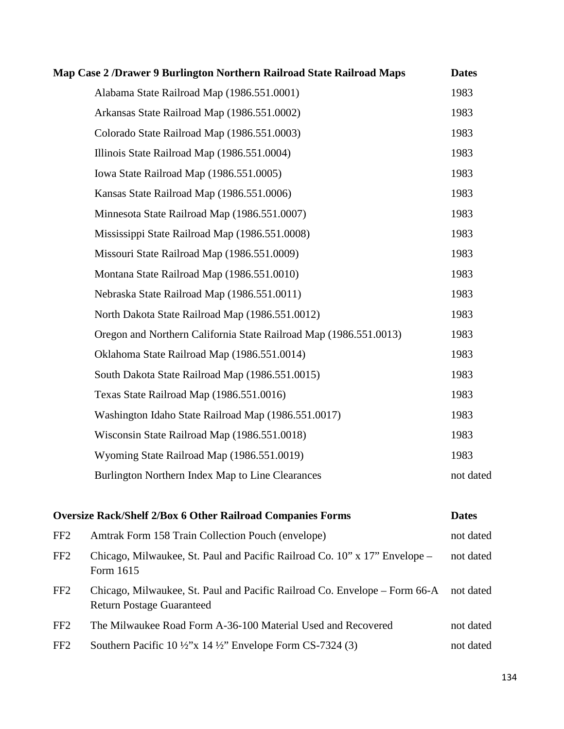|                 | Map Case 2 / Drawer 9 Burlington Northern Railroad State Railroad Maps                                         | <b>Dates</b> |
|-----------------|----------------------------------------------------------------------------------------------------------------|--------------|
|                 | Alabama State Railroad Map (1986.551.0001)                                                                     | 1983         |
|                 | Arkansas State Railroad Map (1986.551.0002)                                                                    | 1983         |
|                 | Colorado State Railroad Map (1986.551.0003)                                                                    | 1983         |
|                 | Illinois State Railroad Map (1986.551.0004)                                                                    | 1983         |
|                 | Iowa State Railroad Map (1986.551.0005)                                                                        | 1983         |
|                 | Kansas State Railroad Map (1986.551.0006)                                                                      | 1983         |
|                 | Minnesota State Railroad Map (1986.551.0007)                                                                   | 1983         |
|                 | Mississippi State Railroad Map (1986.551.0008)                                                                 | 1983         |
|                 | Missouri State Railroad Map (1986.551.0009)                                                                    | 1983         |
|                 | Montana State Railroad Map (1986.551.0010)                                                                     | 1983         |
|                 | Nebraska State Railroad Map (1986.551.0011)                                                                    | 1983         |
|                 | North Dakota State Railroad Map (1986.551.0012)                                                                | 1983         |
|                 | Oregon and Northern California State Railroad Map (1986.551.0013)                                              | 1983         |
|                 | Oklahoma State Railroad Map (1986.551.0014)                                                                    | 1983         |
|                 | South Dakota State Railroad Map (1986.551.0015)                                                                | 1983         |
|                 | Texas State Railroad Map (1986.551.0016)                                                                       | 1983         |
|                 | Washington Idaho State Railroad Map (1986.551.0017)                                                            | 1983         |
|                 | Wisconsin State Railroad Map (1986.551.0018)                                                                   | 1983         |
|                 | Wyoming State Railroad Map (1986.551.0019)                                                                     | 1983         |
|                 | Burlington Northern Index Map to Line Clearances                                                               | not dated    |
|                 | <b>Oversize Rack/Shelf 2/Box 6 Other Railroad Companies Forms</b>                                              | <b>Dates</b> |
| FF <sub>2</sub> | Amtrak Form 158 Train Collection Pouch (envelope)                                                              | not dated    |
| FF <sub>2</sub> | Chicago, Milwaukee, St. Paul and Pacific Railroad Co. 10" x 17" Envelope –<br>Form 1615                        | not dated    |
| FF <sub>2</sub> | Chicago, Milwaukee, St. Paul and Pacific Railroad Co. Envelope - Form 66-A<br><b>Return Postage Guaranteed</b> | not dated    |
| FF <sub>2</sub> | The Milwaukee Road Form A-36-100 Material Used and Recovered                                                   | not dated    |
| FF <sub>2</sub> | Southern Pacific 10 $\frac{1}{2}$ 'x 14 $\frac{1}{2}$ '' Envelope Form CS-7324 (3)                             | not dated    |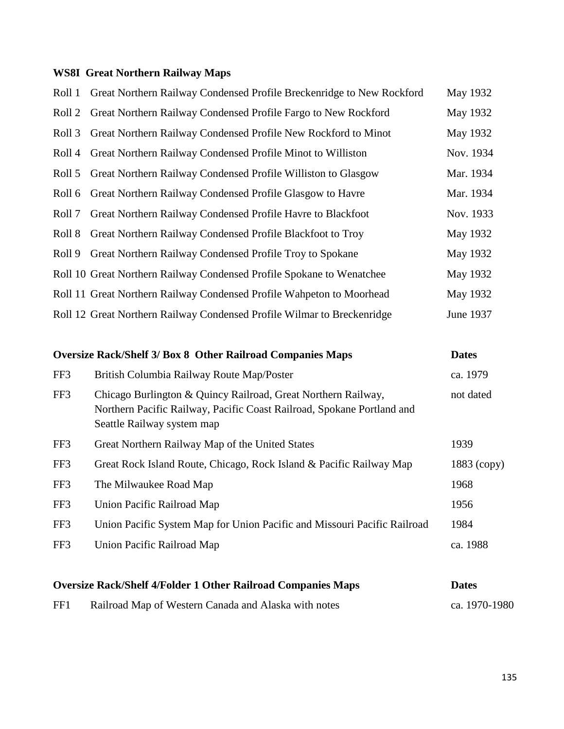# **WS8I Great Northern Railway Maps**

| Roll 1            | Great Northern Railway Condensed Profile Breckenridge to New Rockford                                                                                                 | May 1932      |
|-------------------|-----------------------------------------------------------------------------------------------------------------------------------------------------------------------|---------------|
| Roll <sub>2</sub> | Great Northern Railway Condensed Profile Fargo to New Rockford                                                                                                        | May 1932      |
| Roll <sub>3</sub> | Great Northern Railway Condensed Profile New Rockford to Minot                                                                                                        | May 1932      |
| Roll 4            | Great Northern Railway Condensed Profile Minot to Williston                                                                                                           | Nov. 1934     |
| Roll 5            | Great Northern Railway Condensed Profile Williston to Glasgow                                                                                                         | Mar. 1934     |
| Roll 6            | Great Northern Railway Condensed Profile Glasgow to Havre                                                                                                             | Mar. 1934     |
| Roll 7            | Great Northern Railway Condensed Profile Havre to Blackfoot                                                                                                           | Nov. 1933     |
| Roll 8            | Great Northern Railway Condensed Profile Blackfoot to Troy                                                                                                            | May 1932      |
| Roll 9            | Great Northern Railway Condensed Profile Troy to Spokane                                                                                                              | May 1932      |
|                   | Roll 10 Great Northern Railway Condensed Profile Spokane to Wenatchee                                                                                                 | May 1932      |
|                   | Roll 11 Great Northern Railway Condensed Profile Wahpeton to Moorhead                                                                                                 | May 1932      |
|                   | Roll 12 Great Northern Railway Condensed Profile Wilmar to Breckenridge                                                                                               | June 1937     |
|                   | <b>Oversize Rack/Shelf 3/ Box 8 Other Railroad Companies Maps</b>                                                                                                     | <b>Dates</b>  |
| FF3               | British Columbia Railway Route Map/Poster                                                                                                                             | ca. 1979      |
| FF3               | Chicago Burlington & Quincy Railroad, Great Northern Railway,<br>Northern Pacific Railway, Pacific Coast Railroad, Spokane Portland and<br>Seattle Railway system map | not dated     |
| FF3               | Great Northern Railway Map of the United States                                                                                                                       | 1939          |
| FF3               | Great Rock Island Route, Chicago, Rock Island & Pacific Railway Map                                                                                                   | $1883$ (copy) |
| FF3               | The Milwaukee Road Map                                                                                                                                                | 1968          |
| FF3               | Union Pacific Railroad Map                                                                                                                                            | 1956          |
| FF3               | Union Pacific System Map for Union Pacific and Missouri Pacific Railroad                                                                                              | 1984          |
| FF3               | Union Pacific Railroad Map                                                                                                                                            | ca. 1988      |
|                   |                                                                                                                                                                       |               |

| <b>Oversize Rack/Shelf 4/Folder 1 Other Railroad Companies Maps</b> |                                                      |               |
|---------------------------------------------------------------------|------------------------------------------------------|---------------|
| FF1                                                                 | Railroad Map of Western Canada and Alaska with notes | ca. 1970-1980 |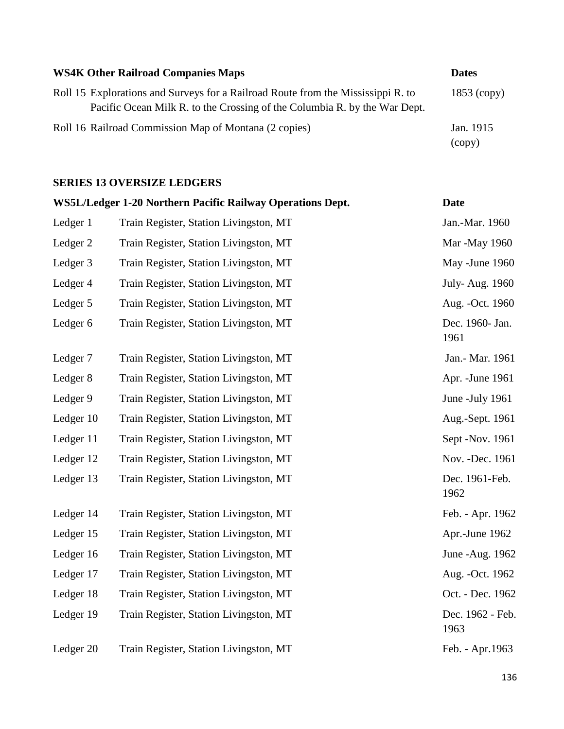| <b>WS4K Other Railroad Companies Maps</b>                                                                                                                     | <b>Dates</b>        |
|---------------------------------------------------------------------------------------------------------------------------------------------------------------|---------------------|
| Roll 15 Explorations and Surveys for a Railroad Route from the Mississippi R. to<br>Pacific Ocean Milk R. to the Crossing of the Columbia R. by the War Dept. | $1853$ (copy)       |
| Roll 16 Railroad Commission Map of Montana (2 copies)                                                                                                         | Jan. 1915<br>(copy) |

### **SERIES 13 OVERSIZE LEDGERS**

|           | WS5L/Ledger 1-20 Northern Pacific Railway Operations Dept. | <b>Date</b>              |
|-----------|------------------------------------------------------------|--------------------------|
| Ledger 1  | Train Register, Station Livingston, MT                     | Jan.-Mar. 1960           |
| Ledger 2  | Train Register, Station Livingston, MT                     | Mar -May 1960            |
| Ledger 3  | Train Register, Station Livingston, MT                     | May -June 1960           |
| Ledger 4  | Train Register, Station Livingston, MT                     | July-Aug. 1960           |
| Ledger 5  | Train Register, Station Livingston, MT                     | Aug. - Oct. 1960         |
| Ledger 6  | Train Register, Station Livingston, MT                     | Dec. 1960- Jan.<br>1961  |
| Ledger 7  | Train Register, Station Livingston, MT                     | Jan.- Mar. 1961          |
| Ledger 8  | Train Register, Station Livingston, MT                     | Apr. - June 1961         |
| Ledger 9  | Train Register, Station Livingston, MT                     | June -July 1961          |
| Ledger 10 | Train Register, Station Livingston, MT                     | Aug.-Sept. 1961          |
| Ledger 11 | Train Register, Station Livingston, MT                     | Sept -Nov. 1961          |
| Ledger 12 | Train Register, Station Livingston, MT                     | Nov. - Dec. 1961         |
| Ledger 13 | Train Register, Station Livingston, MT                     | Dec. 1961-Feb.<br>1962   |
| Ledger 14 | Train Register, Station Livingston, MT                     | Feb. - Apr. 1962         |
| Ledger 15 | Train Register, Station Livingston, MT                     | Apr.-June 1962           |
| Ledger 16 | Train Register, Station Livingston, MT                     | June - Aug. 1962         |
| Ledger 17 | Train Register, Station Livingston, MT                     | Aug. - Oct. 1962         |
| Ledger 18 | Train Register, Station Livingston, MT                     | Oct. - Dec. 1962         |
| Ledger 19 | Train Register, Station Livingston, MT                     | Dec. 1962 - Feb.<br>1963 |
| Ledger 20 | Train Register, Station Livingston, MT                     | Feb. - Apr.1963          |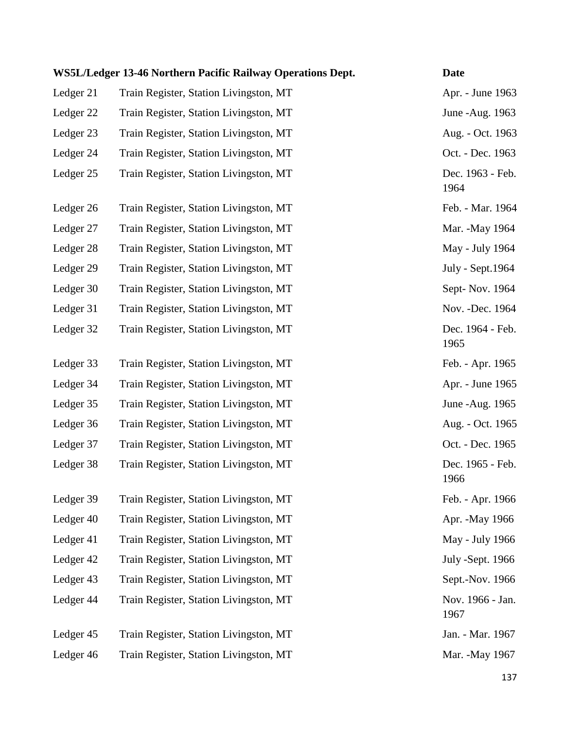|           | WS5L/Ledger 13-46 Northern Pacific Railway Operations Dept. | <b>Date</b>              |
|-----------|-------------------------------------------------------------|--------------------------|
| Ledger 21 | Train Register, Station Livingston, MT                      | Apr. - June 1963         |
| Ledger 22 | Train Register, Station Livingston, MT                      | June - Aug. 1963         |
| Ledger 23 | Train Register, Station Livingston, MT                      | Aug. - Oct. 1963         |
| Ledger 24 | Train Register, Station Livingston, MT                      | Oct. - Dec. 1963         |
| Ledger 25 | Train Register, Station Livingston, MT                      | Dec. 1963 - Feb.<br>1964 |
| Ledger 26 | Train Register, Station Livingston, MT                      | Feb. - Mar. 1964         |
| Ledger 27 | Train Register, Station Livingston, MT                      | Mar. - May 1964          |
| Ledger 28 | Train Register, Station Livingston, MT                      | May - July 1964          |
| Ledger 29 | Train Register, Station Livingston, MT                      | July - Sept. 1964        |
| Ledger 30 | Train Register, Station Livingston, MT                      | Sept-Nov. 1964           |
| Ledger 31 | Train Register, Station Livingston, MT                      | Nov. - Dec. 1964         |
| Ledger 32 | Train Register, Station Livingston, MT                      | Dec. 1964 - Feb.<br>1965 |
| Ledger 33 | Train Register, Station Livingston, MT                      | Feb. - Apr. 1965         |
| Ledger 34 | Train Register, Station Livingston, MT                      | Apr. - June 1965         |
| Ledger 35 | Train Register, Station Livingston, MT                      | June - Aug. 1965         |
| Ledger 36 | Train Register, Station Livingston, MT                      | Aug. - Oct. 1965         |
| Ledger 37 | Train Register, Station Livingston, MT                      | Oct. - Dec. 1965         |
| Ledger 38 | Train Register, Station Livingston, MT                      | Dec. 1965 - Feb.<br>1966 |
| Ledger 39 | Train Register, Station Livingston, MT                      | Feb. - Apr. 1966         |
| Ledger 40 | Train Register, Station Livingston, MT                      | Apr. - May 1966          |
| Ledger 41 | Train Register, Station Livingston, MT                      | May - July 1966          |
| Ledger 42 | Train Register, Station Livingston, MT                      | July -Sept. 1966         |
| Ledger 43 | Train Register, Station Livingston, MT                      | Sept.-Nov. 1966          |
| Ledger 44 | Train Register, Station Livingston, MT                      | Nov. 1966 - Jan.<br>1967 |
| Ledger 45 | Train Register, Station Livingston, MT                      | Jan. - Mar. 1967         |
| Ledger 46 | Train Register, Station Livingston, MT                      | Mar. - May 1967          |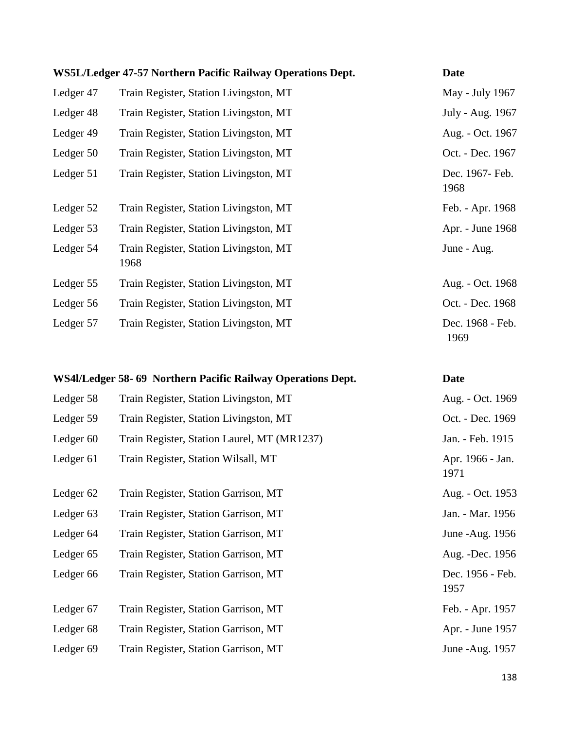|           | WS5L/Ledger 47-57 Northern Pacific Railway Operations Dept. | <b>Date</b>              |
|-----------|-------------------------------------------------------------|--------------------------|
| Ledger 47 | Train Register, Station Livingston, MT                      | May - July 1967          |
| Ledger 48 | Train Register, Station Livingston, MT                      | July - Aug. 1967         |
| Ledger 49 | Train Register, Station Livingston, MT                      | Aug. - Oct. 1967         |
| Ledger 50 | Train Register, Station Livingston, MT                      | Oct. - Dec. 1967         |
| Ledger 51 | Train Register, Station Livingston, MT                      | Dec. 1967- Feb.<br>1968  |
| Ledger 52 | Train Register, Station Livingston, MT                      | Feb. - Apr. 1968         |
| Ledger 53 | Train Register, Station Livingston, MT                      | Apr. - June 1968         |
| Ledger 54 | Train Register, Station Livingston, MT<br>1968              | June - Aug.              |
| Ledger 55 | Train Register, Station Livingston, MT                      | Aug. - Oct. 1968         |
| Ledger 56 | Train Register, Station Livingston, MT                      | Oct. - Dec. 1968         |
| Ledger 57 | Train Register, Station Livingston, MT                      | Dec. 1968 - Feb.<br>1969 |

|                      | WS4l/Ledger 58-69 Northern Pacific Railway Operations Dept. | <b>Date</b>              |
|----------------------|-------------------------------------------------------------|--------------------------|
| Ledger 58            | Train Register, Station Livingston, MT                      | Aug. - Oct. 1969         |
| Ledger 59            | Train Register, Station Livingston, MT                      | Oct. - Dec. 1969         |
| Ledger <sub>60</sub> | Train Register, Station Laurel, MT (MR1237)                 | Jan. - Feb. 1915         |
| Ledger 61            | Train Register, Station Wilsall, MT                         | Apr. 1966 - Jan.<br>1971 |
| Ledger <sub>62</sub> | Train Register, Station Garrison, MT                        | Aug. - Oct. 1953         |
| Ledger <sub>63</sub> | Train Register, Station Garrison, MT                        | Jan. - Mar. 1956         |
| Ledger 64            | Train Register, Station Garrison, MT                        | June - Aug. 1956         |
| Ledger 65            | Train Register, Station Garrison, MT                        | Aug. -Dec. 1956          |
| Ledger 66            | Train Register, Station Garrison, MT                        | Dec. 1956 - Feb.<br>1957 |
| Ledger 67            | Train Register, Station Garrison, MT                        | Feb. - Apr. 1957         |
| Ledger 68            | Train Register, Station Garrison, MT                        | Apr. - June 1957         |
| Ledger <sub>69</sub> | Train Register, Station Garrison, MT                        | June - Aug. 1957         |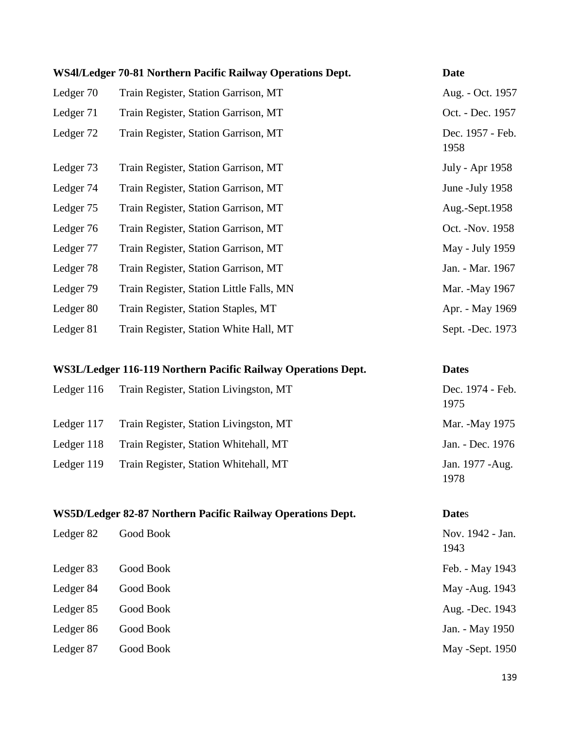|           | WS4l/Ledger 70-81 Northern Pacific Railway Operations Dept. | <b>Date</b>              |
|-----------|-------------------------------------------------------------|--------------------------|
| Ledger 70 | Train Register, Station Garrison, MT                        | Aug. - Oct. 1957         |
| Ledger 71 | Train Register, Station Garrison, MT                        | Oct. - Dec. 1957         |
| Ledger 72 | Train Register, Station Garrison, MT                        | Dec. 1957 - Feb.<br>1958 |
| Ledger 73 | Train Register, Station Garrison, MT                        | July - Apr 1958          |
| Ledger 74 | Train Register, Station Garrison, MT                        | June - July 1958         |
| Ledger 75 | Train Register, Station Garrison, MT                        | Aug.-Sept.1958           |
| Ledger 76 | Train Register, Station Garrison, MT                        | Oct. - Nov. 1958         |
| Ledger 77 | Train Register, Station Garrison, MT                        | May - July 1959          |
| Ledger 78 | Train Register, Station Garrison, MT                        | Jan. - Mar. 1967         |
| Ledger 79 | Train Register, Station Little Falls, MN                    | Mar. -May 1967           |
| Ledger 80 | Train Register, Station Staples, MT                         | Apr. - May 1969          |
| Ledger 81 | Train Register, Station White Hall, MT                      | Sept. - Dec. 1973        |

## **WS3L/Ledger 116-119 Northern Pacific Railway Operations Dept. Dates** Ledger 116 Train Register, Station Livingston, MT Dec. 1974 - Feb.

|            |                                        | 1975                     |
|------------|----------------------------------------|--------------------------|
| Ledger 117 | Train Register, Station Livingston, MT | Mar. - May 1975          |
| Ledger 118 | Train Register, Station Whitehall, MT  | Jan. - Dec. 1976         |
| Ledger 119 | Train Register, Station Whitehall, MT  | Jan. 1977 - Aug.<br>1978 |

## **WS5D/Ledger 82-87 Northern Pacific Railway Operations Dept. Date**s

| Ledger 82 | Good Book | Nov. 1942 - Jan.<br>1943 |
|-----------|-----------|--------------------------|
| Ledger 83 | Good Book | Feb. - May 1943          |
| Ledger 84 | Good Book | May -Aug. 1943           |
| Ledger 85 | Good Book | Aug. -Dec. 1943          |
| Ledger 86 | Good Book | Jan. - May 1950          |
| Ledger 87 | Good Book | May -Sept. 1950          |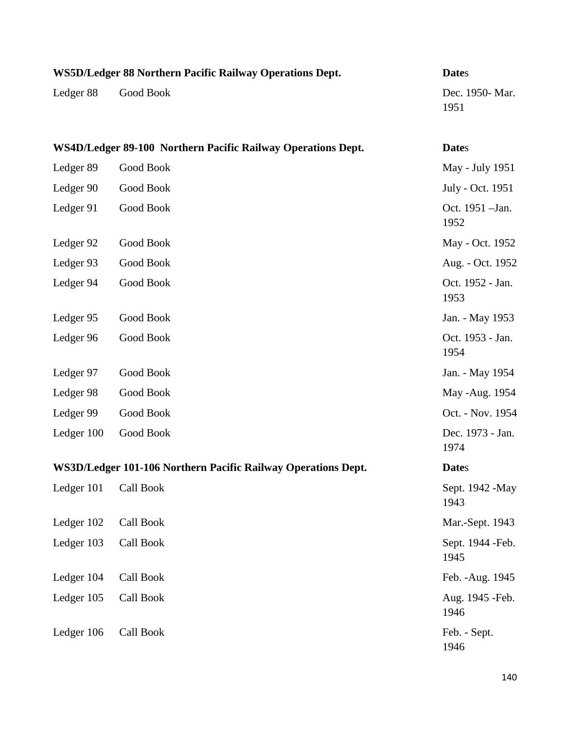| WS5D/Ledger 88 Northern Pacific Railway Operations Dept.     |                                                               | <b>Dates</b>              |
|--------------------------------------------------------------|---------------------------------------------------------------|---------------------------|
| Ledger 88                                                    | Good Book                                                     | Dec. 1950- Mar.<br>1951   |
| WS4D/Ledger 89-100 Northern Pacific Railway Operations Dept. |                                                               | <b>Dates</b>              |
| Ledger 89                                                    | Good Book                                                     | May - July 1951           |
| Ledger 90                                                    | Good Book                                                     | July - Oct. 1951          |
| Ledger 91                                                    | Good Book                                                     | Oct. 1951 - Jan.<br>1952  |
| Ledger 92                                                    | Good Book                                                     | May - Oct. 1952           |
| Ledger 93                                                    | Good Book                                                     | Aug. - Oct. 1952          |
| Ledger 94                                                    | Good Book                                                     | Oct. 1952 - Jan.<br>1953  |
| Ledger 95                                                    | Good Book                                                     | Jan. - May 1953           |
| Ledger 96                                                    | Good Book                                                     | Oct. 1953 - Jan.<br>1954  |
| Ledger 97                                                    | Good Book                                                     | Jan. - May 1954           |
| Ledger 98                                                    | Good Book                                                     | May -Aug. 1954            |
| Ledger 99                                                    | Good Book                                                     | Oct. - Nov. 1954          |
| Ledger 100                                                   | Good Book                                                     | Dec. 1973 - Jan.<br>1974  |
|                                                              | WS3D/Ledger 101-106 Northern Pacific Railway Operations Dept. | <b>Dates</b>              |
| Ledger 101                                                   | Call Book                                                     | Sept. 1942 - May<br>1943  |
| Ledger 102                                                   | Call Book                                                     | Mar.-Sept. 1943           |
| Ledger 103                                                   | Call Book                                                     | Sept. 1944 - Feb.<br>1945 |
| Ledger 104                                                   | Call Book                                                     | Feb. - Aug. 1945          |
| Ledger 105                                                   | Call Book                                                     | Aug. 1945 - Feb.<br>1946  |
| Ledger 106                                                   | Call Book                                                     | Feb. - Sept.<br>1946      |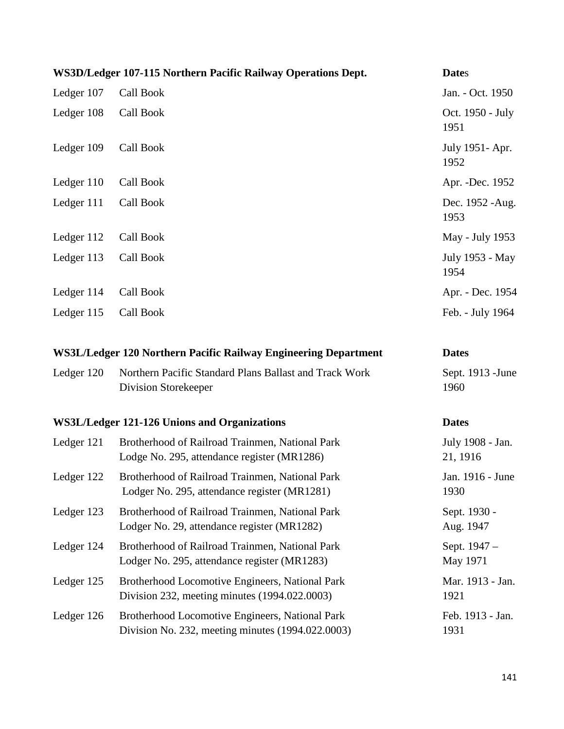| WS3D/Ledger 107-115 Northern Pacific Railway Operations Dept.   |                                                                                                      | <b>Dates</b>                 |
|-----------------------------------------------------------------|------------------------------------------------------------------------------------------------------|------------------------------|
| Ledger 107                                                      | Call Book                                                                                            | Jan. - Oct. 1950             |
| Ledger 108                                                      | Call Book                                                                                            | Oct. 1950 - July<br>1951     |
| Ledger 109                                                      | Call Book                                                                                            | July 1951- Apr.<br>1952      |
| Ledger 110                                                      | Call Book                                                                                            | Apr. - Dec. 1952             |
| Ledger 111                                                      | Call Book                                                                                            | Dec. 1952 - Aug.<br>1953     |
| Ledger 112                                                      | Call Book                                                                                            | May - July 1953              |
| Ledger 113                                                      | Call Book                                                                                            | July 1953 - May<br>1954      |
| Ledger 114                                                      | Call Book                                                                                            | Apr. - Dec. 1954             |
| Ledger 115                                                      | Call Book                                                                                            | Feb. - July 1964             |
| WS3L/Ledger 120 Northern Pacific Railway Engineering Department |                                                                                                      | <b>Dates</b>                 |
| Ledger 120                                                      | Northern Pacific Standard Plans Ballast and Track Work<br>Division Storekeeper                       | Sept. 1913 - June<br>1960    |
| <b>WS3L/Ledger 121-126 Unions and Organizations</b>             |                                                                                                      | <b>Dates</b>                 |
| Ledger 121                                                      | Brotherhood of Railroad Trainmen, National Park<br>Lodge No. 295, attendance register (MR1286)       | July 1908 - Jan.<br>21, 1916 |
| Ledger 122                                                      | Brotherhood of Railroad Trainmen, National Park<br>Lodger No. 295, attendance register (MR1281)      | Jan. 1916 - June<br>1930     |
| Ledger 123                                                      | Brotherhood of Railroad Trainmen, National Park<br>Lodger No. 29, attendance register (MR1282)       | Sept. 1930 -<br>Aug. 1947    |
| Ledger 124                                                      | Brotherhood of Railroad Trainmen, National Park<br>Lodger No. 295, attendance register (MR1283)      | Sept. 1947 –<br>May 1971     |
| Ledger 125                                                      | Brotherhood Locomotive Engineers, National Park<br>Division 232, meeting minutes (1994.022.0003)     | Mar. 1913 - Jan.<br>1921     |
| Ledger 126                                                      | Brotherhood Locomotive Engineers, National Park<br>Division No. 232, meeting minutes (1994.022.0003) | Feb. 1913 - Jan.<br>1931     |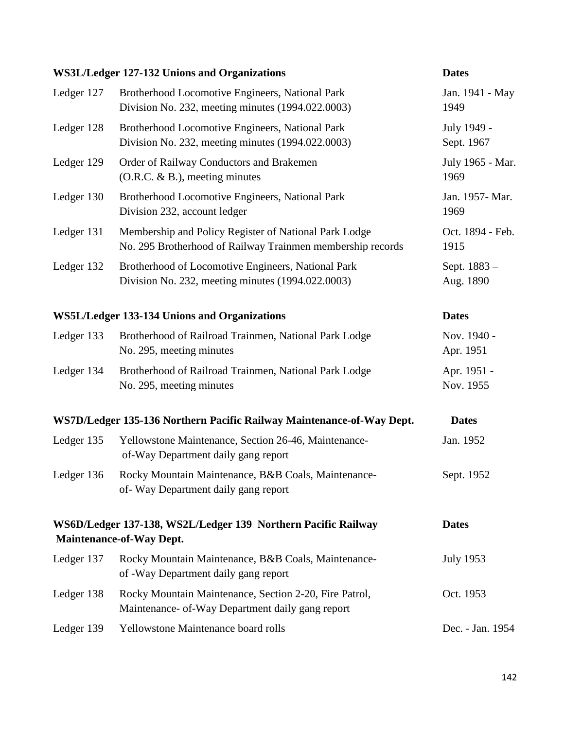#### **WS3L/Ledger 127-132 Unions and Organizations Dates**

# Ledger 127 Brotherhood Locomotive Engineers, National Park Jan. 1941 - May Division No. 232, meeting minutes (1994.022.0003) 1949 Ledger 128 Brotherhood Locomotive Engineers, National Park July 1949 -Division No. 232, meeting minutes (1994.022.0003) Sept. 1967 Ledger 129 Order of Railway Conductors and Brakemen July 1965 - Mar.  $(0.R.C. \& B.)$ , meeting minutes 1969 Ledger 130 Brotherhood Locomotive Engineers, National Park Jan. 1957-Mar. Division 232, account ledger 1969 Ledger 131 Membership and Policy Register of National Park Lodge Oct. 1894 - Feb. No. 295 Brotherhood of Railway Trainmen membership records 1915 Ledger 132 Brotherhood of Locomotive Engineers, National Park Sept. 1883 – Division No. 232, meeting minutes (1994.022.0003) Aug. 1890 **WS5L/Ledger 133-134 Unions and Organizations Dates** Ledger 133 Brotherhood of Railroad Trainmen, National Park Lodge Nov. 1940 -No. 295, meeting minutes Apr. 1951 Ledger 134 Brotherhood of Railroad Trainmen, National Park Lodge Apr. 1951 -No. 295, meeting minutes Nov. 1955 **WS7D/Ledger 135-136 Northern Pacific Railway Maintenance-of-Way Dept. Dates**  Ledger 135 Yellowstone Maintenance, Section 26-46, Maintenance- Jan. 1952 of-Way Department daily gang report Ledger 136 Rocky Mountain Maintenance, B&B Coals, Maintenance- Sept. 1952 of- Way Department daily gang report **WS6D/Ledger 137-138, WS2L/Ledger 139 Northern Pacific Railway Dates Maintenance-of-Way Dept.**

- Ledger 137 Rocky Mountain Maintenance, B&B Coals, Maintenance- July 1953 of -Way Department daily gang report Ledger 138 Rocky Mountain Maintenance, Section 2-20, Fire Patrol, Oct. 1953 Maintenance- of-Way Department daily gang report Ledger 139 Yellowstone Maintenance board rolls Dec. - Jan. 1954
	- 142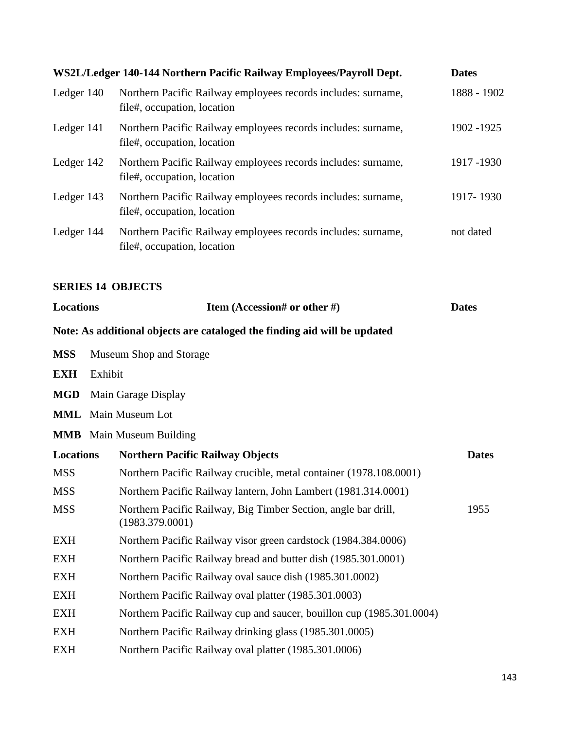|                  |         | WS2L/Ledger 140-144 Northern Pacific Railway Employees/Payroll Dept.                         | <b>Dates</b> |
|------------------|---------|----------------------------------------------------------------------------------------------|--------------|
| Ledger 140       |         | Northern Pacific Railway employees records includes: surname,<br>file#, occupation, location | 1888 - 1902  |
| Ledger 141       |         | Northern Pacific Railway employees records includes: surname,<br>file#, occupation, location | 1902 - 1925  |
| Ledger 142       |         | Northern Pacific Railway employees records includes: surname,<br>file#, occupation, location | 1917 - 1930  |
| Ledger 143       |         | Northern Pacific Railway employees records includes: surname,<br>file#, occupation, location | 1917-1930    |
| Ledger 144       |         | Northern Pacific Railway employees records includes: surname,<br>file#, occupation, location | not dated    |
|                  |         | <b>SERIES 14 OBJECTS</b>                                                                     |              |
| <b>Locations</b> |         | Item (Accession# or other #)                                                                 | <b>Dates</b> |
|                  |         | Note: As additional objects are cataloged the finding aid will be updated                    |              |
| <b>MSS</b>       |         | Museum Shop and Storage                                                                      |              |
| <b>EXH</b>       | Exhibit |                                                                                              |              |
| <b>MGD</b>       |         | Main Garage Display                                                                          |              |
|                  |         | <b>MML</b> Main Museum Lot                                                                   |              |
|                  |         | <b>MMB</b> Main Museum Building                                                              |              |
| <b>Locations</b> |         | <b>Northern Pacific Railway Objects</b>                                                      | <b>Dates</b> |
| <b>MSS</b>       |         | Northern Pacific Railway crucible, metal container (1978.108.0001)                           |              |
| <b>MSS</b>       |         | Northern Pacific Railway lantern, John Lambert (1981.314.0001)                               |              |
| <b>MSS</b>       |         | Northern Pacific Railway, Big Timber Section, angle bar drill,<br>(1983.379.0001)            | 1955         |
| <b>EXH</b>       |         | Northern Pacific Railway visor green cardstock (1984.384.0006)                               |              |
| <b>EXH</b>       |         | Northern Pacific Railway bread and butter dish (1985.301.0001)                               |              |
| <b>EXH</b>       |         | Northern Pacific Railway oval sauce dish (1985.301.0002)                                     |              |
| <b>EXH</b>       |         | Northern Pacific Railway oval platter (1985.301.0003)                                        |              |
| <b>EXH</b>       |         | Northern Pacific Railway cup and saucer, bouillon cup (1985.301.0004)                        |              |
| <b>EXH</b>       |         | Northern Pacific Railway drinking glass (1985.301.0005)                                      |              |
| <b>EXH</b>       |         | Northern Pacific Railway oval platter (1985.301.0006)                                        |              |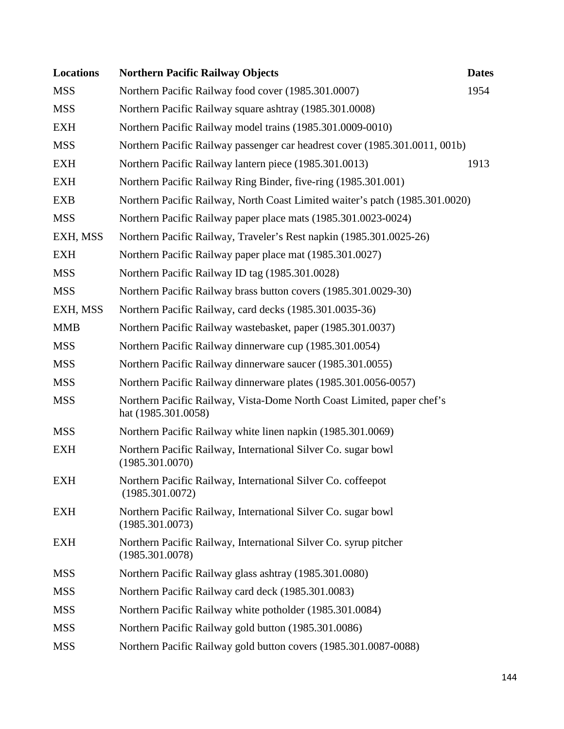| <b>Locations</b> | <b>Northern Pacific Railway Objects</b>                                                       | <b>Dates</b> |
|------------------|-----------------------------------------------------------------------------------------------|--------------|
| <b>MSS</b>       | Northern Pacific Railway food cover (1985.301.0007)                                           | 1954         |
| <b>MSS</b>       | Northern Pacific Railway square ashtray (1985.301.0008)                                       |              |
| <b>EXH</b>       | Northern Pacific Railway model trains (1985.301.0009-0010)                                    |              |
| <b>MSS</b>       | Northern Pacific Railway passenger car headrest cover (1985.301.0011, 001b)                   |              |
| <b>EXH</b>       | Northern Pacific Railway lantern piece (1985.301.0013)                                        | 1913         |
| <b>EXH</b>       | Northern Pacific Railway Ring Binder, five-ring (1985.301.001)                                |              |
| <b>EXB</b>       | Northern Pacific Railway, North Coast Limited waiter's patch (1985.301.0020)                  |              |
| <b>MSS</b>       | Northern Pacific Railway paper place mats (1985.301.0023-0024)                                |              |
| EXH, MSS         | Northern Pacific Railway, Traveler's Rest napkin (1985.301.0025-26)                           |              |
| <b>EXH</b>       | Northern Pacific Railway paper place mat (1985.301.0027)                                      |              |
| <b>MSS</b>       | Northern Pacific Railway ID tag (1985.301.0028)                                               |              |
| <b>MSS</b>       | Northern Pacific Railway brass button covers (1985.301.0029-30)                               |              |
| EXH, MSS         | Northern Pacific Railway, card decks (1985.301.0035-36)                                       |              |
| <b>MMB</b>       | Northern Pacific Railway wastebasket, paper (1985.301.0037)                                   |              |
| <b>MSS</b>       | Northern Pacific Railway dinnerware cup (1985.301.0054)                                       |              |
| <b>MSS</b>       | Northern Pacific Railway dinnerware saucer (1985.301.0055)                                    |              |
| <b>MSS</b>       | Northern Pacific Railway dinnerware plates (1985.301.0056-0057)                               |              |
| <b>MSS</b>       | Northern Pacific Railway, Vista-Dome North Coast Limited, paper chef's<br>hat (1985.301.0058) |              |
| <b>MSS</b>       | Northern Pacific Railway white linen napkin (1985.301.0069)                                   |              |
| <b>EXH</b>       | Northern Pacific Railway, International Silver Co. sugar bowl<br>(1985.301.0070)              |              |
| <b>EXH</b>       | Northern Pacific Railway, International Silver Co. coffeepot<br>(1985.301.0072)               |              |
| EXH              | Northern Pacific Railway, International Silver Co. sugar bowl<br>(1985.301.0073)              |              |
| EXH              | Northern Pacific Railway, International Silver Co. syrup pitcher<br>(1985.301.0078)           |              |
| <b>MSS</b>       | Northern Pacific Railway glass ashtray (1985.301.0080)                                        |              |
| <b>MSS</b>       | Northern Pacific Railway card deck (1985.301.0083)                                            |              |
| <b>MSS</b>       | Northern Pacific Railway white potholder (1985.301.0084)                                      |              |
| <b>MSS</b>       | Northern Pacific Railway gold button (1985.301.0086)                                          |              |
| <b>MSS</b>       | Northern Pacific Railway gold button covers (1985.301.0087-0088)                              |              |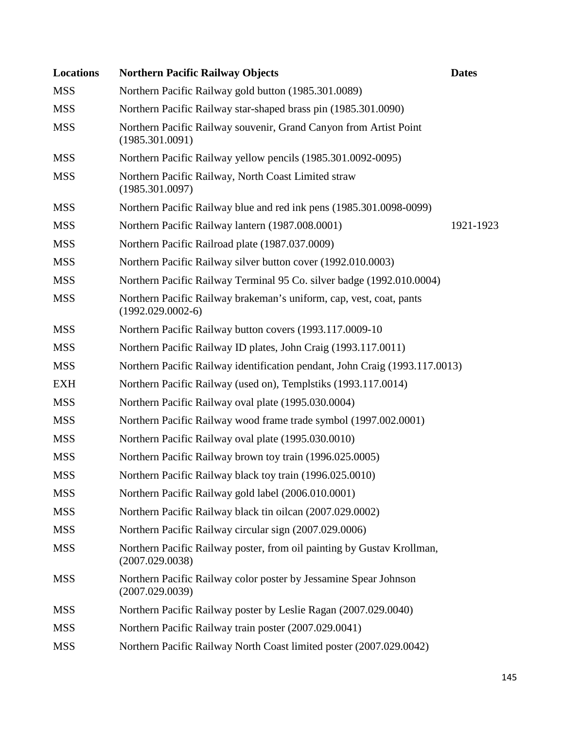| <b>Locations</b> | <b>Northern Pacific Railway Objects</b>                                                    | <b>Dates</b> |
|------------------|--------------------------------------------------------------------------------------------|--------------|
| <b>MSS</b>       | Northern Pacific Railway gold button (1985.301.0089)                                       |              |
| <b>MSS</b>       | Northern Pacific Railway star-shaped brass pin (1985.301.0090)                             |              |
| <b>MSS</b>       | Northern Pacific Railway souvenir, Grand Canyon from Artist Point<br>(1985.301.0091)       |              |
| <b>MSS</b>       | Northern Pacific Railway yellow pencils (1985.301.0092-0095)                               |              |
| <b>MSS</b>       | Northern Pacific Railway, North Coast Limited straw<br>(1985.301.0097)                     |              |
| <b>MSS</b>       | Northern Pacific Railway blue and red ink pens (1985.301.0098-0099)                        |              |
| <b>MSS</b>       | Northern Pacific Railway lantern (1987.008.0001)                                           | 1921-1923    |
| <b>MSS</b>       | Northern Pacific Railroad plate (1987.037.0009)                                            |              |
| <b>MSS</b>       | Northern Pacific Railway silver button cover (1992.010.0003)                               |              |
| <b>MSS</b>       | Northern Pacific Railway Terminal 95 Co. silver badge (1992.010.0004)                      |              |
| <b>MSS</b>       | Northern Pacific Railway brakeman's uniform, cap, vest, coat, pants<br>$(1992.029.0002-6)$ |              |
| <b>MSS</b>       | Northern Pacific Railway button covers (1993.117.0009-10)                                  |              |
| <b>MSS</b>       | Northern Pacific Railway ID plates, John Craig (1993.117.0011)                             |              |
| <b>MSS</b>       | Northern Pacific Railway identification pendant, John Craig (1993.117.0013)                |              |
| <b>EXH</b>       | Northern Pacific Railway (used on), Templstiks (1993.117.0014)                             |              |
| <b>MSS</b>       | Northern Pacific Railway oval plate (1995.030.0004)                                        |              |
| <b>MSS</b>       | Northern Pacific Railway wood frame trade symbol (1997.002.0001)                           |              |
| <b>MSS</b>       | Northern Pacific Railway oval plate (1995.030.0010)                                        |              |
| <b>MSS</b>       | Northern Pacific Railway brown toy train (1996.025.0005)                                   |              |
| <b>MSS</b>       | Northern Pacific Railway black toy train (1996.025.0010)                                   |              |
| <b>MSS</b>       | Northern Pacific Railway gold label (2006.010.0001)                                        |              |
| <b>MSS</b>       | Northern Pacific Railway black tin oilcan (2007.029.0002)                                  |              |
| <b>MSS</b>       | Northern Pacific Railway circular sign (2007.029.0006)                                     |              |
| <b>MSS</b>       | Northern Pacific Railway poster, from oil painting by Gustav Krollman,<br>(2007.029.0038)  |              |
| <b>MSS</b>       | Northern Pacific Railway color poster by Jessamine Spear Johnson<br>(2007.029.0039)        |              |
| <b>MSS</b>       | Northern Pacific Railway poster by Leslie Ragan (2007.029.0040)                            |              |
| <b>MSS</b>       | Northern Pacific Railway train poster (2007.029.0041)                                      |              |
| <b>MSS</b>       | Northern Pacific Railway North Coast limited poster (2007.029.0042)                        |              |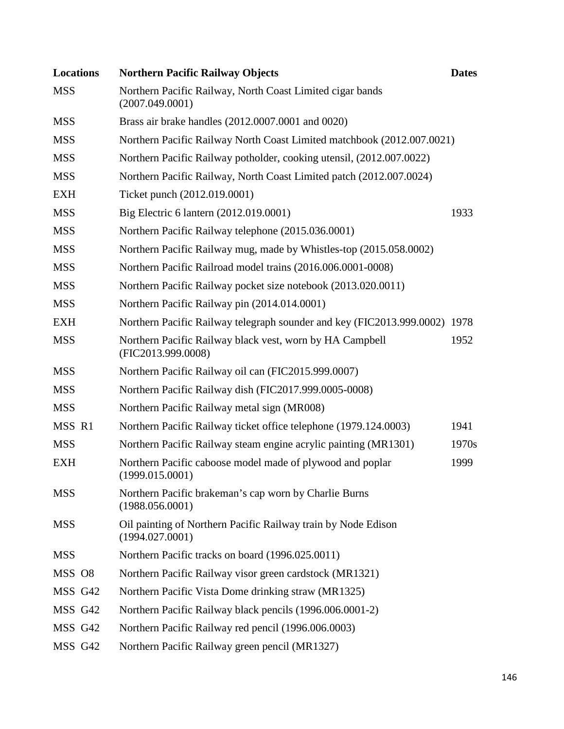| <b>Locations</b> | <b>Northern Pacific Railway Objects</b>                                          | <b>Dates</b> |
|------------------|----------------------------------------------------------------------------------|--------------|
| <b>MSS</b>       | Northern Pacific Railway, North Coast Limited cigar bands<br>(2007.049.0001)     |              |
| <b>MSS</b>       | Brass air brake handles (2012.0007.0001 and 0020)                                |              |
| <b>MSS</b>       | Northern Pacific Railway North Coast Limited matchbook (2012.007.0021)           |              |
| <b>MSS</b>       | Northern Pacific Railway potholder, cooking utensil, (2012.007.0022)             |              |
| <b>MSS</b>       | Northern Pacific Railway, North Coast Limited patch (2012.007.0024)              |              |
| <b>EXH</b>       | Ticket punch (2012.019.0001)                                                     |              |
| <b>MSS</b>       | Big Electric 6 lantern (2012.019.0001)                                           | 1933         |
| <b>MSS</b>       | Northern Pacific Railway telephone (2015.036.0001)                               |              |
| <b>MSS</b>       | Northern Pacific Railway mug, made by Whistles-top (2015.058.0002)               |              |
| <b>MSS</b>       | Northern Pacific Railroad model trains (2016.006.0001-0008)                      |              |
| <b>MSS</b>       | Northern Pacific Railway pocket size notebook (2013.020.0011)                    |              |
| <b>MSS</b>       | Northern Pacific Railway pin (2014.014.0001)                                     |              |
| <b>EXH</b>       | Northern Pacific Railway telegraph sounder and key (FIC2013.999.0002) 1978       |              |
| <b>MSS</b>       | Northern Pacific Railway black vest, worn by HA Campbell<br>(FIC2013.999.0008)   | 1952         |
| <b>MSS</b>       | Northern Pacific Railway oil can (FIC2015.999.0007)                              |              |
| <b>MSS</b>       | Northern Pacific Railway dish (FIC2017.999.0005-0008)                            |              |
| <b>MSS</b>       | Northern Pacific Railway metal sign (MR008)                                      |              |
| MSS R1           | Northern Pacific Railway ticket office telephone (1979.124.0003)                 | 1941         |
| <b>MSS</b>       | Northern Pacific Railway steam engine acrylic painting (MR1301)                  | 1970s        |
| <b>EXH</b>       | Northern Pacific caboose model made of plywood and poplar<br>(1999.015.0001)     | 1999         |
| <b>MSS</b>       | Northern Pacific brakeman's cap worn by Charlie Burns<br>(1988.056.0001)         |              |
| <b>MSS</b>       | Oil painting of Northern Pacific Railway train by Node Edison<br>(1994.027.0001) |              |
| <b>MSS</b>       | Northern Pacific tracks on board (1996.025.0011)                                 |              |
| MSS O8           | Northern Pacific Railway visor green cardstock (MR1321)                          |              |
| MSS G42          | Northern Pacific Vista Dome drinking straw (MR1325)                              |              |
| MSS G42          | Northern Pacific Railway black pencils (1996.006.0001-2)                         |              |
| MSS G42          | Northern Pacific Railway red pencil (1996.006.0003)                              |              |
| MSS G42          | Northern Pacific Railway green pencil (MR1327)                                   |              |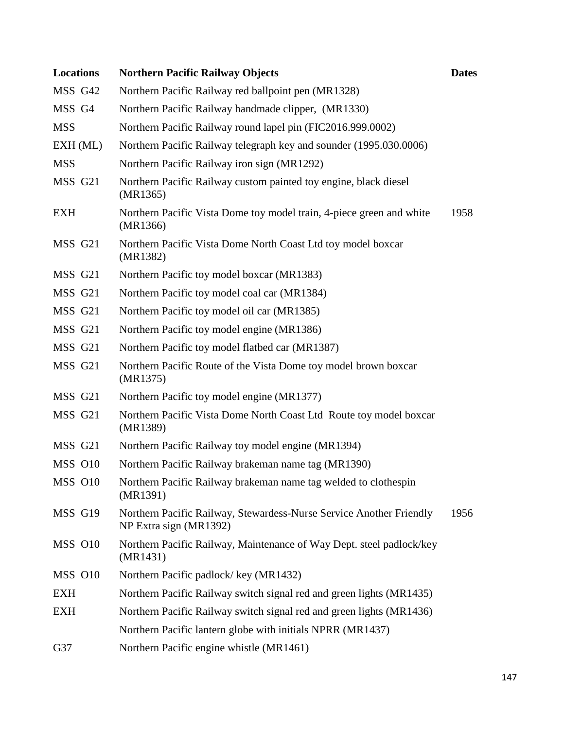| <b>Locations</b> | <b>Northern Pacific Railway Objects</b>                                                       | <b>Dates</b> |
|------------------|-----------------------------------------------------------------------------------------------|--------------|
| MSS G42          | Northern Pacific Railway red ballpoint pen (MR1328)                                           |              |
| MSS G4           | Northern Pacific Railway handmade clipper, (MR1330)                                           |              |
| <b>MSS</b>       | Northern Pacific Railway round lapel pin (FIC2016.999.0002)                                   |              |
| $EXH$ (ML)       | Northern Pacific Railway telegraph key and sounder (1995.030.0006)                            |              |
| <b>MSS</b>       | Northern Pacific Railway iron sign (MR1292)                                                   |              |
| MSS G21          | Northern Pacific Railway custom painted toy engine, black diesel<br>(MR1365)                  |              |
| <b>EXH</b>       | Northern Pacific Vista Dome toy model train, 4-piece green and white<br>(MR1366)              | 1958         |
| MSS G21          | Northern Pacific Vista Dome North Coast Ltd toy model boxcar<br>(MR1382)                      |              |
| MSS G21          | Northern Pacific toy model boxcar (MR1383)                                                    |              |
| MSS G21          | Northern Pacific toy model coal car (MR1384)                                                  |              |
| MSS G21          | Northern Pacific toy model oil car (MR1385)                                                   |              |
| MSS G21          | Northern Pacific toy model engine (MR1386)                                                    |              |
| MSS G21          | Northern Pacific toy model flatbed car (MR1387)                                               |              |
| MSS G21          | Northern Pacific Route of the Vista Dome toy model brown boxcar<br>(MR1375)                   |              |
| MSS G21          | Northern Pacific toy model engine (MR1377)                                                    |              |
| MSS G21          | Northern Pacific Vista Dome North Coast Ltd Route toy model boxcar<br>(MR1389)                |              |
| MSS G21          | Northern Pacific Railway toy model engine (MR1394)                                            |              |
| <b>MSS 010</b>   | Northern Pacific Railway brakeman name tag (MR1390)                                           |              |
| MSS O10          | Northern Pacific Railway brakeman name tag welded to clothespin<br>(MR1391)                   |              |
| MSS G19          | Northern Pacific Railway, Stewardess-Nurse Service Another Friendly<br>NP Extra sign (MR1392) | 1956         |
| MSS 010          | Northern Pacific Railway, Maintenance of Way Dept. steel padlock/key<br>(MR1431)              |              |
| MSS 010          | Northern Pacific padlock/key (MR1432)                                                         |              |
| <b>EXH</b>       | Northern Pacific Railway switch signal red and green lights (MR1435)                          |              |
| <b>EXH</b>       | Northern Pacific Railway switch signal red and green lights (MR1436)                          |              |
|                  | Northern Pacific lantern globe with initials NPRR (MR1437)                                    |              |
| G37              | Northern Pacific engine whistle (MR1461)                                                      |              |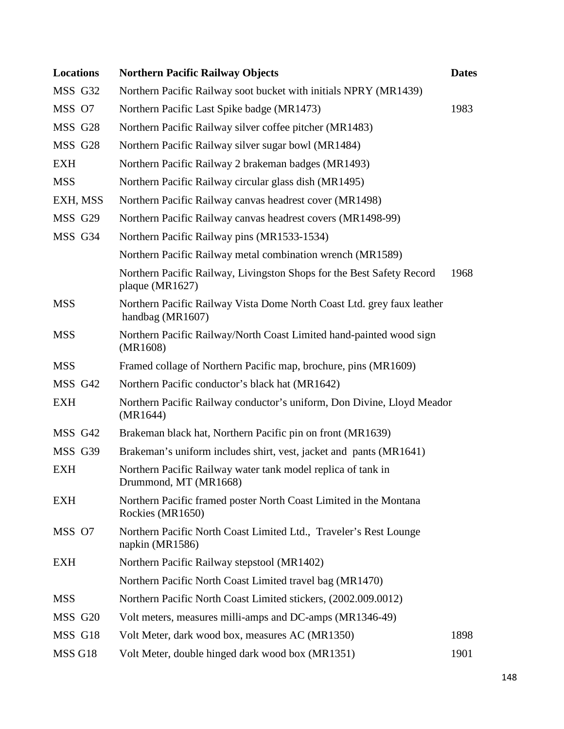| <b>Locations</b> | <b>Northern Pacific Railway Objects</b>                                                    | <b>Dates</b> |
|------------------|--------------------------------------------------------------------------------------------|--------------|
| MSS G32          | Northern Pacific Railway soot bucket with initials NPRY (MR1439)                           |              |
| MSS O7           | Northern Pacific Last Spike badge (MR1473)                                                 | 1983         |
| MSS G28          | Northern Pacific Railway silver coffee pitcher (MR1483)                                    |              |
| MSS G28          | Northern Pacific Railway silver sugar bowl (MR1484)                                        |              |
| <b>EXH</b>       | Northern Pacific Railway 2 brakeman badges (MR1493)                                        |              |
| <b>MSS</b>       | Northern Pacific Railway circular glass dish (MR1495)                                      |              |
| EXH, MSS         | Northern Pacific Railway canvas headrest cover (MR1498)                                    |              |
| MSS G29          | Northern Pacific Railway canvas headrest covers (MR1498-99)                                |              |
| MSS G34          | Northern Pacific Railway pins (MR1533-1534)                                                |              |
|                  | Northern Pacific Railway metal combination wrench (MR1589)                                 |              |
|                  | Northern Pacific Railway, Livingston Shops for the Best Safety Record<br>plaque (MR1627)   | 1968         |
| <b>MSS</b>       | Northern Pacific Railway Vista Dome North Coast Ltd. grey faux leather<br>handbag (MR1607) |              |
| <b>MSS</b>       | Northern Pacific Railway/North Coast Limited hand-painted wood sign<br>(MR1608)            |              |
| <b>MSS</b>       | Framed collage of Northern Pacific map, brochure, pins (MR1609)                            |              |
| MSS G42          | Northern Pacific conductor's black hat (MR1642)                                            |              |
| <b>EXH</b>       | Northern Pacific Railway conductor's uniform, Don Divine, Lloyd Meador<br>(MR1644)         |              |
| MSS G42          | Brakeman black hat, Northern Pacific pin on front (MR1639)                                 |              |
| MSS G39          | Brakeman's uniform includes shirt, vest, jacket and pants (MR1641)                         |              |
| <b>EXH</b>       | Northern Pacific Railway water tank model replica of tank in<br>Drummond, MT (MR1668)      |              |
| EXH              | Northern Pacific framed poster North Coast Limited in the Montana<br>Rockies (MR1650)      |              |
| MSS O7           | Northern Pacific North Coast Limited Ltd., Traveler's Rest Lounge<br>napkin (MR1586)       |              |
| EXH              | Northern Pacific Railway stepstool (MR1402)                                                |              |
|                  | Northern Pacific North Coast Limited travel bag (MR1470)                                   |              |
| <b>MSS</b>       | Northern Pacific North Coast Limited stickers, (2002.009.0012)                             |              |
| MSS G20          | Volt meters, measures milli-amps and DC-amps (MR1346-49)                                   |              |
| MSS G18          | Volt Meter, dark wood box, measures AC (MR1350)                                            | 1898         |
| MSS G18          | Volt Meter, double hinged dark wood box (MR1351)                                           | 1901         |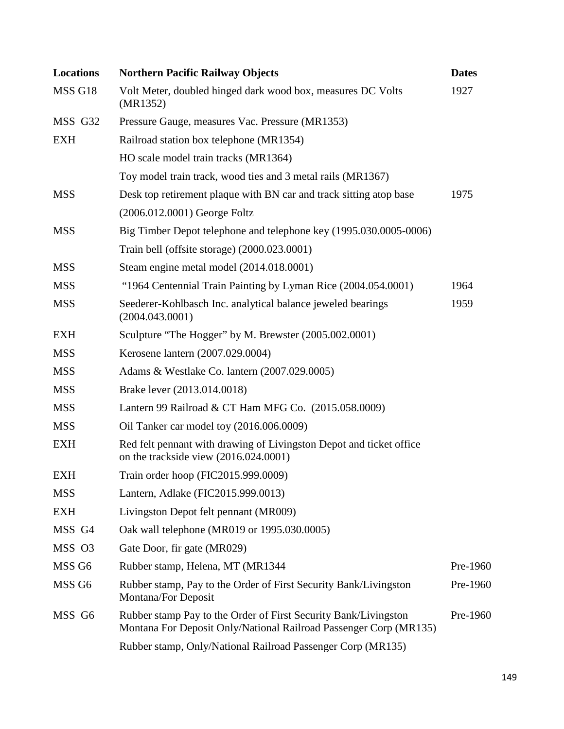| <b>Locations</b>  | <b>Northern Pacific Railway Objects</b>                                                                                              | <b>Dates</b> |
|-------------------|--------------------------------------------------------------------------------------------------------------------------------------|--------------|
| MSS G18           | Volt Meter, doubled hinged dark wood box, measures DC Volts<br>(MR1352)                                                              | 1927         |
| MSS G32           | Pressure Gauge, measures Vac. Pressure (MR1353)                                                                                      |              |
| <b>EXH</b>        | Railroad station box telephone (MR1354)                                                                                              |              |
|                   | HO scale model train tracks (MR1364)                                                                                                 |              |
|                   | Toy model train track, wood ties and 3 metal rails (MR1367)                                                                          |              |
| <b>MSS</b>        | Desk top retirement plaque with BN car and track sitting atop base                                                                   | 1975         |
|                   | (2006.012.0001) George Foltz                                                                                                         |              |
| <b>MSS</b>        | Big Timber Depot telephone and telephone key (1995.030.0005-0006)                                                                    |              |
|                   | Train bell (offsite storage) (2000.023.0001)                                                                                         |              |
| <b>MSS</b>        | Steam engine metal model (2014.018.0001)                                                                                             |              |
| <b>MSS</b>        | "1964 Centennial Train Painting by Lyman Rice (2004.054.0001)                                                                        | 1964         |
| <b>MSS</b>        | Seederer-Kohlbasch Inc. analytical balance jeweled bearings<br>(2004.043.0001)                                                       | 1959         |
| <b>EXH</b>        | Sculpture "The Hogger" by M. Brewster (2005.002.0001)                                                                                |              |
| <b>MSS</b>        | Kerosene lantern (2007.029.0004)                                                                                                     |              |
| <b>MSS</b>        | Adams & Westlake Co. lantern (2007.029.0005)                                                                                         |              |
| <b>MSS</b>        | Brake lever (2013.014.0018)                                                                                                          |              |
| <b>MSS</b>        | Lantern 99 Railroad & CT Ham MFG Co. (2015.058.0009)                                                                                 |              |
| <b>MSS</b>        | Oil Tanker car model toy (2016.006.0009)                                                                                             |              |
| <b>EXH</b>        | Red felt pennant with drawing of Livingston Depot and ticket office<br>on the trackside view (2016.024.0001)                         |              |
| <b>EXH</b>        | Train order hoop (FIC2015.999.0009)                                                                                                  |              |
| <b>MSS</b>        | Lantern, Adlake (FIC2015.999.0013)                                                                                                   |              |
| <b>EXH</b>        | Livingston Depot felt pennant (MR009)                                                                                                |              |
| MSS G4            | Oak wall telephone (MR019 or 1995.030.0005)                                                                                          |              |
| MSS O3            | Gate Door, fir gate (MR029)                                                                                                          |              |
| MSS <sub>G6</sub> | Rubber stamp, Helena, MT (MR1344)                                                                                                    | Pre-1960     |
| MSS <sub>G6</sub> | Rubber stamp, Pay to the Order of First Security Bank/Livingston<br>Montana/For Deposit                                              | Pre-1960     |
| MSS G6            | Rubber stamp Pay to the Order of First Security Bank/Livingston<br>Montana For Deposit Only/National Railroad Passenger Corp (MR135) | Pre-1960     |
|                   | Rubber stamp, Only/National Railroad Passenger Corp (MR135)                                                                          |              |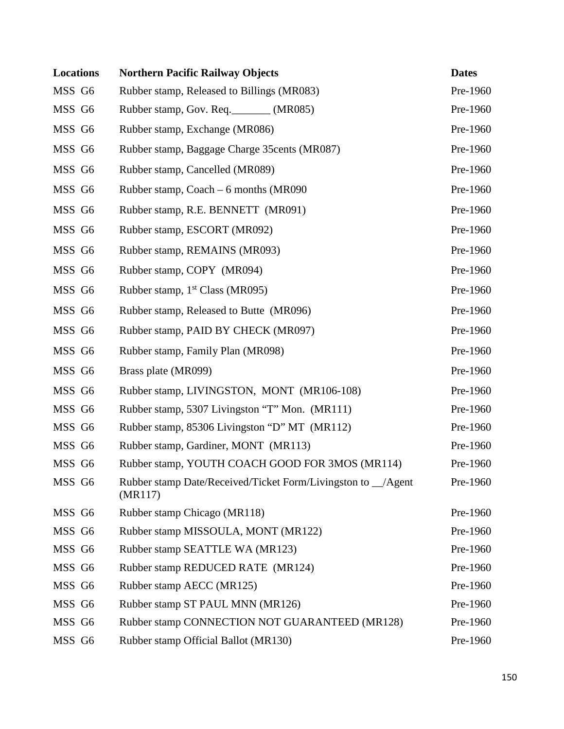| <b>Locations</b> | <b>Northern Pacific Railway Objects</b>                                 | <b>Dates</b> |
|------------------|-------------------------------------------------------------------------|--------------|
| MSS G6           | Rubber stamp, Released to Billings (MR083)                              | Pre-1960     |
| MSS G6           | Rubber stamp, Gov. Req. ________ (MR085)                                | Pre-1960     |
| MSS G6           | Rubber stamp, Exchange (MR086)                                          | Pre-1960     |
| MSS G6           | Rubber stamp, Baggage Charge 35 cents (MR087)                           | Pre-1960     |
| MSS G6           | Rubber stamp, Cancelled (MR089)                                         | Pre-1960     |
| MSS G6           | Rubber stamp, Coach $-6$ months (MR090)                                 | Pre-1960     |
| MSS G6           | Rubber stamp, R.E. BENNETT (MR091)                                      | Pre-1960     |
| MSS G6           | Rubber stamp, ESCORT (MR092)                                            | Pre-1960     |
| MSS G6           | Rubber stamp, REMAINS (MR093)                                           | Pre-1960     |
| MSS G6           | Rubber stamp, COPY (MR094)                                              | Pre-1960     |
| MSS G6           | Rubber stamp, $1st Class (MR095)$                                       | Pre-1960     |
| MSS G6           | Rubber stamp, Released to Butte (MR096)                                 | Pre-1960     |
| MSS G6           | Rubber stamp, PAID BY CHECK (MR097)                                     | Pre-1960     |
| MSS G6           | Rubber stamp, Family Plan (MR098)                                       | Pre-1960     |
| MSS G6           | Brass plate (MR099)                                                     | Pre-1960     |
| MSS G6           | Rubber stamp, LIVINGSTON, MONT (MR106-108)                              | Pre-1960     |
| MSS G6           | Rubber stamp, 5307 Livingston "T" Mon. (MR111)                          | Pre-1960     |
| MSS G6           | Rubber stamp, 85306 Livingston "D" MT (MR112)                           | Pre-1960     |
| MSS G6           | Rubber stamp, Gardiner, MONT (MR113)                                    | Pre-1960     |
| MSS G6           | Rubber stamp, YOUTH COACH GOOD FOR 3MOS (MR114)                         | Pre-1960     |
| MSS G6           | Rubber stamp Date/Received/Ticket Form/Livingston to _/Agent<br>(MR117) | Pre-1960     |
| MSS G6           | Rubber stamp Chicago (MR118)                                            | Pre-1960     |
| MSS G6           | Rubber stamp MISSOULA, MONT (MR122)                                     | Pre-1960     |
| MSS G6           | Rubber stamp SEATTLE WA (MR123)                                         | Pre-1960     |
| MSS G6           | Rubber stamp REDUCED RATE (MR124)                                       | Pre-1960     |
| MSS G6           | Rubber stamp AECC (MR125)                                               | Pre-1960     |
| MSS G6           | Rubber stamp ST PAUL MNN (MR126)                                        | Pre-1960     |
| MSS G6           | Rubber stamp CONNECTION NOT GUARANTEED (MR128)                          | Pre-1960     |
| MSS G6           | Rubber stamp Official Ballot (MR130)                                    | Pre-1960     |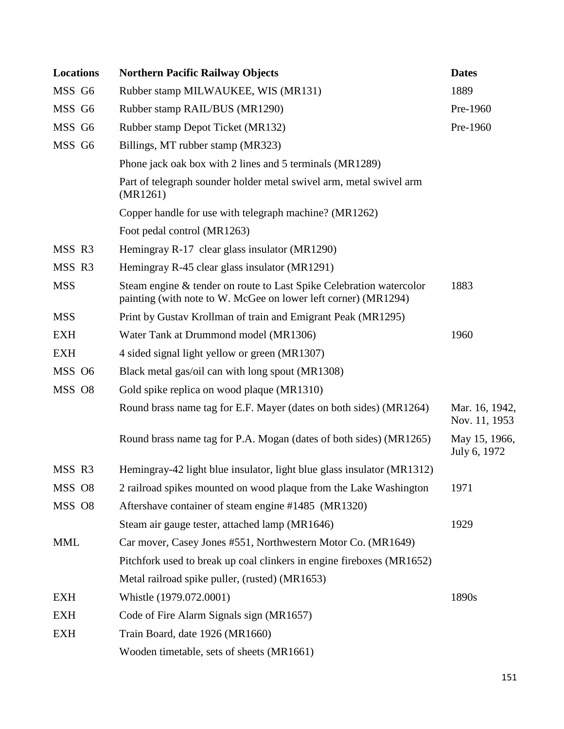| <b>Locations</b> | <b>Northern Pacific Railway Objects</b>                                                                                               | <b>Dates</b>                    |
|------------------|---------------------------------------------------------------------------------------------------------------------------------------|---------------------------------|
| MSS G6           | Rubber stamp MILWAUKEE, WIS (MR131)                                                                                                   | 1889                            |
| MSS G6           | Rubber stamp RAIL/BUS (MR1290)                                                                                                        | Pre-1960                        |
| MSS G6           | Rubber stamp Depot Ticket (MR132)                                                                                                     | Pre-1960                        |
| MSS G6           | Billings, MT rubber stamp (MR323)                                                                                                     |                                 |
|                  | Phone jack oak box with 2 lines and 5 terminals (MR1289)                                                                              |                                 |
|                  | Part of telegraph sounder holder metal swivel arm, metal swivel arm<br>(MR1261)                                                       |                                 |
|                  | Copper handle for use with telegraph machine? (MR1262)                                                                                |                                 |
|                  | Foot pedal control (MR1263)                                                                                                           |                                 |
| MSS R3           | Hemingray R-17 clear glass insulator (MR1290)                                                                                         |                                 |
| MSS R3           | Hemingray R-45 clear glass insulator (MR1291)                                                                                         |                                 |
| <b>MSS</b>       | Steam engine & tender on route to Last Spike Celebration watercolor<br>painting (with note to W. McGee on lower left corner) (MR1294) | 1883                            |
| <b>MSS</b>       | Print by Gustav Krollman of train and Emigrant Peak (MR1295)                                                                          |                                 |
| <b>EXH</b>       | Water Tank at Drummond model (MR1306)                                                                                                 | 1960                            |
| <b>EXH</b>       | 4 sided signal light yellow or green (MR1307)                                                                                         |                                 |
| MSS O6           | Black metal gas/oil can with long spout (MR1308)                                                                                      |                                 |
| MSS O8           | Gold spike replica on wood plaque (MR1310)                                                                                            |                                 |
|                  | Round brass name tag for E.F. Mayer (dates on both sides) (MR1264)                                                                    | Mar. 16, 1942,<br>Nov. 11, 1953 |
|                  | Round brass name tag for P.A. Mogan (dates of both sides) (MR1265)                                                                    | May 15, 1966,<br>July 6, 1972   |
| MSS R3           | Hemingray-42 light blue insulator, light blue glass insulator (MR1312)                                                                |                                 |
| MSS O8           | 2 railroad spikes mounted on wood plaque from the Lake Washington                                                                     | 1971                            |
| MSS O8           | Aftershave container of steam engine #1485 (MR1320)                                                                                   |                                 |
|                  | Steam air gauge tester, attached lamp (MR1646)                                                                                        | 1929                            |
| <b>MML</b>       | Car mover, Casey Jones #551, Northwestern Motor Co. (MR1649)                                                                          |                                 |
|                  | Pitchfork used to break up coal clinkers in engine fireboxes (MR1652)                                                                 |                                 |
|                  | Metal railroad spike puller, (rusted) (MR1653)                                                                                        |                                 |
| <b>EXH</b>       | Whistle (1979.072.0001)                                                                                                               | 1890s                           |
| <b>EXH</b>       | Code of Fire Alarm Signals sign (MR1657)                                                                                              |                                 |
| <b>EXH</b>       | Train Board, date 1926 (MR1660)                                                                                                       |                                 |
|                  | Wooden timetable, sets of sheets (MR1661)                                                                                             |                                 |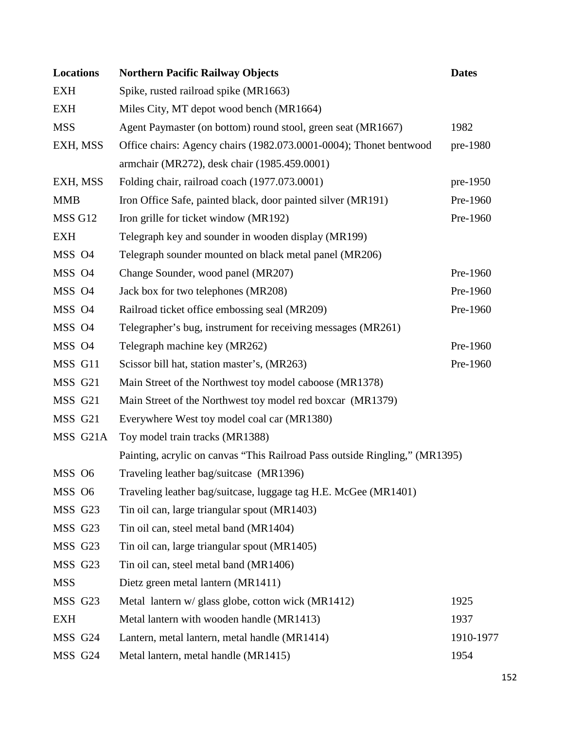| <b>Locations</b> | <b>Northern Pacific Railway Objects</b>                                     | <b>Dates</b> |
|------------------|-----------------------------------------------------------------------------|--------------|
| <b>EXH</b>       | Spike, rusted railroad spike (MR1663)                                       |              |
| <b>EXH</b>       | Miles City, MT depot wood bench (MR1664)                                    |              |
| <b>MSS</b>       | Agent Paymaster (on bottom) round stool, green seat (MR1667)                | 1982         |
| EXH, MSS         | Office chairs: Agency chairs (1982.073.0001-0004); Thonet bentwood          | pre-1980     |
|                  | armchair (MR272), desk chair (1985.459.0001)                                |              |
| EXH, MSS         | Folding chair, railroad coach (1977.073.0001)                               | pre-1950     |
| <b>MMB</b>       | Iron Office Safe, painted black, door painted silver (MR191)                | Pre-1960     |
| MSS G12          | Iron grille for ticket window (MR192)                                       | Pre-1960     |
| <b>EXH</b>       | Telegraph key and sounder in wooden display (MR199)                         |              |
| MSS O4           | Telegraph sounder mounted on black metal panel (MR206)                      |              |
| MSS O4           | Change Sounder, wood panel (MR207)                                          | Pre-1960     |
| MSS 04           | Jack box for two telephones (MR208)                                         | Pre-1960     |
| MSS 04           | Railroad ticket office embossing seal (MR209)                               | Pre-1960     |
| MSS O4           | Telegrapher's bug, instrument for receiving messages (MR261)                |              |
| MSS 04           | Telegraph machine key (MR262)                                               | Pre-1960     |
| MSS G11          | Scissor bill hat, station master's, (MR263)                                 | Pre-1960     |
| MSS G21          | Main Street of the Northwest toy model caboose (MR1378)                     |              |
| MSS G21          | Main Street of the Northwest toy model red boxcar (MR1379)                  |              |
| MSS G21          | Everywhere West toy model coal car (MR1380)                                 |              |
| MSS G21A         | Toy model train tracks (MR1388)                                             |              |
|                  | Painting, acrylic on canvas "This Railroad Pass outside Ringling," (MR1395) |              |
| MSS O6           | Traveling leather bag/suitcase (MR1396)                                     |              |
| MSS O6           | Traveling leather bag/suitcase, luggage tag H.E. McGee (MR1401)             |              |
| MSS G23          | Tin oil can, large triangular spout (MR1403)                                |              |
| MSS G23          | Tin oil can, steel metal band (MR1404)                                      |              |
| MSS G23          | Tin oil can, large triangular spout (MR1405)                                |              |
| MSS G23          | Tin oil can, steel metal band (MR1406)                                      |              |
| <b>MSS</b>       | Dietz green metal lantern (MR1411)                                          |              |
| MSS G23          | Metal lantern w/ glass globe, cotton wick (MR1412)                          | 1925         |
| <b>EXH</b>       | Metal lantern with wooden handle (MR1413)                                   | 1937         |
| MSS G24          | Lantern, metal lantern, metal handle (MR1414)                               | 1910-1977    |
| MSS G24          | Metal lantern, metal handle (MR1415)                                        | 1954         |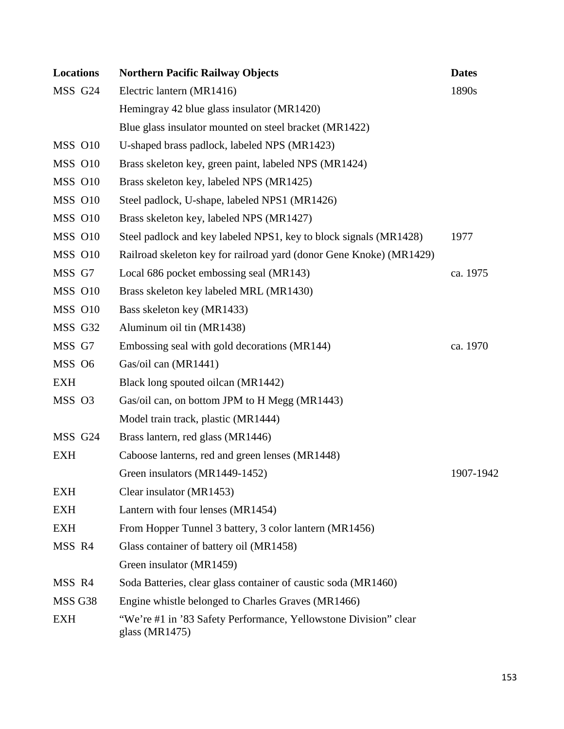| <b>Locations</b>   | <b>Northern Pacific Railway Objects</b>                                                | <b>Dates</b> |
|--------------------|----------------------------------------------------------------------------------------|--------------|
| MSS G24            | Electric lantern (MR1416)                                                              | 1890s        |
|                    | Hemingray 42 blue glass insulator (MR1420)                                             |              |
|                    | Blue glass insulator mounted on steel bracket (MR1422)                                 |              |
| MSS 010            | U-shaped brass padlock, labeled NPS (MR1423)                                           |              |
| MSS 010            | Brass skeleton key, green paint, labeled NPS (MR1424)                                  |              |
| MSS O10            | Brass skeleton key, labeled NPS (MR1425)                                               |              |
| MSS 010            | Steel padlock, U-shape, labeled NPS1 (MR1426)                                          |              |
| MSS O10            | Brass skeleton key, labeled NPS (MR1427)                                               |              |
| <b>MSS 010</b>     | Steel padlock and key labeled NPS1, key to block signals (MR1428)                      | 1977         |
| MSS O10            | Railroad skeleton key for railroad yard (donor Gene Knoke) (MR1429)                    |              |
| MSS G7             | Local 686 pocket embossing seal (MR143)                                                | ca. 1975     |
| <b>MSS 010</b>     | Brass skeleton key labeled MRL (MR1430)                                                |              |
| <b>MSS 010</b>     | Bass skeleton key (MR1433)                                                             |              |
| MSS G32            | Aluminum oil tin (MR1438)                                                              |              |
| MSS G7             | Embossing seal with gold decorations (MR144)                                           | ca. 1970     |
| MSS O6             | Gas/oil can (MR1441)                                                                   |              |
| <b>EXH</b>         | Black long spouted oilcan (MR1442)                                                     |              |
| MSS O3             | Gas/oil can, on bottom JPM to H Megg (MR1443)                                          |              |
|                    | Model train track, plastic (MR1444)                                                    |              |
| MSS G24            | Brass lantern, red glass (MR1446)                                                      |              |
| <b>EXH</b>         | Caboose lanterns, red and green lenses (MR1448)                                        |              |
|                    | Green insulators (MR1449-1452)                                                         | 1907-1942    |
| <b>EXH</b>         | Clear insulator (MR1453)                                                               |              |
| <b>EXH</b>         | Lantern with four lenses (MR1454)                                                      |              |
| <b>EXH</b>         | From Hopper Tunnel 3 battery, 3 color lantern (MR1456)                                 |              |
| MSS R4             | Glass container of battery oil (MR1458)                                                |              |
|                    | Green insulator (MR1459)                                                               |              |
| MSS R4             | Soda Batteries, clear glass container of caustic soda (MR1460)                         |              |
| MSS <sub>G38</sub> | Engine whistle belonged to Charles Graves (MR1466)                                     |              |
| <b>EXH</b>         | "We're #1 in '83 Safety Performance, Yellowstone Division" clear<br>glass ( $MR1475$ ) |              |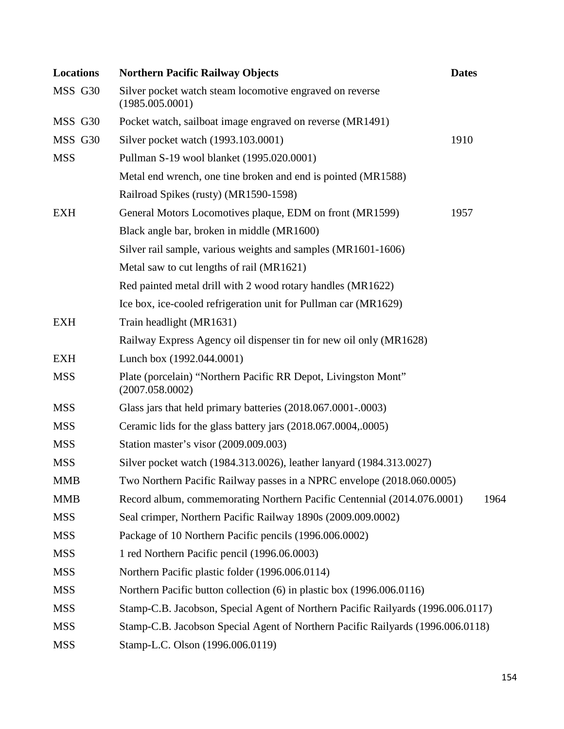| <b>Locations</b> | <b>Northern Pacific Railway Objects</b>                                           | <b>Dates</b> |  |
|------------------|-----------------------------------------------------------------------------------|--------------|--|
| MSS G30          | Silver pocket watch steam locomotive engraved on reverse<br>(1985.005.0001)       |              |  |
| MSS G30          | Pocket watch, sailboat image engraved on reverse (MR1491)                         |              |  |
| MSS G30          | Silver pocket watch (1993.103.0001)                                               | 1910         |  |
| <b>MSS</b>       | Pullman S-19 wool blanket (1995.020.0001)                                         |              |  |
|                  | Metal end wrench, one tine broken and end is pointed (MR1588)                     |              |  |
|                  | Railroad Spikes (rusty) (MR1590-1598)                                             |              |  |
| <b>EXH</b>       | General Motors Locomotives plaque, EDM on front (MR1599)                          | 1957         |  |
|                  | Black angle bar, broken in middle (MR1600)                                        |              |  |
|                  | Silver rail sample, various weights and samples (MR1601-1606)                     |              |  |
|                  | Metal saw to cut lengths of rail (MR1621)                                         |              |  |
|                  | Red painted metal drill with 2 wood rotary handles (MR1622)                       |              |  |
|                  | Ice box, ice-cooled refrigeration unit for Pullman car (MR1629)                   |              |  |
| <b>EXH</b>       | Train headlight (MR1631)                                                          |              |  |
|                  | Railway Express Agency oil dispenser tin for new oil only (MR1628)                |              |  |
| <b>EXH</b>       | Lunch box (1992.044.0001)                                                         |              |  |
| <b>MSS</b>       | Plate (porcelain) "Northern Pacific RR Depot, Livingston Mont"<br>(2007.058.0002) |              |  |
| <b>MSS</b>       | Glass jars that held primary batteries (2018.067.0001-.0003)                      |              |  |
| <b>MSS</b>       | Ceramic lids for the glass battery jars (2018.067.0004,.0005)                     |              |  |
| <b>MSS</b>       | Station master's visor (2009.009.003)                                             |              |  |
| <b>MSS</b>       | Silver pocket watch (1984.313.0026), leather lanyard (1984.313.0027)              |              |  |
| <b>MMB</b>       | Two Northern Pacific Railway passes in a NPRC envelope (2018.060.0005)            |              |  |
| <b>MMB</b>       | Record album, commemorating Northern Pacific Centennial (2014.076.0001)           | 1964         |  |
| <b>MSS</b>       | Seal crimper, Northern Pacific Railway 1890s (2009.009.0002)                      |              |  |
| <b>MSS</b>       | Package of 10 Northern Pacific pencils (1996.006.0002)                            |              |  |
| <b>MSS</b>       | 1 red Northern Pacific pencil (1996.06.0003)                                      |              |  |
| <b>MSS</b>       | Northern Pacific plastic folder (1996.006.0114)                                   |              |  |
| <b>MSS</b>       | Northern Pacific button collection (6) in plastic box (1996.006.0116)             |              |  |
| <b>MSS</b>       | Stamp-C.B. Jacobson, Special Agent of Northern Pacific Railyards (1996.006.0117)  |              |  |
| <b>MSS</b>       | Stamp-C.B. Jacobson Special Agent of Northern Pacific Railyards (1996.006.0118)   |              |  |
| <b>MSS</b>       | Stamp-L.C. Olson (1996.006.0119)                                                  |              |  |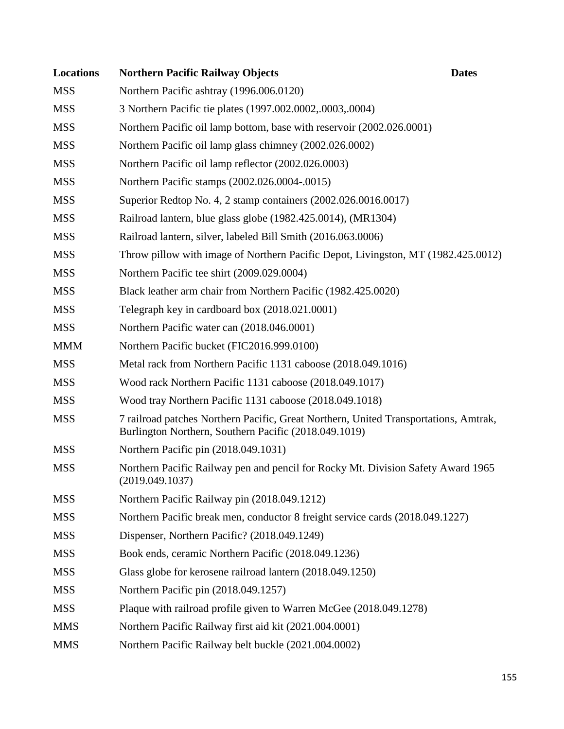| <b>Locations</b> | <b>Northern Pacific Railway Objects</b>                                                                                                       | <b>Dates</b> |
|------------------|-----------------------------------------------------------------------------------------------------------------------------------------------|--------------|
| <b>MSS</b>       | Northern Pacific ashtray (1996.006.0120)                                                                                                      |              |
| <b>MSS</b>       | 3 Northern Pacific tie plates (1997.002.0002,.0003,.0004)                                                                                     |              |
| <b>MSS</b>       | Northern Pacific oil lamp bottom, base with reservoir (2002.026.0001)                                                                         |              |
| <b>MSS</b>       | Northern Pacific oil lamp glass chimney (2002.026.0002)                                                                                       |              |
| <b>MSS</b>       | Northern Pacific oil lamp reflector (2002.026.0003)                                                                                           |              |
| <b>MSS</b>       | Northern Pacific stamps (2002.026.0004-.0015)                                                                                                 |              |
| <b>MSS</b>       | Superior Redtop No. 4, 2 stamp containers (2002.026.0016.0017)                                                                                |              |
| <b>MSS</b>       | Railroad lantern, blue glass globe (1982.425.0014), (MR1304)                                                                                  |              |
| <b>MSS</b>       | Railroad lantern, silver, labeled Bill Smith (2016.063.0006)                                                                                  |              |
| <b>MSS</b>       | Throw pillow with image of Northern Pacific Depot, Livingston, MT (1982.425.0012)                                                             |              |
| <b>MSS</b>       | Northern Pacific tee shirt (2009.029.0004)                                                                                                    |              |
| <b>MSS</b>       | Black leather arm chair from Northern Pacific (1982.425.0020)                                                                                 |              |
| <b>MSS</b>       | Telegraph key in cardboard box (2018.021.0001)                                                                                                |              |
| <b>MSS</b>       | Northern Pacific water can (2018.046.0001)                                                                                                    |              |
| <b>MMM</b>       | Northern Pacific bucket (FIC2016.999.0100)                                                                                                    |              |
| <b>MSS</b>       | Metal rack from Northern Pacific 1131 caboose (2018.049.1016)                                                                                 |              |
| <b>MSS</b>       | Wood rack Northern Pacific 1131 caboose (2018.049.1017)                                                                                       |              |
| <b>MSS</b>       | Wood tray Northern Pacific 1131 caboose (2018.049.1018)                                                                                       |              |
| <b>MSS</b>       | 7 railroad patches Northern Pacific, Great Northern, United Transportations, Amtrak,<br>Burlington Northern, Southern Pacific (2018.049.1019) |              |
| <b>MSS</b>       | Northern Pacific pin (2018.049.1031)                                                                                                          |              |
| <b>MSS</b>       | Northern Pacific Railway pen and pencil for Rocky Mt. Division Safety Award 1965<br>(2019.049.1037)                                           |              |
| <b>MSS</b>       | Northern Pacific Railway pin (2018.049.1212)                                                                                                  |              |
| <b>MSS</b>       | Northern Pacific break men, conductor 8 freight service cards (2018.049.1227)                                                                 |              |
| <b>MSS</b>       | Dispenser, Northern Pacific? (2018.049.1249)                                                                                                  |              |
| <b>MSS</b>       | Book ends, ceramic Northern Pacific (2018.049.1236)                                                                                           |              |
| <b>MSS</b>       | Glass globe for kerosene railroad lantern (2018.049.1250)                                                                                     |              |
| <b>MSS</b>       | Northern Pacific pin (2018.049.1257)                                                                                                          |              |
| <b>MSS</b>       | Plaque with railroad profile given to Warren McGee (2018.049.1278)                                                                            |              |
| <b>MMS</b>       | Northern Pacific Railway first aid kit (2021.004.0001)                                                                                        |              |
| <b>MMS</b>       | Northern Pacific Railway belt buckle (2021.004.0002)                                                                                          |              |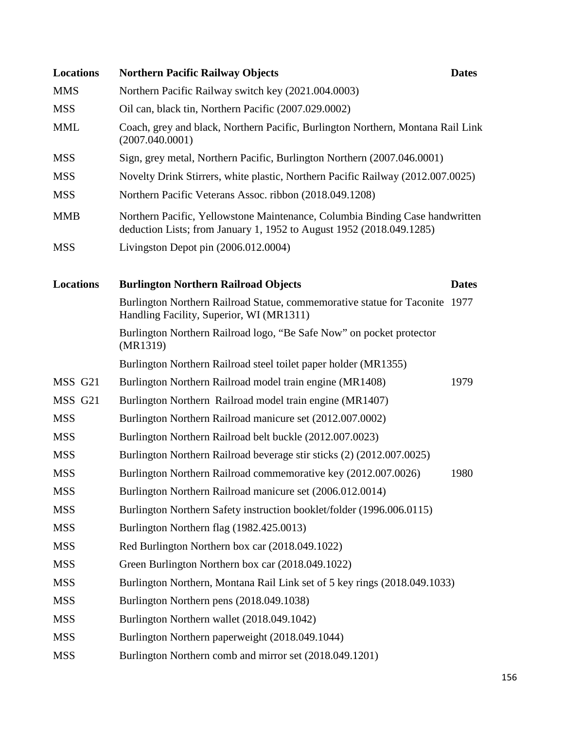| <b>Locations</b> | <b>Northern Pacific Railway Objects</b>                                                                                                              | <b>Dates</b> |
|------------------|------------------------------------------------------------------------------------------------------------------------------------------------------|--------------|
| <b>MMS</b>       | Northern Pacific Railway switch key (2021.004.0003)                                                                                                  |              |
| <b>MSS</b>       | Oil can, black tin, Northern Pacific (2007.029.0002)                                                                                                 |              |
| <b>MML</b>       | Coach, grey and black, Northern Pacific, Burlington Northern, Montana Rail Link<br>(2007.040.0001)                                                   |              |
| <b>MSS</b>       | Sign, grey metal, Northern Pacific, Burlington Northern (2007.046.0001)                                                                              |              |
| <b>MSS</b>       | Novelty Drink Stirrers, white plastic, Northern Pacific Railway (2012.007.0025)                                                                      |              |
| <b>MSS</b>       | Northern Pacific Veterans Assoc. ribbon (2018.049.1208)                                                                                              |              |
| <b>MMB</b>       | Northern Pacific, Yellowstone Maintenance, Columbia Binding Case handwritten<br>deduction Lists; from January 1, 1952 to August 1952 (2018.049.1285) |              |
| <b>MSS</b>       | Livingston Depot pin $(2006.012.0004)$                                                                                                               |              |
|                  |                                                                                                                                                      |              |
| <b>Locations</b> | <b>Burlington Northern Railroad Objects</b>                                                                                                          | <b>Dates</b> |
|                  | Burlington Northern Railroad Statue, commemorative statue for Taconite 1977<br>Handling Facility, Superior, WI (MR1311)                              |              |
|                  | Burlington Northern Railroad logo, "Be Safe Now" on pocket protector<br>(MR1319)                                                                     |              |
|                  | Burlington Northern Railroad steel toilet paper holder (MR1355)                                                                                      |              |
| MSS G21          | Burlington Northern Railroad model train engine (MR1408)                                                                                             | 1979         |
| MSS G21          | Burlington Northern Railroad model train engine (MR1407)                                                                                             |              |
| <b>MSS</b>       | Burlington Northern Railroad manicure set (2012.007.0002)                                                                                            |              |
| <b>MSS</b>       | Burlington Northern Railroad belt buckle (2012.007.0023)                                                                                             |              |
| <b>MSS</b>       | Burlington Northern Railroad beverage stir sticks (2) (2012.007.0025)                                                                                |              |
| <b>MSS</b>       | Burlington Northern Railroad commemorative key (2012.007.0026)                                                                                       | 1980         |
| <b>MSS</b>       | Burlington Northern Railroad manicure set (2006.012.0014)                                                                                            |              |
| <b>MSS</b>       | Burlington Northern Safety instruction booklet/folder (1996.006.0115)                                                                                |              |
| <b>MSS</b>       | Burlington Northern flag (1982.425.0013)                                                                                                             |              |
| <b>MSS</b>       | Red Burlington Northern box car (2018.049.1022)                                                                                                      |              |
| <b>MSS</b>       | Green Burlington Northern box car (2018.049.1022)                                                                                                    |              |
| <b>MSS</b>       | Burlington Northern, Montana Rail Link set of 5 key rings (2018.049.1033)                                                                            |              |
| <b>MSS</b>       | Burlington Northern pens (2018.049.1038)                                                                                                             |              |
| <b>MSS</b>       | Burlington Northern wallet (2018.049.1042)                                                                                                           |              |
| <b>MSS</b>       | Burlington Northern paperweight (2018.049.1044)                                                                                                      |              |
| <b>MSS</b>       | Burlington Northern comb and mirror set (2018.049.1201)                                                                                              |              |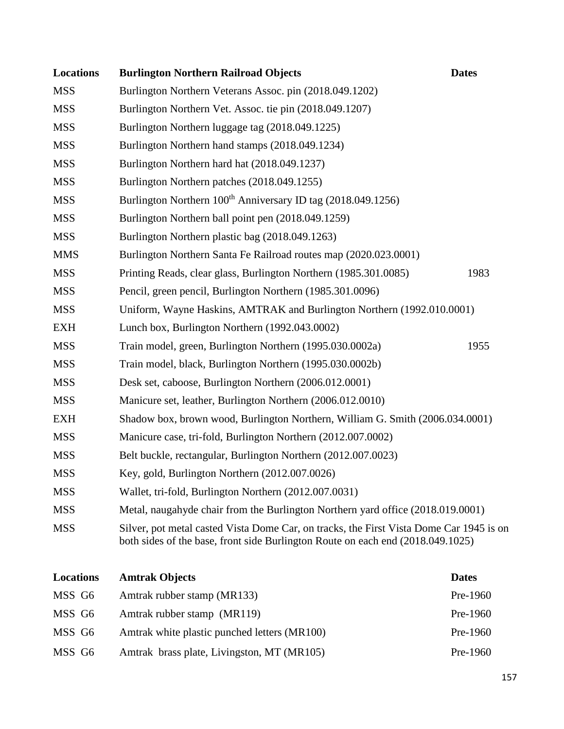| <b>Locations</b> | <b>Burlington Northern Railroad Objects</b>                                                                                                                                | <b>Dates</b> |
|------------------|----------------------------------------------------------------------------------------------------------------------------------------------------------------------------|--------------|
| <b>MSS</b>       | Burlington Northern Veterans Assoc. pin (2018.049.1202)                                                                                                                    |              |
| <b>MSS</b>       | Burlington Northern Vet. Assoc. tie pin (2018.049.1207)                                                                                                                    |              |
| <b>MSS</b>       | Burlington Northern luggage tag (2018.049.1225)                                                                                                                            |              |
| <b>MSS</b>       | Burlington Northern hand stamps (2018.049.1234)                                                                                                                            |              |
| <b>MSS</b>       | Burlington Northern hard hat (2018.049.1237)                                                                                                                               |              |
| <b>MSS</b>       | Burlington Northern patches (2018.049.1255)                                                                                                                                |              |
| <b>MSS</b>       | Burlington Northern 100 <sup>th</sup> Anniversary ID tag (2018.049.1256)                                                                                                   |              |
| <b>MSS</b>       | Burlington Northern ball point pen (2018.049.1259)                                                                                                                         |              |
| <b>MSS</b>       | Burlington Northern plastic bag (2018.049.1263)                                                                                                                            |              |
| <b>MMS</b>       | Burlington Northern Santa Fe Railroad routes map (2020.023.0001)                                                                                                           |              |
| <b>MSS</b>       | Printing Reads, clear glass, Burlington Northern (1985.301.0085)                                                                                                           | 1983         |
| <b>MSS</b>       | Pencil, green pencil, Burlington Northern (1985.301.0096)                                                                                                                  |              |
| <b>MSS</b>       | Uniform, Wayne Haskins, AMTRAK and Burlington Northern (1992.010.0001)                                                                                                     |              |
| <b>EXH</b>       | Lunch box, Burlington Northern (1992.043.0002)                                                                                                                             |              |
| <b>MSS</b>       | Train model, green, Burlington Northern (1995.030.0002a)                                                                                                                   | 1955         |
| <b>MSS</b>       | Train model, black, Burlington Northern (1995.030.0002b)                                                                                                                   |              |
| <b>MSS</b>       | Desk set, caboose, Burlington Northern (2006.012.0001)                                                                                                                     |              |
| <b>MSS</b>       | Manicure set, leather, Burlington Northern (2006.012.0010)                                                                                                                 |              |
| <b>EXH</b>       | Shadow box, brown wood, Burlington Northern, William G. Smith (2006.034.0001)                                                                                              |              |
| <b>MSS</b>       | Manicure case, tri-fold, Burlington Northern (2012.007.0002)                                                                                                               |              |
| <b>MSS</b>       | Belt buckle, rectangular, Burlington Northern (2012.007.0023)                                                                                                              |              |
| <b>MSS</b>       | Key, gold, Burlington Northern (2012.007.0026)                                                                                                                             |              |
| <b>MSS</b>       | Wallet, tri-fold, Burlington Northern (2012.007.0031)                                                                                                                      |              |
| <b>MSS</b>       | Metal, naugahyde chair from the Burlington Northern yard office (2018.019.0001)                                                                                            |              |
| <b>MSS</b>       | Silver, pot metal casted Vista Dome Car, on tracks, the First Vista Dome Car 1945 is on<br>both sides of the base, front side Burlington Route on each end (2018.049.1025) |              |
| <b>Locations</b> | <b>Amtrak Objects</b>                                                                                                                                                      | <b>Dates</b> |
| MSS G6           | Amtrak rubber stamp (MR133)                                                                                                                                                | Pre-1960     |

| MSS G6 | Amtrak rubber stamp (MR119)                  | Pre-1960 |
|--------|----------------------------------------------|----------|
| MSS G6 | Amtrak white plastic punched letters (MR100) | Pre-1960 |
| MSS G6 | Amtrak brass plate, Livingston, MT (MR105)   | Pre-1960 |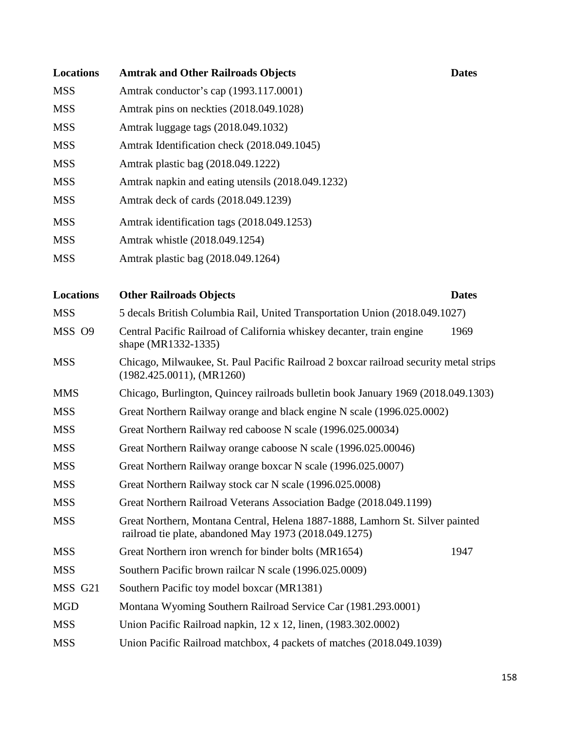| <b>Locations</b> | <b>Amtrak and Other Railroads Objects</b>                                                                                               | <b>Dates</b> |
|------------------|-----------------------------------------------------------------------------------------------------------------------------------------|--------------|
| <b>MSS</b>       | Amtrak conductor's cap (1993.117.0001)                                                                                                  |              |
| <b>MSS</b>       | Amtrak pins on neckties (2018.049.1028)                                                                                                 |              |
| <b>MSS</b>       | Amtrak luggage tags (2018.049.1032)                                                                                                     |              |
| <b>MSS</b>       | Amtrak Identification check (2018.049.1045)                                                                                             |              |
| <b>MSS</b>       | Amtrak plastic bag (2018.049.1222)                                                                                                      |              |
| <b>MSS</b>       | Amtrak napkin and eating utensils (2018.049.1232)                                                                                       |              |
| <b>MSS</b>       | Amtrak deck of cards (2018.049.1239)                                                                                                    |              |
| <b>MSS</b>       | Amtrak identification tags (2018.049.1253)                                                                                              |              |
| <b>MSS</b>       | Amtrak whistle (2018.049.1254)                                                                                                          |              |
| <b>MSS</b>       | Amtrak plastic bag (2018.049.1264)                                                                                                      |              |
|                  |                                                                                                                                         |              |
| <b>Locations</b> | <b>Other Railroads Objects</b>                                                                                                          | <b>Dates</b> |
| <b>MSS</b>       | 5 decals British Columbia Rail, United Transportation Union (2018.049.1027)                                                             |              |
| MSS O9           | Central Pacific Railroad of California whiskey decanter, train engine<br>shape (MR1332-1335)                                            | 1969         |
| <b>MSS</b>       | Chicago, Milwaukee, St. Paul Pacific Railroad 2 boxcar railroad security metal strips<br>$(1982.425.0011)$ , (MR1260)                   |              |
| <b>MMS</b>       | Chicago, Burlington, Quincey railroads bulletin book January 1969 (2018.049.1303)                                                       |              |
| <b>MSS</b>       | Great Northern Railway orange and black engine N scale (1996.025.0002)                                                                  |              |
| <b>MSS</b>       | Great Northern Railway red caboose N scale (1996.025.00034)                                                                             |              |
| <b>MSS</b>       | Great Northern Railway orange caboose N scale (1996.025.00046)                                                                          |              |
| <b>MSS</b>       | Great Northern Railway orange boxcar N scale (1996.025.0007)                                                                            |              |
| <b>MSS</b>       | Great Northern Railway stock car N scale (1996.025.0008)                                                                                |              |
| <b>MSS</b>       | Great Northern Railroad Veterans Association Badge (2018.049.1199)                                                                      |              |
| <b>MSS</b>       | Great Northern, Montana Central, Helena 1887-1888, Lamhorn St. Silver painted<br>railroad tie plate, abandoned May 1973 (2018.049.1275) |              |
| <b>MSS</b>       | Great Northern iron wrench for binder bolts (MR1654)                                                                                    | 1947         |
| <b>MSS</b>       | Southern Pacific brown railcar N scale (1996.025.0009)                                                                                  |              |
| MSS G21          | Southern Pacific toy model boxcar (MR1381)                                                                                              |              |
| <b>MGD</b>       | Montana Wyoming Southern Railroad Service Car (1981.293.0001)                                                                           |              |
| <b>MSS</b>       | Union Pacific Railroad napkin, $12 \times 12$ , linen, $(1983.302.0002)$                                                                |              |
| <b>MSS</b>       | Union Pacific Railroad matchbox, 4 packets of matches (2018.049.1039)                                                                   |              |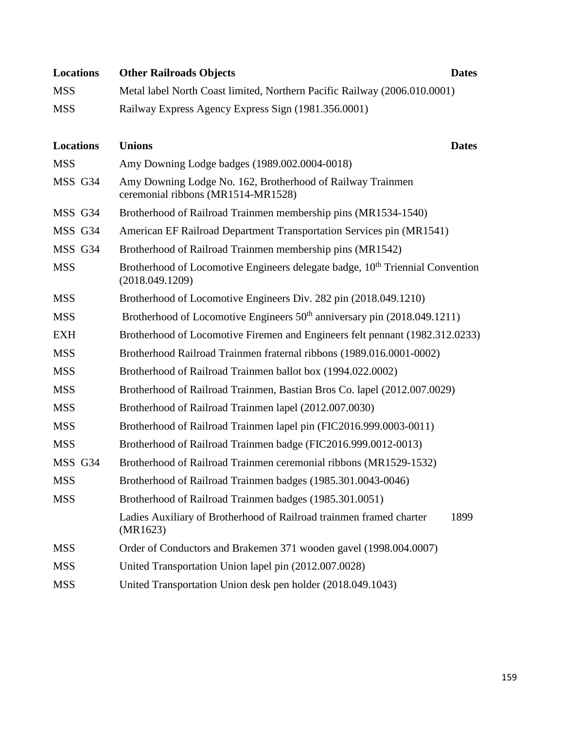| <b>Locations</b> | <b>Other Railroads Objects</b><br><b>Dates</b>                                                               |  |
|------------------|--------------------------------------------------------------------------------------------------------------|--|
| <b>MSS</b>       | Metal label North Coast limited, Northern Pacific Railway (2006.010.0001)                                    |  |
| <b>MSS</b>       | Railway Express Agency Express Sign (1981.356.0001)                                                          |  |
|                  |                                                                                                              |  |
| <b>Locations</b> | <b>Unions</b><br><b>Dates</b>                                                                                |  |
| <b>MSS</b>       | Amy Downing Lodge badges (1989.002.0004-0018)                                                                |  |
| MSS G34          | Amy Downing Lodge No. 162, Brotherhood of Railway Trainmen<br>ceremonial ribbons (MR1514-MR1528)             |  |
| MSS G34          | Brotherhood of Railroad Trainmen membership pins (MR1534-1540)                                               |  |
| MSS G34          | American EF Railroad Department Transportation Services pin (MR1541)                                         |  |
| MSS G34          | Brotherhood of Railroad Trainmen membership pins (MR1542)                                                    |  |
| <b>MSS</b>       | Brotherhood of Locomotive Engineers delegate badge, 10 <sup>th</sup> Triennial Convention<br>(2018.049.1209) |  |
| <b>MSS</b>       | Brotherhood of Locomotive Engineers Div. 282 pin (2018.049.1210)                                             |  |
| <b>MSS</b>       | Brotherhood of Locomotive Engineers 50 <sup>th</sup> anniversary pin (2018.049.1211)                         |  |
| <b>EXH</b>       | Brotherhood of Locomotive Firemen and Engineers felt pennant (1982.312.0233)                                 |  |
| <b>MSS</b>       | Brotherhood Railroad Trainmen fraternal ribbons (1989.016.0001-0002)                                         |  |
| <b>MSS</b>       | Brotherhood of Railroad Trainmen ballot box (1994.022.0002)                                                  |  |
| <b>MSS</b>       | Brotherhood of Railroad Trainmen, Bastian Bros Co. lapel (2012.007.0029)                                     |  |
| <b>MSS</b>       | Brotherhood of Railroad Trainmen lapel (2012.007.0030)                                                       |  |
| <b>MSS</b>       | Brotherhood of Railroad Trainmen lapel pin (FIC2016.999.0003-0011)                                           |  |
| <b>MSS</b>       | Brotherhood of Railroad Trainmen badge (FIC2016.999.0012-0013)                                               |  |
| MSS G34          | Brotherhood of Railroad Trainmen ceremonial ribbons (MR1529-1532)                                            |  |
| <b>MSS</b>       | Brotherhood of Railroad Trainmen badges (1985.301.0043-0046)                                                 |  |
| <b>MSS</b>       | Brotherhood of Railroad Trainmen badges (1985.301.0051)                                                      |  |
|                  | Ladies Auxiliary of Brotherhood of Railroad trainmen framed charter<br>1899<br>(MR1623)                      |  |
| <b>MSS</b>       | Order of Conductors and Brakemen 371 wooden gavel (1998.004.0007)                                            |  |
| <b>MSS</b>       | United Transportation Union lapel pin (2012.007.0028)                                                        |  |
| <b>MSS</b>       | United Transportation Union desk pen holder (2018.049.1043)                                                  |  |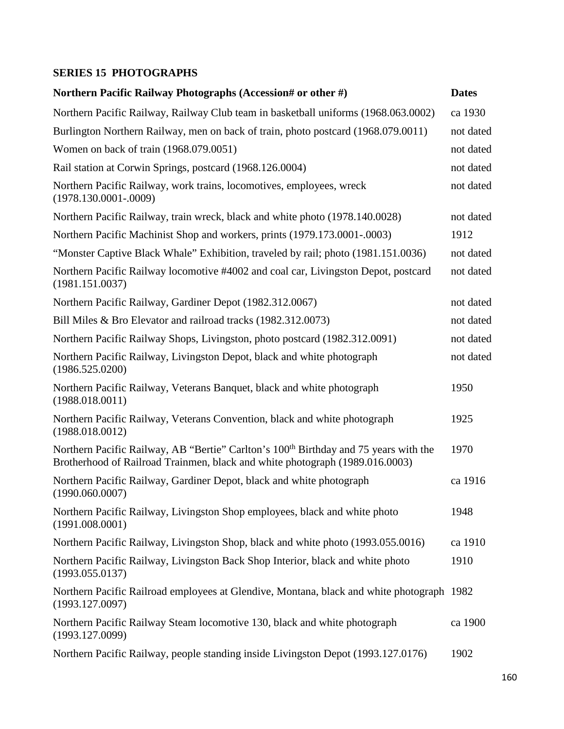## **SERIES 15 PHOTOGRAPHS**

| Northern Pacific Railway Photographs (Accession# or other #)                                                                                                                     | <b>Dates</b> |
|----------------------------------------------------------------------------------------------------------------------------------------------------------------------------------|--------------|
| Northern Pacific Railway, Railway Club team in basketball uniforms (1968.063.0002)                                                                                               | ca 1930      |
| Burlington Northern Railway, men on back of train, photo postcard (1968.079.0011)                                                                                                | not dated    |
| Women on back of train (1968.079.0051)                                                                                                                                           | not dated    |
| Rail station at Corwin Springs, postcard (1968.126.0004)                                                                                                                         | not dated    |
| Northern Pacific Railway, work trains, locomotives, employees, wreck<br>$(1978.130.0001 - 0009)$                                                                                 | not dated    |
| Northern Pacific Railway, train wreck, black and white photo (1978.140.0028)                                                                                                     | not dated    |
| Northern Pacific Machinist Shop and workers, prints (1979.173.0001-.0003)                                                                                                        | 1912         |
| "Monster Captive Black Whale" Exhibition, traveled by rail; photo (1981.151.0036)                                                                                                | not dated    |
| Northern Pacific Railway locomotive #4002 and coal car, Livingston Depot, postcard<br>(1981.151.0037)                                                                            | not dated    |
| Northern Pacific Railway, Gardiner Depot (1982.312.0067)                                                                                                                         | not dated    |
| Bill Miles & Bro Elevator and railroad tracks (1982.312.0073)                                                                                                                    | not dated    |
| Northern Pacific Railway Shops, Livingston, photo postcard (1982.312.0091)                                                                                                       | not dated    |
| Northern Pacific Railway, Livingston Depot, black and white photograph<br>(1986.525.0200)                                                                                        | not dated    |
| Northern Pacific Railway, Veterans Banquet, black and white photograph<br>(1988.018.0011)                                                                                        | 1950         |
| Northern Pacific Railway, Veterans Convention, black and white photograph<br>(1988.018.0012)                                                                                     | 1925         |
| Northern Pacific Railway, AB "Bertie" Carlton's 100 <sup>th</sup> Birthday and 75 years with the<br>Brotherhood of Railroad Trainmen, black and white photograph (1989.016.0003) | 1970         |
| Northern Pacific Railway, Gardiner Depot, black and white photograph<br>(1990.060.0007)                                                                                          | ca 1916      |
| Northern Pacific Railway, Livingston Shop employees, black and white photo<br>(1991.008.0001)                                                                                    | 1948         |
| Northern Pacific Railway, Livingston Shop, black and white photo (1993.055.0016)                                                                                                 | ca 1910      |
| Northern Pacific Railway, Livingston Back Shop Interior, black and white photo<br>(1993.055.0137)                                                                                | 1910         |
| Northern Pacific Railroad employees at Glendive, Montana, black and white photograph 1982<br>(1993.127.0097)                                                                     |              |
| Northern Pacific Railway Steam locomotive 130, black and white photograph<br>(1993.127.0099)                                                                                     | ca 1900      |
| Northern Pacific Railway, people standing inside Livingston Depot (1993.127.0176)                                                                                                | 1902         |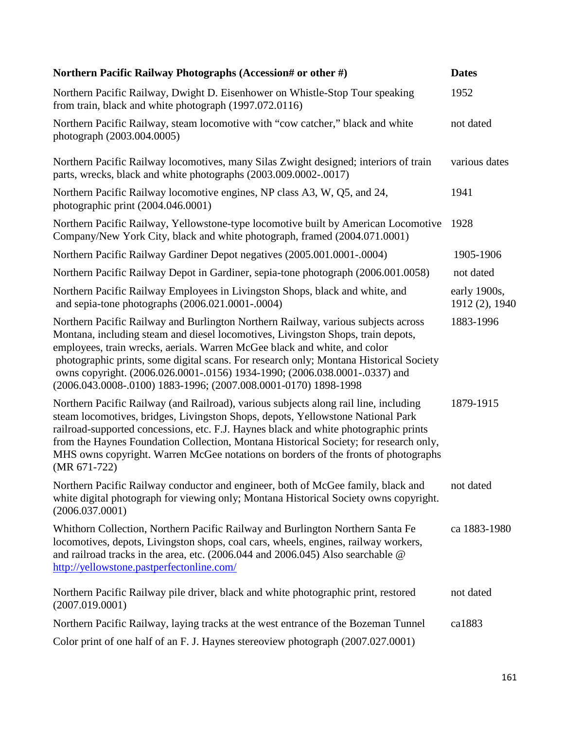| Northern Pacific Railway Photographs (Accession# or other #)                                                                                                                                                                                                                                                                                                                                                                                                                                  | <b>Dates</b>                   |
|-----------------------------------------------------------------------------------------------------------------------------------------------------------------------------------------------------------------------------------------------------------------------------------------------------------------------------------------------------------------------------------------------------------------------------------------------------------------------------------------------|--------------------------------|
| Northern Pacific Railway, Dwight D. Eisenhower on Whistle-Stop Tour speaking<br>from train, black and white photograph (1997.072.0116)                                                                                                                                                                                                                                                                                                                                                        | 1952                           |
| Northern Pacific Railway, steam locomotive with "cow catcher," black and white<br>photograph (2003.004.0005)                                                                                                                                                                                                                                                                                                                                                                                  | not dated                      |
| Northern Pacific Railway locomotives, many Silas Zwight designed; interiors of train<br>parts, wrecks, black and white photographs (2003.009.0002-.0017)                                                                                                                                                                                                                                                                                                                                      | various dates                  |
| Northern Pacific Railway locomotive engines, NP class A3, W, Q5, and 24,<br>photographic print (2004.046.0001)                                                                                                                                                                                                                                                                                                                                                                                | 1941                           |
| Northern Pacific Railway, Yellowstone-type locomotive built by American Locomotive<br>Company/New York City, black and white photograph, framed (2004.071.0001)                                                                                                                                                                                                                                                                                                                               | 1928                           |
| Northern Pacific Railway Gardiner Depot negatives (2005.001.0001-.0004)                                                                                                                                                                                                                                                                                                                                                                                                                       | 1905-1906                      |
| Northern Pacific Railway Depot in Gardiner, sepia-tone photograph (2006.001.0058)                                                                                                                                                                                                                                                                                                                                                                                                             | not dated                      |
| Northern Pacific Railway Employees in Livingston Shops, black and white, and<br>and sepia-tone photographs (2006.021.0001-.0004)                                                                                                                                                                                                                                                                                                                                                              | early 1900s,<br>1912 (2), 1940 |
| Northern Pacific Railway and Burlington Northern Railway, various subjects across<br>Montana, including steam and diesel locomotives, Livingston Shops, train depots,<br>employees, train wrecks, aerials. Warren McGee black and white, and color<br>photographic prints, some digital scans. For research only; Montana Historical Society<br>owns copyright. (2006.026.0001-.0156) 1934-1990; (2006.038.0001-.0337) and<br>(2006.043.0008-.0100) 1883-1996; (2007.008.0001-0170) 1898-1998 | 1883-1996                      |
| Northern Pacific Railway (and Railroad), various subjects along rail line, including<br>steam locomotives, bridges, Livingston Shops, depots, Yellowstone National Park<br>railroad-supported concessions, etc. F.J. Haynes black and white photographic prints<br>from the Haynes Foundation Collection, Montana Historical Society; for research only,<br>MHS owns copyright. Warren McGee notations on borders of the fronts of photographs<br>$(MR 671-722)$                              | 1879-1915                      |
| Northern Pacific Railway conductor and engineer, both of McGee family, black and<br>white digital photograph for viewing only; Montana Historical Society owns copyright.<br>(2006.037.0001)                                                                                                                                                                                                                                                                                                  | not dated                      |
| Whithorn Collection, Northern Pacific Railway and Burlington Northern Santa Fe<br>locomotives, depots, Livingston shops, coal cars, wheels, engines, railway workers,<br>and railroad tracks in the area, etc. (2006.044 and 2006.045) Also searchable @<br>http://yellowstone.pastperfectonline.com/                                                                                                                                                                                         | ca 1883-1980                   |
| Northern Pacific Railway pile driver, black and white photographic print, restored<br>(2007.019.0001)                                                                                                                                                                                                                                                                                                                                                                                         | not dated                      |
| Northern Pacific Railway, laying tracks at the west entrance of the Bozeman Tunnel                                                                                                                                                                                                                                                                                                                                                                                                            | ca1883                         |
| Color print of one half of an F. J. Haynes stereoview photograph (2007.027.0001)                                                                                                                                                                                                                                                                                                                                                                                                              |                                |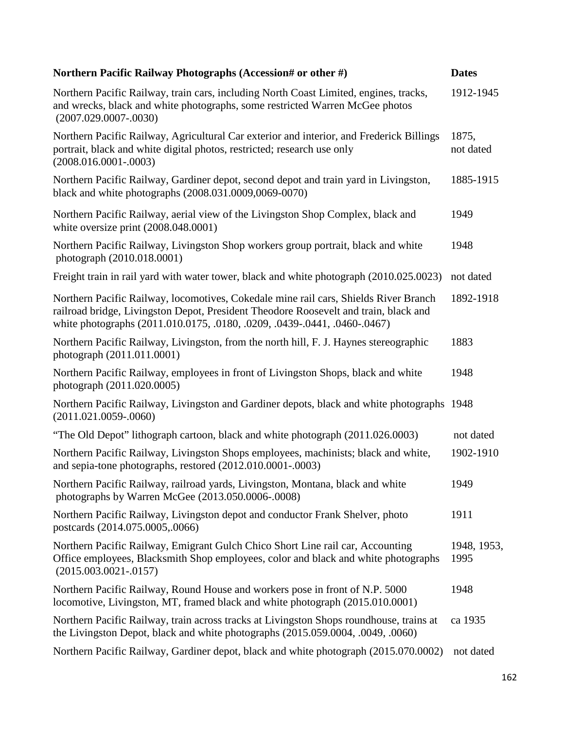| Northern Pacific Railway Photographs (Accession# or other #)                                                                                                                                                                                              | <b>Dates</b>        |
|-----------------------------------------------------------------------------------------------------------------------------------------------------------------------------------------------------------------------------------------------------------|---------------------|
| Northern Pacific Railway, train cars, including North Coast Limited, engines, tracks,<br>and wrecks, black and white photographs, some restricted Warren McGee photos<br>$(2007.029.0007 - 0030)$                                                         | 1912-1945           |
| Northern Pacific Railway, Agricultural Car exterior and interior, and Frederick Billings<br>portrait, black and white digital photos, restricted; research use only<br>$(2008.016.0001-.0003)$                                                            | 1875,<br>not dated  |
| Northern Pacific Railway, Gardiner depot, second depot and train yard in Livingston,<br>black and white photographs (2008.031.0009,0069-0070)                                                                                                             | 1885-1915           |
| Northern Pacific Railway, aerial view of the Livingston Shop Complex, black and<br>white oversize print $(2008.048.0001)$                                                                                                                                 | 1949                |
| Northern Pacific Railway, Livingston Shop workers group portrait, black and white<br>photograph (2010.018.0001)                                                                                                                                           | 1948                |
| Freight train in rail yard with water tower, black and white photograph (2010.025.0023)                                                                                                                                                                   | not dated           |
| Northern Pacific Railway, locomotives, Cokedale mine rail cars, Shields River Branch<br>railroad bridge, Livingston Depot, President Theodore Roosevelt and train, black and<br>white photographs (2011.010.0175, .0180, .0209, .0439-.0441, .0460-.0467) | 1892-1918           |
| Northern Pacific Railway, Livingston, from the north hill, F. J. Haynes stereographic<br>photograph (2011.011.0001)                                                                                                                                       | 1883                |
| Northern Pacific Railway, employees in front of Livingston Shops, black and white<br>photograph (2011.020.0005)                                                                                                                                           | 1948                |
| Northern Pacific Railway, Livingston and Gardiner depots, black and white photographs 1948<br>$(2011.021.0059-.0060)$                                                                                                                                     |                     |
| "The Old Depot" lithograph cartoon, black and white photograph (2011.026.0003)                                                                                                                                                                            | not dated           |
| Northern Pacific Railway, Livingston Shops employees, machinists; black and white,<br>and sepia-tone photographs, restored (2012.010.0001-.0003)                                                                                                          | 1902-1910           |
| Northern Pacific Railway, railroad yards, Livingston, Montana, black and white<br>photographs by Warren McGee (2013.050.0006-.0008)                                                                                                                       | 1949                |
| Northern Pacific Railway, Livingston depot and conductor Frank Shelver, photo<br>postcards (2014.075.0005,.0066)                                                                                                                                          | 1911                |
| Northern Pacific Railway, Emigrant Gulch Chico Short Line rail car, Accounting<br>Office employees, Blacksmith Shop employees, color and black and white photographs<br>$(2015.003.0021-.0157)$                                                           | 1948, 1953,<br>1995 |
| Northern Pacific Railway, Round House and workers pose in front of N.P. 5000<br>locomotive, Livingston, MT, framed black and white photograph (2015.010.0001)                                                                                             | 1948                |
| Northern Pacific Railway, train across tracks at Livingston Shops roundhouse, trains at<br>the Livingston Depot, black and white photographs (2015.059.0004, .0049, .0060)                                                                                | ca 1935             |
| Northern Pacific Railway, Gardiner depot, black and white photograph (2015.070.0002)                                                                                                                                                                      | not dated           |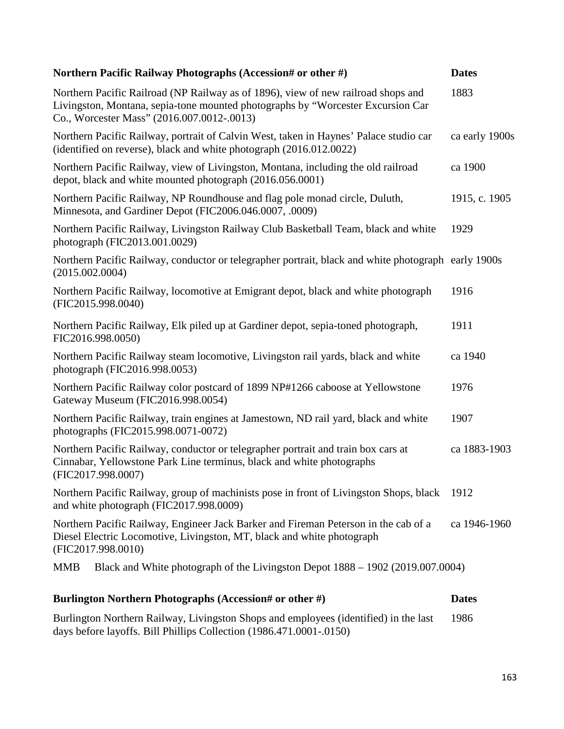| Northern Pacific Railway Photographs (Accession# or other #)                                                                                                                                                       | <b>Dates</b>   |
|--------------------------------------------------------------------------------------------------------------------------------------------------------------------------------------------------------------------|----------------|
| Northern Pacific Railroad (NP Railway as of 1896), view of new railroad shops and<br>Livingston, Montana, sepia-tone mounted photographs by "Worcester Excursion Car<br>Co., Worcester Mass" (2016.007.0012-.0013) | 1883           |
| Northern Pacific Railway, portrait of Calvin West, taken in Haynes' Palace studio car<br>(identified on reverse), black and white photograph (2016.012.0022)                                                       | ca early 1900s |
| Northern Pacific Railway, view of Livingston, Montana, including the old railroad<br>depot, black and white mounted photograph (2016.056.0001)                                                                     | ca 1900        |
| Northern Pacific Railway, NP Roundhouse and flag pole monad circle, Duluth,<br>Minnesota, and Gardiner Depot (FIC2006.046.0007, .0009)                                                                             | 1915, c. 1905  |
| Northern Pacific Railway, Livingston Railway Club Basketball Team, black and white<br>photograph (FIC2013.001.0029)                                                                                                | 1929           |
| Northern Pacific Railway, conductor or telegrapher portrait, black and white photograph early 1900s<br>(2015.002.0004)                                                                                             |                |
| Northern Pacific Railway, locomotive at Emigrant depot, black and white photograph<br>(FIC2015.998.0040)                                                                                                           | 1916           |
| Northern Pacific Railway, Elk piled up at Gardiner depot, sepia-toned photograph,<br>FIC2016.998.0050)                                                                                                             | 1911           |
| Northern Pacific Railway steam locomotive, Livingston rail yards, black and white<br>photograph (FIC2016.998.0053)                                                                                                 | ca 1940        |
| Northern Pacific Railway color postcard of 1899 NP#1266 caboose at Yellowstone<br>Gateway Museum (FIC2016.998.0054)                                                                                                | 1976           |
| Northern Pacific Railway, train engines at Jamestown, ND rail yard, black and white<br>photographs (FIC2015.998.0071-0072)                                                                                         | 1907           |
| Northern Pacific Railway, conductor or telegrapher portrait and train box cars at<br>Cinnabar, Yellowstone Park Line terminus, black and white photographs<br>(FIC2017.998.0007)                                   | ca 1883-1903   |
| Northern Pacific Railway, group of machinists pose in front of Livingston Shops, black<br>and white photograph (FIC2017.998.0009)                                                                                  | 1912           |
| Northern Pacific Railway, Engineer Jack Barker and Fireman Peterson in the cab of a<br>Diesel Electric Locomotive, Livingston, MT, black and white photograph<br>(FIC2017.998.0010)                                | ca 1946-1960   |
| <b>MMB</b><br>Black and White photograph of the Livingston Depot 1888 – 1902 (2019.007.0004)                                                                                                                       |                |
| Burlington Northern Photographs (Accession# or other #)                                                                                                                                                            | <b>Dates</b>   |
| Burlington Northern Railway, Livingston Shops and employees (identified) in the last                                                                                                                               | 1986           |

days before layoffs. Bill Phillips Collection (1986.471.0001-.0150)